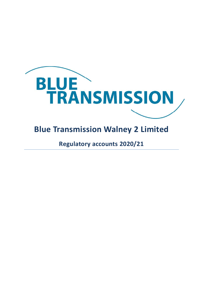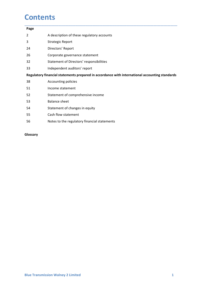### **Contents**

| Page           |                                                                                                |
|----------------|------------------------------------------------------------------------------------------------|
| $\overline{2}$ | A description of these regulatory accounts                                                     |
| 3              | <b>Strategic Report</b>                                                                        |
| 24             | Directors' Report                                                                              |
| 26             | Corporate governance statement                                                                 |
| 32             | Statement of Directors' responsibilities                                                       |
| 33             | Independent auditors' report                                                                   |
|                | Regulatory financial statements prepared in accordance with international accounting standards |
| 38             | Accounting policies                                                                            |
| 51             | Income statement                                                                               |
| 52             | Statement of comprehensive income                                                              |
| 53             | <b>Balance sheet</b>                                                                           |
| 54             | Statement of changes in equity                                                                 |
| 55             | Cash flow statement                                                                            |
| 56             | Notes to the regulatory financial statements                                                   |

### Glossary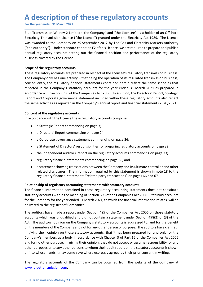**A description of these regulatory accounts**<br>For the year ended 31 March 2021<br>Blue Transmission Walney 2 Limited ("the Company" and "the Licensee") is a holder of an Offshore<br>Electricity Transmission Licence ("the Licence" **A description of these regulatory accounts**<br>For the year ended 31 March 2021<br>Blue Transmission Walney 2 Limited ("the Company" and "the Licensee") is a holder of an Offshore<br>Electricity Transmission Licence ("the Licence" **A description of these regulatory accounts**<br>For the year ended 31 March 2021<br>Blue Transmission Walney 2 Limited ("the Company" and "the Licensee") is a holder of an Offshore<br>Electricity Transmission Licence ("the Licence" A description of these regulatory accounts<br>For the year ended 31 March 2021<br>Blue Transmission Walney 2 Limited ("the Company" and "the Licensee") is a holder of an Offshore<br>Electricity Transmission Licence ("the Licence") A description of these regulatory accounts<br>For the year ended 31 March 2021<br>Blue Transmission Walney 2 Limited ("the Company" and "the Licensee") is a holder of an Offshore<br>Electricity Transmission Licence ("the Licence") **A description of these regulatory accounts**<br>
For the year ended 31 March 2021<br>
Blue Transmission Walney 2 Limited ("the Company" and "the Licensee") is a holder of an Offshore<br>
Electricity Transmission Licence ("the Licen **A description of these regulatory accounts**<br>For the year ended 31 March 2021<br>Blue Transmission Walney 2 Limited ("the Loempany" and "the Licensee") is a holder of an Offshore<br>Electricity Transmission Licence ("the Licence **A description of these regulatory accounts**<br>For the year ended 31 March 2021<br>Blue Transmission Walney 2 Limited ("the Company" and "the Licensee") is a holder of an Offsh<br>Electricity Transmission Licence ("the Licence") g A description of these regulatory accounts<br>
For the year ended 31 March 2021<br>
Blue Transmission Walney 2 Limited ("the Company" and "the Licence") is a holder of an Offsh<br>
Electricity Transmission Licence ("the Licence") g **A description of these regulatory accounts**<br>For the year ended 31 March 2021<br>Blue Transmission Walney 2 Limited ("the Company" and "the Licensee") is a holder of an Offshore<br>Electricity Transmission Licence ("the Licence"

\_\_\_\_\_\_\_\_\_\_\_\_\_\_\_\_\_\_\_\_\_\_\_\_\_\_\_\_\_\_\_\_\_\_\_\_\_\_\_\_\_\_\_\_\_\_\_\_\_\_\_\_\_\_\_\_\_\_\_\_\_\_\_\_\_\_\_\_\_\_\_\_\_\_\_\_\_\_\_\_\_\_\_\_\_\_\_\_\_\_

**A description of these regulatory accounts**<br>For the year ended 31 March 2021<br>Blue Transmission Walney 2 Limited ("the Company" and "the Licensee") is a holder of an Offshore<br>Electricity Transmission Licence ("the Licence A description of these regulatory accounts<br>For the year ended 31 March 2021<br>Blue Transmission Walney 2 Limited ("the Company" and "the Licensee") is a holder of an Offshore<br>Electricity Transmission Licence ("the Licence") **A description of these regulatory accounts**<br>For the year ended 31 March 2021<br>Blue Transmission Walney 2 Limited ("the Company" and "the Licensee") is a holder of an Offshore<br>Electricity Transmission Licence ("the Licence" **A description of these regulatory accounts**<br>For the year ended 31 March 2021<br>Blue Transmission Walney 2 Limited ("the Company" and "the Licensee") is a holder of an Offshore<br>Electrictity Transmission Licence ("the Licence A description of these regulatory accounts<br>For the year ended 31 March 2021<br>Blue Transmission Walney 2 Limited ("the Company" and "the Licensee") is a holder of an Offshore<br>Electricity Transmission Licence ("the Licence") **PERTE ACTS ASSEM ACTS ASSEM ACTS ASSEM ACTS ASSEM ACTS ASSEM ACTS (SOFT AND ACTS AND ACTS ENGLATION TO THE SECTIVITY TRANSISION UCHOCLE ("the Licence") granted under the Electricity Act 1989. The Licence Electricity Trans** Blue Transmission Walney 2 Limited ("the Company" and "the Licensee") is a holder of an Offshore<br>Electricity Transmission Licence ("the Licence") granted under the Electricity Act 1989. The Licence<br>was awarded to the Compa Blue Transmission waney 2 Limited (the Company and the Licence Tis at note of an Unisorer<br>Electricity Transmission Licence ("the Licence") granted under the Electricity Act 1989. The Licence<br>was awarded to the Company on 2 arded to the Company on 25 September 2012 by The Gas and Electricity Markets Authority<br>
hthority<sup>1</sup>). Under standard condition E2 of this licence, we are required to prepare and publish<br>
regulatory accounts setting out the thority<sup>1</sup>). Under standard condition E2 of this Licence, we are required to prepare and publish<br>regulatory accounts setting out the financial position and performance of the regulatory<br>scovered by the Licence.<br>**The regula** become statement of Directors' responsibilities for preparing engulatory accounts covered by the Licence.<br> **f the regulatory accounts**<br> **f** the regulatory accounts<br>
are prepared in respect of the licensee's regulatory tran **f the regulatory accounts**<br>Equatory accounts are prepared in respect of the licensee's regulated transmission business:<br>pany only has one activity – that being the operation of its regulated transmission business;<br>pany on the regulatory accounts<br>
enterpathory accounts are prepared in respect of the licensee's regulatory transmission business;<br>
napary only has one activity – that being the operation of its regulated transmission business;<br>
n reputy only has one activity – that being the operation of its regulated transmission business;<br>penty, the regulatory financial statements contained herein teristent the same scope as that<br>in the Company's statutory accoun ently, the regulatory financial statements contained herein reflect the same scope as that<br>
in the Company's statutory accounts for the year ended 31 March 2021 as prepared in<br>
the Company statutory accounts<br>
ance with Sec disclosures. The information required by this statement shows that the series with Section 396 of the Companies Act 2006. In addition, the Directors' Report, Strategic<br>end Corporate governance statement included within the nce with Section 396 of the Companies Act 2006. In addition, the Directors' Report, Strategic<br>end Corporate governance statement included within these regulatory accounts also reflect<br>endical statements repulsions repulsio

- 
- 
- 
- 
- 
- 
- 

Relationship of regulatory accounting statements with the financial information sections of the regulatory accounts<br>
In accordance with the Licence these regulatory accounts comprise:<br>
a Strategic Report commencing on pag Content of the regulatory accounts and the company of the minimal statement of the regulatory accounts comprise:<br>
• a Strategic Report commencing on page 3;<br>
• a Directors' Report commencing on page 24;<br>
• a Corporate gove Content of the regulatory accounts<br>
• a Strategic Report commencing on page 3;<br>
• a Directors' Report commencing on page 24;<br>
• a Corporate governance statement commencing on page 26;<br>
• a Statement of Directors' responsib For the Comparison of the Comparison of the Comparison of the Comparison and Comparison and Comparison and Comparison and Comparison and Comparison and Comparison and Comparison and Comparison and Comparison and Comparison

statutory accounts within the meaning of Section 396 of the Companies Act 2006. Statutory accounts<br>for the Company for the year ended 31 March 2021, to which the financial information relates, will be<br>delivered to the regi **Example 2.1**<br>
• a Strategic Report commencing on page 3;<br>
• a Directors' Report commencing on page 3;<br>
• a Corporate governance statement commencing on page 26;<br>
• a Statement of Directors' responsibilities for preparing **Example 1.1**<br> **Example 1.1** and Directors' responsibilities for preparing regulatory accounts on page 32;<br> **a** Corporate governance statement commencing on page 26;<br> **a** Statement of Directors' responsibilities for prepar accounts which was unqualified and did not contrains a statement where a statement of Directors' responsibilities for preparing regulatory accounts on page 32;<br>
a Statement of Directors' responsibilities for preparing regu a Corporate governance statement commencing on page 26;<br>
• a Statement of Directors' responsibilities for preparing regulatory accounts on page 32;<br>
• the Independent auditors' report on the regulatory accounts commencing • a Statement of Directors' responsibilities for preparing regulatory accounts on page 32;<br>• the Independent auditors' report on the regulatory accounts commencing on page 33;<br>• regulatory financial statements commencing o **Example 10** to interests are the interests to the members of the members of the comparison of the independent and its of "ending the members of the compary accounts commencing on page 33; and<br> **example the interest of the** • the Independent auditors' report on the regulatory accounts commencing on page 33;<br>• regulatory financial statements commencing on page 38; and<br>• a statement showwing transactions between the Company and its ultimate con **Example 19**<br> **a** a statement showing transactions between the Company and its ultimate controller and other<br>
related disclosures. The information required by this statement is shown in mote 18 to the<br>
regulatory financial • a statement showing transactions between the Company and its ultimate controller and other<br>related disclosures. The information required by this statement is shown in note 18 to the<br>regulatory financial statements "relat <sup>a</sup> a statement showing transactions netweater ine company and its unduction included disclosures. The information required by this statement is shown in note 18 to the regulatory financial statements "related party transa The regulatory accounting statements which statements of the Relations of the Statements of the financial information contained in these regulatory accounting statements does not constitute statutory accounts within the me

www.bluetransmission.com.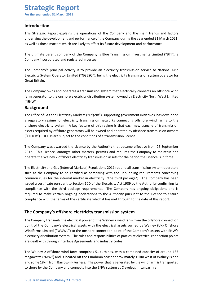### Introduction

Strategic Report<br>
For the year ended 31 March 2021<br>
Introduction<br>
This Strategic Report explains the operations of the Company and the main trends and **Strategic Report**<br>
For the year ended 31 March 2021<br> **Introduction**<br>
This Strategic Report explains the operations of the Company and the main trends and factors<br>
underlying the development and performance of the Company **Strategic Report**<br>For the year ended 31 March 2021<br>Introduction<br>This Strategic Report explains the operations of the Company and the main trends and factors<br>underlying the development and performance of the Company during **Strategic Report**<br>For the year ended 31 March 2021<br>This Strategic Report explains the operations of the Company and the main trends and factors<br>underlying the development and performance of the Company during the year end **Strategic Report**<br>For the year ended 31 March 2021<br>Introduction<br>This Strategic Report explains the operations of the Company and the main trends and factors<br>underlying the development and performance of the Company during **Strategic Report**<br>
For the year ended 31 March 2021<br>
Introduction<br>
This Strategic Report explains the operations of the Company and the main trends and factors<br>
underlying the development and performance of the Company du

\_\_\_\_\_\_\_\_\_\_\_\_\_\_\_\_\_\_\_\_\_\_\_\_\_\_\_\_\_\_\_\_\_\_\_\_\_\_\_\_\_\_\_\_\_\_\_\_\_\_\_\_\_\_\_\_\_\_\_\_\_\_\_\_\_\_\_\_\_\_\_\_\_\_\_\_\_\_\_\_\_\_\_\_\_\_\_\_\_\_

**Strategic Report**<br>
For the year ended 31 March 2021<br>
Introduction<br>
This Strategic Report explains the operations of the Company and the main trends and factors<br>
underlying the development and performance of the Company du **Strategic Report**<br>
For the year ended 31 March 2021<br>
Introduction<br>
This Strategic Report explains the operations of the Company and the main trends and factors<br>
underlying the development and performance of the Company du **Strategic Report**<br>
For the year ended 31 March 2021<br>
Introduction<br>
This Strategic Report explains the operations of the Company and the main trends and factors<br>
underlying the development and performance of the Company du **Strategic Report**<br>For the year ended 31 March 2021<br>Introduction<br>This Strategic Report explains the operations of the Company and the mai<br>underlying the development and performance of the Company during the year e<br>as well **Strategic Report**<br>
For the year ended 31 March 2021<br>
Introduction<br>
This Strategic Report explains the operations of the Company and the main trends and factors<br>
underlying the development and performance of the Company du For the year ended 31 March 2021<br> **Introduction**<br>
This Strategic Report explains the operations of the Company and the main trends and factors<br>
underlying the development and performance of the Company during the year ende

("ENW").

### Background

This Strategic Report explains the operations of the Company and the main trends and factors<br>underlying the development and performance of the Company during the year ended 31 March 2021,<br>as well as those matters which are underlying the development and performance of the Company during the year ended 31 March 2021,<br>as well as those matters which are likely to affect its future development and performance.<br>The ultimate parent company of the as well as those matters which are likely to affect its future development and performance.<br>The ultimate parent company of the Company is Blue Transmission Investments Limited ("BTI"), a Company incorporated and registered The ultimate parent company of the Company is Blue Transmission Investments Limited ("BTI"), a<br>Company incorporated and registered in Jersey.<br>The Company's principal activity is to provide an electricity transmission servi The ultimate parent company of the Company is Blue Transmission Investments Limited ("BTI"), a<br>Company incorporated and registered in Jersey.<br>The Company's principal activity is to provide an electricity transmission servi Empent, when persons are equited at the person of the company's principal activity is to provide an electricity transmission service to National Grid Efectricity System Operator Limited ("NGESO"), being the electricity tra The Company's principal activity is to provide an electricity transmission service to National Grid<br>Electricity System Operator Limited ("NGESO"), being the electricity transmission system operator for<br>Great Britain.<br>The C Electricity System Operator Limited ("NGESO"), being the electricity transmission system operator for<br>Great Britain.<br>The Company owns and operates a transmission system that electricity cransmission system operator for<br>Gre

The Company owns and operates a transmission system that electrically connects an offshore wind<br>
farm generator to the onshore electricity distribution system owned by Electricity North West Limited<br>
("ENW").<br> **Background** The Company owns and operates a transmission system that electrically connects an offshore wind<br>
farm generator to the onshore electricity distribution system owned by Electricity North West Limited<br>
("ENW").<br> **EBLOC COM**<br> farm generator to the onshore electricity distribution system owned by Electricity North West Limited ("ENW").<br>
CFENW").<br> **Background**<br> **Background**<br>
are Office of Gas and Electricity Markets ("Ofgem"), supporting governme ("ENW").<br> **Background**<br>
The Office of Gas and Electricity Warkets ("Ofgem"), supporting government initiatives, has developed<br>
onshore electricity system. A key feature of this regime is that each new tranche of transmissi **Background**<br> **Background**<br>
The Office of Gas and Electricity Markets ("Ofgem"), supporting government initiatives, has developed<br>
a regulatory regime for electricity stransmission networks connecting offshore wind farms t **Exercise Constrained The Constrained The Constrained The Constrained The Constrained The Constrained The Constrained Constrained Authority regime for electricity transmission networks connecting offshore wind farms to the** The Office of Gas and Electricity Markets ("Ofgem"), supporting government initiatives, has developed<br>a regulatory regime for electricity transmission networks connecting offshore wind farms to the<br>onshore electricity syst entented to make centeric in the relations of the state of the electricity of the selectricity of the selectricity of the company was awarded the Licence by the Authority that became effective from 26 September ("OFTOs"). ("OFTOs"). OFTOs are subject to the conditions of a transmission licence.<br>The Company was awarded the Licence by the Authority that became effective from 26 September<br>2012. This Licence, amongst other matters, permits and The Company was awarded the Licence by the Authority that became effective from 26 September<br>2012. This Licence, amongst other matters, permits and requires the Company to maintain and<br>operate the Walney 2 offshore electri The Company was awarded the Licence by the Authority that became effective from 26 September<br>2012. This Licence, amongst other matters, permits and requires the Company to maintain and<br>operate the Walney 2 offshore electri 2012. This Licence, amongst other matters, permits and requires the Company to maintain and<br>operate the Walney 2 offshore electricity transmission assets for the period the Licence is in force.<br>The Electricity and Gas (Int operate the Walney 2 offshore electricity transmission assets for the period the Licence is in force.<br>The Electricity and Gas (Internal Markets) Regulations 2011 require all transmission system operators<br>such as the Compan The Electricity and Gas (Internal Markets) Regulations 2011 require all transmission system operators<br>such as the Company to be certified as complying with the unbundling requirements comerning<br>common rules for the interna such as the Company to be certified as complying with the unbundling requirements concerning<br>common rules for the internal market in electricity ("the third package"). The Company has been<br>issued a certificate pursuant to

required to make tertain ongoing declarations to the Authority pursuant to the cherite to ensure<br>compliance with the terms of the certificate which it has met through to the date of this report.<br>The Company's offshore elec common rules for the internal market in electricity ("the third package"). The Company has been<br>issued a certificate pursuant to Section 100 of the Electricity Act 1989 by the Authority confirming its<br>compliance with the t issued a certificate pursuant to Section 10D of the Electricity Act 1989 by the Authority confirming its<br>compliance with the third package requirements. The Company has ongoing obligations and is<br>required to make certain o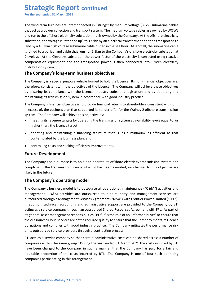Strategic Report continued<br>
For the year ended 31 March 2021<br>
The wind farm turbines are interconnected in "strings" by medium voltage (33kV) submarine<br>
that act as a power collection and transport system. The medium volta **Strategic Report continued**<br>For the year ended 31 March 2021<br>The wind farm turbines are interconnected in "strings" by medium voltage (33kV) submarine cables<br>that act as a power collection and transport system. The medium **Strategic Report continued**<br>For the year ended 31 March 2021<br>The wind farm turbines are interconnected in "strings" by medium voltage (33kV) submarine cables<br>that act as a power collection and transport system. The medium **Strategic Report continued**<br>For the year ended 31 March 2021<br>The wind farm turbines are interconnected in "strings" by medium voltage (33kV) submarine cables<br>that act as a power collection and transport system. The medium **Strategic Report continued**<br>For the year ended 31 March 2021<br>The wind farm turbines are interconnected in "strings" by medium voltage (33kV) submarine cables<br>that act as a power collection and transport system. The medium **Strategic Report continued**<br>For the year ended 31 March 2021<br>The wind farm turbines are interconnected in "strings" by medium voltage (33kV) submarine cables<br>that act as a power collection and transport system. The medium **Strategic Report continued**<br>For the year ended 31 March 2021<br>The wind farm turbines are interconnected in "strings" by medium voltage (33kV) submarine cables<br>that act as a power collection and transport system. The medium **Strategic Report continued**<br>For the year ended 31 March 2021<br>The wind farm turbines are interconnected in "strings" by medium voltage (33kV) submarine cables<br>that act as a power collection and transport system. The medium **Strategic Report continued**<br>For the year ended 31 March 2021<br>The wind farm turbines are interconnected in "strings" by medium voltage (33kV) submarine cables<br>that atd as a power collection and transport system. The medium **Strategic Report continued**<br>For the year ended 31 March 2021<br>The wind farm turbines are interconnected in "strings" by medium voltage (33kV) submarine cables<br>that act as a power collection and transport system. The medium **Strategic Report continued**<br>For the year ended 31 March 2021<br>The wind farm turbines are interconnected in "strings" by medium voltage (33kV) submarine cables<br>that act as a power collection and transport system. The medium **Strategic Report continued**<br>
The wind farm turbines are interconnected in "strings" by medium voltage (33kV) submarine cables<br>
that act as a power collection and transport system. The medium voltage cables are owned by WO **Strategic Report continued**<br>For the year ended 31 March 2021<br>The wind farm turbines are interconnected in "strings" by medium voltage (33kV) submarine cables<br>that act as a power collection and transport system. The medium **Strategic Report continued**<br>For the year ended 31 March 2021<br>The wind farm turbines are interconnected in "strings" by medium voltage (33kV) submarine cables<br>that act as a power collection and transport system. The medium For the year ended 31 March 2021<br>The wind farm turbines are interconnected in "strings" by medium voltage (33kV) submarine cables<br>that act as a power collection and transport system. The medium voltage cables are owned by The wind farm turbines are interconnected in "strings" by medium voltage (33kV) submarine cables<br>that act as a power collection and transport system. The medium voltage cables are owned by WOWL<br>and run to the offshore elec The wind farm turbines are interconnected in "strings" by medium voltage (33kV) submarine cables<br>that act as a power collection and transport system. The medium voltage cables are owend by WOVL<br>and run to the offshore elec that act as a power collection and transport system. The medium voltage cables are owned by WOWL<br>
and run to the offshore electricity substation that is owned by the Company. At the offshore electricity<br>
substation, the vo run to the offshore electricity substation that is ownel by the Company. At the offshore electricity by and  $\alpha$  by a 43.2km high voltage submarine cable buried in the sea floor. At landfall, the submarine cable by a 43.2k tation, the voltage is "stepped up" to 132kV by an electrical transformer and then transported to<br>
by a 43.2km high voltage submarine cable buried in the sea floor. At landfall, the submarine cable<br>
ined to a buried land c Find the dot a buried land cable that runs for 5.1km to the Company's onshore electricity substation at eleys. At the Cleveleys substation the power factor of the electricity is corrected using reactive presontion equipmen

\_\_\_\_\_\_\_\_\_\_\_\_\_\_\_\_\_\_\_\_\_\_\_\_\_\_\_\_\_\_\_\_\_\_\_\_\_\_\_\_\_\_\_\_\_\_\_\_\_\_\_\_\_\_\_\_\_\_\_\_\_\_\_\_\_\_\_\_\_\_\_\_\_\_\_\_\_\_\_\_\_\_\_\_\_\_\_\_\_\_

eleys. At the Cleveleys substation the power factor of the electricity is corrected using reactive<br>eleys. At the Cleveleys substation the power factor of the electricity is corrected using reactive<br>pensation equipment and pensation equipment and the transported power is then connected into ENW's electricity<br>
companny's long-term business objectives<br>
Companny's long-term business objectives<br>
Companny's long-term business objectives<br>
Company The **Company's long-term business objectives**<br>
The **Company's long-term business objectives**<br>
The **Company's a special purpose vehicle formed to hold the Licence**. Its non-finant<br>
therefore, consistent with the objectives The Company is a special purpose vehicle formed to hold the Licence. Its non-financial objectives are,<br>therefore, consistent with the objectives of the Licence. The Company will achieve these objectives<br>by ensuring its com Interomplay is a place and performation in the transmission system and the company will achieve these objectives<br>therefore, consistent with the objectives of the Licence. The Company will achieve these objectives<br>by ensuri

Interiore, consister wint the bigetives of the Licence; industry codes and legislation; and by<br>the ensuring its compliance with the Licence; industry codes and legislation; and by<br>maintaining its transmission system in acc

- 
- 
- 

munes are vacuus are vacuus are vacuus on a time party and margement services are and the state of the state of the state of the state of the state of the state of the state of the state and definition, technical, accounti maintaining its transmission system in accordance with good industry practice.<br>The Company's financial objective is to provide financial returns to shareholders consistent with, or<br>in excess of, the business plan that supp The Company's financial objective is to provide financial returns to shareholders consistent with, or<br>
in excess of, the business plan that supported its tender offer for the Walney 2 offshore transmission<br>
system. The Com in excess of, the business plan that supported its tender offer for the Walney 2 offshore transmission<br>  $\bullet$  meeting its recompany will achieve this objective by:<br>  $\bullet$  meeting its revenue targets by operating the transmis system. The Company will achieve this objective by:<br>
• meeting its revenue targets by operating the transmission system at availability levels equal to, or<br>
• adopting and maintaining a financing structure that is, as a mi • meeting its revenue targets by operating the transmission system at availability levels equal to, or<br>
• dopting and maintaining a financing structure that is, as a minimum, as efficient as that<br>
contemplated by the busin **by the manumization** and maintaining a financing structure that is, as a minimum, as efficient as that<br> **controlling costs and seeking efficiency improvements.**<br> **Fulture Developments**<br> **Fulture Developments**<br> **Fulture De** • adopting and maintaining a financing structure that is, as a minimum, as efficient as that<br>
• controlling costs and seeking efficiency improvements.<br> **Future Developments**<br> **Future Developments**<br> **Future Developments**<br> contemplated by the business plan; and<br> **e** controlling costs and seeking efficiency improvements.<br> **Future Developments**<br>
The Company's sole purpose is to hold and operate its offshore electricity transmission system and<br> **•** controlling costs and seeking efficiency improvements.<br> **Future Developments**<br> **Future Developments**<br> **Future Developments**<br> **Functions** and seeking efficiency improvements.<br> **The Company's sole purpose is to hold and** • controlling costs and seeking efficiency improvements.<br> **Future Developments**<br>
The Company's sole purpose is to hold and operate its offshore electricity transmission system and<br>
comphy with the truncmission licence whic **Future Developments**<br>The Company's sole purpose is to hold and operate its offshore electricity transmission system and<br>comply with the transmission licence which it has been awarded; no changes to this objective are<br>like The Company's sole purpose is to hold and operate its offshore electricity transmission system and<br>comply with the transmission licence which it has been awarded; no changes to this objective are<br>likely in the future.<br>The Fric Company Jours Care of the constant of the Company is such a manner of the Company's business model is to outsource all operational, maintenance ("O&M") activities and management. O&M activities are utisourced to a thi extrained the costs in the costs increased by BTI. The Company is one of four such proportion of the costs include the Company's **operating model**<br>The Company's business model is to outsource all operational, maintenance ( The **Company's operating model**<br>The **Company's operating model**<br>The Company's business model is to outsource all operational, maintenance ("O&M") activities and<br>management. O&M activities are outsourced to a third party an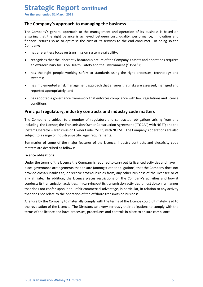**Strategic Report continued**<br>For the year ended 31 March 2021<br>The Company's approach to managing the business<br>The Company's general approach to the management and operation of its business is ba **Strategic Report continued**<br>For the year ended 31 March 2021<br>The Company's approach to managing the business<br>The Company's general approach to the management and operation of its business is based or<br>ensuring that the rig **Strategic Report continued**<br>For the year ended 31 March 2021<br>The Company's approach to managing the business<br>The Company's general approach to the management and operation of its business is based on<br>ensuring that the rig **Strategic Report continued**<br>For the year ended 31 March 2021<br>The Company's approach to the management and operation of its business is based on<br>ensuring that the right balance is achieved between cost, quality, performanc **Strategic Report continued**<br>For the year ended 31 March 2021<br>The Company's approach to managing the business<br>The Company's general approach to the management and operation of its business is based on<br>ensuring that the rig **Strategic Report continued**<br>For the year ended 31 March 2021<br>The Company's approach to managing the business<br>The Company's general approach to the management and operation of its business is based on<br>ensuring that the rig Company: **Trategic Report continued**<br> **Example 31 March 2021**<br> **Examply's approach to managing the business**<br>
Company's general approach to the management and operation of its business is based on<br>
uring that the right balance is a **rategic Report continued**<br> **Ecompany's approach to managing the business**<br> **Company's general approach to the management and operation** of its business is based on<br>
uring that the right balance is achieved between cost, q **Example 16 Amorger Constant Constant Constant Constant Company's approach to managing the business**<br> **Examplary's general approach to managing the business**<br> **Company's general approach to the management and operation of** has the right people working safely to standards using the right processes, technology and **Company's approach to managing the business**<br> **Company's approach to managing the business**<br> **Company's approach to management and operation of its business is based on**<br>
principal that right balance is achieved between c **The Example 18 Among the School School School School School School School School School School School School School School School School School School School School School School School School School School School School** the year ended 31 March 2021<br> **E Company's approach to managing the business**<br>
Company's approach to the management and operation of its business is based on<br>
Incing that the right balance is achieved between cost, quality

\_\_\_\_\_\_\_\_\_\_\_\_\_\_\_\_\_\_\_\_\_\_\_\_\_\_\_\_\_\_\_\_\_\_\_\_\_\_\_\_\_\_\_\_\_\_\_\_\_\_\_\_\_\_\_\_\_\_\_\_\_\_\_\_\_\_\_\_\_\_\_\_\_\_\_\_\_\_\_\_\_\_\_\_\_\_\_\_\_\_

- 
- 
- systems;
- 
- conditions.

The Company's general approach to the management and operation of its business is based on<br>ensuring that the right balance is achieved between cost, quality, performance, innovation and<br>financial returns so as to optimise ensuring that the right balance is achieved between cost, quality, performance, innovation and<br>financial returns so as to optimise the cost of its services to the end consumer. In doing so the<br>Company:<br>
• has a relentless financial returns so as to optimise the cost of its services to the end consumer. In doing so the<br>
company:<br>
• has a relentless focus on transmission system availability:<br>
• recognises that the inherently hazardous nature Company:<br>
Company:<br>
Sharelentless focus on transmission system availability;<br>
Francordinary focus on Health, Safety and the Environment ("HS&E");<br>
This amextraordinary focus on Health, Safety and the Environment ("HS&E");<br> • has a relentless focus on transmission system availability;<br>• recognises that the inherently hazardous nature of the Company's assets and operations requires<br>• an extraordinary focus on Health, Safety and the Environment • recognises that the inherently hazardous nature of the Company's assets and operations requires<br>
• has the right people working safely to standards using the right processes, technology and<br>
systems;<br>
• has implemented a an extraordinary focus on Health, Safety and the Environment ("HS&E");<br>
• has the right people working safely to standards using the right processes, technology a<br>
systems;<br>
• has implemented a risk management approach tha

• has the right people working safely to standards using the right process<br>systems;<br>
• has implemented a risk management approach that ensures that risks are asse<br>
reported appropriately; and<br>
• has adopted a governance fr systems;<br>
• has implemented a risk management approach that ensures that risks are assessed, managed and<br>
• has adopted a governance framework that enforces compliance with law, regulations and licence<br>
conditions.<br> **Princ** • has implemented a risk management approach that ensures that risks are assessed, managed and<br>• has adopted a governance framework that enforces compliance with law, regulations and licence<br>**Principal regulatory, industry Provided appropriately; and**<br> **•** has adopted a governance framework that enforces compliance with law, regulations and licence<br> **Criticipal regulatory, industry contracts and industry code matters**<br>
The Company is subjec **• has adopted a governance framework that enforces compliance with law, regulations and licence conditions.**<br> **Principal regulatory, industry contracts and industry code matters**<br>
The Company is subject to a number of reg • mas approvide a governance trannework that entorces compliance with law, regulations and licence<br> **Principal regulatory, industry contracts and industry code matters**<br>
The Company is subject to a number of regulatory and **CONDITY CONDITY CONDERT CONDERT CONDERT COME TO THE CONDERT CONDERT THE COMPAGNISE THE CONTON INCTITE THE UNIT<br>
CONDERT THE USING SURFACT THE USING SURFACT THE SYSTEM OF SYSTEM UPO THE SYSTEM OF THE USING THE USING THE US Principal regulatory, industry contracts and industry code matters**<br>The Company is subject to a number of regulatory and contractual obligations arising from and<br>including: the Licence; the Transmission Owner Construction The Company is subject to a number of regulatory and contractual obligations arising from and<br>including: the Licence; the Transmission Owner Construction Agreement ("TOCA") with NGET; and the<br>System Operator – Transmission including: the Licence; the Transmission Owner Construction Agreement ("TOCA") with NGET; and the System Operator – Transmission Owner Construction Agreement ("TOCA") with NGET; and the System Operator – Transmission Owner System Operator – Transmission Owner Code ("STC") with NGESO. The Company's operations are also<br>subject to a range of industry-specific legal requirements.<br>Summaries of some of the major features of the Licence, industry c

mat does not relate to the operation of the onshore transmission bosness.<br>
A failure by the Company to materially comply with the terms of the Licence could ultimately lead to<br>
the revocation of the Licence. The Directors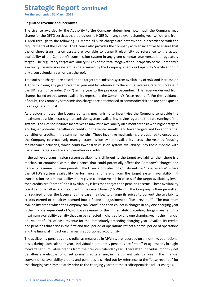Strategic Report continued<br>
For the year ended 31 March 2021<br>
Regulated revenue and incentives<br>
The Licence awarded by the Authority to the Company determines how much the Company **Strategic Report continued**<br>For the year ended 31 March 2021<br>Regulated revenue and incentives<br>The Licence awarded by the Authority to the Company determines how much the Company may<br>charge for the OFTO services that it pr **Strategic Report continued**<br>For the year ended 31 March 2021<br>Regulated revenue and incentives<br>The Licence awarded by the Authority to the Company determines how much the Company r<br>charge for the OFTO services that it prov **Strategic Report continued**<br>For the year ended 31 March 2021<br>Regulated revenue and incentives<br>The Licence awarded by the Authority to the Company determines how much the Company may<br>charge for the OFTO services that it pr **Strategic Report continued**<br>For the year ended 31 March 2021<br>Regulated revenue and incentives<br>The Licence awarded by the Authority to the Company determines how much the Company may<br>charge for the OFTO services that it pr **Strategic Report continued**<br>For the year ended 31 March 2021<br>The Licence awarded by the Authority to the Company determines how much the Company may<br>charge for the OFTO services that it provides to NGESO. In any relevant **Strategic Report continued**<br>For the year ended 31 March 2021<br>Regulated revenue and incentives<br>The Licence awarded by the Authority to the Company determines how much the Company may<br>1 April through to the following 31 Mar **Strategic Report continued**<br>For the year ended 31 March 2021<br>Regulated revenue and incentives<br>The Licence awarded by the Authority to the Company determines how much the Company may<br>charge for the OFTO services that it pr **Strategic Report continued**<br>For the year ended 31 March 2021<br>Regulated revenue and incentives<br>The Licence awarded by the Authority to the Company determines how much the Company may<br>charge for the OFTO services that it pr **Strategic Report continued**<br>For the year ended 31 March 2021<br>The Licence awarded by the Authority to the Company determines how much the Company may<br>charge for the OFTO services that it provides to NGESO. In any relevant **Strategic Report continued**<br>For the year ended 31 March 2021<br>Regulated revenue and incentives<br>The Licence awarded by the Authority to the Company determines how much the Company may<br>charge for the OFTO services that it pr **Strategic Report continued**<br>For the year ended 31 March 2021<br>Regulated revenue and incentives<br>The Licence awarded by the Authority to the Company determines how much the Company may<br>charge for the OFTO services that it pr **Strategic Report continued**<br> **Regulated revenue and incentives**<br> **The licence awarded by the Authority to the Company determines how much the Company may**<br> **The licence awarded by the Authority to the Company determines h Strategic Report continued**<br>For the year ended 31 March 2021<br>Regulated revenue and incentives<br>The Licence avaredd by the Authority to the Company determines how much the Company may<br>The licence avaredd by the Authority to **Strategic Report continued**<br>For the year ended 31 March 2021<br>Regulated revenue and incentives<br>The Licence awarded by the Authority to the Company determines how much the Company may<br>charge for the OFTO services that it pr For the year ended 31 March 2021<br>
Regulated revenue and incentives<br>
The Licence awarded by the Authority to the Company determines how much the Company may<br>
charge for the OFTO services that it provides to NGESO. In any re For the telectronic of the Authority to the Company determines how much the Company may<br>The Licence awarded by the Authority to the Company determines how much the Company may<br>The price of the OFTO services that it provide **Regulated revenue and incentives**<br>The Licence awarded by the Authority to the Company determines how much the Company charge for the OFTO services that it provides to NGESO. In any relevant charging year which 1 April thr The Licence awarded by the Authority to the Company determines how much the Company may<br>charge for the OFTO services that it provides to NGESO. In any relevant charging year which runs from<br>thapef or the OFTO services that charge for the OFTO services that it provides to NGESO. In any relevant charging year which runs from<br>1 April through to the following 31 March all such charges are determined in accordance with the<br>1 April through to the

\_\_\_\_\_\_\_\_\_\_\_\_\_\_\_\_\_\_\_\_\_\_\_\_\_\_\_\_\_\_\_\_\_\_\_\_\_\_\_\_\_\_\_\_\_\_\_\_\_\_\_\_\_\_\_\_\_\_\_\_\_\_\_\_\_\_\_\_\_\_\_\_\_\_\_\_\_\_\_\_\_\_\_\_\_\_\_\_\_\_

1 April through to the following 31 March all such charges are determined in accordance with the requirements of the Licence is to percone abso provides the Company with an incentive to ensure that the difshore transmissio requirements of the Licence. The Licence also provides the Company with an incentive to ensure that<br>the offshore transmission assets are available to transmit electricity by reference to the actual<br>availability of the Comp the offshore transmission assets are available to transmit electricity by reference to the actual<br>availability of the Company's transmission system in any given calendar year errasus the regulatory<br>target. The regulatory t availability of the Company's transmission system in any given calendar year versus the regulatory<br>
atraget. The regulatory target availability is 98% of the total megawatt hour capacity of the Company's<br>
electricity trans target. The regulatory target availability is 98% of the total megawatt hour capacity of the Company's any given calentricity transmission system availability Specification) in electricity transmission system availability electricity transmission system (as determined by the Company's Services Capability Specification) in<br>any given calendar year, or part thereof.<br>Transmission charges are based on the target transmission system availability any given calendar year, or part thereor.<br>Transmission system availability of 98% and increase on<br>Transmission charges are based on the target transmission system availability of 98% and increase in<br>The UK retail price ind Transmission charges are based on the target transmission system availability of 98% and increase on<br>1 April following any gliven callend year are to by reference to the annual average rate of increase in<br>the UK retail pri 1 April following any given calendar year end by reference to the annual average rate of increase in<br>the UK retail price index ("RBPI") in the year to the previous December. The revenue derived from<br>charges based on this t

or required under the uctence, as the case may be, to change us pinces to convert the avanabury<br>credits earned or penalties accrued into a financial adjustment to "base revenue". The maximum<br>availability credit which the C the UK retail price index ("RPI") in the year to the previous December. The revenue derived from<br>endages based on this target availability represents the Company's "base revenue". For the avoidance<br>of doubt, the Company's charges based on this target availability represents the Company's "base revenue". For the avoidance of doubt, the Company is transmission charges are not exposed to commodity risk and are not exposed to compressed to comp of doubt, the Company's transmission charges are not exposed to commodity risk and are not exposed<br>ot any generation risk.<br>As previously noted, the Licence contains mechanisms to incentivise the Company to provide the<br>maxi to any generation risk.<br>As previously noted, the lience contains mechanisms to incentivise the Company to provide the maximum possible electricity transmission system availability, having regard to the safer numing of the As previously noted, the Licence contains mechanisms to incentivise the Company to provide the maximum possible electricity transmission system availability, having regard to the safe running of the same implement impleme sy perotoxy mote, the cate contrains in the mathemation of the mediately preceding charging year. Availability constrained into the safe running of the system. The Licence includes incentives to maximise availability, havi msum possible electionty orisinismoin system. The Licence includes incentives to maximise availability on a monthly basis with higher targets and higher potential penalties or credits, in the winter months and lower target system: The tecne motousal members of meanimise availably or ambitiony was with mean ligher potential penalties or credits, in the winter months and lower targets and lower repetital<br>penalties or credits, in the summer mon and my er pocketion and methals or celects, an the winter montins and user a marker pectantical perparaties or credits, in the summer months. These incentive mechanisms are designed to encourage the Company to proactively penators or cocoursy. The summer information as: "nete incentre incocurations are despect or encouring maintenance activities, which could lower transmission system availability across the year by focusing maintenance acti the company or phoatine per anassimation system arous and year of the company extern ary of the system arous the penalties or credits.<br>If the achieved transmission system availability is different to the target availabilit mentement extertions, which count of the conditional individual methaporality, the methal and the financial inpact the compary's charges and methalism contained within the Licence that could potentially affect the Company' If the achieved transmission system availability is different to the target availability, then there is a<br>mechanism contained within the Licence that could potentially affect the Company's charges and<br>thence its revenue in net eachiever unsimulated with the Licence that could potentially affect the Company's charges and<br>hence its revenue in future periods. The Licence provides for adjustments to "base revenue" where<br>the OFTO's system availab metaniani consinent whim the tructure that count potential since the complany state. The comparation of the OFTO's system availability performance is different from the target system availability. If the OFTO's system avai iente are twenter in total per approach in the current per state and the control and the control of the comparison system availability in any given calendar year is in excess of the target availability is transmission syst core are the more and if a matter and if availability is any given calendar year is in excess of the target availability evel, then credits are "earned" and if availability is less than target then penalties accrue. These transmission system availability rarely are not incomed year. Since the charging wear, the company is then permitted<br>then credits are "earned" and if availability is less than target then penalties accrue. These availabili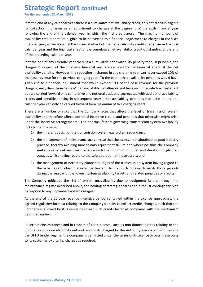**Strategic Report continued**<br>For the year ended 31 March 2021<br>If at the end of any calendar year there is a cumulative net availability credit, this net credit is of<br>for collection in charges as an adjustment to charges at **Strategic Report continued**<br>For the year ended 31 March 2021<br>If at the end of any calendar year there is a cumulative net availability credit, this net credit is eligible<br>for collection in charges as an adjustment to char **Strategic Report continued**<br>
For the year ended 31 March 2021<br>
If at the end of any calendar year there is a cumulative net availability credit, this net credit is eligible<br>
for collection in charges as an adjustment to c **Strategic Report continued**<br>For the year ended 31 March 2021<br>If at the end of any calendar year there is a cumulative net availability credit, this net credit is eligible<br>for collection in charges as an adjustment to char **Strategic Report continued**<br>For the year ended 31 March 2021<br>If at the end of any calendar year there is a cumulative net availability credit, this net credit is eligible<br>for collection in charges as an adjustment to char **Strategic Report continued**<br>For the year ended 31 March 2021<br>If at the end of any calendar year there is a cumulative net availability credit, this net credit is eligible<br>for collection in charges as an adjustment to char **Strategic Report continued**<br>For the year ended 31 March 2021<br>If at the end of any calendar year there is a cumulative net availability credit, this net credit is eligible<br>for collection in charges as an adjustment to char **Strategic Report continued**<br>For the year ended 31 March 2021<br>If at the end of any calendar year there is a cumulative net availability credit, this net credit is eligible<br>for collection in charges as an adjustment to char **Strategic Report continued**<br>For the year ended 31 March 2021<br>If at the end of any calendar year there is a cumulative net availability credit, this net credit is eligibl<br>for collection in charges as an adjustment to charg **Strategic Report continued**<br>For the year ended 31 March 2021<br>If at the end of any calendar year there is a cumulative net availability credit, this net credit is eligible<br>for collection in charges as an adjustment to char **Strategic Report continued**<br>For the year ended 31 March 2021<br>If at the end of any calendar year there is a cumulative net availability credit, this net credit is eligible<br>for collection in charges as an adjustment to char

\_\_\_\_\_\_\_\_\_\_\_\_\_\_\_\_\_\_\_\_\_\_\_\_\_\_\_\_\_\_\_\_\_\_\_\_\_\_\_\_\_\_\_\_\_\_\_\_\_\_\_\_\_\_\_\_\_\_\_\_\_\_\_\_\_\_\_\_\_\_\_\_\_\_\_\_\_\_\_\_\_\_\_\_\_\_\_\_\_\_

**Strategic Report continued**<br>For the year ended 31 March 2021<br>If at the end of any calendaryear there is a cumulative net availability credit, this net credit is eligible<br>following the end of the calendary evar the virth t **Strategic Report continued**<br>For the year ended 31 March 2021<br>If at the end of any calendar year there is a cumulative net availability credit, this net credit is eligible<br>for collection in charges as an adjustment to char **Strategic Report continued**<br>For the year ended 31 March 2021<br>If at the end of any calendar year there is a cumulative net availability credit, this net credit is eligible<br>for collection in charges as an adjustment to char **Strategic Report continued**<br>For the year ended 31 March 2021<br>If at the end of any calendar year there is a cumulative net availability credit, this net credit is eligible<br>for collection in charges as an adjustment to char **But all constrained**<br>For the year ended 31 March 2021<br>To the the end of any calcular year there is a cumulative net availability credit, this net credit is eligible<br>for collection in charges as an adjustment to charges at For the year ended 31 March 2021<br>If at the end of any calendar year there is a cumulative net availability redit, this net credit is eligible<br>for collection in charges as an adjustment to charges at the beginning of the si If at the end of any calendar year there is a cumulative net availability credit, this net credit is eligible<br>for collection in charges as an adjustment to charges at the beginning of the sixth financial year<br>diolowing the for collection in charges as an adjustment to charges at the beginning of the sixth financial year<br>collowing the end of the calendar year in which the first credit areas. The maximum amount of<br>columibity credits that are e following the end of the calendar year in which the first credit arose. The maximum amount of availability credit shat are eligible to be converted as a financial adjectment to charges in the sixth financial year, is the l availability credits that are eligible to be converted as a financial adjustment to charges in the sixth financial year, is the lesser of the financial effect of the cumulative net availability credit that arose in the fir financial year, is the lesser of the financial effect of the net availability credit that calendar year and the financial effect of the cumulative net availability credit outstar<br>of the preceding calendar year.<br>If at the mdar year and the financial effect of the cumulative net availability credit outstanding at the end<br>
the end of any calendar year.<br>
the ine of any calendary eara there is a cumulative net availability penalty then, in prin ie preceding calendar year.<br>
2) the end of any calendar year there is a cumulative net availability penalty then, in principle, the<br>
ges in respect of the following financial year are reduced by the financial effect of the end of any calendar year there is a cumulative net availability penalty then, in principle, the fin respect of the following financial year are reduced by the financial effect of the net in respect of the perdical effect o in respect of the following financial year are reduced by the financial effect of the net<br>ity peralty. However, the reduction in charges in any charging year can never exceed 10%<br>of revenue for the previous charging year. ity penalty. However, the reduction in charges in any charging year can never exceed 10% of<br>reveroute for the previous charging year. To the extent that availability penalties would have<br>re to a financial adjustment that w base revenue for the previous charging year. I of the extent that availability penalties would have<br>no is exercess the previous plane of the secent that availability penalties do not have an immediate financial effect<br>are te to a Innancial adjustment that would exceed 10% of the Base revenue for the previous exect and a diustment that would exceed 10% or the amountative and notional basis and aggregated with additional availability per pres

year, then these "excess" net availability penalties do not have an immediate linancial ertect<br>carried forward on a cumulative and notional basis and aggregated with additional availability<br>and penalties arising in subsequ Comparison of the risk of system and the risk of system and a product of the agreed reguited of the agreed reguited of the agreed reguited or the agreed reguited to the agreed reaching the anticle the risk of the company f calendar year can only be carried forward for a maximum of five charging years.<br>There are a number of risks that the Company faces that affect the level of transmission system<br>availability and therefore affects potential i There are a number of risks that the Company faces that affect the level of transmission system<br>availability and therefore affects potential incentive credits and penalties that otherwise might arise<br>availability and there

- 
- 
- 

As the end of the 20-year revenue incentive period contained within the Licence approaches, the agreed regulatory formula relating to the Company's ability to collect credits changes, such that the Company is allowed by it availability and therefore affects potential incentive credits and penalties that otherwise might arise<br>
under the incentive arrangements. The principal factors governing transmission system availability<br>
include the follo and the incentive arrangements. The principal factors governing transmission system availability<br>include the following:<br>
2) the inherent design of the transmission system e.g. system redundancy;<br>
2) the management of maint Include the following:<br>
2) the inherent design of the transmission system e.g. system redundancy;<br>
2) the management of maintenance activities so that the assets are maintained to good industry<br>
predict, thereby avoiding u 1) the inherent design of the transmission system e.g. system redundancy;<br>
2) the management of maintenance activities so that the assets are maintaine<br>
2) the management of maintenance activities so that the assets are ma 2) the management of manitenance activites so that the assets are manitaned to good industry<br>practice, thereby avoiding unnecessary equipment failure and where possible the Company<br>seeks to carry out such maintenance with practic, therety avonding unnecessary equipment failure and where possible the Company<br>seeks to carry out such maintenance with the minimum number and duration of planned<br>outages whilst having regard to the safe operation seeks to carry out such manitenance with the minimum number and duration of planned<br>outages whilst having regard to the safe operation of those assets; and<br>3) the management of necessary planned outages of the transmission outages whilst having regard to the safe operation of those assets; and<br>3) the mangement of necessary planned outages of the transmission system having regard to<br>the activities of other interested parties and to bias such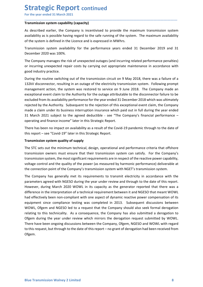Strategic Report continued<br>
For the year ended 31 March 2021<br>
Transmission system capability (capacity)<br>
As described earlier, the Company is incentivised to provide the maximum transmission **Strategic Report continued**<br>For the year ended 31 March 2021<br>Transmission system capability (capacity)<br>As described earlier, the Company is incentivised to provide the maximum transmission system<br>availability as is possib **Strategic Report continued**<br>For the year ended 31 March 2021<br>Transmission system capability (capacity)<br>As described earlier, the Company is incentivised to provide the maximum transmission system<br>availability as is possib **Strategic Report continued**<br>For the year ended 31 March 2021<br>Transmission system capability (capacity)<br>As described earlier, the Company is incentivised to provide the maximum transmission system<br>availability as is possib **Strategic Report continued**<br>For the year ended 31 March 2021<br>Transmission system capability (capacity)<br>As described earlier, the Company is incentivised to provide the maximum transmission system<br>availability as is possib **Strategic Report continued**<br>For the year ended 31 March 2021<br>Transmission system capability (capacity)<br>As described earlier, the Company is incentivised to provide the maximum transmission system<br>availability as is possib

\_\_\_\_\_\_\_\_\_\_\_\_\_\_\_\_\_\_\_\_\_\_\_\_\_\_\_\_\_\_\_\_\_\_\_\_\_\_\_\_\_\_\_\_\_\_\_\_\_\_\_\_\_\_\_\_\_\_\_\_\_\_\_\_\_\_\_\_\_\_\_\_\_\_\_\_\_\_\_\_\_\_\_\_\_\_\_\_\_\_

**Strategic Report continued**<br>
For the year ended 31 March 2021<br> **Transmission system capability (capacity)**<br>
As described earlier, the Company is incentivised to provide the maximum transmission system<br>
availability as is **Strategic Report continued**<br>For the year ended 31 March 2021<br>Transmission system capability (capacity)<br>As described earlier, the Company is incentivised to provide the maximum transmission s<br>availability as is possible ha **Strategic Report continued**<br>For the year ended 31 March 2021<br>Transmission system capability (capacity)<br>As described earlier, the Company is incentivised to provide the maximum transmission system<br>availability as is possib

**Strategic Report continued**<br>For the year ended 31 March 2021<br>Transmission system capability (capacity)<br>As described earlier, the Company is incentivised to provide the maximum transmission system<br>availability as is possib **Strategic Report continued**<br>For the year ended 31 March 2021<br>Transmission system capability (capacity)<br>As described earlier, the Company is incentivised to provide the maximum transmi<br>availability as is possible having re **Strategic Report continued**<br>
For the year ended 31 March 2021<br> **Transmission system capability (capacity)**<br>
As described earlier, the Cromany is incentivised to provide the maximum transmission system<br>
Availability as is **Strategic Report continued**<br> **Transmission system capability (capacity)**<br> **Transmission system capability (capacity)**<br>
As described earlier, the Company is incentivised to provide the maximum transmission system<br>
of the s **Strategic Report continued**<br>
Framamission system capability (capacity)<br>
As described earlier, the Company is incentivised to provide the maximum transmission system<br>
availability as is possible having regard to the safe r **Example 18 and 18 and 18 and 18 and 18 and 18 and 18 and 18 and 18 and 18 and 18 and 18 and 18 and 18 and 18 and 18 and 18 and 18 and 18 and 18 and 18 and 18 and 18 and 18 and 18 and 18 and 18 and 18 and 18 and 18 and 18** For the year ended 31 March 2021<br> **Transmission system capability (capacity)**<br>
As described earlier, the Company is incentivised to provide the maximum transmission system<br>
availability as is possible having regard to the **Transmission system capability (capacity)**<br>As described earlier, the Company is incentivised to provide the maximum transmission system<br>availability as is possible having regard to the safe running of the system. The maxi As described earlier, the Company intentivised to provide the maximum transmission system<br>availability as is possible having regard to the safe running of the system. The maximum availability<br>of the system is defined in th As described earlier, the Company is incentivesed to provide the maximum transmission system<br>availability as is possible having regard to the safe running of the system. The maximum availability<br>of the system is defined in Transmission system availability for the performance years ended 31 December 2019 and 31 December 2020 was 100%.<br>The Company manages the risk of unexpected outages (and incurring related performance penalties)<br>or incurring Transmission system availability for the performance years ended 31 December 2019 and 31<br>December 2020 was 100%.<br>The Company manages the risk of unexpected outages (and incurring related performance penalties)<br>or incurring The Company manages the risk of unexpected outages (and incurring related performance penalties)<br>or incurring unexpected repair costs by carrying out appropriate maintenance in accordance with<br>good industry practice.<br>Durin or incurring unexpected repair costs by carrying out appropriate maintenance in accordance with<br>good industry practice.<br>During the routine switching out of the transmission circuit on 9 May 2018, there was a failure of a<br>1 Experiment at the system and their transmission circuit on 9 May 2018, there was a failure of a<br>size of model in the system was restored to evrive on 9 May 2018, there was a failure of a<br>size of size of the system was rest During the routine switching out of the transmission circuit on 9 May 2018, there was a failure of a<br>132kV disconnector, resulting in an outage of the electricity transmission system. Following prompt<br>management action, th During the routine switching out of the transmission circuit on 9 May 2018, there was a failure of a<br>132kV disconnector, resulting in an outage of the electricity transmission system. Following prompt<br>management action, th 132KV disconnector, resulting in an outage of the electrictly transmission system. Following prompt<br>management action, the system was restored to service on 9 June 2018. The Company made an<br>exceptional event claim to the A exceptional event claim to the Authority for the outage attributable to the disconnector failure to be<br>excluded from its availability performance for the year ended 31 December 2018 which was ultimately<br>rejected by the Aut

had effectively been non-compliant with one aspect of dynamic reactive power compensation of its<br>equipment since compliance testing was completed in 2013. Subsequent discussions between<br>WOWL, Ofgem and NGESO led to a reque excluded from its availability performance for the year ended 31 December 2018 which was ultimately rejected by the Authority. Subsequent to the rejection of this exceptional event claim, the Company rejected by the Author rejected by the Authority. Subsequent to the rejection of this exceptional event claim, the Company<br>made a claim under its business interruption insurance which paid out in full during the year ended<br>31 March 2021 subject made a claim under its business interruption insurance which paid out in full during the year ended<br>31 March 2021 subject to the agreed deductible - see "The Company's financial performance –<br>operating and finance income" 31 March 2021 subject to the agreed deductible - see "The Company's financial performance –<br>operating and finance income" later in this Strategic Report.<br>There has been no impact on availability as a result of the Covid-19 operating and finance income" later in this Strategic Report.<br>There has been no impact on availability as a result of the Covid-19 pandemic through to the date of<br>this report – see "Covid-19" later in this Strategic Report There has been no impact on availability as a result of the Covid-19 pandemic through to the date of<br>this report – see "Covid-19" later in this Strategic Report.<br> **Transmission system quality of supply**<br>
The STC sets out t There has been no impact on availability as a result of the Covid-19 pandemic through to the date of<br>this report—see "Covid-19" later in this Strategic Report.<br>Transmission system quality of supply<br>The STC sets out the min this report – see "Covid-19" later in this Strategic Report.<br>
Transmission system quality of supply<br>
The STC sets out the minimum technical, design, operational and performance criteria that offshore<br>
The STC sets out the **Transmission system quality of supply**<br>The STC sets out the minimum technical, design, operational and performance criteria that offshore<br>Transmission owners must ensure that their transmission system can satisfy. For the The STC sets out the minimum technical, design, operational and performance criteria that offshore<br>transmission oweres must ensure that their transmission system can satisfy. For the Company's<br>transmission system, the most Ofgem.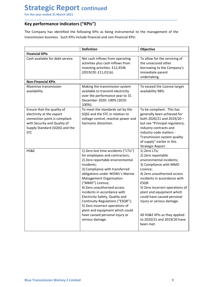**Strategic Report continued**<br>For the year ended 31 March 2021<br>Key performance indicators ("KPIs")<br>The Company has identified the following KPIs as being instrumental to the management **Strategic Report continued**<br>For the year ended 31 March 2021<br>Key performance indicators ("KPIs")<br>The Company has identified the following KPIs as being instrumental to the management of the<br>transmission business. Such KPI Strategic Report continued<br>
For the year ended 31 March 2021<br>
Key performance indicators ("KPIs")<br>
The Company has identified the following KPIs as being instrumental to the management of<br>
transmission business. Such KPIs

| Key performance indicators ("KPIs")                                                                                                                                                                                                                                                                                                                                                                                                                                                                                          |                                                                                                                                                                                                                                                                                                                                                                                       |
|------------------------------------------------------------------------------------------------------------------------------------------------------------------------------------------------------------------------------------------------------------------------------------------------------------------------------------------------------------------------------------------------------------------------------------------------------------------------------------------------------------------------------|---------------------------------------------------------------------------------------------------------------------------------------------------------------------------------------------------------------------------------------------------------------------------------------------------------------------------------------------------------------------------------------|
| The Company has identified the following KPIs as being instrumental to the management of the                                                                                                                                                                                                                                                                                                                                                                                                                                 |                                                                                                                                                                                                                                                                                                                                                                                       |
| transmission business. Such KPIs include financial and non-financial KPIs:                                                                                                                                                                                                                                                                                                                                                                                                                                                   |                                                                                                                                                                                                                                                                                                                                                                                       |
|                                                                                                                                                                                                                                                                                                                                                                                                                                                                                                                              |                                                                                                                                                                                                                                                                                                                                                                                       |
| <b>Definition</b><br><b>Financial KPIs</b>                                                                                                                                                                                                                                                                                                                                                                                                                                                                                   | Objective                                                                                                                                                                                                                                                                                                                                                                             |
| Net cash inflows from operating<br>Cash available for debt service<br>activities plus cash inflows from<br>investing activities: £12,454k<br>(2019/20: £11,011k).                                                                                                                                                                                                                                                                                                                                                            | To allow for the servicing of<br>the unsecured other<br>borrowing to the Company's<br>immediate parent                                                                                                                                                                                                                                                                                |
| <b>Non-Financial KPIs</b>                                                                                                                                                                                                                                                                                                                                                                                                                                                                                                    | undertaking.                                                                                                                                                                                                                                                                                                                                                                          |
| Making the transmission system<br>Maximise transmission<br>available to transmit electricity<br>availability<br>over the performance year to 31<br>December 2020: 100% (2019:<br>100%).                                                                                                                                                                                                                                                                                                                                      | To exceed the Licence target<br>availability 98%.                                                                                                                                                                                                                                                                                                                                     |
| To meet the standards set by the<br>Ensure that the quality of<br>SQSS and the STC in relation to<br>electricity at the export<br>connection point is compliant<br>voltage control, reactive power and<br>with Security and Quality of<br>harmonic distortion.<br>Supply Standard (SQSS) and the<br><b>STC</b>                                                                                                                                                                                                               | To be compliant. This has<br>generally been achieved for<br>both 2020/21 and 2019/20 -<br>but see "Principal regulatory,<br>industry contracts and<br>industry code matters -<br>Transmission system quality<br>of supply" earlier in this<br>Strategic Report.                                                                                                                       |
| HS&E<br>1) Zero lost time accidents ("LTIs")<br>for employees and contractors;<br>2) Zero reportable environmental<br>incidents;<br>3) Compliance with transferred<br>obligations under WOWL's Marine<br><b>Management Organisation</b><br>("MMO") Licence;<br>4) Zero unauthorised access<br>incidents in accordance with<br>Electricity Safety, Quality and<br>Continuity Regulations ("ESQR");<br>5) Zero incorrect operations of<br>plant and equipment which could<br>have caused personal injury or<br>serious damage. | 1) Zero LTIs;<br>2) Zero reportable<br>environmental incidents;<br>3) Compliance with MMO<br>Licence;<br>4) Zero unauthorised access<br>incidents in accordance with<br>ESQR.<br>5) Zero incorrect operations of<br>plant and equipment which<br>could have caused personal<br>injury or serious damage.<br>All HS&E KPIs as they applied<br>to 2020/21 and 2019/20 have<br>been met. |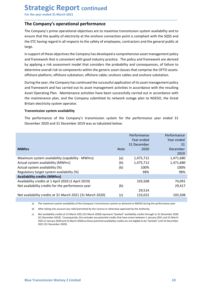Strategic Report continued<br>
For the year ended 31 March 2021<br>
The Company's operational performance<br>
The Company's prime operational objectives are to maximise transmission system availability **Strategic Report continued**<br>For the year ended 31 March 2021<br>The Company's operational performance<br>The Company's prime operational objectives are to maximise transmission system availability and to<br>ensure that the quality **Strategic Report continued**<br>For the year ended 31 March 2021<br>The Company's operational performance<br>The Company's prime operational objectives are to maximise transmission system availability and to<br>ensure that the quality **Strategic Report continued**<br>For the year ended 31 March 2021<br>The Company's operational objectives are to maximise transmission system availability and to<br>ensure that the quality of electricity at the onshore connection po **Strategic Report continued**<br>For the year ended 31 March 2021<br>The Company's operational performance<br>The Company's prime operational objectives are to maximise transmission system availability and to<br>ensure that the quality **Strategic Report continued**<br>For the year ended 31 March 2021<br>The Company's operational performance<br>The Company's prime operational objectives are to maximise transmission system availability and to<br>ensure that the quality large.

\_\_\_\_\_\_\_\_\_\_\_\_\_\_\_\_\_\_\_\_\_\_\_\_\_\_\_\_\_\_\_\_\_\_\_\_\_\_\_\_\_\_\_\_\_\_\_\_\_\_\_\_\_\_\_\_\_\_\_\_\_\_\_\_\_\_\_\_\_\_\_\_\_\_\_\_\_\_\_\_\_\_\_\_\_\_\_\_\_\_

**Strategic Report continued**<br>For the year ended 31 March 2021<br>The Company's operational performance<br>The Company's prime operational objectives are to maximise transmission system availability and to<br>ensure that the quality **Strategic Report continued**<br>For the year ended 31 March 2021<br>The **Company's operational performance**<br>The Company's prime operational objectives are to maximise transmission system availability and to<br>ensure that the quali **Strategic Report continued**<br>The **Company's operational performance**<br>The **Company's operational performance**<br>The **Company's prime operational objectives** are to maximise transmission system availability and to<br>ensure that **Strategic Report continued**<br>The **Company's operational performance**<br>The **Company's perational objectives** are to maximise transmission system availability and to<br>ensure that the quality of electricity at the onshore conne **Strategic Report continued**<br>The **Company's operational performance**<br>The **Company's operational performance**<br>The Company's prime operational objectives are to maximise transmission system availability and to<br>ensuere that t **Strategic Report continued**<br>The **Company's operational performance**<br>The **Company's prime operational operformance**<br>The Company's prime operational objectives are to maximise transmission system availability and to<br>ensure **Strategic Report continued**<br>For the year ended 31 March 2021<br>The Company's operational performance<br>ensure that the quality of electricity at the onshore connection point is compliant with the SQSS and<br>ensure that the qual **STE THE STE ASSET ASSET ASSET ASSET ASSET ASSET ASSET ASSET ASSET AND THE COMPARY SOPERATION CONDUCT THE COMPARY SPINE OPERATION DEPREDENT AND AND AND THE COMPARY INTERENT AND THE COMPARY OF THE COMPARY of the explicit of** For the year ended 31 March 2021<br>
The Company's prime operational objectives are to maximise transmission system availability and to<br>
ensure that the quality of electricity at the oshere connection point is compliant with The **Company's operational performance**<br>The **Company's prime operational objectives** are to maximise transmission system availability and<br>ensure that the quality of electricity at the onshore connection point is compliant The Company's previewed to maximize to maximise transmission system availability ather Company's prime operational objectives are to maximise transmission system availability ensure that the quality of electricity at the o ensure that the quality of electricity at the onshore connection point is complant with the SQSS and<br>the STC having regard in all respects to the safety of employees, contractors and the general public at<br>large.<br>In support the STC having regard in all respects to the safety of employees, contractors and the general public at large.<br>
large.<br>
In support of these objectives the Company has developed a comprehensive asset management policy<br>
In s

| in support or these objectives the Company has developed a comprehensive asset management policy<br>and framework that is consistent with good industry practice. The policy and framework are derived<br>Britain electricity system operator.<br><b>Transmission system availability</b> |                                                                                                                                                                                                                                                           |                                                                                         |                                                                                                                                                                                                                                                                                                                                                                                                                                                                                                                                                                                                                                                                                                                                                                                                                                                                                                                                                                                                                                                                                                             |
|-------------------------------------------------------------------------------------------------------------------------------------------------------------------------------------------------------------------------------------------------------------------------------------------|-----------------------------------------------------------------------------------------------------------------------------------------------------------------------------------------------------------------------------------------------------------|-----------------------------------------------------------------------------------------|-------------------------------------------------------------------------------------------------------------------------------------------------------------------------------------------------------------------------------------------------------------------------------------------------------------------------------------------------------------------------------------------------------------------------------------------------------------------------------------------------------------------------------------------------------------------------------------------------------------------------------------------------------------------------------------------------------------------------------------------------------------------------------------------------------------------------------------------------------------------------------------------------------------------------------------------------------------------------------------------------------------------------------------------------------------------------------------------------------------|
|                                                                                                                                                                                                                                                                                           |                                                                                                                                                                                                                                                           |                                                                                         |                                                                                                                                                                                                                                                                                                                                                                                                                                                                                                                                                                                                                                                                                                                                                                                                                                                                                                                                                                                                                                                                                                             |
|                                                                                                                                                                                                                                                                                           |                                                                                                                                                                                                                                                           |                                                                                         |                                                                                                                                                                                                                                                                                                                                                                                                                                                                                                                                                                                                                                                                                                                                                                                                                                                                                                                                                                                                                                                                                                             |
|                                                                                                                                                                                                                                                                                           |                                                                                                                                                                                                                                                           |                                                                                         |                                                                                                                                                                                                                                                                                                                                                                                                                                                                                                                                                                                                                                                                                                                                                                                                                                                                                                                                                                                                                                                                                                             |
|                                                                                                                                                                                                                                                                                           |                                                                                                                                                                                                                                                           | Performance                                                                             | Performance                                                                                                                                                                                                                                                                                                                                                                                                                                                                                                                                                                                                                                                                                                                                                                                                                                                                                                                                                                                                                                                                                                 |
|                                                                                                                                                                                                                                                                                           |                                                                                                                                                                                                                                                           | Year ended                                                                              | Year ended                                                                                                                                                                                                                                                                                                                                                                                                                                                                                                                                                                                                                                                                                                                                                                                                                                                                                                                                                                                                                                                                                                  |
|                                                                                                                                                                                                                                                                                           |                                                                                                                                                                                                                                                           | 31 December                                                                             | 31                                                                                                                                                                                                                                                                                                                                                                                                                                                                                                                                                                                                                                                                                                                                                                                                                                                                                                                                                                                                                                                                                                          |
|                                                                                                                                                                                                                                                                                           |                                                                                                                                                                                                                                                           |                                                                                         | December<br>2019                                                                                                                                                                                                                                                                                                                                                                                                                                                                                                                                                                                                                                                                                                                                                                                                                                                                                                                                                                                                                                                                                            |
| Maximum system availability (capability - MWhrs)                                                                                                                                                                                                                                          | (a)                                                                                                                                                                                                                                                       | 1,475,712                                                                               | 1,471,680                                                                                                                                                                                                                                                                                                                                                                                                                                                                                                                                                                                                                                                                                                                                                                                                                                                                                                                                                                                                                                                                                                   |
| Actual system availability (MWhrs)                                                                                                                                                                                                                                                        | (b)                                                                                                                                                                                                                                                       | 1,475,712                                                                               | 1,471,680                                                                                                                                                                                                                                                                                                                                                                                                                                                                                                                                                                                                                                                                                                                                                                                                                                                                                                                                                                                                                                                                                                   |
| Actual system availability (%)                                                                                                                                                                                                                                                            | (b)                                                                                                                                                                                                                                                       | 100%                                                                                    | 100%                                                                                                                                                                                                                                                                                                                                                                                                                                                                                                                                                                                                                                                                                                                                                                                                                                                                                                                                                                                                                                                                                                        |
|                                                                                                                                                                                                                                                                                           |                                                                                                                                                                                                                                                           |                                                                                         | 98%                                                                                                                                                                                                                                                                                                                                                                                                                                                                                                                                                                                                                                                                                                                                                                                                                                                                                                                                                                                                                                                                                                         |
|                                                                                                                                                                                                                                                                                           |                                                                                                                                                                                                                                                           |                                                                                         |                                                                                                                                                                                                                                                                                                                                                                                                                                                                                                                                                                                                                                                                                                                                                                                                                                                                                                                                                                                                                                                                                                             |
|                                                                                                                                                                                                                                                                                           |                                                                                                                                                                                                                                                           |                                                                                         | 74,091<br>29,417                                                                                                                                                                                                                                                                                                                                                                                                                                                                                                                                                                                                                                                                                                                                                                                                                                                                                                                                                                                                                                                                                            |
|                                                                                                                                                                                                                                                                                           |                                                                                                                                                                                                                                                           |                                                                                         |                                                                                                                                                                                                                                                                                                                                                                                                                                                                                                                                                                                                                                                                                                                                                                                                                                                                                                                                                                                                                                                                                                             |
|                                                                                                                                                                                                                                                                                           |                                                                                                                                                                                                                                                           |                                                                                         | 103,508                                                                                                                                                                                                                                                                                                                                                                                                                                                                                                                                                                                                                                                                                                                                                                                                                                                                                                                                                                                                                                                                                                     |
|                                                                                                                                                                                                                                                                                           |                                                                                                                                                                                                                                                           |                                                                                         |                                                                                                                                                                                                                                                                                                                                                                                                                                                                                                                                                                                                                                                                                                                                                                                                                                                                                                                                                                                                                                                                                                             |
| a)                                                                                                                                                                                                                                                                                        |                                                                                                                                                                                                                                                           |                                                                                         |                                                                                                                                                                                                                                                                                                                                                                                                                                                                                                                                                                                                                                                                                                                                                                                                                                                                                                                                                                                                                                                                                                             |
| b)                                                                                                                                                                                                                                                                                        |                                                                                                                                                                                                                                                           |                                                                                         |                                                                                                                                                                                                                                                                                                                                                                                                                                                                                                                                                                                                                                                                                                                                                                                                                                                                                                                                                                                                                                                                                                             |
| Net availability credits at 31 March 2021 (31 March 2020) represent "banked" availability credits through to 31 December 2020<br>c)<br>(31 December 2019). Consequently, this excludes any potential credits that have arisen between 1 January 2021 and 31 March                         |                                                                                                                                                                                                                                                           |                                                                                         | 2021 (1 January 2020 and 31 March 2020) as these potential availability credits are not eligible to be "banked" until 31 December                                                                                                                                                                                                                                                                                                                                                                                                                                                                                                                                                                                                                                                                                                                                                                                                                                                                                                                                                                           |
|                                                                                                                                                                                                                                                                                           | Regulatory target system availability (%)<br><b>Availability credits (MWhrs)</b><br>Availability credits at 1 April 2020 (1 April 2019)<br>Net availability credits for the performance year<br>Net availability credits at 31 March 2021 (31 March 2020) | December 2020 and 31 December 2019 was as tabulated below:<br><b>Note</b><br>(b)<br>(c) | by applying a risk assessment model that considers the probability and consequences, of failure to<br>determine overall risk to components within the generic asset classes that comprise the OFTO assets:<br>offshore platform; offshore substation; offshore cable; onshore cables and onshore substation.<br>During the year, the Company has continued the successful application of its asset management policy<br>and framework and has carried out its asset management activities in accordance with the resulting<br>Asset Operating Plan. Maintenance activities have been successfully carried out in accordance with<br>the maintenance plan, and the Company submitted its network outage plan to NGESO, the Great<br>The performance of the Company's transmission system for the performance year ended 31<br>2020<br>98%<br>103,508<br>29,514<br>133,022<br>The maximum system availability of the Company's transmission system as declared to NGESO during the performance year.<br>After taking into account any relief permitted by the Licence or otherwise approved by the Authority. |

availability credits at 31 March 2021 (31 March 2020) (c) 133,022<br>
a) The maximum system availability of the Company's transmission system as declared to NGESO during the performance year.<br>
b) After taking into account any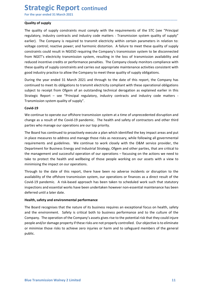**Strategic Report continued**<br>For the year ended 31 March 2021<br>Quality of supply<br>The quality of supply constraints must comply with the requirements of the STC (see "Pr **Strategic Report continued**<br>For the year ended 31 March 2021<br>Quality of supply<br>The quality of supply constraints must comply with the requirements of the STC (see "Principa<br>regulatory, industry contracts and industry code **Strategic Report continued**<br>For the year ended 31 March 2021<br>Quality of supply<br>The quality of supply constraints must comply with the requirements of the ST<br>regulatory, industry contracts and industry code matters - Trans **Strategic Report continued**<br>For the year ended 31 March 2021<br>Quality of supply<br>The quality of supply constraints must comply with the requirements of the STC (see "Principal<br>regulatory, industry contracts and industry cod **Strategic Report continued**<br>For the year ended 31 March 2021<br>Quality of supply<br>The quality of supply constraints must comply with the requirements of the STC (see "Principal<br>regulatory, industry contracts and industry cod **Strategic Report continued**<br>For the year ended 31 March 2021<br>Quality of supply<br>The quality of supply constraints must comply with the requirements of the STC (see "Principal<br>regulatory, industry contracts and industry cod **Strategic Report continued**<br>
Tor the year ended 31 March 2021<br>
Quality of supply<br>
The quality of supply constraints must comply with the requirements of the STC (see "Principal<br>
regulatory, industry contracts and industry **Strategic Report continued**<br>For the year ended 31 March 2021<br>Quality of supply<br>The quality of supply constraints must comply with the requirements of the STC (see "Principal<br>regulatory, industry contracts and industry cod **Strategic Report continued**<br>
For the year ended 31 March 2021<br>
Quality of supply<br>
The quality of supply constraints must comply with the requirements of the STC (see "Principal<br>
regulatory, industry contracts and industry **Strategic Report continued**<br>For the year ended 31 March 2021<br>Quality of supply<br>The quality of supply constraints must comply with the requirements of the STC (see "Principal<br>regulatory, industry contracts and industry cod **Strategic Report continued**<br>For the year ended 31 March 2021<br>Quality of supply<br>The quality of supply<br>The quality of supply<br>readier). The Company is required to transmit electricity within certain parameters in relation to **Strategic Report continued**<br>
For the year ended 31 March 2021<br>
Quality of supply<br>
The quality of supply<br>
The quality of supply<br>
regulatory, industry contrasts and industry code matters - Transmission system quality of sup **Strategic Report continued**<br>
Tor the year ended 31 March 2021<br>
Quality of supply<br>
The quality of supply<br>
The quality of supply<br>
regulatory, industry contratist and industry code matters - Transmission system quality of su **Strategic Report continued**<br>For the year ended 31 March 2021<br>Quality of supply<br>Continue of supply constraints must comply with the requirements of the STC (see "Principal<br>Tegulatory, industry contrasts and industry code m **Strategic Report continued**<br>For the year ended 31 March 2021<br>Quality of supply<br>The quality of supply<br>The quality of supply<br>regulatory, industry contracts and industry code matters - Transmission system quality of supply<br>r For the year ended 31 March 2021<br>
Quality of supply<br>
The quality of supply<br>
The quality of supply<br>
The quality of supply<br>
The quality of supply<br>
The quality of supply<br>
constraints could result in NGESO requiring the Compan **Quality of supply**<br> **Quality of supply**<br>
The quality of supply constraints must comply with the requirements of the STC (see "Principal<br>
The quality of supply constraints and industry code matters - Transmission system qu The quality of supply constraints must comply with the requirements of the STC (see "Principal<br>regulatory, industry contarats and industry code matters - Transmission system quality of supply"<br>carier). The Company is requi regulatory, industry contracts and industry code matters - Transmission system quality of supply"<br>earlier). The Company is required to transmit electricity within certain parameters in relation to:<br>voltage control; reactiv earlier). The Company is required to transmit electricity within certain parameters in relation to:<br>
youthge control: reactive power; and harmonic distortion. A failure to meet these quality of supply<br>
constraints could re For the Board has continued to proaction and the Department and the Department of the Board and the proparties consisted from NGET's electricity transmission system, resulting in the loss of transmission availability and f

\_\_\_\_\_\_\_\_\_\_\_\_\_\_\_\_\_\_\_\_\_\_\_\_\_\_\_\_\_\_\_\_\_\_\_\_\_\_\_\_\_\_\_\_\_\_\_\_\_\_\_\_\_\_\_\_\_\_\_\_\_\_\_\_\_\_\_\_\_\_\_\_\_\_\_\_\_\_\_\_\_\_\_\_\_\_\_\_\_\_

### Covid-19

Errow Metrics electrictly transmission system, resulting in the loss of transmission avaliability and<br>trom NGET's electrictly transmission system, resulting in the loss of transmission availability and<br>reduced incentive cr rout method the method the method the method is the company dosely monitors compliance with<br>these quality of supply constraints and carries out appropriate maintenance activities consistent with<br>these quality of supply con Exerce mechanic recursion of periodinal correlations.<sup>2</sup> The Complary discreptivines Christophanic Farties consistent with good industry practice to allow the Company to meet these quality of supply obligations.<br>During the ence quality of supply constrained and earths occupity prior and earths of this report, the Company has continued to meet its obligations to transmit electricity compliant with these operational obligations.<br>
During the ye Example the grant of the comparing to meterior and through the direct the form the company has bontinued to meet its obligations to transmit electricity compliant with fease operational obligations subject to receipt from During the year ended 31 March 2021 and through to the date of this report, the Company has<br>continued to meet its obligations to transmit electricity compilant with these operational obligations<br>subject to receipt from Ofg Consumed to meet the original of the date of this report of the date of the date of the disrue of the disrue of the disrue of the disrue of the disrue of the dentate of the covid-19 and the Covid-19 and the Covid-19 and th abitate of the operation of the "Principal regulatory, industry contracts and industry code matters-<br>Transmission system quality of supply".<br> **Covid-19**<br>
We continue to operate our offshore transmission system at a time of Strange " However" Set " Trimsplant of Supply".<br>
Transmission system quality of supply".<br>
We continue to operate our offshore transmission system at a time of unprecedented disruption and<br>
thange as a result of the Covid-1 insulanolistic of the covid-19 particles and maintenance covid-19<br>
Covid-19<br>
We continue to operate our offshore transmission system at a time of unprecedented disruption and<br>
change as a result of the Covid-19 pandemic. T Covid-19<br>We continue to operate our offshore transmission system at a time of unprecedented disruptioned change as a result of the Covid-19 pandemic. The health and safety of contractors and othe parties who manage our ope We continue to operate our offshore transmission system at a time of unprecedented disruption and<br>change as a result of the Coorid-19 pandemic. The health and safety of contractors and other third<br>parties who manage our op parties who manage our operations are our top priority.<br>The Board has continued to proactively execute a plan which identified the key impact areas and put<br>in place measures to address and manage those risks as necessary, The Board has continued to proactively execute a plan which identified the key impact areas and put<br>in place measures to address and manage those risks as necessary, while following all governmental<br>requirements and guidel The Board has continued to proactively execute a plain which dientified the key impact areas and put<br>In place measures to address and manage those risks as necessary, while following all governmental<br>requirements and guide

Health, safety and environmental performance<br>The Board recognises that the nature of its business requires an exceptional focus on health, safety<br>and the environment. Safety is critical both to business performance and to In place measures to address and manage those rasks are necessary, while following all governmental properment<br>requirements and guidelines. We continue to work closely with the O&M service provider, the<br>Department for Busi requirements and guidelines. We continue to work closely with the O&M service provider, the paragement and successful operation of our operations - focussing on the actions we need to the management and successful operatio public.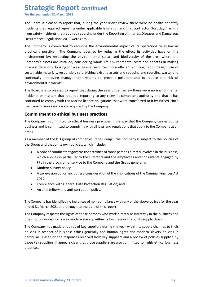**Strategic Report continued**<br>For the year ended 31 March 2021<br>The Board is pleased to report that, during the year under review there were no health or<br>incidents that required reporting under applicable legislation and tha **Strategic Report continued**<br>For the year ended 31 March 2021<br>The Board is pleased to report that, during the year under review there were no health or safety<br>incidents that required reporting under applicable legislation **Strategic Report continued**<br>For the year ended 31 March 2021<br>The Board is pleased to report that, during the year under review there were no health or safety<br>incidents that required reporting under applicable legislation **Strategic Report continued**<br>For the year ended 31 March 2021<br>The Board is pleased to report that, during the year under review there were no health or safety<br>incidents that required reporting under applicable legislation **Strategic Report continued**<br>For the year ended 31 March 2021<br>The Board is pleased to report that, during the year under review there were no health or safety<br>incidents that required reporting under applicable legislation

\_\_\_\_\_\_\_\_\_\_\_\_\_\_\_\_\_\_\_\_\_\_\_\_\_\_\_\_\_\_\_\_\_\_\_\_\_\_\_\_\_\_\_\_\_\_\_\_\_\_\_\_\_\_\_\_\_\_\_\_\_\_\_\_\_\_\_\_\_\_\_\_\_\_\_\_\_\_\_\_\_\_\_\_\_\_\_\_\_\_

**Strategic Report continued**<br>For the year ended 31 March 2021<br>The Board is pleased to report that, during the year under review there were no health or safety<br>incidents that required reporting under applicable legislation **Strategic Report continued**<br>The Board is pleased to report that, during the year under review there were no health or safety<br>incidents that required reporting under applicable legislation and that contractor "lost days" a **Strategic Report continued**<br>For the year ended 31 March 2021<br>The Board is pleased to report that, during the year under review there were no health or safety<br>incidents that required reporting under applicable legislation **Strategic Report continued**<br>For the year ended 31 March 2021<br>The Board is pleased to report that, during the year under review there were no health or safety<br>incidents that required reporting under applicable legislation **Strategic Report continued**<br>For the year ended 31 March 2021<br>The Board is pleased to report that, during the year under review there were no health or safety<br>incidents that required reporting under applicable legislation **Strategic Report continued**<br>For the year ended 31 March 2021<br>The Board is pleased to report that, during the year under review there were no health or safety<br>incidents that required reporting under applicable legislation **Strategic Report continued**<br>The Board is pleased to report that, during the year under review there were no health or safety<br>incidents that required reporting under applicable legislation and that contractor "lost days" a **Strategic Report continued**<br>For the year ended 31 March 2021<br>The Board is pleased to report that, during the year under review there were no health or safety<br>incidents that required reporting under applicable legislation **Strategic Report continued**<br>For the year ended 31 March 2021<br>The Board is pleased to report that, during the year under review there were no hea<br>incidents that required reporting under applicable legislation and that cont **Strategic Report continued**<br>The Board is pleased to report that, during the year under review there were no health or safety<br>incidents that required reporting under applicable legislation and that contractor "lost days" a For the year ended 31 March 2021<br>
The Board is pleased to report that, during the year under review there were no health or safety<br>
incidents that required reporting under applicable legislation and that contractor "lost d For laction place and the pear under review there were no health or safety<br>The Board is pleased to report that, during the year under review there were no health or safety<br>incidents that required reporting under applicable The Board is pleased to report that, during the year under review there were no health or safety<br>
incidents that required reporting under applicable legislation and that contractor "lost days" arising<br>
from safety incident Incurents that required repeating under approache registation and that contraction to assess and Dangerous<br>
from safety incidents that required reporting under the Reporting of Injuries, Diseases and Dangerous<br>
Occurrences Occurrences Regulations 2013 were zero.<br>The Company is committed to reducing the environmental impact of its operations to as low as<br>practically possible. The Company does so by reducing the effect its activities have on t The Company is committed to reducing the environmental impact of its operations to as low as<br>practically possible. The Company does so by reducing the effect its activities have on the<br>environment by: respecting the enviro environment by: respecting the environmental status and biodiversity of the area where the<br>Company's assets are installed; considering whole life environmental costs and benefits in making<br>bustiness decisions; looking for Company's assets are installed; considering whole life environmental costs and benefits in making<br>business decisions; looking for ways to use resources more efficiently through good design, use of<br>sustisanible materials, r

idecisions; looking for ways to use resources more efficiently through good design, use of<br>ble materials, responsibly refurbishing existing assets and reducing and recycling waste; and<br>bliy improving management systems to ble materials, responsibly refurbishing existing assets and reducing and recycling waste; and<br>illy improving management systems to prevent pollution and to reduce the risk of<br>mental incidents.<br>The material or people to the ally improving management systems to prevent pollution and to reduce the risk of<br>end is also pleased to report that during the year under review there were no environmental<br>sor matters that required reporting to any releva mental incidents.<br>
and is also pleased to report that during the year under review there were no environmental incidents or matters that required reporting to any relevant competent authority and that it soft or omply with rd is also pleased to report that during the year under review there were no environmental<br>so r matters that required reporting to any relevant competent authority and that it has<br>ed to comply with the Marine licence oblig

times. ed to comply with the Marine licence obligations that were transferred to it by WOWL since<br>smission assets were acquired by the Company.<br> **itment to ethical business practices**<br>
papay is committed to ethical business pract smission assets were acquired by the Company.<br> **itment to ethical business practices**<br>
pany is committed to ethical business practices<br>
in and is committed to complying with all laws and regulations that apply to the Compa The Company is committed to ethical business practices in the way that the Company carries out its<br>business and is committed to complying with all laws and regulations that apply to the Company at all<br>times.<br>As a member of

- Ine Company is committed to ethical business practices in the way that the Company carries out its<br>business and is committed to complying with all laws and regulations that apply to the Company at all<br>times.<br>As a member of
	-
	- 2017;
	-
	-

The Company has identified no instances of non-compliance with any of the above polices for the year<br>ended 31 March 2021 and through to the date of this report.<br>The Company respects the rights of those persons who work dir It imes.<br>
As a member of the BTI group of companies ("the Group") the Company is subject to the policies of<br>
the Group and that of its own policies, which include:<br>
• A code of conduct that governs the activities of those As a member of the BTI group of companies ("the Group") the Company is subject to the policies of<br>
the Group and that of its own policies, which include:<br>
• A code of conduct that governs the activities of those persons di the Group and that of its own policies, which include:<br>
• A code of conduct that governs the activities of those persons directly involved in the business,<br>
which applies in particular to the Directors and the employees an • A code of conduct that governs the activities of those persons directly involved in the business,<br>which applies in particular to the Directors and the employees and consultants engaged by<br>FPL in the provision of service • Acore or conduct that governs the activites or those persons directly involved in the business,<br>which applies in particular to the Directors and the employees and consultants engaged by<br>FPL in the provision of service to which appliers in particular to the Directors and the employees and consultants engaged by<br>Fig. in the provision of service to the Company and the Group generally;<br>A tax evasion policy, including a consideration of the imp practices.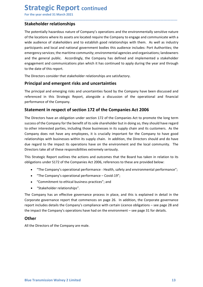**Strategic Report continued**<br>
For the year ended 31 March 2021<br> **Stakeholder relationships**<br>
The potentially hazardous nature of Company's operations and the environmentally sensitive **Strategic Report continued**<br>For the year ended 31 March 2021<br>**Stakeholder relationships**<br>The potentially hazardous nature of Company's operations and the environmentally sensitive nature<br>of the locations where its assets **Strategic Report continued**<br>For the year ended 31 March 2021<br>**Stakeholder relationships**<br>The potentially hazardous nature of Company's operations and the environmentally sens<br>of the locations where its assets are located **Strategic Report continued**<br>For the year ended 31 March 2021<br>**Stakeholder relationships**<br>The potentially hazardous nature of Company's operations and the environmentally sensitive nature<br>of the locations where its assets **Strategic Report continued**<br>For the year ended 31 March 2021<br>The potentially hazardous nature of Company's operations and the environmentally sensitive nature<br>of the locations where its assets are located require the Comp **Strategic Report continued**<br>For the year ended 31 March 2021<br>The potentially hazardous nature of Company's operations and the environmentally sensitive nature<br>of the locations where its assets are located require the Comp **Strategic Report continued**<br>For the year ended 31 March 2021<br>**Stakeholder relationships**<br>The potentially hazardous nature of Company's operations and the environmentally sensitive nature<br>of the locations where its assets **Strategic Report continued**<br>For the year ended 31 March 2021<br>**Stakeholder relationships**<br>The potentially hazardous nature of Company's operations and the environmentally sensitive nature<br>of the locations where its assets **Strategic Report continued**<br>
For the year ended 31 March 2021<br> **Stakeholder relationships**<br>
The potentially hazardous nature of Company's operations and the environmentally sensitive nature<br>
of the locations where its ass **Strategic Report continued**<br>For the year ended 31 March 2021<br>Stakeholder relationships<br>The potentially hazardous nature of Company's operations and the environmentally sensitive nature<br>of the locations where its assets ar **Strategic Report continued**<br>For the year ended 31 March 2021<br>**Stakeholder relationships**<br>The potentially hazardous nature of Company's operations and the environmentally sensitive<br>of the locations where its assets are loc **Strategic Report continued**<br>
For the year ended 31 March 2021<br> **Stakeholder relationships**<br>
The potentially hazardous nature of Company's operations and the environmentally sensitive nature<br>
of the locations where its ass **Strategic Report continued**<br>
For the year ended 31 March 2021<br>
Stakeholder relationships<br>
The potentially hazardous nature of Company's operations and the environmentally sensitive nature<br>
of the locations where its asset **Strategic Report continued**<br>
For the year ended 31 March 2021<br> **Stakeholder relationships**<br>
The potentially hazardous nature of Company's operations and the environmentally sensitive nature<br>
of the locations where its ass For the year ended 31 March 2021<br> **Stakeholder relationships**<br>
The potentially hazardous nature of Company's operations and the environmentally sensitive nature<br>
of the locations where its assets are located require the Co **Stakeholder relationships**<br>The potentially hazardous nature of Company's operations and the environmentally sensitive<br>of the locations where its assets are located require the Company to engage and communicat<br>wide audeinc The potentially hazardos nature reactions and the environmentally sensitive nature<br>The potentially hazardos nature of Company's operations and the environmentally sensitive nature<br>of the locations where its assets are loca The putchlain in acsolotism and the company sole and the electrons where its assets are located require the Company to engage and communicate with a wide audience of stakeholders and to establish good relationships with th or the toucal switter to assets are located require the Company of emage and communicate white andience of stakeholders and to establish good relationships with them. As well as industry<br>participants and local and national

\_\_\_\_\_\_\_\_\_\_\_\_\_\_\_\_\_\_\_\_\_\_\_\_\_\_\_\_\_\_\_\_\_\_\_\_\_\_\_\_\_\_\_\_\_\_\_\_\_\_\_\_\_\_\_\_\_\_\_\_\_\_\_\_\_\_\_\_\_\_\_\_\_\_\_\_\_\_\_\_\_\_\_\_\_\_\_\_\_\_

we alternate of statemoters and to essain and the constant government had the same and the energency services; the martime community; environmental agencies and organisations; landowners and the general public. Accordingly partucipans and oten entrational government to course that due to the company emergency services; the matitime community; environmental agencies and organisations; landowners<br>and the general public. Accordingly, the Compan emetricatives, the mattemetrationships emergetic states and originations, sincometrically, the Company has defined and implemented a stakeholder engagement and communications plan which it has continued to apply during the and the general public, "Actoringly, the Company has demined and imperienced a statembouth energies energies and through to the date of this report.<br>The Directors consider that stakeholder relationships are satisfactory.<br>T engement and commentations phan wink in that subturated to apply dramig the year and throught<br>to the date of this report.<br>The Directors consider that stakeholder relationships are satisfactory.<br> **Principal and emergent ris** The Directors consider that stakeholder relationships are satisfactory.<br> **Principal and emergent risks and uncertainties**<br>
The principal and emerging risks and uncertainties faced by the Company have been discussed and<br>
re The principal and emergent risks and uncertainties<br>
The principal and emerging risks and uncertainties<br>
The principal and emerging risks and uncertainties faced by the Company have been discussed and<br>
referenced in this st or and entergent risks and uncertainties<br>
ficiplal and emerging risks and uncertainties faced by the Company have been discussed and<br>
ricel in this Strategic Report, alongside a discussion of the operational and financial<br> oripal and emerging risks and uncertainties faced by the Company have been discussed and<br>nance of the Company.<br>The Companysion of the operational and financial<br>anace of the Company,<br>**nent in respect of section 172 of the C** ied in this Strategic Report, alongiside a discussion of the operational and financial<br>ance of the Company.<br>**Exercises** have an obligation under section 172 of the Companies Act 2006<br>ctors have an obligation under section ante of the Company.<br> **Stakeholder relation in the Companies Act 2006**<br>
Ectors have an obligation under section 172 of the Companies Act to promote the long<br>
of the Company for the benefit of its sole shareholder but in do Statement in respect of section 172 of the Companies Act 2006<br>The Directors have an obligation under section 172 of the Companies Act to promote the long term<br>success of the Company for the benefit of its sole shareholder The Directors have an obligation under section 172 of the Companies Act to promote the long term<br>success of the Company for the benefit of its sole shareholder but in doing so, they should have regard<br>to other interested p success of the Company for the benefit of its sole shareholder but in doing so, they should have regard<br>to other interested parties, including those businesses in its supply chain and its customers. As the<br>Company does not to other interested parties, including those businesses in its supply chain and its customers. As the Company does not have any employees, it is crucially important for the Company to have good due regard to the impact its

- 
- 
- 
- 

Ine Company has an errective governance process in piace, and this is explained in detail in the<br>Corporate governance report that commences on page 26. In addition, the Corporate governance<br>report includes details the Comp Extending the University and the significant of the sensor of the endotion of the Bluectors take all of these responsibilities extremely seriously.<br>This Strategic Report outlines the actions and outcomes that the Board has

### **Other**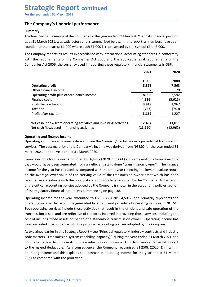# Strategic Report continued<br>For the year ended 31 March 2021<br>The Company's financial performance<br>Summary

### Summary

**Strategic Report continued**<br>For the year ended 31 March 2021<br>The Company's financial performance<br>Summary<br>The financial performance of the Company for the year ended 31 March 2021 and its financial position **Strategic Report continued**<br>For the year ended 31 March 2021<br>The Company's financial performance<br>Summary<br>The financial performance of the Company for the year ended 31 March 2021 and its financial position<br>as at 31 March **Strategic Report continued**<br>For the year ended 31 March 2021<br>The Company's financial performance<br>The financial performance of the Company for the year ended 31 March 2021 and its financial position<br>as at 31 March 2021, wa **Strategic Report continued**<br>For the year ended 31 March 2021<br>The Company's financial performance<br>Summary<br>The financial performance of the Company for the year ended 31 March 2021 and its financial position<br>as at 31 March **Strategic Report continued**<br>For the year ended 31 March 2021<br>The Company's financial performance<br>Summary<br>as at 31 March 2021, was satisfactory and is summarised below. In this report, all numbers have been<br>rounded to the **Strategic Report continued**<br>
For the year ended 31 March 2021<br> **The Company's financial performance**<br> **Summary**<br> **The financial performance of the Company for the year ended 31 March 2021 and its financial position**<br>
as a **Strategic Report continued**<br>
For the year ended 31 March 2021<br> **The Company's financial performance**<br>
Summary<br>
The financial performance of the Company for the year ended 31 March 2021 and its financial position<br>
as at 3

| <b>Summary</b>                                                                                                                                                                                                                                                                                                                                                                                                                                                                                                                                                                                                                |            |             |
|-------------------------------------------------------------------------------------------------------------------------------------------------------------------------------------------------------------------------------------------------------------------------------------------------------------------------------------------------------------------------------------------------------------------------------------------------------------------------------------------------------------------------------------------------------------------------------------------------------------------------------|------------|-------------|
| The financial performance of the Company for the year ended 31 March 2021 and its financial position                                                                                                                                                                                                                                                                                                                                                                                                                                                                                                                          |            |             |
| as at 31 March 2021, was satisfactory and is summarised below. In this report, all numbers have been                                                                                                                                                                                                                                                                                                                                                                                                                                                                                                                          |            |             |
| rounded to the nearest £1,000 where each £1,000 is represented by the symbol £k or £'000.                                                                                                                                                                                                                                                                                                                                                                                                                                                                                                                                     |            |             |
| The Company reports its results in accordance with international accounting standards in conformity                                                                                                                                                                                                                                                                                                                                                                                                                                                                                                                           |            |             |
| with the requirements of the Companies Act 2006 and the applicable legal requirements of the<br>Companies Act 2006; the currency used in reporting these regulatory financial statements is GBP.                                                                                                                                                                                                                                                                                                                                                                                                                              |            |             |
|                                                                                                                                                                                                                                                                                                                                                                                                                                                                                                                                                                                                                               |            |             |
|                                                                                                                                                                                                                                                                                                                                                                                                                                                                                                                                                                                                                               | 2021       | 2020        |
|                                                                                                                                                                                                                                                                                                                                                                                                                                                                                                                                                                                                                               | £'000      | f'000       |
| Operating profit                                                                                                                                                                                                                                                                                                                                                                                                                                                                                                                                                                                                              | 8,898      | 7,563       |
| Other finance income<br>Operating profit plus other finance income                                                                                                                                                                                                                                                                                                                                                                                                                                                                                                                                                            | 7<br>8,905 | 29<br>7,592 |
| Finance costs                                                                                                                                                                                                                                                                                                                                                                                                                                                                                                                                                                                                                 | (4,986)    | (5,625)     |
| Profit before taxation                                                                                                                                                                                                                                                                                                                                                                                                                                                                                                                                                                                                        | 3,919      | 1,967       |
| Taxation                                                                                                                                                                                                                                                                                                                                                                                                                                                                                                                                                                                                                      | (757)      | (740)       |
| Profit after taxation                                                                                                                                                                                                                                                                                                                                                                                                                                                                                                                                                                                                         | 3,162      | 1,227       |
| Net cash inflow from operating activities and investing activities                                                                                                                                                                                                                                                                                                                                                                                                                                                                                                                                                            | 12,454     | 11,011      |
| Net cash flows used in financing activities                                                                                                                                                                                                                                                                                                                                                                                                                                                                                                                                                                                   | (11, 220)  | (12, 962)   |
| <b>Operating and finance income</b><br>Operating and finance income is derived from the Company's activities as a provider of transmission<br>services. The vast majority of the Company's income was derived from NGESO for the year ended 31<br>March 2021 and the year ended 31 March 2020.                                                                                                                                                                                                                                                                                                                                |            |             |
| Finance income for the year amounted to £6,427k (2020: £6,566k) and represents the finance income<br>that would have been generated from an efficient standalone "transmission owner". The finance<br>income for the year has reduced as compared with the prior year reflecting the lower absolute return<br>on the average lower value of the carrying value of the transmission owner asset which has been<br>recorded in accordance with the principal accounting policies adopted by the Company. A discussion<br>of the critical accounting policies adopted by the Company is shown in the accounting policies section |            |             |

Operating profit plus other finance income<br>
Finance costs<br>
Profit before taxation<br>
Trakion<br>
Profit after taxation<br>
Profit after taxation<br>
Profit after taxation<br>
Profit after taxation<br>
Profit after taxation<br>
Profit after t **France Costable 10 Conserved by the Company is shown in the accounting policies and policies and investing activities and investing activities <b>1.2.62 1.2.27**<br>
Net cash findow from operating activities and investing Taxtion<br>
Profit after taxation<br>
Net cash inflow from operating activities and investing activities<br>
Met cash flows used in financing ectivities<br>
(1,220)<br>
Operating and finance income<br>
Operating and finance income<br>
Surface **Example 12.1.2.27**<br>
Net cash inflow from operating activities and investing activities<br>
1.2.454 11.0.0.1<br>
Net cash flows used in financing activities<br>
(11.220) 1.2.454<br>
Operating and finance income<br>
Coperating and finance Net cash inflow from operating activities and investing activities 12,454 11,011<br>
Net cash flows used in financing activities (11,220) (12,962)<br>
Operating and finance income is derived from the Company's activities as a pr Net cash finnow from operating activities and investing activities (1.2,962)<br>
Net cash flows used in financing activities<br>
Operating and finance income is derived from the Company's activities as a provider of transmission The custom manicing activities and the company's activities as a provider of transmission operating and finance income is derived from the Company's activities as a provider of transmission services. The vast majority of **Operating and finance income**<br>
Operating and finance income is derived from the Company's activities as a provider of transmission<br>
Operating and finance income is derived from the Company's income was derived from NGESO Operating and finance income is derived from the Company's activities as a provider of transmission services. The wast majority of the Company's income was derived from NGESO for the year ended 31 March 2020.<br>
March 2021 a services. The wast majority of the Company's income was derived from NGESO for the year ended 31<br>March 2021 and the year ended 31 March 2020.<br>
Finance income for the year amounted to £6,427k (2020: £6,566k) and represents March 2021 and the year ended 31 March 2020.<br>Finance income for the year amounted to  $65,427k$  (2020: £6,566k) and represents the finance income<br>that would have been generated from an efficient standalone "transmission own Finance income for the year amounted to £6,427k (2020: £6,566k) and represents the finance income<br>that would have been generated from an efficient standalone "transmission owner?. The finance<br>income for the year has reduce that would have been generated from an efficient standalone "transmission owner". The finance for the year has reduced as compared with the prior year reflecting the lower absolute return in on the average lower value of t

Operating income for the year amounted to £5,830k (2020: £4,507k) and primarily represents the operating income that would be generated by an efficient provider of operating services to NGESO. Such operating services inclu income for the year has reduced as compared with the prior year reflecting the lower absolute return<br>on the average lower value of the carrying value of the transmission owner asset which has been<br>once and in accordance wi on the average lower value of the carrying value of the transmission owner asset which has been<br>recorded in accordance with the principal accounting policies adopted by the Company. A discussion<br>of the critical accounting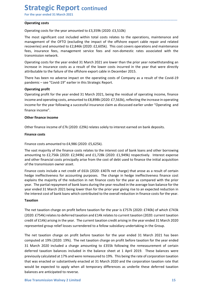# **Strategic Report continued**<br>For the year ended 31 March 2021<br>Operating costs<br>Operating costs for the year amounted to £3,359k (2020: £3,510k)

**Strategic Report continued**<br>For the year ended 31 March 2021<br>Operating costs<br>Operating costs for the year amounted to £3,359k (2020: £3,510k)<br>The most significant cost included within total costs relates to the operations **Strategic Report continued**<br>For the year ended 31 March 2021<br>Operating costs<br>Operating costs for the year amounted to £3,359k (2020: £3,510k)<br>The most significant cost included within total costs relates to the operations **Strategic Report continued**<br>For the year ended 31 March 2021<br>Operating costs<br>Operating costs for the year amounted to £3,359k (2020: £3,510k)<br>The most significant cost included within total costs relates to the operations **Strategic Report continued**<br>For the year ended 31 March 2021<br>Operating costs<br>The most significant cost included within total costs relates to the operations, maintenance and<br>management of the OFTO (excluding the impact of **Strategic Report continued**<br>For the year ended 31 March 2021<br>Operating costs<br>The most significant cost included within total costs relates to the operations, maintenance and<br>management of the OFTO (excluding the impact of **Strategic Report continued**<br>
For the year ended 31 March 2021<br> **Operating costs**<br>
Operating costs<br>
The most significant cost included within total costs relates to the operations, maintenance and<br>
management of the OFTO ( **Strategic Report continued**<br>For the year ended 31 March 2021<br>Operating costs<br>Operating costs for the year amounted to £3,359k (2020: £3,510k)<br>The most significant cost included within total costs relates to the operations **Strategic Report continued**<br>For the year ended 31 March 2021<br>Operating costs<br>Operating costs<br>for the year amounted to £3,359k (2020: £3,510k)<br>The most significant cost included within total costs relates to the operations **Strategic Report continued**<br>
For the year ended 31 March 2021<br>
Operating costs<br>
Operating costs<br>
The most significant cost included within total costs relates to the operations, maintenance and<br>
management of the OFTO (ex **Strategic Report continued**<br>For the year ended 31 March 2021<br>Operating costs<br>Operating costs<br>The most significant cost included within total costs relates to the operations, maintenance and<br>management of the OFTO (excludi **Strategic Report continued**<br>
For the year ended 31 March 2021<br>
Operating costs<br>
Operating costs for the year amounted to £3,359k (2020: £3,510k)<br>
The most significant cost included within total costs relates to the operat **Strategric Report continued**<br>For the year ended 31 March 2021<br>Operating costs<br>The most significant cost included within total costs relates to the operations, maintenance and<br>The most significant cost included within tota **Strategic Report continued**<br> **Solution**<br> **Solution**<br> **Operating costs**<br> **Operating costs**<br> **Operating costs**<br> **Operating costs**<br> **Operating costs**<br> **Covid 19 examplement** of the OFTO (excluding the impact of the offshore **Strategic Report continued**<br>For the year ended 31 March 2021<br>Operating costs<br>Operating costs for the year amounted to £3,359k (2020: £3,510k)<br>The most significant cost included within total costs relates to the operations **Solution**<br> **Constraints and March 2021**<br> **Operating costs** for the year amounted to £3,359k (2020: £3,510k)<br>
(Depending costs for the year amounted to £3,359k (2020: £3,510k)<br>
The most significant cost included within to For the year ended 31 March 2021<br>
Operating costs<br>
Operating costs<br>
Operating costs<br>
IThe most significant cost included within total costs relates to the operations, maintenance and<br>
Imanagement of the OFTO (excluding the **Operating costs**<br>Operating costs for the year amounted to £3,359k (2020: £3,510k)<br>The most significant cost included within total costs relates to the operations, maintenance and<br>management of the OFTO (excluding the impa Free most significant cost included within total costs relates to the operations, main<br>management of the OFTO (excluding the impact of the offshore export cable repain<br>recoveries) and amounted to £2,846k (2020: £2,605k).

\_\_\_\_\_\_\_\_\_\_\_\_\_\_\_\_\_\_\_\_\_\_\_\_\_\_\_\_\_\_\_\_\_\_\_\_\_\_\_\_\_\_\_\_\_\_\_\_\_\_\_\_\_\_\_\_\_\_\_\_\_\_\_\_\_\_\_\_\_\_\_\_\_\_\_\_\_\_\_\_\_\_\_\_\_\_\_\_\_\_

finance income". management or the Ot-IO (excuding the impact or the offshore export cable repart and related<br>recoveries) and amounted to £2,846k (2020: £2,605k). This cost covers operations and maintenance<br>fees, insurance fees, management fees, insurance fees, management service fees and non-domestic rates as<br>transmission network.<br>Operating costs for the year ended 31 March 2021 are lower than the prior year<br>increase in insurance costs as a result of the lo Operating costs for the year ended 31 March 2021 are lower than the prior year notwithstanding<br>increase in insurance costs as a result of the lower costs incurred in the year that were direct<br>attributable to the failure of increase in insurance costs as a result of the lower costs incurred in the year that were directly<br>attributable to the failure of the offshore export cable in December 2015.<br>There has been no adverse impact on the operatin attributable to the failure of the offshore export cable in December 2015.<br>
There has been no adverse impact on the operating costs of Company as a result of the Covid-19<br>
paparamic – see "Covid-19" earlier in this Strateg There has been no adverse impact on the operating costs of Company as a result of the Covid-19<br>
aparentine - see "Covid-19" earlier in this Strategic Report.<br>
Operating profit for the year ended 31 March 2021, being the re

The transmission outers any and the pleasure of back (2020; E407k net between the process of the process parameter in the set of the set of the set of the set of the set of the set of the set of the set of the set of the s **Operating profit**<br>Operating profit for the year ended 31 March 2021, being the residual of operating income, finance<br>income and operating costs, amounted to £8,898k (2020: £7,563k), reflecting the increase in operating<br>in operating profit for the year ended 31 March 2021, being the residual of operating income, finance<br>income and operating costs, amounted to £8,898k (2020: £7,563k), reflecting the increase in operating<br>income for the year Operating protin tor the year enous as unwarra 2021, being the resuduat o peraturing incoment and operating contents income finance income finance income finance income of the year following a successful insurance claim as income and operating costs, amounted to £8,898k (2020: £7,563k), reflecting the increase in operating<br>income for the year following a successful insurance claim as discussed earlier under "Operating and<br>finance income".<br>Ot income for the year following a successful insurance claim as discussed earlier under "Operating and<br>
other finance income<br>
Other finance income<br>
Other finance income<br>
of the finance income of  $\epsilon$  Tk (2020:  $\epsilon$  298k) rel finance income".<br>
Other finance income<br>
Other finance income<br>
Finance costs<br>
Finance costs<br>
Finance costs<br>
Finance costs<br>
Finance costs<br>
Simulated to  $\epsilon 4,986$  (2020: £5,625k).<br>
The vast majority of the finance costs rela Other finance income of £7k (2020: £29k) relates solely to interest earned on bank deposits.<br>
Finance costs<br>
Finance costs<br>
Finance costs<br>
The vast majority of the finance costs relates to the interest cost of bank loans a **Finance costs**<br>
Finance costs amounted to £4,986 (2020: £5,625k).<br>
The vast majority of the finance costs relates to the interest cost of bank loans and other borrowing<br>
amounting to £2,756k (2020: £2,949k) and £1,728k ( Filance costs<br>
Fine vast majority of the finance costs relates to the interest cost of bank loans and other borrowing<br>
amounting to £2,756k (2020: £2,949k) and £1,728k (2020: £1,949k) respectively. Interest expense<br>
and ot Finance costs amounted to £4,986 (2020: £5,625k).<br>The vast majority of the finance costs relates to the interest cost of bank loans and other borrowing<br>amounting to £2,756k (2020: £2,949k) and £1,728k (2020: £1,949k) respe

### Taxation

Transmission of the methed and the methed of the overall education in Finance costs for the year.<br>Transmission charge on profit before taxation for the year is £757k (2020: £740k) of which £743k (2020: £754k) relates to de The wast majority of the finance costs relates to the interest cost of bank loans and other bronwoing<br>amounting to £2,756k (2020: £2,949k) and £1,728k (2020: £1,949k) respectively. Interest expense<br>and other financial cost amounting to Ez/Jobe (2020: Exy49)K and E1/Z88 (2020: E1J949K) respectively. Interest expense<br>and other financial costs principally arise from the cost of default and acquisition<br>of the transmission owner asset.<br>Trinance c and outer mindical costs pincuppay anse in online to studied to mindice the mind a deplation of the transmission owner asset.<br>
Finance costs include a net credit of E61k (2020: £407k net charge) that arose as a result of c CFT and the majority were the field (2020: £407k net charge) that arose as a result of certain<br>Finance costs include a net credit of £61k (2020: £407k net charge) that arose as a result of certain<br>explains the majority of Finance costs include a net creat of t-bark (2020: E40/K inet criarge) that arose as a result of ecriare inelage inefectiveness finance cost<br>explains the majority of the reduction in net finance costs for the year as comp Heupe Interactiveless of a cucluming pulposes. The transfer in heuge interactive fresh was been depended with the prior year. The partial regay mentiod from the reduction in net finance costs for the year as compared with wear. The partial repayment of bank loans during the year ersulted in the average loan balance for the year ended 31 March 2021 being lower than for the prior year giving rise to an expected reduction in the prior year end year ended 31 March 2021 being lower than for the prior year giving rise to an expected reduction in<br>the interest cost of bank loans which contributed to the overall reduction in finance costs for the year.<br>Taxation<br>The ne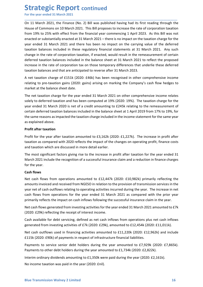**Strategic Report continued**<br>For the year ended 31 March 2021<br>On 11 March 2021, the Finance (No. 2) Bill was published having had its first reading throu<br>House of Commons on 10 March 2021. This Bill proposes to increase th **Strategic Report continued**<br>For the year ended 31 March 2021<br>On 11 March 2021, the Finance (No. 2) Bill was published having had its first reading through the<br>House of Commons on 10 March 2021. This Bill proposes to incre **Strategic Report continued**<br>
For the year ended 31 March 2021<br>
On 11 March 2021, the Finance (No. 2) Bill was published having had its first reading through the<br>
House of Commons on 10 March 2021. This Bill proposes to in **Strategic Report continued**<br>
For the year ended 31 March 2021<br>
On 11 March 2021, the Finance (No. 2) Bill was published having had its first reading through the<br>
House of Commons on 10 March 2021. This Bill proposes to in **Strategic Report continued**<br>For the year ended 31 March 2021<br>On 11 March 2021, the Finance (No. 2) Bill was published having had its first reading through the<br>House of Commons on 10 March 2021. This Bill proposes to incre **Strategic Report continued**<br>For the year ended 31 March 2021<br>On 11 March 2021, the Finance (No. 2) Bill was published having had its first reading through the<br>House of Commons on 10 March 2021. This Bill proposes to incre **Strategic Report continued**<br>For the year ended 31 March 2021<br>On 11 March 2021, the Finance (No. 2) Bill was published having had its first reading through the<br>House of Commons on 10 March 2021. This Bill proposes to incre **Strategic Report continued**<br>For the year ended 31 March 2021<br>On 11 March 2021, the Finance (No. 2) Bill was published having had its first reading through the<br>House of Commons on 10 March 2021. This Bill proposes to incre **Strategic Report continued**<br>
For the year ended 31 March 2021<br>
On 11 March 2021, the Finance (No. 2) Bill was published having had its first reading through the<br>
House of Commons on 10 March 2021. This Bill proposes to in **Strategic Report continued**<br>For the year ended 31 March 2021<br>On 11 March 2021, the Finance (No. 2) Bill was published having had its first reading through the<br>House of Commons on 10 March 2021. This Bill proposes to incre **Strategic Report continued**<br>For the year ended 31 March 2021<br>On 11 March 2021, the Finance (No. 2) Bill was published having had its first reading through the<br>House of Commons on 10 March 2021. This Bill proposes to incre **Strategic Report continued**<br>For the year ended 31 March 2021<br>On 11 March 2021, the Finance (No. 2) Bill was published having had its first reading through the<br>House of Commons on 10 March 2021. This Bill proposes to incre **Strategic Report continued**<br>For the year ended 31 March 2021<br>On 11 March 2021, the Finance (No. 2) Bill was published having had its first reading through the<br>House of Commons on 10 March 2021. This Bill proposes to incre **Strategic Report continued**<br>For the year ended 31 March 2021<br>On 11 March 2021, the Finance (No. 2) Bill was published having had its first reading through the<br>House of Commons on 10 March 2021. This Bill proposes to incre **Strategic Report continued**<br>For the year ended 31 March 2021<br>On 11 March 2021, the Finance (No. 2) Bill was published having had its first reading through the<br>House of Commons on 10 March 2021. This Bill proposes to incre For the year ended 31 March 2021<br>
On 11 March 2021<br>
On 11 March 2021, the Finance (No. 2) Bill was published having had its first reading through the<br>
House of Commons on 10 March 2021. This Bill proposes to increase the r solely to deferred taxation charge (No. 2) Bill was published having had its first reading through the Onumons on 10 March 2021. This Bill proposes to increase the rate of corporation taxation from 19% to 25% with effect On 11 March 2021, the Finance (No. 2) Bill was published having had its first reading through the House of Commons on 10 March 2021. This Bill proposes to increase the rate of corporation taxation from 19% to 25% with effe House of Commons on 10 March 2021. This Bill proposes to increase the rate of corporation taxation<br>from 19% to 25% with effect from the financial year commencing 1 April 2023. As this Bill was not<br>enacted or substantially from 19% to 25% with effect from the financial year commencing 1 April 2023. As this Bill was not enadeed or substantially enadeed at 31 March 2021 – there is no impact on the taxation charge for the eyear ended 31 March enacted or substantially enacted at 31 March 2021 – there is no impact on the taxation<br>vear ended 31 March 2021 and there has been no impact on the carrying value o<br>taxation balances included in these regulatory financial

\_\_\_\_\_\_\_\_\_\_\_\_\_\_\_\_\_\_\_\_\_\_\_\_\_\_\_\_\_\_\_\_\_\_\_\_\_\_\_\_\_\_\_\_\_\_\_\_\_\_\_\_\_\_\_\_\_\_\_\_\_\_\_\_\_\_\_\_\_\_\_\_\_\_\_\_\_\_\_\_\_\_\_\_\_\_\_\_\_\_

year ended 31 March 2021 and there has been no impact on the carrying value<br>taxation balances included in these regulatory financial statements at 31 March 2<br>change in the rate of corporation taxation, if enacted, would re change in the rate of corporation taxation, if enacted, would result in the remeasurement of certain deferred taxation balances included in the balance sheet at 31 March 2021 to reflect the proposed intaxation balances and deferred taxation balances included in the balance sheet at 31 March 2021 to reflect the proposed<br>increase in the rate of corporation tax on those temporary differences that underlie these deferred<br>taxation balances and th increase in the rate of corporation tax on those temporary differences that underlie these deferred<br>taxation balances and that are anticipated to reverse after 31 March 2023.<br>A net taxation charge of £151k (2020: £46k) has taxation balances and that are anticipated to reverse after 31 March 2023.<br>
A net taxation charge of £151k (2020: £46k) has been recognised in other comprehensive income<br>
relating to pre-taxation gains (2020: gains) arisin A net taxation charge of £151k (2020: £46k) has been recognised in other comprehensive income<br>relating to pre-taxation gains (2020: gains) arising on marking the Company's cash flow hedges to<br>market at the balance sheet da relating to pre-taxation gains (2020: gains) arising on marking the Company's market at the balance sheet date.<br>The net taxation charge for the year ended 31 March 2021 on other comprehes<br>olely to deferred taxation and has market at the balance sheet date.<br>The net taxation charge for the year ended 31 March 2021 on other comprehsolely to deferred taxation and has been computed at 19% (2020: 19%). The tyear ended 31 March 2020 is net of a cre The net taxation charge for the year ended 31 March 2021 on other comprehensive income relates<br>solely to deferred taxation and has been computed at 19% (2020: 19%). The taxation charge for the<br>syear ended 31 March 2020 is solely to deferred taxation and has been computed at 19% (2020: 19%). The taxation charge for the vear ended 31 March 2020 is net of a credit amounting to f2.43k relation chermessurement of ecertain deferred taxation balan

year ended 31 March 2020 is net of a credit amounting to £245k relating to the remeasurement of<br>enctrin deferred taxation balances included in the balance sheet at 1 April 2019 from 17% to 19%, for<br>the same reasons as impa certain deferred taxation balances included in the balance sheet at 1 April 2019 from 17% to 19%, for<br>the same reasons as impacted the taxation charge included in the income statement for the same year<br>as explained above.<br> the same reasons as impacted the taxation charge included in the income statement for the same year<br>**explained above.**<br>**Profit after taxation**<br>**Frofit for the year after taxation amounted to E3,162k (2020: E1,227k). The in** as explained above.<br>
Profit after taxation<br>
Profit after taxation<br>
Frofit after taxation<br>
Travit for the year after taxation amounted to £3,162k (2020: £1,227k). The increase in profit after<br>
Taxation as compared with 2020 **Profit after taxation**<br> **Profit after taxation** amounted to £3,162k (2020: £1,227k). The increase in profit after taxation as compared with 2020 reflects the impact of the changes on operating profit, finance costs<br>
taxa Profit for the year after taxation amounted to £3,162k (2020: £1,227k). The increase in profit after station as compared with 2020 reflets the impact of the changes on operating profit, finance costs<br>taxation as compared taxation as compared with 2020 reflects the impact of the changes on operating profit, finance costs<br>and taxation which are discussed in more detail earlier.<br>The most significant factors giving rise to the increase in prof and taxation which are discussed in more detail earlier.<br>The most significant factors giving rise to the increase in profit after traxation for the year ended 31<br>March 2021 include the recognition of a successful insurance The most significant factors giving rise to the increase in profit after taxation for the year ended 31<br>March 2021 include the recognition of a successful insurance claim and a reduction in finance charges<br> **Cash flows**<br> March 2021 include the recognition of a successitul insurance claim and a reduction in finance charges<br> **Cash flows**<br> **Cash flows**<br> **Cash flows**<br> **Rach flows**<br> **Rach flows**<br> **Rach holders debt debt of models of the periodi** for the year.<br> **Cash flows**<br>
Net cash flows from operations amounted to £12,447k (2020: £10,982k) primarily reflecting the<br>
New tans flows from operations for the year emded 31 March 2021 as compared with the prior service **Lash flows**<br> **Example 12.12.** Mows from operations amounted to £12,447k (2020: £10,982k) primarily reflecting the<br>
Net cash flows from operations for the pear ended 31 March 2021 as compared with the prior energes in the<br> Net cash flows from operations amounted to 6 11/244K (2020: £10,982K) primarily reflecting the tends those manunts invoiced and received from NGESO in relation to the provision of transmission services in the year net of c

cash nows from operations for the year ended 31 March 2021 as compared with the prior year<br>primarily reflects the impact on cash inflows following the successful insurance claim in the year.<br>Net cash flows generated from i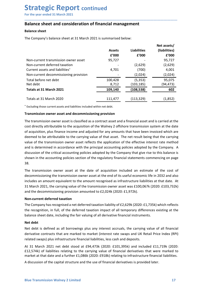## Strategic Report continued<br>
For the year ended 31 March 2021<br>Balance sheet and consideration of financial management<br>Balance sheet **Strategic Report continued**<br>For the year ended 31 March 2021<br>Balance sheet and consideration of financial management<br>Balance sheet<br>The Company's balance sheet at 31 March 2021 is summarised below:

| <b>Strategic Report continued</b>                                                                                                                                                                             |               |                    |                   |
|---------------------------------------------------------------------------------------------------------------------------------------------------------------------------------------------------------------|---------------|--------------------|-------------------|
|                                                                                                                                                                                                               |               |                    |                   |
|                                                                                                                                                                                                               |               |                    |                   |
|                                                                                                                                                                                                               |               |                    |                   |
|                                                                                                                                                                                                               |               |                    |                   |
|                                                                                                                                                                                                               |               |                    |                   |
| For the year ended 31 March 2021                                                                                                                                                                              |               |                    |                   |
|                                                                                                                                                                                                               |               |                    |                   |
| <b>Balance sheet and consideration of financial management</b>                                                                                                                                                |               |                    |                   |
| <b>Balance sheet</b>                                                                                                                                                                                          |               |                    |                   |
| The Company's balance sheet at 31 March 2021 is summarised below:                                                                                                                                             |               |                    |                   |
|                                                                                                                                                                                                               |               |                    | Net assets/       |
|                                                                                                                                                                                                               | <b>Assets</b> | <b>Liabilities</b> | (liabilities)     |
|                                                                                                                                                                                                               | f'000         | f'000              | £'000             |
| Non-current transmission owner asset<br>Non-current deferred taxation                                                                                                                                         | 95,727        | (2,629)            | 95,727<br>(2,629) |
| Current assets and liabilities <sup>+</sup>                                                                                                                                                                   | 4,701         | (700)              | 4,001             |
| Non-current decommissioning provision                                                                                                                                                                         |               | (2,024)            | (2,024)           |
| Total before net debt                                                                                                                                                                                         | 100,428       | (5, 353)           | 95,075            |
| Net debt                                                                                                                                                                                                      | 8,712         | (103, 185)         | (94, 473)         |
| Totals at 31 March 2021                                                                                                                                                                                       | 109,140       | (108, 538)         | 602               |
| Totals at 31 March 2020                                                                                                                                                                                       | 111,477       | (113, 329)         | (1,852)           |
| Excluding those current assets and liabilities included within net debt.                                                                                                                                      |               |                    |                   |
|                                                                                                                                                                                                               |               |                    |                   |
|                                                                                                                                                                                                               |               |                    |                   |
|                                                                                                                                                                                                               |               |                    |                   |
| Transmission owner asset and decommissioning provision<br>The transmission owner asset is classified as a contract asset and a financial asset and is carried at the                                          |               |                    |                   |
| cost directly attributable to the acquisition of the Walney 2 offshore transmission system at the date                                                                                                        |               |                    |                   |
| of acquisition, plus finance income and adjusted for any amounts that have been invoiced which are                                                                                                            |               |                    |                   |
| deemed to be attributable to the carrying value of that asset. The net result being that the carrying<br>value of the transmission owner asset reflects the application of the effective interest rate method |               |                    |                   |
| and is determined in accordance with the principal accounting policies adopted by the Company. A                                                                                                              |               |                    |                   |
| discussion of the critical accounting policies adopted by the Company that give rise to this balance is                                                                                                       |               |                    |                   |
| shown in the accounting policies section of the regulatory financial statements commencing on page                                                                                                            |               |                    |                   |

Non-current transmission owner asset  $95,727$ <br>
Value of the comparison of the care at a set of the care and liabilities<sup>\*</sup><br>
Care current decommissioning provision<br>
Non-current decommissioning provision<br>
Net debt<br>
Net debt Non-current deferred taxation (2,629)  $(2,629)$ <br>
Corrent assets and liabilities<sup>+</sup>  $4,701$   $(700)$   $(2,024)$   $(2,024)$ <br>
Total before net debt<br>
Net detht<br>
Total set of the detht<br>
Totals at 31 March 2021  $\begin{array}{|c|c|c|c|c|}\n$ Current assets and liabilities<sup>+</sup><br>
Total before net debt<br>
Totals at 31 March 2021<br>
Totals at 31 March 2020<br>
Totals at 31 March 2020<br>
Totals at 31 March 2020<br>
Totals at 31 March 2020<br>
Totals at 31 March 2020<br>
Totals at 31 Non-current decommissioning provision<br>
Total before net debt<br>
Shown in the accounting provision<br>
Totals at 31 March 2021<br>
Totals at 31 March 2020<br>
Totals at 31 March 2020<br>
Totals at 31 March 2020<br>
Totals at 31 March 2020<br> 38. Totals at 31 March 2021<br>
Totals at 31 March 2020<br>
Totals at 31 March 2020<br>
Totals at 31 March 2020<br>
The transmission owner asset and liabilities included within net debt.<br>
The transmission owner asset and decommissioning Totals at 31 MMarch 2020<br>
Totals at 31 MMarch 2020<br>
Textuding those current assets and liabilities included within net detit.<br> **Transmission owner asset and decommissioning provision**<br>
The transmission owner asset and dec Totals at 31 March 2020<br> **Excluding those current assets and liabilities included within net debt.**<br> **Transmission owner asset and decommissioning provision**<br> **The transmission owner asset and decommissioning provision**<br> <sup>2</sup> Excluding those current assets and liabilities included within net debt.<br> **Transmission owner asset is classified** as a contract asset and a financial asset and is carried at the cost directly attributable to the acqui <sup>2</sup> Excluding those current assets and liabilities included within net debt.<br> **Transmission owner asset is clossified** as a contract asset and a financial asset and is carried at the<br>
The transmission swore asset is classi **Transmission owner asset and decommissioning provision**<br>The transmission owner asset is classified as a contract asset and a financial asset and is carried as<br>cost directly atributable to the acquisition of the Walney 2 The transmission owner asset is classified as a contract asset and a financial asset and is carried at the conditectly attributable to the acquisition of the Walhey 2 offshore transmission system at the date of acquisition cost directly attributable to the acquisition of the Walney 2 offshore transmission system at the date<br>of acquisition, plus finance income and adjusted for any amounts that have been invoiced which are<br>deemed to be attribu of acquisition, plus finance income and adjusted for any amounts that have been invoiced which are<br>deremed to be attributable to the carrying value of that asset. The net result being that the carrying<br>value of the transmi deemed to be attributable to the Carrying value of that asset. The het result<br>value of the transmission ower asset reflects the application of the effect<br>and is determined in accordance with the principal accounting polici

viate of the commission owner asset renewed to pyrincular of the chromate and is determined in accordance with the principal accounting policies adopted by the Company. A discussion of the rictical accounting policies adop and to acterimmeto m national method of the prime principal extending points and statements of the contracts of the contracts of the contracts of the regulatory financial statements commencing on page<br>38.<br>Shown in the acco Shown in the accounting policies section of the regulatory financial statements commencing on page<br>
38.<br>
The transmission owner asset at the date of acquisition included an estimate of the cost of<br>
decommissioning the tran 38.<br>The transmission owner asset at the date of acquisition included an estimate of the cost of<br>decommissioning the transmission owner asset at the end of its useful economic life in 2032 and also<br>includes an amount equiva The transmission owner asset at the date of acquisition included an estimate of the cost of<br>decommissioning the transmission owner asset at the end of its useful economic life in 2032 and also<br>includes an amount equivalent The transmission ower asset at the date of acquisition included an estimate of the cost of<br>decommissioning the transmission owner asset at the end of its useful economic life in 2032 and also<br>includes an amount equivalent ecommission mer a transmission or the capital structure and the use of financial certical method and the capital structure and the decommissioning provision amount ecognised as infrastructure liabilities at that date. At 3

Non-current deferred taxation<br>The Company has recognised a net deferred taxation liability of £2,629k (2020: £1,735k) which reflects<br>the recognition, in full, of the deferred taxation impact of all temporary differences ex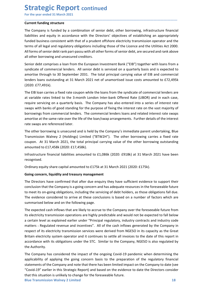**Strategic Report continued**<br>For the year ended 31 March 2021<br>Current funding structure<br>The Company is funded by a combination of senior debt, other borrowing, infrastructure fi **Strategic Report continued**<br>For the year ended 31 March 2021<br>Current funding structure<br>The Company is funded by a combination of senior debt, other borrowing, infrastructure financia<br>liabilities and equity in accordance w **Strategic Report continued**<br>For the year ended 31 March 2021<br>Current funding structure<br>The Company is funded by a combination of senior debt, other borrowing, infrastructu<br>liabilities and equity in accordance with the Dir **Strategic Report continued**<br>For the year ended 31 March 2021<br>Current funding structure<br>The Company is funded by a combination of senior debt, other borrowing, infrastructure financial<br>liabilities and equity in accordance **Strategic Report continued**<br>For the year ended 31 March 2021<br>The Company is funded by a combination of senior debt, other borrowing, infrastructure financial<br>liabilities and equity in accordance with the Directors' object **Strategic Report continued**<br>For the year ended 31 March 2021<br>Turrent funding structure<br>The Company is funded by a combination of senior debt, other borrowing, infrastructure financial<br>liabilities and equity in accordance **Strategic Report continued**<br>
For the year ended 31 March 2021<br> **Current funding structure**<br>
The Company is funded by a combination of senior debt, other borrowing, infrastructure financial<br>
diabilities and equity in accor **Strategic Report continued**<br>For the year ended 31 March 2021<br>Turrent funding structure<br>The Company is funded by a combination of senior debt, other borrowing, infrastructure financial<br>liabilities and equity in accordance **Strategic Report continued**<br>For the year ended 31 March 2021<br>Current funding structure<br>The Company is funded by a combination of senior debt, other borrowing, infrastructure financial<br>liabilities and equity in accordance **Strategic Report continued**<br>For the year ended 31 March 2021<br>**Current funding structure**<br>The Company is funded by a combination of senior debt, other borrowing, infrastructure financial<br>flabilities and equity in accordanc **Strategic Report continued**<br>For the year ended 31 March 2021<br>Current funding structure<br>The Company is funded by a combination of senior debt, other borrowing, infrastructure financial<br>itabilities and equity in accordance **Strategic Report continued**<br>For the year ended 31 March 2021<br>**Current funding structure**<br>The Company is funded by a combination of senior debt, other borrowing, infrastructure financial<br>Habilities and equily in accordance **Strategic Report continued**<br>
For the year ended 31 March 2021<br> **Current funding structure**<br>
The Company is funded by a combination of senior debt, other borrowing, infrastructure financial<br>
liabilities and equily in accor **STIT CHE STIT CHE CONT CONTITY**<br>
Current funding structure<br>
The Company is funded by a combination of senior debt, other borrowing, infrastructure financial<br>
Habilities and equivy in accordance with the Directors' objecti

\_\_\_\_\_\_\_\_\_\_\_\_\_\_\_\_\_\_\_\_\_\_\_\_\_\_\_\_\_\_\_\_\_\_\_\_\_\_\_\_\_\_\_\_\_\_\_\_\_\_\_\_\_\_\_\_\_\_\_\_\_\_\_\_\_\_\_\_\_\_\_\_\_\_\_\_\_\_\_\_\_\_\_\_\_\_\_\_\_\_

(2020: £77,491k).

For the year ended 31 March 2021<br> **Current funding structure**<br>
The Company is funded by a combination of senior debt, other borrowing, infrastructure financial<br>
liabilities and equity in accordance with the Directors' obje Current funding structure<br>The Company is funded by a combination of senior debt, other borrowing, infrastructure financial<br>liabilities and equity in accordance with the Directors' objectives of establishing an appropriatel Current tunding structure<br>
The Company is funded by a combination of senior debt, other borrowing, infrastructure financial<br>
The Company is funded by a coordance with the Directors' objectives of establishing an appropriat The Company is funded by a combination of senior debt, other borrowing, infrastructure financial<br>iliabilities and equily in accordance with the Directors' objectives of establishing an appropriately<br>funded business consist liabilities and equity in accordance with the Directors' objectives of establishing an appropriately<br>funded business consistent with that of a prudent offshore electricity transmission operator and the<br>terms of all legal a funded business consistent with that of a prudent offshore electricity transmission operator and the<br>terms of all legal and regulatory obligations including those of the Licence and the Utilities Act 2000<br>All forms of seni terms of all legal and regulatory obligations including those of the Licence and the Utilities Act 2000.<br>All forms of senior debt rank pari-passu with all other forms of senior debt, are secured and rank above<br>all other bo All torms of senior debt Tank par-apassu with all other torms of senior debt, are secured and rank above<br>All other borrowing and unsecured creditors.<br>Senior debt comprises a loan from the European Investment Bank ("EIB") t all other borrowing and unsecured creditors.<br>
Sepidicate of commercial lenders. All senior debt is serviced on a quarterly basis and is expected to<br>
amortise through to 30 September 2031. The total principal carrying value Senior debt comprises a loan from the European Investment Bank ("EIB") together v<br>syndicate of commercial lenders. All senior debt is serviced on a quarterly basis ar<br>amortise through to 30 September 2031. The total princi syndicate of commercial lenders. All senior debt is serviced on a quarterly basis and is expected to promotise through to 30 September 2031. The total principal carrying value of EIB and commercial lenders loans outstandin (2020: £77,491k).<br>The EIB loan carries a fixed rate coupon while the loans from the syndicate of commercial lenders are<br>at variable rates linked to the 3-month London Inter-bank Offered Rate (LIBOR) and in each case,<br>evequ The EIB loan carries a fixed rate coupon while the loans from the syndicate of commercial lenders are<br>at variable rates linked to the 3-month London Inter-bank Offered Rate (LIBOR) and in each case,<br>equive eservicing on a at variable rates linked to the 3-month London Inter-bank Offered Rate (LIBOR) and in each case,<br>require servicing on a quaretrly basis. The Company has also entered into a series of interest rate<br>swaps with banks of good

recognised.

require servicing on a quarterly basis. The Company has also entered into a series of interest rate<br>swaps with banks of good standing for the purpose of fixing the interest rate on the vast majority of<br>borrowings from comm swaps with banks of good standing for the purpose of fixing the interest rate on the vast majority of<br>borowings from commercial lenders. The commercial lenders loans and related interest rate swaps<br>amortise at the same rat borrowings from commercial lenders. The commercial lenders loans and related interest at the same rate over the life of the loan/swap arrangements. Further details of the interest<br>anters at the same rate over the life of t amortise at the same rate over the life of the loan/swap arrangements. Further details of the interest<br>rate swaps are referenced later.<br>The other borrowing is unsecured and is held by the Company's immediate parent underta

The evidence considered to arrive at these conclusions is based on a number of factors which are summarised below and on the following page.<br>The expected cash inflows that are likely to accrue to the Company over the fores rate sweps are reterenced rate.<br>Transmission Walney 2 ursecured and is held by the Company's immediate parent undertaking, Blue<br>Transmission Walney 2 (Holdings) Limited ("BTW2H"). The other borrowing carries a fixed rate<br>c The other borrowing is unsecured and is held by the Company's immediate parent undertaking, Blue<br>Transmission Walley 2 (Holdings) Limited ("BTW2H"). The other borrowing carries a fixed rate<br>coupon. At 31 March 2021, the to Transmission Walney 2 (Holdings) Limited ("BTW2H"). The other borrowing carries a fixed rate coupon. At 31 March 2021, the total principal carrying value of the other borrowing outstanding amounted to £17,458k (2020: £17,4 coupon. At 31 March 2021, the total principal carrying value of the other borrowing outstanding<br>amounted to £17,458k (2020: £17,458k).<br>Infrastructure financial liabilities amounted to £1,086k (2020: £918k) at 31 March 2021 amounted to £17,458k (2020: £17,458k).<br>Infrastructure financial liabilities amounted to £1,086k (2020: £918k) at 31 March 2021 have been<br>recognised.<br>Ordinary equity share capital amounted to £175k at 31 March 2021 (2020: £ Infrastructure financial liabilities amounted to £1,086k (2020: £918k) at 31 March 2021 have been<br>ecognised.<br>Ordinary equity share capital amounted to £175k at 31 March 2021 (2020: £175k).<br>**Going concern, liquidity and tre** recognised.<br>
Ordinary equity share capital amounted to £175k at 31 March 2021 (2020: £175k).<br> **Soing concern, liquidity and treasury management**<br>
The Directors have confirmed that after due enquiry they have sufficient evi Critical Continum and the State and the State Conden and the Condinal Critical Critical Critical Critical Critical Critical Critical Critical Critical Critical Critical Critical Critical Critical Critical Critical Critical Going concern, liquidity and treasury management<br>The Directors have confirmed that after due enquiry they have sufficient evidence to support their<br>conclusion that the Company is a going concern and has adequate resources **Going concern, liquidity and treasury management**<br>The Directors have confirmed that after due enquiry they have sufficient evidence to support their<br>conclusion that the Company is a going concern and has adequate resource The Directors have confirmed that after due enquiry they have sufficient evidence to support their conclusion that the Company is a going concern and has adequate resources in the foreseeable future to meet its on-going ob conclusion that the Company is a going concern and has adequate resources in the foreseeable future<br>to meet its on-going obligations, including the servicing of debt holders, as those obligations fall due.<br>The evidence con to meet its on-going obligations, including the servicing of debt holders, as those obligations fall due.<br>The evidence considered to arrive at these conclusions is based on a number of factors which are<br>summarised below an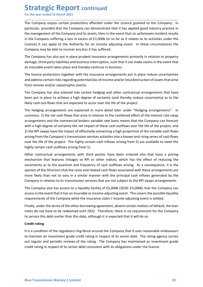**Strategic Report continued**<br>For the year ended 31 March 2021<br>The Company enjoys certain protections afforded under the Licence granted to the Compa<br>particular, provided that the Company can demonstrate that it has applied **Strategic Report continued**<br>For the year ended 31 March 2021<br>The Company enjoys certain protections afforded under the Licence granted to the Company. In<br>particular, provided that the Company can demonstrate that it has a **Strategic Report continued**<br>For the year ended 31 March 2021<br>The Company enjoys certain protections afforded under the Licence granted to the Company. In<br>particular, provided that the Company can demonstrate that it has a **Strategic Report continued**<br>For the year ended 31 March 2021<br>The Company enjoys certain protections afforded under the Licence granted to the Company. In<br>particular, provided that the Company can demonstrate that it has a **Strategic Report continued**<br>For the year ended 31 March 2021<br>The Company enjoys certain protections afforded under the Licence granted to the Company. In<br>particular, provided that the Company can demonstrate that it has a **Strategic Report continued**<br>For the year ended 31 March 2021<br>The Company enjoys certain protections afforded under the Licence granted to the Company. In<br>particular, provided that the Company can demonstrate that it has a **Strategic Report continued**<br>For the year ended 31 March 2021<br>The Company enjoys certain protections afforded under the Licence granted to the Company. In<br>particular, provided that the Company can demonstrate that it has a **Strategic Report continued**<br>For the year ended 31 March 2021<br>The Company enjoys certain protections afforded under the Licence granted to the Company. In<br>particular, provided that the Company can demonstrate that it has a **Strategic Report continued**<br>For the year ended 31 March 2021<br>The Company enjoys certain protections afforded under the Licence granted to the Company. In<br>particular, provided that the Company can demonstrate that it has a **Strategic Report continued**<br>For the year ended 31 March 2021<br>The Company enjoys certain protections afforded under the Licence granted to the Company. In<br>particular, provided that the Company can demonstrate that it has a **Strategic Report continued**<br>For the year ended 31 March 2021<br>The Company enjoys certain protections afforded under the Licence granted to the Company. In<br>particular, provided that the Company can demonstrate that it has a **Strategic Report continued**<br>
For the year ended 31 March 2021<br>
The Company enjoys certain protections afforded under the licence granted to the Company. In<br>
particular, provided that the Company and demonstrate that it ha **Strategic Report continued**<br>The Company enjoys certain protections afforded under the Licence granted to the Company. In<br>particular, provided that the Company can demonstrate that it has applied good industry practice in<br> **Strategic Report continued**<br>For the year ended 31 March 2021<br>The Company enjoys certain protections afforded under the Licence granted to the Company. In<br>particular, provided that the Company and demonstrate that it has a **STIT CHE THE CONT COLUTE CONT COLUTE COLUTE CONT**<br>The Company enjoys certain protections afforded under the Licence granted to the Company. In<br>particular, provided that the Company can demonstrate that it has applied good For the year ended 31 March 2021<br>The Company enjoys certain protections afforded under the Licence granted to the Company. In<br>particular, provided that the Company can demonstrate that it has applied good industry practice The Company enjoys certain protections afforded under the Licence granted to the Company. In particular, provided that the Company can demonstrate that it has applied good industry practice in the management of the Company

\_\_\_\_\_\_\_\_\_\_\_\_\_\_\_\_\_\_\_\_\_\_\_\_\_\_\_\_\_\_\_\_\_\_\_\_\_\_\_\_\_\_\_\_\_\_\_\_\_\_\_\_\_\_\_\_\_\_\_\_\_\_\_\_\_\_\_\_\_\_\_\_\_\_\_\_\_\_\_\_\_\_\_\_\_\_\_\_\_\_

particular, provided that the Company can demonstrate that it has applied good industry practice in<br>the management of the Company and its assets, then in the event that an unforeseen incident results<br>in the Company sufferi in the management of the Company and its assets, then in the event that an unforeseen incident results<br>in the Company suffering a loss in excess of £1,000k (in so far as it relates to its activities under the<br>licence) it c in the Company suffering a loss in excess of £1,000k (in so far as it relates to its activities under the licence) it can apply to the Authority for an income adjusting event. In these circumstances the Company may be able Licence) it can apply to the Authority for an income adjusting event. In these circumstances the Company may be able to recover any loss it has suffered.<br>The Company may be able to recover any loss it has suffered.<br>The Com Company may be able to recover any loss it has suffered.<br>The Company may be able to recover any loss it has suffered.<br>The Company has also put in place prudent insurance arrangements primarily in relation to property<br>damag The Company has also put in place prudent insurance arrangements primarily in relation to property damage, third-party liabilities and business interruption, such that it can make claims in the event that an insurable even The Company has also put in place prudent insurance arrangements primarily in relation to property<br>
damage, third-party liabilities and business interruption, such that it can make claims in the event that<br>
an insurable ev damage, third-party llabilities and business interruption, such that it can make claims in the event that<br>an insurable event takes place and thereby continue in business.<br>The licence protections together with the insurance The licence protections together with the insurance arrangements put in place reduce uncertainties<br>and address certain risks regarding potential loss of income and/or loss/destruction of assets that arise<br>from remote and/o The licente protections together with the insurance arrangements put in piace reduce uncertainties<br>and address certain risks regarding potential loss of income and/or loss/destruction of assets that arise<br>from remote and/o and address certain risks regarding potentialloss of income and/or loss/destruction of assets that arise<br>from remote and/or catastrophic events.<br>The Company has also entered into certain hedging and other contractual arran If the Company has also entieted into certain hedging and other contractual arrangements that have<br>The Company has also entered into certain hedging and other contractual arrangements that have<br>the eben put in place to sch The Company has also entered into certain hedging and other contractual arrangements that have<br>been put in place to achieve a high degree of certainty (and threety reduce uncertainty) as to the<br>likely cash out-flows that a been put in place to achieve a high degree of certainty (and thereby reduce uncertainty) as to the likely cash out-flows that are expected to occur over the life of the project.<br>The hedging arrangements are explained in mo Ilkely cash out-flows that are expected to occur over the life of the project.<br>The hedging arrangements are explained in more edtail later under direlaying arrangements". In<br>summary: 1) the net cash flows that arise in rel The hedging arrangements are explained in more detail later under "Hedging arrangements". In the meating of 1) the net cash flows that arise in relation to the combined effect of the interest rate wap arrangements and the summary: 1) the net cash flows that arise in relation to the combined effect of the interest rate swap<br>arrangements and the commercial lenders variable rate loans means that the Company can forecast<br>with a high degree of c

arrangements and the commercal lenders variable rate loans means that the Company can toreast<br>with a high degree of certainty the net impact of these cash outflows over the life of the project; and<br>2) the RPI swaps have th with a high degree of certainty the net imped to these cash outtlows over the life of the project; and<br>a) the RPI swaps have the impact of effectively converting a high proportion of the variable cash flows<br>arising from th 2) the RPI swaps have the impact of effectively converting a high proportion of the variable cash llows<br>arising from the Company's transmission services activities into a known and rising series of cash flows<br>over the life over the life of the project. The highly certain cash inflows arising from 2) are a<br>over the life of the project. The highly certain cash inflows arising from 2) are a<br>bighly certain cash outflows arising from 1).<br>Other co highly certain cash outflows arising from 1).<br>Other contractual arrangements with third parties have been entered into that have a pricing<br>uncertainty as to the quantum and frequency of cash outflows arising. As a conseque Other contractual arrangements with third parties have been entered into that have a pricing mechanism that features linkages to RPI or other indices, which has the effect of reducing the poperation as to the quantum and f mechanism that features linkages to RPI or other indices, which has the effect of reducing the uncertainty as to the quantum and frequency of cash outflows arising. As a consequence, it is the principal of the Directors th uncertainty as to the quantum and frequency of cash outflows arising. As a consequence, it is the opinion of the Directors that the costs and related cash flows associated with these arrangements are opinion of the Directo

Exercise the Company while the insurance claim / income adjusting event is settled.<br>
Finally, under the terms of the other borrowing agreement, absent certain matters of default, the loan<br>
Finally, under the terms of the o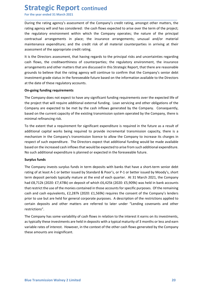**Strategic Report continued**<br>For the year ended 31 March 2021<br>During the rating agency's assessment of the Company's credit rating, amongst other matte<br>rating agency will and has considered: the cash flows expected to aris **Strategic Report continued**<br>For the year ended 31 March 2021<br>During the rating agency's assessment of the Company's credit rating, amongst other matters, the<br>rating agency will and has considered: the cash flows expected **Strategic Report continued**<br>For the year ended 31 March 2021<br>During the rating agency's assessment of the Company's credit rating, amongst other matters, the<br>rating agency will and has considered: the cash flows expected **Strategic Report continued**<br>For the year ended 31 March 2021<br>During the rating agency's assessment of the Company's credit rating, amongst other matters, the<br>rating agency will and has considered: the cash flows expected **Strategic Report continued**<br>For the year ended 31 March 2021<br>During the rating agency's assessment of the Company's credit rating, amongst other matters, the<br>rating agency will and has considered: the cash flows expected **Strategic Report continued**<br>For the year ended 31 March 2021<br>During the rating agency's assessment of the Company's credit rating, amongst other matters, the<br>prating agency will and has considered: the cash flows expected **Strategic Report continued**<br>For the year ended 31 March 2021<br>During the rating agency's assessment of the Company's credit rating, amongst other matters, the<br>praing agency will and has considered: the cash flows expected **Strategic Report continued**<br>For the year ended 31 March 2021<br>During the rating agency's assessment of the Company's credit rating, amongst other matters, the<br>nating agency will and has considered: the cash flows expected **Strategic Report continued**<br>For the year ended 31 March 2021<br>During the rating agency's assessment of the Company's credit rating, amongst other matters, the<br>rating agency will and has considered: the cash flows expected **Strategic Report continued**<br>For the year ended 31 March 2021<br>During the rating agency's assessment of the Company's credit rating, amongst other matters, the<br>rating agency will and has considered: the cash flows expected **Strategic Report continued**<br>For the year ended 31 March 2021<br>During the rating agency's assessment of the Company's credit rating, amongst other matters, the<br>rating agency will and has considered: the cash flows expected **Strategic Report continued**<br>
For the year ended 31 March 2021<br>
During the rating agency's assessment of the Company's credit rating, amongst other matters, the<br>
rating agency will and has considered: the cash flows expect **Strategic Report continued**<br>For the year ended 31 March 2021<br>During the rating agency's assessment of the Company's credit rating, amongst other matters, the<br>rating agency will and has considered: the cash flows expected **Strategic Report continued**<br>For the year ended 31 March 2021<br>During the rating agency's assessment of the Company's credit rating, amongst other matters, the<br>rating agency will and has considered: the cash flows expected **Strategic Report continued**<br>For the year ended 31 March 2021<br>During the rating agency's assessment of the Company's credit rating, amongst other ma<br>rating agency will and has considered: the cash flows expected to arise o For the year ended 31 March 2021<br>During the rating agency's assessment of the Company's credit rating, amongst other matters, the<br>rating agency will and has considered: the cash flows expected to arise over the term of the During the rating agency's assessment of the Company's credit rating, amongst other matters, the rating agency will and has considered: the cash flows expected to arise over the term of the project; the regulatory environm

\_\_\_\_\_\_\_\_\_\_\_\_\_\_\_\_\_\_\_\_\_\_\_\_\_\_\_\_\_\_\_\_\_\_\_\_\_\_\_\_\_\_\_\_\_\_\_\_\_\_\_\_\_\_\_\_\_\_\_\_\_\_\_\_\_\_\_\_\_\_\_\_\_\_\_\_\_\_\_\_\_\_\_\_\_\_\_\_\_\_

During the rating agency s assessment of the Company's credit rating, amongst other matters, the<br>rating agency will and has considered: the cash flows expected to arise over the term of the priorical<br>the regulatory environ rating agency will and an sonsidered. the cash flows expected to arise over the term of the project, the mature of the principal contractual arrangements in place; the insurance arrangements; unusual and/or material mainte the regulatory environment within which the Company operates; the nature of the prontractual arrangements in place; the insurance arrangements; unusual and/or notinatell arrangements in place; the insurance arrangements; u maintenance expenditure; and the credit risk of all material counterparties in arriving at their<br>assessment of the appropriate credit rating,<br>cass assessment, that having regards to the principal risks and uncertainties re assessment of the appropriate credit rating.<br>
It is the Directors assessment, that having regards to the principal risks and uncertainties regarding<br>
cash flows, the creditworthiness of counterparties; the regulatory envir It is the Directors assessment, that having regards to the principal risks and uncertainties regarding<br>cash flows, the creditworthiness of counterparties; the regulatory environment, the insurance<br>arrangements and other ma

It is the Directors assessment, that having regards to the principal rists and uncertainties regarding<br>respectively. He creditworthiness of counterparties; the regulatory environment, the insurance<br>arrangements and other m cash flows, the creditworthmess or counterparties; the regulatory environment, the insurance<br>arrangements and other matters that are discussed in this Strategic Report, that there are reasonable<br>grounds to believe that the arrangements and other matters that are discussed in this strategic Report, that there are reasonable<br>grounds to believe that the rating agency will continue to confirm that the Company's senior debt<br>investment grade statu investment grade status in the foreseeable future based on the information availant the date of these regulatory accounts.<br> **On-going funding requirements**<br> **On-going funding requirements**<br> **Company** does not expect to hav at the date of these regulatory accounts.<br>
On-going funding requirements<br>
The Company does not expect to bave any significant funding requirements over the expected life of<br>
the project that will require additional externa

**On-going funding requirements**<br>The Company does not expect to have any significant funding, conservering and other obligations of the<br>the project that will require additional external funding. Loon servicing and other obl The Company does not expect to have any significant funding requirements over the expected life of<br>the project that will require additional external funding. Loan servicing and other obligations of the<br>Company are expected The Company does not expect to have any signinctant funding requirements over the expected life of<br>the project that will require additional external funding. Loan servicing and other obligations of the<br>Company are expected the project that will require additional external tiunding. Loan servicing and other obilgations of the<br>Company are expected to be met by the cash inflows generated by the Company. Consequently,<br>based on the current capaci Company are expected to be met by the cash inflows generated by the Company. Consequently,<br>
Dosed on the current capacity of the existing transmission system operated by the Company, there is<br>
minimal refinancing risk.<br>
To based on the current capacity of the existing transmission system operated by the Company, there is<br>To the setent that a requirement for significant expenditure is required in the future as a result of<br>additional capital w minimal reftinancing risk.<br>To the extent that a requirement for significant expenditure is required in the future as a result of<br>additional capital works being required to provide incremental transmission capacity, there i restrictions". additional capital works being required to provide incremental transmission capacity, there is a<br>mechanism in the Company's transmission lience to allow the Company to increase its charges in<br>respect of such expenditure. T mechanism in the Company's transmission licence to allow the Company to increase its charges in the company is messee to an the increased cash inflows that would be expected to arise from such additional expenditure. No su respect of such expenditure. The Directors expect that additional truding would be made available<br>based on the increased cash inflows that would be expected to arise from such additional expenditure.<br>No such additional exp based on the increased cash inflows that would be expected to arise from such additional expe<br>No such additional expenditure is planned or expected in the foreseeable future.<br>**Surplus funds**<br>The Company invests surplus fun

service was expected to represent equiposes. A description of the restrictions applied to<br>prior to use but are held for general corporate purposes. A description of the restrictions applied to<br>certain deposits and other ma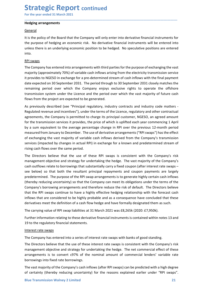# Strategic Report continued<br>For the year ended 31 March 2021<br>Hedging arrangements<br>General

### **General**

**Strategic Report continued**<br>For the year ended 31 March 2021<br>Hedging arrangements<br>General<br>It is the policy of the Board that the Company will only enter into derivative financial instruments for **Strategic Report continued**<br>
For the year ended 31 March 2021<br>
Hedging arrangements<br>
General<br>
It is the policy of the Board that the Company will only enter into derivative finance<br>
the purpose of hedging an economic risk **Strategic Report continued**<br>For the year ended 31 March 2021<br>Hedging arrangements<br>It is the policy of the Board that the Company will only enter into derivative financial instruments for<br>the purpose of hedging an economic **Strategic Report continued**<br>For the year ended 31 March 2021<br>Hedging arrangements<br>It is the policy of the Board that the Company will only enter into derivative financial instruments for<br>the purpose of hedging an economic **Strategic Report continued**<br>
For the year ended 31 March 2021<br> **Hedging arrangements**<br>
Of the policy of the Board that the Company will only enter into derivative financial instruments for<br>
the purpose of hedging an econo into.

\_\_\_\_\_\_\_\_\_\_\_\_\_\_\_\_\_\_\_\_\_\_\_\_\_\_\_\_\_\_\_\_\_\_\_\_\_\_\_\_\_\_\_\_\_\_\_\_\_\_\_\_\_\_\_\_\_\_\_\_\_\_\_\_\_\_\_\_\_\_\_\_\_\_\_\_\_\_\_\_\_\_\_\_\_\_\_\_\_\_

**Strategic Report continued**<br>For the year ended 31 March 2021<br>Hedging arrangements<br><u>General</u><br>It is the policy of the Board that the Company will only enter into derivative the<br>purpose of hedging an economic risk. No deriva **Strategic Report continued**<br>For the year ended 31 March 2021<br>Hedging arrangements<br>It is the policy of the Board that the Company will only enter into derivative financial instruments for<br>the purpose of hedging an economic **Strategic Report continued**<br>For the year ended 31 March 2021<br>Hedging arrangements<br>General<br>It is the policy of the Board that the Company will only enter into derivative financial instruments for<br>the purpose of hedging an **Strategic Report continued**<br>For the year ended 31 March 2021<br>Hedging arrangements<br>General<br>tis the policy of the Board that the Company will only enter into derivative financial instruments for<br>the purpose of hedging an ec **Strategic Report continued**<br>
Hedging arrangements<br>
<u>General</u><br>
Hedging arrangements<br>
<u>General</u><br>
It is the policy of the Board that the Company will only enter into derivative financial instruments for<br>
the purpose of hedgi **Strategic Report continued**<br>For the year ended 31 March 2021<br>**Hedging arrangements**<br>**General**<br>**Ethic to policy of the Board that the Company will only enter into derivative financial instruments for<br>the purpose of hedging CHE CONTRIME TO THE CONTRIME CONTRIMERED TO THE LICENT CONTRIMED THE UNITED THE UNITED THE UNITED THE UNITED THE UNITED THE UNITED THE UNITED THE UNITED THE UNITED THE UNITED THE UNITED THE UNITED THE UNITED THE PERIOD TH** For the year ended 31 March 2021<br>
Hedging arrangements<br>
General<br>
tit is the policy of the Board that the Company will only enter into derivative financial instruments for<br>
the purpose of hedging an economic risk. No deriva **Hedging arrangements**<br> **General**<br> **General**<br>
this the policy of the Board that the Company will only enter into derivative financial instruments for<br>
the purpose of hedging an economic roistion to be hedged. No speculativ General<br>
Reflexence of hedging an economic risk. No derivative financial instruments for<br>
the purpose of hedging an economic risk. No derivative financial instruments will be entered into<br>
unless there is an underlying eco

Structure<br>
and the policy of the Board that the Company will only enter into derivative financial instruments for<br>
the the purpose of hedging an economic risk. No derivative financial instruments will be entered into<br>
unle It is the policy of the Board that the Company will only enter into derivative financial instruments for<br>the purpose of hedging an economic risk. No derivative financial instruments will be entered into<br>unless there is an the purpose of hedging an economic risk. No derivative financial instruments will be entered into<br>unles there is an underlying economic position to be hedged. No speculative positions are entered<br>into.<br>The Company has ente into.<br>Into Compary has entered into arrangements with third parties for the purpose of exchanging the vast<br>into.<br>The Company has entered into arrangements with third parties for the purpose of exchanging the vast<br>majority into.<br>
<u>RPIs waps</u><br>
R<u>PIs Company</u> has entered into arrangements with third parties for the purpose of exchanging the vast<br>
The Company has entered into arrangements with third parties for the electricity transmission serv RPI swaps<br>The Company has entered into arrangements with third parties for the purpose of exchanging the vast<br>majority (approximately 70%) of variable cash inflows arising from the electricity transmission service<br>it provi The Company has entered into arrangements with third parties for the purpose of exchanging the vast<br>majority (approximately 70%) of variable cash inflows arising from the electricity transmission service<br>it provides to NGE majority (approximately 70%) of variable cash inflows arising from the electricity transmission service<br>the vorvides to MGESO in exchange for a pre-determined stream of cash inflows with the final payment<br>date expected on it provides to NGESO in exchange for a pre-determined stream of cash inflows with the final payment<br>date expected on 30 September 2031. The period through to 30 September 2031 closely matches the<br>remaining period over whic date expected on 30 September 2031. The period through to 30 September 2031 closely matches the remaining period over which the Company enjoys exclusive rights to operate the offshore transmission system under the Licence remaining period over which the Company enjoys exclusive rights to operate the offshore<br>Flows from signs system under the Licence and the period over which the vast majority of future cash<br>flows from the project are expect

transmission system under the Licence and the period over which the vast majority of future cash<br>As previously described (see "Pirincipal regulatory, industry contracts and industry code matters-<br>Regulated revenue and ince flows from the project are expected to be generated.<br>As previously described (see "Principal regulatory, industry contracts and industry code matters-<br>Regulated revenue and incentives"), under the terms of the Lience, regu As previously described (see "Principal regulatory, industry contracts and industry code matters-<br>Regulated revenue and incentives"), under the terms of the Licence, regulatory and other contractual<br>agreements, the Company sy perotosy uses the relation of the RPI swaps continue to the Company is permitted freence, regulatory and other contractual agreements, the Company is permitted to charge its principal customer, NGESO, an agreed amount f inguature enter that the total consider the probable and that the consider that actual<br>agreements, the Company is permitted to charge its principal customer, NGESO, an agreed amount<br>for the transmission services it provide egetments, ree company is permineed to the are interest of the definite cash flow the regular of the regular of the the are interest of exchanging the yar commencing 1 April by a sum equivalent to the average percentage ch by a sum equivalent to the average percentage change in RPI over the previous 12-month period<br>measured from lanuary to December. The use of derivative arrangements ("RPI swaps") has the effect<br>of exchanging the vast majori measured from January to Jecember. The use of derivative arrangements ("RHP swaps") has the relation services (impacted by changes in actual RPI) in exchange for a known and predetermined stream of rising cash flows over t of exchanging the vast majority of variable cash inflows derived from the Company's transmission<br>services (impacted by changes in actual RPI) in exchange for a known and predetermined stream of<br>string cash flows over the s The Directors believe that the use of these interest rate swaps with banks of good standard performancements is to convert to borrowing that the use of these RPI swaps is consistent with the C management objective and stra The Directors believe that the use of these RPI swaps is consistent with the Company's risk<br>management objective and strategy for undertaking the hedge. The vast majority of the Company's<br>cash outflows relate to borrowings management objective and strategy for undertaking the hedge. The vast majority of the Company's<br>cash outflows relate to bororovings that substantially carry a fixed coupon (after interest rate swaps-<br>see below) so that bot cash outflows relate to borrowings that substantially carry a fixed coupon (after interest rate swaps-<br>see below) so that both the resultant principal repayments and coupon payments are largely<br>predetermined. The purpose o see below) so that both the resultant principal repayments and coupon payments are largely<br>
predetermined. The purpose of the RPI swap arrangements is to generate highly cretin cm ash inflows<br>
(thereby reducing uncertainty predetermined. The purpose of the RPI swap arrangements is to generate highly certain cash inflow<br>(thereby reducing uncertainty) so that the Company can meet it s obligations under the terms of the<br>Company's borrowing arra (freepy reaucing uncertainty) so that the Company can meet its obigations under the terms of the Directors believe<br>that the RPI swaps continue to have a highly effective hedging relationship with the forecast cash<br>inflows

inflows that are considered to be highly probable and as a consequence have concluded that these<br>derivatives meet the definition of a cash flow hedge and have formally designated them as such.<br>The carrying value of RPI swa Company's osorrowing arrangements and therefore reduce the risk of default. The Directos believe that the RPI swaps continue to have a highly erfective hedging relationship with the forecast cash inflows that are considere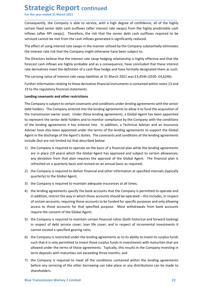**Strategic Report continued**<br>For the year ended 31 March 2021<br>Consequently, the Company is able to service, with a high degree of confidence, all of the<br>certain fixed senior debt cash outflows (after interest rate swaps) f **Strategic Report continued**<br>For the year ended 31 March 2021<br>Consequently, the Company is able to service, with a high degree of confidence, all of the highly<br>certain fixed senior debt cash outflows (after interest rate s **Strategic Report continued**<br>For the year ended 31 March 2021<br>Consequently, the Company is able to service, with a high degree of confidence, all of the highly<br>certain fixed senior debt cash outflows (after interest rate s **Strategic Report continued**<br>For the year ended 31 March 2021<br>Consequently, the Company is able to service, with a high degree of confidence, all of the highly<br>certain fixed senior debt cash outflows (after interest rate s **Strategic Report continued**<br>For the year ended 31 March 2021<br>Consequently, the Company is able to service, with a high degree of confidence, all of the highly<br>certain fixed senior debt cash outflows (after interest rate s **Strategic Report continued**<br>For the year ended 31 March 2021<br>Consequently, the Company is able to service, with a high degree of confidence, all of the highly<br>Certain fixed senior debt cash outflows (after interest rate s **Strategic Report continued**<br>For the year ended 31 March 2021<br>Consequently, the Company is able to service, with a high degree of confidence, all of the highly<br>certain fixed senior debt cash outflows (after interest rate s **Strategic Report continued**<br>For the year ended 31 March 2021<br>Consequently, the Company is able to service, with a high degree of confidence, all of the highly<br>certain fixed senior debt cash outflows (after interest rate s **Strategic Report continued**<br>For the year ended 31 March 2021<br>Consequently, the Company is able to service, with a high degree of confidence, all of the highly<br>certain fixed senior debt cash outflows (after interest rate s **Strategic Report continued**<br>For the year ended 31 March 2021<br>Consequently, the Company is able to service, with a high degree of confidence, all of the highly<br>rectasin fixed senior debt cash outflows (after interest rate **Strategic Report continued**<br>For the year ended 31 March 2021<br>Consequently, the Company is able to service, with a high degree of confidence, all of the highly<br>ration fixed senior debt cash outflows (after interest rate sw **Strategic Report continued**<br>For the year ended 31 March 2021<br>Consequently, the Company is able to service, with a high degree of confidence, all of the highly<br>certain fixed senior debt cash outflows (after interest rate s **Strategic Report continued**<br>For the year ended 31 March 2021<br>Consequently, the Company is able to service, with a high degree of confidence, all of the highly<br>certain fixed senior debt cash outflows (after interest rate s **Strategic Report continued**<br>For the year ended 31 March 2021<br>Consequently, the Company is able to service, with a high degree of confidence, all of the highly<br>certain fixed senior debt cash outflows (after interest rate s

\_\_\_\_\_\_\_\_\_\_\_\_\_\_\_\_\_\_\_\_\_\_\_\_\_\_\_\_\_\_\_\_\_\_\_\_\_\_\_\_\_\_\_\_\_\_\_\_\_\_\_\_\_\_\_\_\_\_\_\_\_\_\_\_\_\_\_\_\_\_\_\_\_\_\_\_\_\_\_\_\_\_\_\_\_\_\_\_\_\_

For the year ended 31 March 2021<br>Consequently, the Company is able to service, with a high degree of confidence, all of the highly<br>Consequently, the Company is able to service, with a high degree of confidence, all of the Consequently, the Company is able to service, with a high degree of confidence, all of the highly predictable cash nutflows (after interest rate swaps) from the highly predictable cash miflows (after RPI swaps). Therefore, Consequently, one Company is able to convect, which are intered into the lending agreements, and one intered into the lending agreements of the lending agreements of the lending agreements of the lending agreement of the a Let in interest with the seminor during the members interest and some proportions (since the lending agreement cosmic<br>theory after RPI swaps). Therefore, the risk that the senior debt cash outflows required to be<br>serviced influents (are for swaps). Intertior complished the senior dect cash rotan controllated by the company substantially elliminates<br>the effect of using interest rate swaps in the manner utilised by the Company substantially e serviced cannot be internomi the cash innows generated is signimizantly leduced.<br>The effect of using interest rise awaps in the manner utiliead by the Company substantially eliminates<br>The linetest rate risk that the Compan The effect of using interest rate swaps in the manner utilised by the Company substantially eliminates<br>the interests rate risk that the interest rate swap hedging relationship is highly profectors believe that the<br>The Dire the interest rate risk that the Company might otherwise have been subject to.<br>The Directors believe that the interest rate swap hedging relationship is highly effective and that the<br>forecast cash inflows are highly probabl The Directors believe that the interest rate swap hedging relationship is highly effective and that the<br>forecast cash inflows are highly probable and as a consequence, have concluded that these interest<br>rate derivatives me forecast cash inflows are highly probable and as a consequence, have concluded that these interest<br>
rate derivatives meet the definition of a cash flow hedge and have formally designated them as such.<br>
The carrying value o derivatives meet the definition of a cash flow hedge and have formally designated them as such.<br>carrying value of interest rate swap liabilities at 31 March 2021 was £3,454k (2020: £4,624k).<br>Her information relating to the carrying value of interest rate swap liabilities at 31 March 2021 was £3,454k (2020: £4,624k).<br>
her information relating to these derivative financial instruments is contained within notes 13 and<br>
of the regulatory financi From the respective the Governation relations of the Governation and the regulatory financial statements.<br>
Figure coverants and other restrictions<br>
Eing covenants and other restrictions<br>
Company is subject to certain coven 19 to the regulatory financial statements.<br>
Lending covenants and other restrictions<br>
The Company is subject to certain covenants and conditions under lending agreements with the senior<br>
debt holders. The Company entered i ding covenants and other restrictions<br>
Company is subject to certain covenants and conditions under lending agreements with the senior<br>
company is subject to certain covenants and conditions under lending agreements with t The Company is subject to certain covenants and conditions under lending agreements with the senior<br>debt holders. The Company entered into the lending agreements to allow it to fund the acquisition of<br>the transmission owne deth holders. The Company entered into the lending agreements to allow it to fund the acquisition of<br>the transmission owner asset. Under these lending agreements, a Global Agent has been appointed<br>to represent the senior d transmission owner asset. Under these lending agreements, a Global Agent has been appointed<br>present the senior debt holders and to monitor compliance by the Company with the conditions<br>ele lending agreements it has entered epresent the senior debt holders and to monitor compliance by the Company with the conditions<br>be lending agreements it has entered into. In addition, a Technical Adviser and an Insurance<br>bise have also been appointed under

- 
- 
- 
- ine lending agreements it has entered into. In addition, a Technical Adviser and an Insurance<br>iser have also been appointed under the terms of the lending agreements to support the Global<br>tie field that are not limited to ser have also been appointed under the terms of the lending agreements to support the Global<br>the consent of the Agent's duties. The coverants and conditions of the lending agreements<br>the Choular are not limited to) that de Agent in the discharge of the Agent's duties. The covenants and conditions of the lending agreements<br>
include (but are not limited to ) that described below:<br>
1) the Company is required to operate on the basis of a financi ide (but are not limited to) that described below:<br>the Company is required to operate on the basis of a financial plan while the lending agreements<br>are in place (19 years) which the Global Agent has approved and subject to the Company is required to operate on the basis of a financial plan while the lending agreements<br>are in place (19 years) which the Global Agent has approved and subject to certain allowances;<br>any deviation from that plan r are in place (19 years) which the Global Agent has approved and subject to certain allowances;<br>any deviation from that plan requires the approval of the Global Agent.<br>The financial plan is<br>defree the company is required to any deviation from that plan requires the approval of the Global Agent. The financial plan is<br>refreshed on a quarterly basis and revised on an annual basis as required;<br>the Company is required to deliver financial and othe refreshed on a quarterly basis and revised on an annual basis as required;<br>the Company is required to deliver financial and other information at specified intervals (typically<br>quarterly) to the Global Agent;<br>the Company is the Company is required to deliver financial and other information at specified intervals (typically quarterly) to the Global Agent;<br>the Company is required to maintain adequate insurances at all times;<br>the lending agreeme quarterly) to the Global Agent;<br>3) the Company is required to maintain adequate insurances at all times;<br>4) the lending agreements specify the bank accounts that the Company is permitted to operate and<br>in addition, restric the Company is required to maintain adequate insurances at all times;<br>the lending agreements specify the bank accounts that the Company is permitted to operate and<br>in addition, restrict the way in which those accounts shou
- 
- in addition, restrict the way in which those accounts should be operated this includes, in respect<br>of certain accounts, requiring those accounts to be funded for specific purposes and only allowing<br>access to those accoun
- shareholders.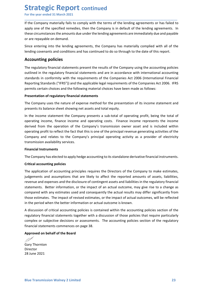**Strategic Report continued**<br>For the year ended 31 March 2021<br>If the Company materially fails to comply with the terms of the lending agreements or has fa<br>apply one of the specified remedies, then the Company is in default **Strategic Report continued**<br>For the year ended 31 March 2021<br>If the Company materially fails to comply with the terms of the lending agreements or has failed to<br>apply one of the specified remedies, then the Company is in **Strategic Report continued**<br>For the year ended 31 March 2021<br>If the Company materially fails to comply with the terms of the lending agreements or has failed to<br>apply one of the specified remedies, then the Company is in **Strategic Report continued**<br>For the year ended 31 March 2021<br>If the Company materially fails to comply with the terms of the lending agreements or has failed to<br>apply one of the specified remedies, then the Company is in **Strategic Report continued**<br>For the year ended 31 March 2021<br>If the Company materially fails to comply with the terms of the lending agreements or has failed to<br>apply one of the specified remedies, then the Company is in **Strategic Report continued**<br>For the year ended 31 March 2021<br>If the Company materially fails to comply with the terms of the lending agreements or has f<br>apply one of the specified remedies, then the Company is in default **Strategic Report continued**<br>For the year ended 31 March 2021<br>If the Company materially fails to comply with the terms of the lending agreements or has failed to<br>apply one of the specified remedies, then the Company is in **Strategic Report continued**<br>For the year ended 31 March 2021<br>If the Company materially fails to comply with the terms of the lending agreements or has failed to<br>apply one of the specified remedies, then the Company is in

\_\_\_\_\_\_\_\_\_\_\_\_\_\_\_\_\_\_\_\_\_\_\_\_\_\_\_\_\_\_\_\_\_\_\_\_\_\_\_\_\_\_\_\_\_\_\_\_\_\_\_\_\_\_\_\_\_\_\_\_\_\_\_\_\_\_\_\_\_\_\_\_\_\_\_\_\_\_\_\_\_\_\_\_\_\_\_\_\_\_

**Strategic Report continued**<br>For the year ended 31 March 2021<br>If the Company materially fails to comply with the terms of the lending agreements or<br>apply one of the specified remedies, then the Company is in default of the **Strategic Report continued**<br>For the year ended 31 March 2021<br>If the Company materially fails to comply with the terms of the lending agreements or has failed to<br>apply one of the specified remedies, then the Company is in **Strategic Report continued**<br>For the year ended 31 March 2021<br>If the Company materially fails to comply with the terms of the lending agreements or has failed to<br>apply one of the specified remedies, then the Company is in **Strategic Report continued**<br>For the year ended 31 March 2021<br>If the company materially falls to comply with the terms of the lending agreements or has failed to<br>apply one of the specified remedies, then the Company is in **Strategic Report continued**<br>For the year ended 31 March 2021<br>If the Company materially falls to comply with the terms of the lending agreements or has failed to<br>paply one of the specified remedies, then the Company is in **Strategic Report continued**<br>For the year ended 31 March 2021<br>If the company materially fails to comply with the terms of the lending agreements or has failed to<br>apply one of the specified remedies, then the Company is in For the year ended 31 March 2021<br>
If the Company materially fails to comply with the terms of the lending agreements or has failed to<br>
apply one of the specified remedies, then the Company is in default of the lending agre If the Company materially fails to comply with the terms of the lending agreements or has failed to<br>apply one of the specified remedies, then the Company is in default of the lending agreements. In<br>these circumstances the It the Compay mareleanity tais to comply winto the terms of the lending agreements or has talled to the generical equity. In the sericumstances the amounts due under the lending agreements are immediately due and payable o

these circumstances the amounts due under the lending agreements are immediately due and payable<br>or are repayable on demand.<br>Since entering into the lending agreements, the Company has materially complied with all of the<br>l or are repayable on demand.<br>Since entering into the lending agreements, the Company has materially complied with all of the<br>lending covenants and conditions and has continued to do so through to the date of this report.<br>**A** Since entering into the lending agreements, the Company has materially complied with all of the lending covenants and conditions and has continued to do so through to the date of this report.<br>**Accounting policies**<br>The regu since entering into the lending agreements, the Company has materially complied with all of the lending covenants and conditions and has continued to do so through to the date of this report.<br> **Accounting policies**<br>
The re relating covenants and conditions and nas continued to do so through to the date of this report.<br>The regulatory financial statements present the results of the Company using the accounting policies<br>standards in conformity **Accounting policies**<br>The regulatory financial statements present the results of the Company using the accounting polic<br>outlined in the regulatory financial statements and are in accordance with international account<br>stand The regulatory financial statements present the results of the Company using the a<br>outlined in the regulatory financial statements and are in accordance with interna<br>standards in conformity with the requirements of the Com outlined in the regulatory financial statements and are in accordance with international accounting<br>standards in conformity with the requirements of the Companies Act 2006 (International Financial<br>Reporting Standards ("IFR Standards II continuity which the requirements of the Companies Act 200 of International Incompanies Act 20<br>Reporting Standards ("IFRS")) and the applicable legal requirements of the Companies Act 20<br>permits certain choice permits certain choices and the following material choices have been made as follows:<br> **Presentation of regulatory financial statements**<br>
The Company uses the nature of expense method for the presentation of its income sta

**Presentation of regulatory financial statements**<br>The Company uses the nature of expense method for the presentation of its income statement and<br>presents its balance sheet showing net assets and total equity.<br>In the income resentation or regulatory minitial statements<br>The Company uses the nature of expense method for the presentation of its income statement and<br>presents its balance sheet showing net assets and total equity.<br>In the income sta The Company uses the nature of expense method for the presentation of its income statement and<br>In the income statement the Company presents a sub-total of operating profit, being the total of<br>in the income statement the Co presents its balance sheet showing net assets and total equity.<br>In the income statement the Company presents a sub-total of operating profit, being the total of<br>operating income, finance income and operating costs. Finance In the income statement the Company presents a sub-total of operating profit, being the total of<br>operating income, finance income and operating costs. Finance income represents the income<br>operating profit to reflection of operating income, finance income and operating costs. Finance income represents the income<br>derived from the operation of the Company's transmission owner asset and is included within<br>operating profit to reflect the fact th derived from the operation of the Company's transmission owner asset and is included within<br>operating profit to reflect the fact that this is one of the principal revenue generating activities of the<br>Company and relates to operating profit to reflect the fact that this is one of the principal revenue generating activities of the Company's principal operating activity as a provider of electricity Company tannelal instruments<br>
transmission ava Company and relates to the Company's principal operating activity as a provider of electricity<br>
transmission availability services.<br> **Erivalizations:**<br> **Erivalizations policies**<br> **Critical accounting policies**<br> **Critical a** transmission availability services.<br> **Financial Instruments**<br>
The Company has elected to apply hedge accounting to its standalone derivative financial instruments.<br>
Critical accounting policies<br>
The application of accounti Financial Instruments<br>The Company has elected to apply hedge accounting to its standalone derivative financial instruments.<br>Critical accounting policies<br>The application of accounting principles requires the Directors of th **Critical accounting policies**<br>The application of accounting principles requires the Directors of the Compa<br>judgements and assumptions that are likely to affect the reported amount<br>revenue and expenses and the disclosure o The application of accounting principles requires the Directors of the Company<br>judgements and assumptions that are likely to affect the reported amounts of<br>revenue and expenses and the disclosure of contingent assets and l

those estimates. The impact of revised estimates, or the impact of actual outcomes, will be reflected<br>in the period when the better information or actual outcome is known.<br>A discussion of critical accounting policies is co

Director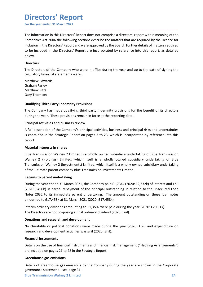### Directors' Report

**Directors' Report**<br>For the year ended 31 March 2021<br>The information in this Directors' Report does not comprise a directors' report within meaning of the<br>Companies Act 2006 the following sections describe the matters that **Directors' Report**<br>For the year ended 31 March 2021<br>The information in this Directors' Report does not comprise a directors' report within meaning of the<br>Companies Act 2006 the following sections describe the matters that For the year ended 31 March 2021<br>
For the year ended 31 March 2021<br>
The information in this Directors' Report does not comprise a directors' report within meaning of the<br>
Companies Act 2006 the following sections describe **Directors' Report**<br>The information in this Directors' Report does not comprise a directors' report within meaning of the<br>Companies Act 2006 the following sections describe the matters that are required by the Licence for<br> **Directors' Report**<br>For the year ended 31 March 2021<br>The information in this Directors' Report does not comprise a directors' report within meaning of the<br>Companies Act 2006 the following sections describe the matters that below. **Directors' Report**<br>The information in this Directors' Report does not comprise a directors' report within meaning of the<br>Companies Act 2006 the following sections describe the matters that are required by the Licence for<br> **Directors' Report**<br>For the year ended 31 March 2021<br>The information in this Directors' Report does not comprise a directors' report within meaning of the<br>Companies Act 2006 the following sections describe the matters that **Directors' Report**<br>For the year ended 31 March 2021<br>The information in this Directors' Report does not comprise a directors' report with<br>Companies Act 2006 the following sections describe the matters that are required<br>inc **Directors' Report**<br>For the year ended 31 March 2021<br>The information in this Directors' Report does not comprise a directors' report wit<br>Companies Act 2006 the following sections describe the matters that are require<br>inclu **Directors' Report**<br>For the year ended 31 March 2021<br>The information in this Directors' Report does not comprise a directors' report with<br>Companies Act 2006 the following sections describe the matters that are required<br>inc **Directors' Report**<br>For the year ended 31 March 2021<br>The information in this Directors' Report does not comprise a directors' report<br>Companies Act 2006 the following sections describe the matters that are requ<br>inclusion in For the year ended 31 March 2021<br>
The information in this Directors' Report does not comprise a directors' report within meaning of the<br>
Companies Act 2006 the following sections describe the matters that are required by t The information in this Directors' Report does not comprise a directors' report within meaning of the<br>Companies Act 2006 the following sections describe the matters that are required by the licence for<br>inclusion in the Dir The information in this Directors' Report does not comprise a directors' report within meaning of the<br>Companies Act 2006 the following sections describe the matters that are required by the Licence for<br>inclusion in the Dir Companies Act 2006 the following sections describe the matters that are required by the Licence for inclusion in the Directors' Report and were approved by the Board. Further details of matters required to be included in t

\_\_\_\_\_\_\_\_\_\_\_\_\_\_\_\_\_\_\_\_\_\_\_\_\_\_\_\_\_\_\_\_\_\_\_\_\_\_\_\_\_\_\_\_\_\_\_\_\_\_\_\_\_\_\_\_\_\_\_\_\_\_\_\_\_\_\_\_\_\_\_\_\_\_\_\_\_\_\_\_\_\_\_\_\_\_\_\_\_\_

### **Directors**

inclusion in the Directors' Report and were approved by the Board. Further details of matters required<br>to be included in the Directors' Report are incorporated by reference into this report, as detailed<br>Directors<br>The Direc to be included in the Directors' Report are incorporated by reference into this report, as detailed<br>Dievay.<br>Directors<br>The Directors of the Company who were in office during the year and up to the date of signing the<br>regula report.

Directors<br>
The Directors of the Company who were in office during the year and up to the date of signi<br>
regulatory financial statements were:<br>
Matthew Edwards<br>
Graham Farley<br>
Graham Farley<br>
Matthew Pitts<br>
Graham Farley<br>
Ma The Directors of the Company who were in office during the year and up to the date of signing the<br>regulatory financial statements were:<br>Matthew Edwards<br>Graham Farley<br>Matthew Pitts<br>Gary Thornton<br>Qualifying Third Party Indem regulatory financial statements were:<br>
Matthew Edwards<br>
Graham Farley<br>
Gary Thornton<br>
Gary Thornton<br>
Matthew Pitts<br>
The Company has made qualifying third-parky indemnity provisions<br>
or the benefit of its directors<br>
during Matthew Edwards<br>
Gray Thornton<br>
Gray Thornton<br>
Qualifying Third Party Indemnity Provisions<br>
The Company has made qualifying third-party indemnity provisions for the benefit of its directors<br>
during the year. These provisio Graham Farley<br>Mathew Pitts<br>Gary Thornton<br>Qualifying Third Party Indemnity Provisions<br>The Company has made qualifying third-party indemnity provisions for the benefit of its directors<br>during the year. These provisions remai Gary Thornton<br>
Gary Thornton<br>
Gary Thornton<br>
The Company has made qualifying third-party indemnity provisions for the benefit of its<br>
during the year. These provisions remain in force at the reporting date.<br> **Principal act Qualifying Third Party Indemnity Provisions**<br>The Company has made qualifying third-party indemnity provisions for the benefit of its directors<br>during the year. These provisions remain in force at the reporting date.<br>**Prin** Quaintying Inird Party Indemnity Provisions<br>The Company has made qualifying third-party indemnity provisions for the benefit of its directors<br>Thering the year. These provisions remain in force at the reporting date.<br>
Princ The Company has made qualifying third-party indemnity provisions for the benefit of its directors<br>
ording the year. These provisions remain in force at the reporting date.<br>
A full description of the Company's principal act during the year. These provisions remain in force at the reporting date.<br> **Principal activities and business review**<br>
A full description of the Company's principal activities, business and principal risks and uncertainties **Principal activities and business review**<br>
A full description of the Company's principal activities, business and principal risks and uncertainties<br>
is contained in the Strategic Report on pages 3 to 23, which is incorpor A full description of the Company's principal activities, business and principal risks and uncertainties<br>is contained in the Strategic Report on pages 3 to 23, which is incorporated by reference into this<br>report.<br>**Material** is contained in the Strategic Report on pages 3 to 23, which is incorporated by reference into this<br>report.<br>
Malerial interests in shares<br>
Malerial interests in shares<br>
Blue Transmission Walney 2 Limited is a wholly owned report.<br>
Material interests in shares<br>
Material interests in shares<br>
Matery 2 (Holdings) Limited, which itself is a wholly owned subsidiary undertaking of Blue<br>
Transmission Walney 2 (Investments) Limited, which itself is Material interests in shares<br>Blue Transmission Walhey 2 Limited is a wholly owned subsidiary undertaking of Blue Transmission<br>Blue Transmission Walhey 2 (Investments) Limited, which itself is a wholly owned subsidiary unde

(2020: La-300) in partial repayment of the principle outstanding in relation to the distance Colem Notes 2032 to its immediate parent undertaking. The amount outstanding on these loan notes amounted to £17,458k at 31 March Blue Transmission Walney 2 Limited is a wholly owned subsidiary undertaking of<br>Walney 2 (Holdings) Limited, which itself is a wholly owned subsidiary und<br>Transmission Walney 2 (Investments) Limited, which itself is a wholl Walley 2 (Intotulligs) Lumiteut, which itself is a wholly owned substidiary undertasting of balley and transmission Walney 2 (Investments) Limited, which itself is a wholly owned subsidiary undertaking<br>of the ultimate pare Transmission wairey z (investments) united, winter itsell is a wholey owned substitute parent company Blue Transmission Investments Limited.<br> **Returns to parent undertaking**<br>
During the year ended 31 March 2021, the Compan Returns to parent undertaking<br>
During the year ended 31 March 2021, the Company paid £1,734k (2020: £2,332k) of inter<br>
(2020: £490k) in partial repayment of the principal outstanding in relation to the unsee<br>
Notes 2032 to During the year ended 31 March 2021, the Company paid £1,734k (2020: £2,332k) of interest and £nil<br>(2020: £490k) in partial repayment of the principal outstanding in relation to the unsecured Loan<br>Notes 2032 to its immedia Damig the year entoues as Miartin 2021, the Company paral at, *r*. see the present and the see and string the transmission (2020: E4390k) in partial repayment of the principal outstanding in relation to the unsecured Loan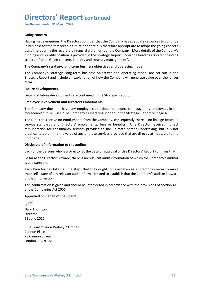### Directors' Report continued

Directors' Report continued<br>
For the year ended 31 March 2021<br>
Going concern<br>
Having made enquiries, the Directors consider that the Company has adequate resources to continue<br>
In business for the foreseeable future and th **Directors' Report continued**<br>For the year ended 31 March 2021<br>Going concern<br>Having made enquiries, the Directors consider that the Company has adequate in<br>thusiness for the foreseeable future and that it is therefore appr **Directors' Report continued**<br>For the year ended 31 March 2021<br>Going concern<br>Having made enquiries, the Directors consider that the Company has adequate resources to continue<br>in business for the foreseeable future and that **Directors' Report continued**<br>For the year ended 31 March 2021<br>Going concern<br>Having made enquiries, the Directors consider that the Company has adequate resources to continue<br>in business for the foreseeable future and that **Directors' Report continued**<br>For the year ended 31 March 2021<br>Going concern<br>Having made enquiries, the Directors consider that the Company has adequate resources to continue<br>in business for the foreseeable future and that **Directors' Report continued**<br>For the year ended 31 March 2021<br>Going concern<br>Having made enquiries, the Directors consider that the Company has adequate resources to continue<br>in business for the foreseeable future and that **Directors' Report continued**<br>For the year ended 31 March 2021<br>Having made enquiries, the Directors consider that the Company has adequate resources to continue<br>Having made enquiries, the Directors consider that the Compan **Directors' Report continued**<br>For the year ended 31 March 2021<br>Having made enquiries, the Directors consider that the Company has adequate resources to continue<br>Having made enquiries, the Directors consider that the Compan **Directors' Report continued**<br>For the year ended 31 March 2021<br>Going concern<br>Having made enquiries, the Directors consider that the Company has adequate resources to continue<br>in business for the foreseeable future and that **Directors' Report continued**<br>For the year ended 31 March 2021<br>Having made enquiries, the Directors consider that the Company has adequate resources to continue<br>in business for the foreseable future and that it is therefor **Directors' Report continued**<br>For the year ended 31 March 2021<br>Having made enquiries, the Directors consider that the Company has adequate ri<br>In business for the foreseeable future and that it is therefore appropriate to a **Directors' Report continued**<br>For the year ended 31 March 2021<br>Going concern<br>Having made enquiries, the Directors consider that the Company has adequate resources to continue<br>in business for the foreseeable future and that **EXECTOTS TREPOPTE CONTINUED**<br>For the year ended 31 March 2021<br> **Going concern**<br>
Having made enquiries, the Directors consider that the Ecompany has adequate resources to continue<br>
moussins for the foreseable future and th For the year ended 31 March 2021<br> **Going concern**<br>
Having made enquiries, the Directors consider that the therefore appropriate to adopt the going concern<br>
In business for the foreseable future and that it is therefore app **Going concern**<br>Having made enquiries, the Directors consider that the Company has adequate resources to continue<br>In business for the foreseeable future and that it is therefore appropriate to adopt the going concern<br>In sh Having matern<br>Having made enquiries, the Directors consider that the Company has adequate resources to continue<br>In business for the foreseeable future and that it is therefore appropriate to adopt the going concern<br>In busi Having made enquiries, the Directors consider that the Company has adequate resources to continue in business for the foreseeable future and that it is therefore appropriate to adopt the going concern<br>In busines in prepari

\_\_\_\_\_\_\_\_\_\_\_\_\_\_\_\_\_\_\_\_\_\_\_\_\_\_\_\_\_\_\_\_\_\_\_\_\_\_\_\_\_\_\_\_\_\_\_\_\_\_\_\_\_\_\_\_\_\_\_\_\_\_\_\_\_\_\_\_\_\_\_\_\_\_\_\_\_\_\_\_\_\_\_\_\_\_\_\_\_\_

term.

in business for the foreseeable future and that it is therefore appropriate to adopt the going concern<br>basis in preparing the regulatory financial statements of the Company. More details of the Company's<br>funding and liquid basis in preparing the regulatory financial statements of the Company. More details of the Company's<br>
structure" and "Going concern, liquidity and treastragic Report under the headings "Current funding<br>
structure" and "Goi Company. structure" and "Going concern, liquidity and treasury management".<br>The Company's strategy, long-term business objectives and operating model<br>The Company's strategy, long-term business objectives and operating model<br>Strateg The Company's strategy, long-term business objectives and operating model<br>The Company's strategy, long-term business objectives and operating model are set out in the<br>Strategic Report and include an explanation of how the The Company's strategy, long-term business objectives and operating model are set out in the Company Strategic Report and include an explanation of how the Company will generate value over the longer term.<br>Furture developm Strategic Report and include an explanation of how the Company will generate value<br>
Fruiture developments<br>
Future developments<br>
Details of future developments are contained in the Strategic Report.<br>
Employee involvement an Future developments<br>
Petails of future developments are contained in the Strategic Report.<br> **Employee involvement and Directors emoluments**<br>
The Company does not have any employees and does not expect to engage any employe Future developments<br>
Ebetails of future developments are contained in the Strategic Report.<br>
Employee involvement and Directors emoluments<br>
Employee involvement and Directors emoluments<br>
The Company does not have any emplo Details of future developments are contained in the Strategic Report.<br> **Employee involvement and Directors emoluments**<br>
The Company does not have any employees and does not expect to engage an<br>
foreseeable future – see "Th Employee involvement and Directors emoluments<br>The Company does not have any employees and does not expect to engage any employees in the<br>foreseeable future-see "The Company's Operating Model" in the Strategic Report on pag The Company does not have any employees and does not expect to engage any employees<br>foreseeable future – see "The Company's Operating Model" in the Strategic Report on page 4.<br>The Directors receive no emoluments from the C foreseeable future – see "The Company's Operating Model" in the Strategic Report on page 4.<br>The Directors receive no emoluments from the Company, consequently there is no linkage betweer<br>service standards and Directors' em Service standards and Directors' emoluments, tees or benefits. One Directional for consultancy services provided to the ultimate parent und<br>Company.<br>
Fractical to determine the value of any of these services provided that

practical to determine the value of any of these services provided that are directly<br>Company.<br>Disclosure of information to the auditor<br>Each of the persons who is a Director at the date of approval of this Directors' Rep<br>So Disclosure of information to the auditor<br>Each of the persons who is a Director at the date of approval of this Directors' Report confirms that:<br>So far as the Director is aware, there is no relevant audit information of whi Each of the persons who is a Director at the date of approval of this Directors' Reparation of the persons who is a Director at the date of approval of this Directors' Reparation of which the standard contrast phase of any Each of the persons who is a Director at the date of approval of this Directors' Reportant and the date of approval of this Directors' Reports is unaware; and<br>signaware; and<br>is unaware; and<br>each Director has taken all the So far as the Director is aware, there is no relevant audit information of which the Comp<br>is unaware; and<br>each Director has taken all the steps that they ought to have taken as a Director in o<br>each Director has taken all t

Director

or the Companies Act 2006.<br>
Approved on behalf of the Board<br>
Eary Thornton<br>
Director<br>
28 June 2021<br>
Blue Transmission Walney 2 Limited<br>
Cannon Place<br>
London, EC4N 6AF.<br>
Blue Transmission Walney 2 Limited<br>
25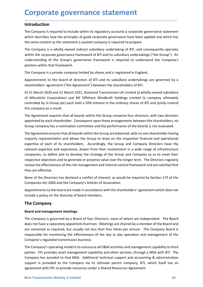### Introduction

**Corporate governance statement<br>
Introduction**<br>
The Company is required to include within its regulatory accounts a corporate governance statement<br>
Which describes how the principles of good corporate governance have been **Corporate governance statement**<br>The Company is required to include within its regulatory accounts a corporate governance statement<br>which describes how the principles of good corporate governance have been applied and whic

**Corporate governance statement**<br>The Company is required to include within its regulatory accounts a corporate governance statement<br>which describes how the principles of good corporate governance have been applied and whic **Corporate governance statement**<br>The Company is required to include within its regulatory accounts a corporate governance statement<br>which describes how the principles of good corporate governance have been applied and whic **Corporate governance statement**<br>The Company is required to include within its regulatory accounts a corporate governance statement<br>Which describes how the principles of good corporate governance have been applied and whic **Corporate governance statement**<br>The Company is required to include within its regulatory accounts a corporate governance statement<br>which describes how the principles of good corporate governance have been applied and whic **Corporate governance statement**<br>The Company is required to include within its regulatory accounts a corporate governance statement<br>which describes how the principles of good corporate governance have been applied and whic **Corporate governance statement**<br>The Company is required to include within its regulatory accounts a corporate governance stat<br>which describes how the principles of good corporate governance have been applied and wt<br>the sa **Corporate governance statement**<br>The Company is required to include within its regulatory accounts a corporate governance statement<br>which describes how the principles of good corporate governance have been applied and whic **Corporate governance statement**<br>The Company is required to include within its regulatory accounts a corporate governance statement<br>which describes how the principles of good corporate governance have been applied and whic **Corporate governance statement**<br>The Company is required to include within its regulatory accounts a corporate governance statement<br>which describes how the principles of good corporate governance have been applied and whic **Corporate governance statement**<br>The Company is required to include within its regulatory accounts a corporate governance statement<br>The Company is required to include within its regulatory accounts a corporate governance s **COPPOFATE SOVETHANCE STATEMENTE**<br>
Introduction<br>
The Company is required to include within its regulatory accounts a corporate governance statement<br>
which describes how the principles of good corporate governance have been **Introduction**<br>The Company is required to include within its regulatory accounts a corporate governance statement<br>which describes how the principles of good corporate governance have been applied and which has<br>the same con **Introduction**<br>The Company is required to include within its regulatory accounts a corporate governance of<br>which describes how the principles of good corporate governance have been applied and v<br>the same content as the sta The Company is required to include within its regulatory accounts a corporate governance statement<br>which describes how the principles of good corporate governance have been applied and which has<br>the same content as the sta which describes how the principles of good corporate governance have been applied and which has<br>the same content as the statement a quoted company is required to prepare.<br>The Company is a wholly owned indirect subsidiary u

The Same content as the statement a quoted company is required to prepare.<br>
The Company is a wholly owned indirect subsidiary undertaking of BTI, and consequently operates<br>
writhin the corporate governance framework of BTI The Company is a wholly owned indirect subsidiary undertaking of BTI, and consequently operates<br>within the corporate governance framework of BTI and its subsidiary undertakings ("the Group"). An<br>understanding of the Group' within the corporate governance framework of BTI and its subsidiary undertakings ("the Group"). An understanding of the Group") governance framework is required to understand the Company's position within that framework.<br>T understanding of the Group's governance framework is required to understand the Company's<br>position within that framework.<br>The Company is aprivete company limited by shares and is registered in England.<br>Appointments to the position within that framework.<br>The Company is a private company limited by shares and is registered in England.<br>Appointments to the board of directors of BTI and its subsidiary undertrakings are governed by a<br>shareholders The Company is a private company limited by shares and is registered in England.<br>Appointments to the board of directors of BTI and its subsidiary undertakings are governed by a<br>shareholders' agreement ("the Agreement") bet Appointments to the board of directors of BTI and its subsidiary undertakings are governed by a<br>shareholders' agreement ("the Agreement") between the shareholders of BTI.<br>At 31 March 2020 and 31 March 2021, Diamond Transmi Appointments to the board of directors of BII and its substallary underlakings are governed by a<br>shareholders' agreement ("the Agreement") between the shareholders of BTI.<br>At 31 March 2020 and 31 March 2021, Diamond Transm shareholders' agreement ("the Agreement") between the shareholders of BTI.<br>At 31 March 2020 and 31 March 2021, Diamond Transmission UK Limited (a wholl<br>of Mitsubishi Corporation) and BIF Offshore Windkraft Holdings Limited At 31 March 2020 and 31 March 2021, Diamond Transmission UK Limited (a wholly owned subsidiary<br>of Mitsubishi Corporation) and BIF Offshore Windkraft Holdings Limited (a company ultimately<br>controlled by 3i Group plc) each h of Mitsubishi Corporation) and BIP Offshore WindKraft Holdings Limited (a company ultimately<br>controlled by 3i Group plc) each hold a 50% interest in the ordinary shares of BTI and jointly control<br>this company as a result.<br> The Agreement requires that all boards within the Group comprise four directors, with two directors appointed by each shareholder. Consequent then these arrangements between the shareholders, no<br>Group company has a nominat The *Agreement requires* that all boards within the Group comprise four directors, with two directors<br>appointed by each shareholder. Consequent upon these arrangements between the shareholders, no<br>Group company has a nomin appointed by each shareholder. Consequent upon these arrangements betwee<br>Group company has a nomination committee and the performance of the boar<br>The Agreement ensures that all boards within the Group are balanced, with no Group company has a nomination committee and the performance of the boards is not evaluated.<br>The Agreement ensures that all boards within the Group are balanced, with no one shareholder having<br>majority representation and a Ine *Regenement* ensures that all locards within the Group are balanced, with no one snareholder having presentation and allows the Group to draw on the respective financial and operational expertise of each of its shareho majority representation and allows the Group to draw on the respecture intancal and operational<br>expertise of each of its shareholders. Accordingly, the Group and Company Directors have the<br>relevant expertise and experience expertise of each or its snareholoers. Accordingly, the Group and Company UnetCors have the<br>relevant expertise and experience, drawn from their involvement in a wide range of infrastructure<br>companies, to define and to deve

include a policy on the diversity of board members.<br> **The Company**<br> **Board and management meetings**<br>
The Company is governed by a Board of four Directors, none of whom are independent. The Board<br>
does not have a separately relevant expertise and experience, drawn from their involvement in a wide range of infrastructure<br>companies, to define and to develop the strategy of the Group and Company so as to meet their<br>respective objectives and to g companies, to derive and to develop the strategy of the Group and Company so as to meet the respective objectives and to generate renever value over the longer term. The Directors regularly review the effectiveness of the review the effectiveness of the risk management and internal control framework and are satisfied that<br>they are effective.<br>None of the Directors has declared a conflict of interest, as would be required by Section 175 of th they are effective.<br>
None of the Directors has declared a conflict of interest, as would be required by Section 175 of the<br>
Companies Act 2006 and the Company's Articles of Association.<br>
Appointments to the board are made None of the Directors has declared a conflict of interest, as would be required by Section 175 of the Companies Act 2006 and the Company's Articles of Association.<br>Appointments to the board are made in accordance with the None of the Directors insa decalated a contrict of interest, as would be required by section 1/5 of the Companies Act 2006 and the Company's Articles of Association.<br>Appointments to the board are made in accordance with th Companies Act 2006 and the Company's Articles of Association.<br>
Appointments to the board are made in accordance with the shareholders' agreement which does not<br>
include a policy on the diversity of board members.<br>
The Comp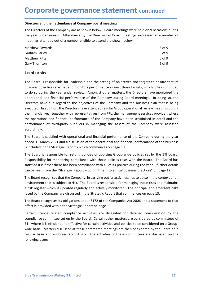**Corporate governance statement continued**<br>Directors and their attendance at Company board meetings<br>The Directors of the Company are as shown below. Board meetings were held on 9 occasions during<br>the year under review. Att **Corporate governance statement continued**<br>
Directors and their attendance at Company board meetings<br>
The Directors of the Company are as shown below. Board meetings were held on 9 occasions during<br>
the year under review. **Corporate governance statement continued**<br>
Directors and their attendance at Company board meetings<br>
The Directors of the Company are as shown below. Board meetings were held on 9 occasions during<br>
the year under review. **Corporate governance statement continued<br>
Directors and their attendance at Company board meetings<br>
The Directors of the Company are as shown below. Board meetings were held on 9 occasions during<br>
the year under review. A** 

| <b>Corporate governance statement continued</b>                                                      |                                                                                             |
|------------------------------------------------------------------------------------------------------|---------------------------------------------------------------------------------------------|
|                                                                                                      |                                                                                             |
|                                                                                                      |                                                                                             |
|                                                                                                      |                                                                                             |
| Directors and their attendance at Company board meetings                                             |                                                                                             |
| The Directors of the Company are as shown below. Board meetings were held on 9 occasions during      |                                                                                             |
| the year under review. Attendance by the Directors at Board meetings expressed as a number of        |                                                                                             |
| meetings attended out of a number eligible to attend are shown below.                                |                                                                                             |
| <b>Matthew Edwards</b>                                                                               | 6 of 9                                                                                      |
| <b>Graham Farley</b>                                                                                 | 9 of 9                                                                                      |
| <b>Matthew Pitts</b>                                                                                 | 6 of 9                                                                                      |
| Gary Thornton                                                                                        | 9 of 9                                                                                      |
| <b>Board activity</b>                                                                                |                                                                                             |
| The Board is responsible for leadership and the setting of objectives and targets to ensure that its |                                                                                             |
| business objectives are met and monitors performance against those targets, which it has continued   |                                                                                             |
| to do so during the year under review. Amongst other matters, the Directors have monitored the       |                                                                                             |
|                                                                                                      | operational and financial performance of the Company during Board meetings. In doing so the |

**Corporate governance statement** continued<br>
Directors and their attendance at Company board meetings<br>
The Directors of the Company are as shown below. Board meetings were held on 9 occasions during<br>
the year under review. **Corporate governance statement continued**<br>
Directors and their attendance at Company board meetings<br>
The Directors of the Company are as shown below. Board meetings were held on 9 occasions during<br>
the year under review. **Corporate governance statement** continued<br>
Directors and their attendance at company board meetings<br>
The Directors of the Company are as shown below. Board meetings were held on 9 occasions during<br>
the year under review. Directors and their attendance at Company board meetings<br>The Directors of the Company are as shown below. Board meetings were held on 9 occasions during<br>the year under review. Attendance by the Directors at Board meetings Directors and their attendance at Company board meetings<br>The Directors of the Company are as shown below. Board meetings were held on 9 occasions during<br>the year under review. Attendance by the Directors at Board meetings Directors and their attendance at Company board meetings<br>The Directors of the Company are as shown below. Board meetings expressed as a number of<br>meetings attended out of a number eligible to attend are shown below.<br>
Matth The Directors of the Company are as shown below. Board meetings were held on 9 occasions during<br>the year under review. Attendance by the Directors at Board meetings expressed as a number of<br>meetings attended out of a numbe the year under review. Attendance by the Directors at Board meetings expressed as a number of<br>
Matthew Edwards<br>
Graham Farley<br>
Graham Farley<br>
Graham Farley<br>
Graham Farley<br>
How Chand Sacklers<br>
How Chand Farley<br>
How Pitts<br>
B meetings attended out of a number eligible to attend are shown below.<br>
Sof 9<br>
Shathew Edwards<br>
Matthew Pitts<br>
Sof 9<br>
Matthew Pitts<br>
Sof 9<br>
Matthew Pitts<br>
The Board is responsible for leadership and the setting of objective accordingly. Graham Farley<br>
Matthew Pitts<br>
Mary Thornton<br>
Gary Thornton<br>
Gary Thornton<br>
Soard activity<br>
The Board is responsible for leadership and the setting of objectives and targets to ensure that its<br>
business objectives are met a Matthew Pitts 669<br>
Soard activity<br>
Soard activity<br>
The Board is responsible for leadership and the setting of objectives and targets to ensure that its<br>
business objectives are met and monitors performance against those ta 9 of 9<br> **Board activity**<br> **Board activity**<br>
The Board is responsible for leadership and the setting of objectives and targets to ensure that its<br>
business objectives are met and monitors performance against those targets, **Board activity**<br>The Board is responsible for leadership and the setting of objectives and targets to ensure that its<br>business objectives are met and monitors performance against those targets, which it has continued<br>to do The Board is responsible for leadership and the setting of objectives and targets to ensure that its<br>business objectives are met and monitors performance against those targets, which it has continued<br>to do so during the ye The Board is responsible for leadership and the setting of objectives and targets to ensure that its bussiness objectives are met and monitors performance against those targets, which it has continued to do so during the y business objectives are met and monitors performance against those targets, which it has continued<br>to do so during the year under review. Amongst other matters, the Directors have monitored the<br>operational and financial pe to ao so during the year under rerew. Amongst other matters, the Directors have montored the Directors have due regard to the objectives of the Company during Board metrings. In doing so, the Directors have due regard to t operational and financial performance of the Company during Board mettings. In doing so, the Dietctors have due regard to the bigeitives of the Company and the business plan that is being executed. In addition, the Directo Directors have due regard to the objectives of the Company and the business plan that is being<br>executed. In addition, the Directors have attended regular Group operational review meetings during<br>the financial year together executed. In addition, the Directors have attended regular Group operational review meetings during<br>the financial year together with representatives from FPL, the management services provider, where<br>the operations and fina

the operations and financial performance of the Company have been scrutinised in detail and the<br>performance of third-party suppliers in managing the assets of the Company were assessed<br>accordingly.<br>The Board is satisfied w

faced by the Company are discussed in the Strategic Report that commences on page 13.<br>The Board recognises its obligations under S172 of the Companies Act 2006 and a statement to that<br>effect is provided within the Strategi performance of third-party suppliers in managing the assets of the Company were assessed<br>accordingly.<br>The Board is satisfied with operational and financial performance of the Company during the year<br>ended 31 March 2021 and accordingly.<br>The Board is satisfied with operational and financial performance of the Company during the year<br>ended 31 March 2021 and a discussion of the operational and financial performance of the business<br>is included in The Board is satisfied with operational and financial performance of the Company during the year<br>ended 31 March 2021 and a discussion of the operational and financial performance of the business<br>is included in the Strategi ended 31 March 2021 and a discussion of the operational and financial performance of the business<br>is included in the Strategic Report - which commences on page 10.<br>The Board is responsible for setting policies or applying is included in the Strategic Report - which commences on page 10.<br>The Board is responsible for setting policies or applying Group-wide policies set by the BTI board.<br>Responsibility for monitoring compliance with those poli The Board is responsible for setting policies or applying Group-wide policies set by the BTI board.<br>Responsibility for monitoring compliance with those policies rests with the Board. The Board has<br>satisfied itself that the The Board is responsible for setting policies or applying Group-wide policies set<br>Responsibility for monitoring compliance with those policies rests with the Boar<br>statisfied itself that there has been compliance with all o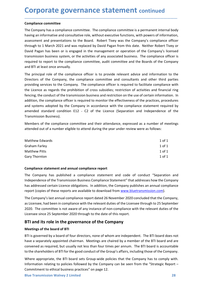**Corporate governance statement continued**<br> **Compliance committee**<br>
The Company has a compliance committee. The compliance committee is a permanent internal body<br>
having an informative and consultative role, without execut **Corporate governance statement contin<br>
Compliance committee**<br>
The Company has a compliance committee. The compliance committee is a permaner<br>
having an informative and consultative role, without executive functions, with **Corporate governance statement continued**<br>
The Company has a compliance committee. The compliance committee is a permanent internal body<br>
having an informative and consultative role, without executive functions, with powe **Corporate governance statement continued**<br>The Compliance committee<br>The Company has a compliance committee. The compliance committee is a permanent internal body<br>having an informative and consultative role, without executi **Corporate governance statement continued**<br>The Company has a compliance committee. The compliance committee is a permanent internal body<br>having an informative and consultative role, without executive functions, with powers **Corporate governance statement continued**<br>The Company has a compliance committee. The compliance committee is a permanent internal body<br>having an informative and consultative role, without executive functions, with powers **Corporate governance statement** continued<br>The Company has a compliance committee. The compliance committee is a permanent internal body<br>having an informative and consultative role, without executive functions, with powers **Corporate governance statement continued**<br>The Company has a compliance committee. The compliance committee is a permanent internal body<br>having an informative and consultative role, without executive functions, with powers **Corporate governance statement** continued<br>The Company has a compliance committee. The compliance committee is a permanent internal body<br>having an informative and consultative role, without executive functions, with powers **Corporate governance statement continued**<br> **Compliance committee**<br>
The Company has a compliance committee. The compliance committee is a permanent interna<br>
having an informative and consultative role, without executive fu **Corporate governance statement** continued<br>The Compainne committee<br>The Compainsy has a compliance committee. The compliance committee is a permanent internal body<br>having an informative and consultative role, without execut **Corporate governance statement continued**<br>The Company has a compliance committee. The compliance committee is a permanent internal body<br>having an informative and consultative role, without executive functions, with powers **Corporate governance statement** continued<br>
compliance committee<br>
The Company has a compliance committee. The compliance committee is a permanent internal booky<br>
The Company has a company compliance officer through to 1 Ma

\_\_\_\_\_\_\_\_\_\_\_\_\_\_\_\_\_\_\_\_\_\_\_\_\_\_\_\_\_\_\_\_\_\_\_\_\_\_\_\_\_\_\_\_\_\_\_\_\_\_\_\_\_\_\_\_\_\_\_\_\_\_\_\_\_\_\_\_\_\_\_\_\_\_\_\_\_\_\_\_\_\_\_\_\_\_\_\_\_\_

**Corporate governance statement** continued<br> **Compliance committee**<br>
The Company has a compliance committee. The compliance committee is a permanent internal body<br>
having an informative and consultative role, without execut **COPY CONTROM CONTROM CONTROM CONTROM CONTROM CONTROM**<br>The Company has a compliance committee. The compliance committee is a permanent internal body<br>having an informative and consultative role, without executive functions, **Compliance committee**<br>The Company has a compliance committee. The compliance committee is a permanent internal body<br>having an informative and consultative role, without executive functions, with powers of information,<br>ass **Compliance committee**<br>The Company has a compliance committee. The compliance committee is a permanent internal body<br>having an informative and consultative role, without executive functions, with powers of information,<br>ass The Company has a compliance committee. The compliance committee is a permanent internal body<br>having an informative and consultative role, without executive functions, with powers of information,<br>assessment and presentatio Intercultuants a computant communicale. The computance commutes a permunalmany has a permunical phases assessment and presentations to the Board. Robert Tivey was the Company's complement and presentations to the Board. Ro assessment and presentations to the Board. Robert Tivey was the Company's compliance officer<br>through to 1 March 2021 and was replaced by David Pagan from this date. Neither Robert Tivey or<br>David Pagan has been or is engage through to 1 March 2021 and was replaced by David Pagan from this date. Neither Robert Tivey or<br>David Pagan has been or is engaged in the management or operation of the Company's licensed<br>transmission business system, or t transmission business system, or the activities of any associated business. The compliance officer is<br>required to report to the compliance committee, audit committee and the Boards of the Company<br>and BTI at least once annu required to report to the compliance committee, audit committee and the Boards of the Company<br>
and BTI at least once annually.<br>
The principal role of the compliance officer is to provide relevant advice and information to and BTI at least once annually.<br>The principal role of the compliance officer is to provide relevant advice and information to the<br>Directors of the Company, the compliance committee and consultants and other third parties<br>D The principal role of the compliance officer is to provide relevant advice and information to the<br>Directors of the Company, the compliance committee and consultants and other third parties<br>providing services to the Company providing services to the Company. The compliance officer is required to facilitate compliance with<br>the Licence as regards the prohibition of cross subsidies; restriction of activities and financial ring<br>fencing, the condu the Licence as regards the prohibition of cross subsidies; restriction of a distrities and thinarcial ring<br>tencing, the conduct of the transmission business and restriction on the use of certain information. In<br>addition, t Intercomigtine conduct of the transmission business and restriction on the use of certain information. In<br>addition, the compliance officer is required to monitor the effectiveness of the practices, procedures<br>and systems a

| addition, the compliance officer is required to monitor the effectiveness of the practices, procedures<br>and systems adopted by the Company in accordance with the compliance statement required by<br>amended standard condition E12 - C2 of the Licence (Separation and Independence of the<br>Transmission Business).                                                                 |            |  |  |  |
|-------------------------------------------------------------------------------------------------------------------------------------------------------------------------------------------------------------------------------------------------------------------------------------------------------------------------------------------------------------------------------------------|------------|--|--|--|
| Members of the compliance committee and their attendance, expressed as a number of meetings<br>attended out of a number eligible to attend during the year under review were as follows:                                                                                                                                                                                                  |            |  |  |  |
| Matthew Edwards                                                                                                                                                                                                                                                                                                                                                                           | $1$ of $1$ |  |  |  |
| <b>Graham Farley</b>                                                                                                                                                                                                                                                                                                                                                                      | $1$ of $1$ |  |  |  |
| <b>Matthew Pitts</b>                                                                                                                                                                                                                                                                                                                                                                      | $1$ of $1$ |  |  |  |
| Gary Thornton                                                                                                                                                                                                                                                                                                                                                                             | 1 of 1     |  |  |  |
| The Company has published a compliance statement and code of conduct "Separation and<br>Independence of the Transmission Business Compliance Statement" that addresses how the Company<br>has addressed certain Licence obligations. In addition, the Company publishes an annual compliance<br>report (copies of these reports are available to download from www.bluetransmission.com). |            |  |  |  |
| The Company's last annual compliance report dated 26 November 2020 concluded that the Company,<br>as Licensee, had been in compliance with the relevant duties of the Licensee through to 25 September<br>2020. The committee is not aware of any instance of non-compliance with the relevant duties of the<br>Licensee since 25 September 2020 through to the date of this report.      |            |  |  |  |
| BTI and its role in the governance of the Company                                                                                                                                                                                                                                                                                                                                         |            |  |  |  |
| Meetings of the board of BTI                                                                                                                                                                                                                                                                                                                                                              |            |  |  |  |
| BTI is governed by a board of four directors, none of whom are independent. The BTI board does not                                                                                                                                                                                                                                                                                        |            |  |  |  |
| have a separately appointed chairman. Meetings are chaired by a member of the BTI board and are                                                                                                                                                                                                                                                                                           |            |  |  |  |
| convened as required, but usually not less than four times per annum. The BTI board is accountable                                                                                                                                                                                                                                                                                        |            |  |  |  |

Graham Farley<br>
1 of 1<br>
Matthew Pitts<br>
1 of 1<br>
1 of 1<br>
Gary Thornton<br>
1 of 1<br>
1 of 1<br>
1 of 1<br>
1 of 1<br>
1 of 1<br>
1 of 1<br>
1 of 1<br>
1 of 1<br>
1 of 1<br>
1 of 1<br>
1 of 1<br>
1 of 1<br>
1 of 1<br>
1 of 1<br>
1 of 1<br>
1 of 1<br>
1 of 1<br>
1 of 1<br>
1 of 1<br>
1 Matthew Pitts 1011<br>
1011<br>
1011<br>
Compliance statement and annual compliance report<br>
The Company has published a compliance statement and code of conduct "Separation and<br>
Independence of for Fransmission Business Compliance 1 of 1 1<br>
Compliance statement and annual compliance report<br>
The Company has published a compliance statement and code of conduct "Separation and<br>
Independence of the Transmission Business Compliance Statement" that addre **Compliance statement and annual compliance report**<br>The Company has published a compliance statement and code of conduct "Separation and<br>Independence of the Transmission Business Compliance Statement" that addresses how th **Compliance statement and annual compliance report**<br>The Company has published a compliance statement and code of conduct "Separation and<br>Independence of the Transmission Business Compliance Statement" that addresses how th The Company has published a compliance statement and code of conduct "Separation and<br>the<br>peperdence of the Transmission Business Compliance Statement" that addresses how the Company<br>has addressed certain Licence obligation

report (copies of these reports are available to download from <u>www.bluetransmission.com</u>).<br>The Company's last annual compliance report dated 26 November 2020 concluded that the Company,<br>as Licensee, had been in compliance Independence of the Transmission Business Compliance Statement" that addresses how the Company<br>
thas addressed creatin Licence obligations. In addition, the Company publishes an annual compliance<br>
report (copies of these r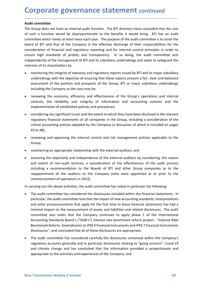**Corporate governance statement continued**<br>Audit committee<br>The Group does not have an internal audit function. The BTI directors have concluded that the cost<br>of such a function would be disproportionate to the benefits it **Corporate governance statement consideration**<br>Audit committee<br>The Group does not have an internal audit function. The BTI directors have co<br>of such a function would be disproportionate to the benefits it would brin<br>commit **Corporate governance statement continued**<br> **Audit committee**<br>
The Group does not have an internal audit function. The BTI directors have concluded that the cost<br>
of such a function would be disproportionate to the benefit **Corporate governance statement continued**<br>The Group does not have an internal audit function. The BTI directors have concluded that the cost<br>of such a function would be disproportionate to the benefits it would bring. BTI **Corporate governance statement continued**<br> **Audit committee**<br>
The Group does not have an internal audit function. The BTI directors have concluded that the cost<br>
of such a function would be disproportionate to the benefit **Corporate governance statement continued**<br>The Group does not have an internal audit function. The BTI directors have concluded that the cost<br>of such a function would be disproportionate to the benefits it would bring. BTI **Corporate governance statement continued**<br> **Audit committee**<br>
The Group does not have an internal audit function. The BTI directors have concluded that the cost<br>
of such a function would be disproportionate to the benefit **Corporate governance statement continued**<br>The Group does not have an internal audit function. The BTI directors have concluded that the cost<br>of such a function would be disproportionate to the benefits it would bring. BTI **Corporate governance statement continued**<br>The Group does not have an internal audit function. The BTI directors have concluded that the cost<br>of such a function would be disproportionate to the benefits it would bring. BTI **Corporate governance statement continued**<br> **Audit committee**<br>
The Group does not have an internal audit function. The BTI directors have concluded that the cost<br>
of such a function would be disproportionate to the benefit **DIFORT THE SURFER COMPLANCE STATEMENT CONTINUES**<br>
it committee<br>
Group does not have an internal audit function. The BTI directors have concluded that the cost<br>
uch a function would be disproportionate to the benefits it w **DIFORT THE SECT COMPLANT CONDED CONDED CONDED**<br>
In the ommittee<br>
Group does not have an internal audit function. The BTI directors have concluded that the cost<br>
in the function would be disproportionate to the benefits it **DIFORT TE SOVET TEATEMENT CONTIMENT CONTITURE CONTITY CONTITY CONTINUES (SCOUP)** does not have an internal audit function. The BTI directors have concluded that the cost Group does not have an internal audit function. The **DIFOOTATE SOVETNANCE STATEMENT continued**<br>
In terms of the Company and the Company and the Company and the Company of the Company and the company in the Company in the Company in the Company in the effective discharge of **Example 18 and in the Example 18 and in the Britain Continued and it committed**<br> **Group does not have an internal audit function.** The Britain distribution to the moments it would bring. BTI has an audit<br>
untimete which m **it committee**<br>Group does not have an internal audit function. The BTI directors have concluded that the cost<br>uch a function would be disproportionate to the benefits it would bring. BTI has an audit<br>untilete which metes a it committee<br>
Group does not have an internal audit function. The BTI directors have concluded that the cost<br>
Group does not have an internal audit function. The purpose of the audit committee is to assist the<br>
drof of BTI Group uses not hare at micratian adust unctuon. The Birl outercost have contucted unat the cost and the stuction would be disproportionate to the benefits it would bring. BTI has an audit mittee which meets at least twice ucra in unction would es lasptroprotionate to the enemis it would uring. Bit was an auturitiee which mets at least twice each year. The purpose of the audit committee is to assist the d of BTI and that of the Company in th Imultare winter meters at least twice each year. The purpose of the autot commuticle to soles the<br>ideration of financial and regulatory reporting and for internal control principles in order to<br>ideration of financial and r or or brian and trade or the Company in the effective discharge of their responsion of financial and regulatory reporting and for internal control principle are high standards of probity and transparency. In so doing, the

\_\_\_\_\_\_\_\_\_\_\_\_\_\_\_\_\_\_\_\_\_\_\_\_\_\_\_\_\_\_\_\_\_\_\_\_\_\_\_\_\_\_\_\_\_\_\_\_\_\_\_\_\_\_\_\_\_\_\_\_\_\_\_\_\_\_\_\_\_\_\_\_\_\_\_\_\_\_\_\_\_\_\_\_\_\_\_\_\_\_

- review high standards of probity and transparency. In so doing, the audit committee acts<br>restes of its shareholders by:<br>restes of its shareholders by:<br>monitoring the internal control BTI and its subsidiary undertakings and
- 
- 
- Group;
- 
- rests of its shareholders by:<br>monichring the integrity of statutory and regulatory reports issued by BTI and its major subsidiary<br>undicriatings with the objective of ensuring that these reports present a fair, clear and ba monitoring the integrity of statutory and regulatory reports issued by BTI and its major subscliary<br>sumetrakings with the objective of ensuring that these reports present a fair, clear and balanced<br>assessment of the positi undertakings with the objective of ensuring that these reports present a fair, clear and balanced<br>assessment of the position and prospects of the Group, B1 or major subsidiary undertakings<br>including the Company as the case assessment of the position and prospects of the Group, BTI or major subsidiary undertakings<br>including the Company as the case may be;<br>reviewing the economy, efficiency and effectiveness of the Group's operations and intern including the Company as the case may be;<br>reviewing the economy, efficiency and effectiveness of the Group's operations and internal<br>controls, the reliability and integrity of information and accounting systems and the<br>imp reviewing the economy, efficiency and effectiveness of the Group's operations and internal<br>controls, the reliability and integrity of information and accounting systems and the<br>implementation of established policies and pr controls, the reliability and integrity of information and accounting systems and the<br>implementation of established policies and procedures;<br>considering any significant issues and the extent to which they have been disclos

- The audit committee has considered the disclosures included within the financial statements. In particular, the audit committee note that the impact of new accounting standards, interpretations and other pronouncements th eronsidering any significant issues and the extent to which they have been disclosed in the relevant regulatory financial statements of all companies in the Group, including a consideration of the critical accounting polic considering any significant issues and the extent to which they have been disclosed in the relevant<br>regulatory financial statements of all companies in the Group, including a consideration of the<br>erritical accounting polic regulatory financial statements of all companies in the Group, including a consideration of the<br>critical accounting policies adopted by the Company (a discussion of which is included on pages<br>reviewing and approving the in critical accounting policies adopted by the Company (a discussion of which is included on pages<br>erociving and approving the internal control and risk management policies applicable to the<br>Group;<br>maintaining an appropriate 43 to 48):<br>
reviewing and approving the internal control and risk management policies applicable to the<br>
Group;<br>
Group;<br>
maintaining an appropriate relationship with the external auditors; and<br>
anssessing the objectivity a reviewing and approving the internal control and risk management policies applicable to the<br>Group;<br>maintaining an appropriate relationship with the external auditors; and<br>assessing the objectivity and independence of the e Group;<br>
Group;<br>
maintaining an appropriate relationship with the external auditors; and<br>
assessing the objectivity and independence of the external auditors by considering; the nature<br>
and extent of non-audit services; a c maintaining an appropriate relationship with the external auditors; and<br>assessing the objectivity and independence of the external auditors by considering: the nature<br>and extent of non-audit services; a consideration of th assessing the objectivity and independence of the external auditors by considering: the nature<br>and extent of non-audit services; a consideration of the effectiveness of the audit process<br>including a recommendation to the B assessing the objectivity and independence of the external autoritys by considering: The nature<br>and extent of non-audit services; a consideration of the effectiveness of the audit process<br>including a recommencement of the and extent of non-adurts ervices; a consideration of the enerctiveness or the and change external process.<br>Including a recommendation to the Boards of BTI and other Group companies as to the<br>reappointment of the auditors t Including a recommentation to the boards of BII and other Group companies as to the<br>
reappointment of the auditors to the Company (who were appointed at or prior to the<br>
commencement of operations in 2012).<br>
Farrying out t
-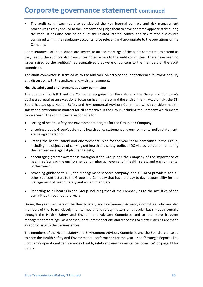**Corporate governance statement continued**<br>• The audit committee has also considered the key internal controls and risk management<br>procedures as they applied to the Company and judge them to have operated appropriately dur **Drigorate governance statement continued**<br>The audit committee has also considered the key internal controls and risk management<br>procedures as they applied to the Company and judge them to have operated appropriately durin **proporate governance statement continued**<br>The audit committee has also considered the key internal controls and risk management<br>procedures as they applied to the Company and judge them to have operated appropriately durin **Sumplement Constrained all of the search of the related internal controls and risk management procedures as they applied to the Company and judge them to have operated appropriately during the year. It has also considered Contained SCOV CONTRANCE STATEMENT CONTINUES CONTRANCE STATEMENT CONTINUES TO THE AND AND THE AND THE REGULATION CONTRANCE TO A THE REGULATION CONTRANCE TO APPOSE TO APPOSE TO APPOSE TO APPOSE TO APPOSE TO APPOSE TO APPOS** Company. **Corporate governance statement continued**<br> **•** The audit committee has also considered the key internal controls and risk management<br>
procedures as they applied to the Company and judge them to have operated appropriately **Corporate governance statement** continued<br>
• The audit committee has also considered the key internal controls and risk management<br>
procedures as they applied to the Company and judge them to have operated appropriately d **Corporate governance statement continued**<br>
• The audit committee has also considered the key internal controls and risk management<br>
procedures as they applied to the Company and judge them to have operated appropriately d **Corporate governance statement continued**<br>
• The audit committee has also considered the key internal controls and risk management<br>
procedures as the yapplied to the Company and judge them to have operated appropriately d **Corporate governance statement continued**<br> **•** The audit committee has also considered the key internal controls and risk management<br>
procedures as they applied to the Company and judge them to have operated appropriately **Corporate governance statement continued**<br>
• The audit committee has also considered the key internal controls and risk management<br>
procedures as they applied to the Company and judge them to have operated appropriately d The boards of both BTI and the Company recognise that the nature of the Group and Companys • The audit committee has also considered the key internal controls and risk management<br>procedures as they applied to the Company and judge them to have operated appropriately during<br>the year. It has also considered all of • The audit committee has also considered the key internal controls and risk management<br>procedures as they applied to the Company and judge them to have operated appropriately during<br>the year. It has also considered all of

\_\_\_\_\_\_\_\_\_\_\_\_\_\_\_\_\_\_\_\_\_\_\_\_\_\_\_\_\_\_\_\_\_\_\_\_\_\_\_\_\_\_\_\_\_\_\_\_\_\_\_\_\_\_\_\_\_\_\_\_\_\_\_\_\_\_\_\_\_\_\_\_\_\_\_\_\_\_\_\_\_\_\_\_\_\_\_\_\_\_

committee.

Free coate commuter mass are considered and the Company and judge them to have operated appropriately during<br>the year. It has also considered all of the related internal control and risk related disclosures<br>contained withi the vear. It has also considered all of the related internal control and risk related disclosures<br>contained within the regulatory accounts to be relevant and appropriate to the operations of the<br>Company.<br>Expresentatives of contained within the regulatory accounts to be relevant and appropriate to the operations of the Company;<br>Company;<br>cresentatives of the auditors are invited to attend meetings of the audit committee to attend as<br>see fit; t Company.<br>
Company:<br>
the accellations also have unrestricted access to the audit committee. There have been no<br>
se raticle the auditors also have unrestricted access to the audit committee. There have been no<br>
se ratised by resentatives of the auditors are invited to attend meetings of the audit committee to atter<br>see fit; the auditors also have unrestricted access to the audit committee. There have bee<br>s raised by the auditors' representativ r see fit; the auditors also have unrestricted access to the audit committee. There have been no<br>es raised by the auditors' representatives that were of concern to the members of the audit<br>audit committee.<br>audit committee es raised by the auditors' representatives that were of concern to the members of the audit<br>nittee.<br>audit committee is satisfied as to the auditors' objectivity and independence following enquiry<br>discussion with the audito mittee.<br>
audit committee is satisfied as to the auditors' objectivity and independence following enquiry<br>
discussion with the auditors and with management.<br>
Ith, safety and environment advisory committee<br>
boards of both BT audit committee is satisfied as to the auditors' objectivity and independence following enquiry<br>discussion with the auditors and with management.<br> **th, safety and environment advisory committee**<br> **thosets** of **both BTI** an discussion with the auditors and with management.<br>
Hh, safety and environment advisory committee<br>
boards of both BTI and the Company recognise that the nature of the Group and Company's<br>
heastes requires an exceptional foc rth, sarety and environment advisory committee<br>boards of both BTI and the Company recognise that the nature of the Group and Company's<br>heases requires an exceptional focus on health, safety and the environment. Accordingly boards of both BTI and the Company recognise that the nature of the Group and Company's<br>nesses requires an exceptional focos on helsth, safety and the environment. Accordingly, the BTI<br>rd has set up a Health, Safety and En nesses requires an exceptional focus on health, safety and the environment. Accordingly, the BTI<br>of has set up a Health, Safety and Environmental Advisory Committee which considers health,<br>ty and environment matters for al

- 
- 
- 
- performance;
- 
- 

• Reporting to all boards in the Group including that of the Company as to the activities of the committee throughout the year;<br>During the year members of the Health Safety and Environment Advisory Committee, who are also<br> The abset of the activities with a continuous method of the Group including the Company which meets<br>of a denvironment matters for all companies in the Group including the Company which meets<br>e a year. The committee is resp ry an environment matters for ail companies in the Group including the Company which meets<br>e a year. The committee is responsible for:<br>setting of health, safety and environmental targets for the Group and Company;<br>ensuring • setting of health, safety and environmental targets for the Group and Company;<br>
• ensuring that the Group's safety and health policy statement and environmental policy statement,<br>
• setting the health, safety and environ members of the Board, is alternation-transference and the members of the Board and the Board, closely and Environmental policy statement and environmental policy statement, are being adhered to;<br>
• Setting the health, safe e message mather Group Safety and health policy statement and environmental policy statement,<br>
Setting the health, safety and environmental plan for the year for all companies in the Group,<br>
including the objective of carr are elemg anteleta to, safety and environmental plan for the year for all companies in the Group,<br>
situality the health, safety and environmental plan for the year for all company of the importance of<br>
environmence against <ul>\n<li> Setting the health, safety and environmental plan for the year for all companies in the including the objective of carrying out health and safety audits of O&M providers and monit the performance against planned targets;</li>\n<li>encouraging greater awareness throughout the Group and the Company of the important health, safety and the environment and higher achievement in health, safety and environment;</li>\n<li> providing guidance to FPL, the management services company, and all O&M providers other sub-contractors to the Group and Company that have the day to day responsibility of management of health, safety and environment, and</li>\n<li> Reporting to all boards in the Group including that of the Company as to the activities committee throughout the year;</li>\n<li>During the year members of the Health Safety and Environment Advisory Committee, who are members of the Board, closely monitor health and safety matters on a regular basis – both for through the Health Safety and Environment Advisory Committee and at the more free management meetings. As a consequence, The members of the Health Safety and Environment Advisory Committee and the Board are pleased to methel, safety and the Company of the importance of health, safety and the environment and higher achievement in health, safe e encouraging greater awareness throughout the Group and the Company of the importance of<br>health, safety and the environment and higher achievement in health, safety and environmental<br>performance to FPL, the management ser Finder and the state and the state of the state of the state of the state of the state of the state and the state of the state of the state of the state of the state of the state of the state of the Group and Company that

details.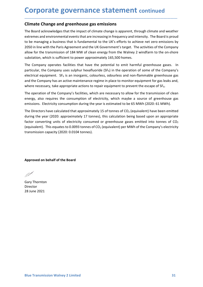**Corporate governance statement continued**<br> **Climate Change and greenhouse gas emissions**<br>
The Board acknowledges that the impact of climate change is apparent, through climate and weather<br>
extremes and environmental event **Corporate governance statement continued**<br>
Climate Change and greenhouse gas emissions<br>
The Board acknowledges that the impact of climate change is apparent, through climate and weather<br>
extremes and environmental events **Corporate governance statement continued**<br> **Climate Change and greenhouse gas emissions**<br>
The Board acknowledges that the impact of climate change is apparent, through climate and weather<br>
extremes and environmental event **Corporate governance statement continued**<br>
The Board acknowledges that the impact of climate change is apparent, through climate and weather<br>
extremes and environmental events that are increasing in frequency and intensit **Corporate governance statement continued**<br>
The Board acknowledges that the impact of climate change is apparent, through climate and weather<br>
extremes and environmental events that are increasing in frequency and intensit **Corporate governance statement continued**<br> **Climate Change and greenhouse gas emissions**<br>
The Board acknowledges that the impact of climate change is apparent, through climate and weather<br>
extremes and environmental event **Corporate governance statement continued**<br>The Board acknowledges that the impact of climate change is apparent, through climate and weather<br>extremes and enviromental elevents that are increasing in frequency and intensity **Corporate governance statement** continued<br>
Climate Change and greenhouse gas emissions<br>
The Board acknowledges that the impact of climate change is apparent, through climate and weather<br>
extremes and environmental events **Corporate governance statement** continued<br>
Climate Change and greenhouse gas emissions<br>
The Board acknowledges that the impact of climate change is apparent, through climate and weather<br>
extremes and environmental events **Corporate governance statement** continued<br>
Climate Change and greenhouse gas emissions<br>
The Board acknowledges that the impact of climate change is apparent, through climate and weather<br>
extremes and environmental events **Corporate governance statement** continued<br> **Climate Change and greenhouse gas emissions**<br>
The Board acknowledges that the impact of climate change is apparent, through climate and weather<br>
extremes and environmental event **Corporate governance statement** continued<br> **Climate Change and greenhouse gas emissions**<br>
The Board acknowledges that the impact of climate change is apparent, through climate and weather<br>
extremes and environmental event **Corporate governance statement** continued<br>The Board acknowledges that the impact of climate change is apparent, through climate and weather<br>textremes and environmental events that are increasing in frequency and intensity **Climate Change and greenhouse gas emissions**<br>The Board acknowledges that the impact of climate change is apparent, through climate and weather<br>extremes and environmental events that are increasing in frequency and intensi **Climate Change and greenhouse gas emissions**<br>The Board acknowledges that the impact of climate change is apparent, through climate and weather<br>extremes and environmental events that are increasing in frequency and intensi The Board acknowledges that the limated for limate change is apparent, through climate and weather<br>extremes and environmental events that are increasing in frequency and intensity. The Board is proud<br>to be managing a busin The Board acknowledges that the impact of climiate change is apparent, through climiate and weather<br>extremes and environmental events that are increasing in frequency and intensity. The Board is proud<br>to be managing a busi

\_\_\_\_\_\_\_\_\_\_\_\_\_\_\_\_\_\_\_\_\_\_\_\_\_\_\_\_\_\_\_\_\_\_\_\_\_\_\_\_\_\_\_\_\_\_\_\_\_\_\_\_\_\_\_\_\_\_\_\_\_\_\_\_\_\_\_\_\_\_\_\_\_\_\_\_\_\_\_\_\_\_\_\_\_\_\_\_\_\_

externes and environmental events that are increasing in frequency and intensity. Ine Boards prover be managing a business that is fundamental to the UK's efforts to achieve net zero emissions by 2050 in line with the Pari to be managing a business that is tundamental to the UK's etrorits to achieve net zero emissions by a 2050 in line with the Paris Agreement and the UK Government's target. The activities of the Company allow for the transm 2050 in line with the Paris Agreement and the UK Government's trarget. The activities of the Company<br>allow for the transmission of 184 MW of clean energy from the Walney 2 windfarm to the on-shore<br>substation, which is suf electrical equipment. SF<sub>6</sub> is an inorganic, colourless, odourless and non-flammable greenhouse gas<br>and the Company has an active maintenance regime in place to monitor equipment for gas leaks and<br>where necessary, take app energy, also requires the consumption of electricity, which maybe a sour<br>emissions. Electricity consumption during the year is estimated to be 65 MWh<br>The Directors have calculated that approximately 15 of tonnes of CO<sub>2</sub> ( The Directors have calculated that approximately 15 of tonnes of CO<sub>2</sub> (equivalent)<br>during the year (2020: approximately 17 tonnes), this calculation being based u<br>factor converting units of electricity consumed or greenho

Director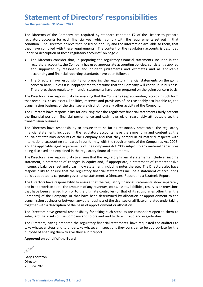Statement of Directors' responsibilities<br>
For the year ended 31 March 2021<br>
The Directors of the Company are required by standard condition E2 of the Licence to prepare<br>
regulatory accounts for each financial year which co **Statement of Directors' responsibilities**<br>For the year ended 31 March 2021<br>The Directors of the Company are required by standard condition E2 of the Licence to prepare<br>regulatory accounts for each financial year which com **Statement of Directors' responsibilities**<br>For the year ended 31 March 2021<br>The Directors of the Company are required by standard condition E2 of the Licence to prepare<br>regulatory accounts for each financial year which com **Statement of Directors' responsibilities**<br>For the year ended 31 March 2021<br>The Directors of the Company are required by standard condition E2 of the Licence to prepare<br>regulatory accounts for each financial year which co **Statement of Directors' responsibilities**<br>For the year ended 31 March 2021<br>The Directors of the Company are required by standard condition E2 of the Licence to prepare<br>regulatory accounts for each financial year which co **Statement of Directors' responsibilities**<br>
For the year ended 31 March 2021<br>
The Directors of the Company are required by standard condition E2 of the Licence to prepare<br>
regulatory accounts for each financial year which **Statement of Directors' responsibilities**<br>For the year ended 31 March 2021<br>The Directors of the Company are required by standard condition E2 of the Licence to prepare<br>regulatory accounts for each financial year which com **The Manuary of The State of the Compary** are required by standard condition E2 of the Licence to prepare<br>Directors of the Company are required by standard condition E2 of the Licence to prepare<br>Diatory accounts for each f **Example 18 The Company are required by standard condition E2 of the Licence to prepare<br>Directors of the Company are required by standard condition E2 of the Licence to prepare<br>actatory accounts for each financial year whi Example 18 And Sumple and Sumple and Sumple and Sumple and Sumple and Sumple and Sumple and Sumple and Sumple and Sumple and Directors of the Company are required by standard condition E2 of the Licence to prepare latator Example 18 A Standard Standard CONTICE CONTS CONTENT CONTENT** TO DEFECT TO DEFECT TO DEFECT TO DETERT DRIGHTER DRIGHTER DRIGHTER IN A THON DRIGHTER IN A THON THE PIRTON THE INTENT IN THE PROPORT IN THE PIRTON BOTH IN TH **COMPROM CONTROM CONT CONTS CONTS CONTS CONTS CONTS CONTS CONTS CONTS CONTS CONTS CONTS CONTS CONTS CONTS CONTS CONTS CONTS CONTS CONTS CONTS CONTS CONTS CONTS (FOR PROCESS PRECISION TO A PROCESS PERIPPOSE THE CONTS (FINAL CONCITY THE STEAD ASSOCITE ASSOCITE CONCERT CONCERT CONCERT TO THE CONCERT CONCERT DREAD TO THE DECISION OF THE DIRECT ON THE DIRECT STEAD TO THE NURRAL THE NURRAL THE NURRAL THE NURRAL THE NURRAL THE NURRAL THE NURRAL TH Example 18 Therefore, the compary are required by standard condition E2 of the licence to prepare lottery are concerned 31 March 2021**<br>Directors of the Compary are required by standard condition E2 of the licence to prepa **Statement of Directors' responsibilities**<br>
For the year ended 31 March 2021<br>
The Directors of the Company are required by standard condition E2 of the licence to prepare<br>
regulatory accounts for each financial year which **Statement of Directors' responsibilities**<br>
For the year ended 31 March 2021<br>
The Directors of the Company are required by standard condition E2 of the licence to prepare<br>
regulatory accounts for each financial year which For the year ended 31 March 2021<br>
The Directors of the Company are required by standard condition E2 of the Licence to prepare<br>
regulatory accounts for each financial year which comply with the requirements set out in that The Directors of the Company are required by standard condition E2 of the Licence to prepare<br>regulatory accounts for each financial year which comply with the requirements set out in that<br>condition. The Directors believe t The Directors of the Company are required by standard condition E2 of the Licence to prepare<br>
regulatory accounts for each financial year which comply with the requirements set eot in that<br>
condition. The Directors believe

\_\_\_\_\_\_\_\_\_\_\_\_\_\_\_\_\_\_\_\_\_\_\_\_\_\_\_\_\_\_\_\_\_\_\_\_\_\_\_\_\_\_\_\_\_\_\_\_\_\_\_\_\_\_\_\_\_\_\_\_\_\_\_\_\_\_\_\_\_\_\_\_\_\_\_\_\_\_\_\_\_\_\_\_\_\_\_\_\_\_

- 
- 

The Directors of the Compary are lequided by standard containing the energial and the anical technical state mention and the medicinal technical state increases condition. The Directors believe that, based on enquiry and t condition. The Directors believe that, based on enquiry and the information available to them, that<br>they have complied with these requirements. The content of the regulatory accounts is described<br>under "A description of th they have complied with these requirements. The content of the regulatory accounts is described<br>
• The Directors consider hat, in preparing the regulatory financial statements included in the<br>
• The Directors consider hat, onder "A description of these regulatory accounts" on page 2.<br>
The Directors consider that, in perparing the regulatory accounts, the Company has used appropriate accounting policies, consistently applied<br>
and supported by • The Directors consider that, in preparing the regulatory financial statements included in the regulatory accounts, the Company has used appropriate accounting policies, consistently applicable<br>and supported by reasonable re intertors volisted to mephavily in elegal requirements and supported the requirements of the company matter and supported and supported and supported and supported and supported and supported accounting and financial re regunatory accounting the complained and product and supported by reasonable and product judgements and estimates and all applicable<br>accounting and financial reporting standards have been followed.<br>The Directors have respo accounting and financial reporting standards have been followed.<br>
The Directors have responsibility for preparing the regulatory financial statements on the going<br>
concern basis, unless it is inappropriate to presure that • The Directors have responsibility for preparing the regulatory financial statements on the going<br>concern basis, unless it is inappropriate to presume that the Company will continue in business.<br>Therefore, these regulator rincores inversely insulted propagation in the propagation and a company will contrinue in business.<br>
Therefore, these regulatory financial statements have been prepared on the going concern basis.<br>
Therefore, these regula Concern usas, unuss is is mappy pulmate to presure that the company win continue in using concern basis.<br>The Directors have responsibility for ensuring that the Company keep accounting records in such form<br>that revenues, c Interiors, these regulatory infinited statements indevident properties in the properties and form that revenues, costs, assets, liabilities, reservers and provisions of, or reasonably attributable to, the transmission busi

The Directors have responsibility of ensuring untat the Outplaying Need accounting Lectors in the responsibility of the company.<br>
That revenues, costs, assets, liabilities, reserves and provisions of, or reasonably attribu Inta reventase, tosse, assets, inaunites, reserves and provisions or, or leasonably achievated the different many other activity of the Company.<br>The Directors have responsibility for ensuring that the regulatory financial The Directors have responsibility for ensuring that the requilatory financial statements fairly present<br>the fliencial position, financial performance and cash flows of, or reasonably attributable to, the<br>transmission busin The Directors have responsibility for ensuring that the regulatory financial statements fairly present<br>the financial position, financial performance and cash flows of, or reasonably attributable to, the<br>transmission busine the financial position, financial performance and cash flows of, or reasonably attributable to, the transmission business.<br>The Directors have responsibility to ensure that, so far as reasonably practicable, the regulatory<br> transmission business.<br>The Directors have responsibility to ensure that, so far as reasonably practicable, the regulatory<br>financial statements included in the regulatory accounts have the same form and content as the<br>equiv The Directors have responsibility to ensure that, so far as reasonably practicable, the regulatory accounts in the regulatory accounts have the same form and content as the equivalent statutory accounts of the Company and financial statements included in the regulatory accounts have the same form and content as the supply inely indictional encounting standards in conformity with the requirements of the Companies act 2006, anterbal respects equence is activaly activalis on the Compary and using the requirements of the Companies Act 2006, and the applicable legal requirements of the Companies Act 2006, being disclosed and explained in the requirements of the C meantoura accounting standards in the mediator of the comparation of the comparation and the applicable legal requirements of the Companies Act 2006 subject to any material departures<br>being disclosed and explained in the r and the apputable regar lequitentents to the Comparison and the consulted to the supported and explained in the gey disclosed and explained in the regulatory financial statements. The Directors have responsibility to ensur The Directors have responsibility to ensure that the regulatory financial statements include an incomestatement, a statement of changes in equity and, if appropriate, a statement of comprehensive income, a balance sheet an responsibility to ensure that the regulatory infinited statements intuous a step specifies adopted, a corporate governance statement, a Directors' Report and a<br>The Directors have responsibility to ensure that the regulator The Directors have responsibility to ensure that the regulatory financial statemet and in appropriate detail the amounts of any revenues, costs, assets, liabilities, ree that a have been charged from or to the ultimate con

Company) of the Company, or that have been determined by allocation or apportionment to the transmission business or between any other business of the Licensee or affiliate or related undertaking together with a descriptio

Director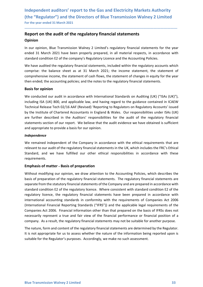### Independent auditors' report to the Gas and Electricity Markets Authority<br>(the "Regulator") and the Directors of Blue Transmission Walney 2 Limited<br>For the year ended 31 March 2021<br>Report on the audit of the regulatory fin Independent auditors' report to the Gas and Electricity Markets Authority<br>(the "Regulator") and the Directors of Blue Transmission Walney 2 Limited<br>For the year ended 31 March 2021<br>Report on the audit of the regulatory fin Independent auditors' report to the Gas and Electricity Markets Authority<br>
(the "Regulator") and the Directors of Blue Transmission Walney 2 Limited<br>
For the year ended 31 March 2021<br> **Report on the audit of the regulatory** Independent auditors' report to the Gas and Electricity Markets Authority<br>
(the "Regulator") and the Directors of Blue Transmission Walney 2 Limited<br>
For the year ended 31 March 2021<br>
Report on the audit of the regulatory Independent auditors' report to the Gas and Electricity Markets Authority<br>
(the "Regulator") and the Directors of Blue Transmission Walney 2 Limited<br>
For the year ended 31 March 2021<br> **Report on the audit of the regulatory** Independent auditors' report to the Gas and Electricity Markets Authority<br>
(the "Regulator") and the Directors of Blue Transmission Walney 2 Limited<br>
For the year ended 31 March 2021<br> **Report on the audit of the regulatory**

### Opinion

\_\_\_\_\_\_\_\_\_\_\_\_\_\_\_\_\_\_\_\_\_\_\_\_\_\_\_\_\_\_\_\_\_\_\_\_\_\_\_\_\_\_\_\_\_\_\_\_\_\_\_\_\_\_\_\_\_\_\_\_\_\_\_\_\_\_\_\_\_\_\_\_\_\_\_\_\_\_\_\_\_\_\_\_\_\_\_\_\_\_

Independent auditors' report to the Gas and Electricity Markets Authority<br>
(the "Regulator") and the Directors of Blue Transmission Walney 2 Limited<br>
For the year ended 31 March 2021<br> **Report on the audit of the regulatory** Independent auditors' report to the Gas and Electricity Markets Authority<br>
(the "Regulator") and the Directors of Blue Transmission Walney 2 Limited<br>
For the year ended 31 March 2021<br> **Report on the audit of the regulatory** Independent auditors' report to the Gas and Electricity Markets Authority<br>
(the "Regulator") and the Directors of Blue Transmission Walney 2 Limited<br>
For the year ended 31 March 2021<br> **Report on the audit of the regulatory** Independent auditors' report to the Gas and Electricity Markets Authority<br>
(the "Regulator") and the Directors of Blue Transmission Walney 2 Limited<br>
For the year ended 31 March 2021<br> **Report on the audit of the regulatory** Independent auditors' report to the Gas and Electricity Markets Authority<br>
(the "Regulator") and the Directors of Blue Transmission Walney 2 Limited<br>
For the year ended 31 March 2021<br> **Report on the audit of the regulatory** 

Independent auditors' report to the Gas and Electricity Markets<br>
(the "Regulator") and the Directors of Blue Transmission Walney<br>
For the year ended 31 March 2021<br> **Report on the audit of the regulatory financial statement** If the "Regulator") and the Directors of Blue Transmission Walney 2 Limited<br>
for the year ended 31 March 2021<br> **Report on the audit of the regulatory financial statements**<br> **Dominon**<br>
In our opinion, Blue Transmission Waln (the "Regulator") and the Directors of Blue Transmission Walney 2 Limited<br>For the year ended 31 March 2021<br>**Report on the audit of the regulatory financial statements**<br>**Opinion**<br>In our opinion, Blue Transmission Walney 2 L For the year ended 31 March 2021<br> **Report on the audit of the regulatory financial statements**<br> **Opinion**<br>
In our opinion, Blue Transmission Walney 2 Limited's regulatory financial statements for the year<br>
ended 31 March 2 **Report on the audit of the regulatory financial statements**<br> **Opinion**<br>
In our opinion, Blue Transmission Walney 2 Limited's regulatory financial statements for the year<br>
eneded 31 March 2021 have been properly prepared, **Report on the audit of the regulatory financial statements**<br> **Opinion**<br>
In our opinion, Blue Transmission Walney 2 Limited's regulatory financial statements for the year<br>
In our opinion, Blue Transmission Walney 2 Limited **Opinion**<br>
In our opinion, Blue Transmission Walney 2 Limited's regulatory financial statements for the year<br>
ended 31 March 2021 have been properly prepared, in all material respects, in accordance with<br>
standard conditio In our opinion, Blue Transmission Walney 2 Limited's regulatory financial statements for the year<br>ended 31 March 2021 have been properly prepared, in all material respects, in accordance with<br>standard condition E2 of the c standard condition E2 of the company's Regulatory Licence and the Accounting Policies.<br>We have audited the regulatory financial statements, included within the regulatory accounts which<br>comprise: the balance sheet as at 31 We have audited the regulatory financial statements, included within the regulatory accounts which<br>comprise: the balance sheet as at 31 March 2021; the income statement, the statement of<br>comprehensive income, the statement comprise: the balance sheet as at 31 March 2021; the income statement, the statement of comprehensive income, the statement of cash flows, the statement of changes in equity for the year<br>then ended; the accounting policies then ended; the accounting policies; and the notes to the regulatory financial statements.<br>**Basis for opinion**<br>We conducted our audit in accordance with International Standards on Auditing (UK) ("ISAs (UK)"),<br>including ISA **Basis for opinion**<br>We conducted our audit in accordance with International Standards on Auditing (UK) ("ISAs (UK)"),<br>including ISA (UK) 800, and applicable law, and having regard to the guidance contained in ICAEW<br>Technic We conducted our audit in accordance with International Standards on Auditing (UK) ("ISAs (UK)"),<br>including ISA (UK) 800, and applicable law, and having regard to the guidance contained in ICAEW<br>Technical Release Tech 02/1

### Independence

requirements.

international accounting standards in conformity with the requirements of Companies Act 2006<br>(International Financial Reporting Standards ("IFRS")) and the applicable legal requirements of the<br>Companies Act 2006. Financial including ISA (UK) 800, and applicable law, and having regard to the guidance contained in ICAEW<br>Technical Release Tech 02/16 AAF (Revised) 'Reporting to Regulators on Regulatory Accounts' issued<br>by the Institute of Charte Technical Release Tech 02/16 AAF (Revised) 'Reporting to Regulators on Regulatory Accounts' issued<br>by the Institute of Chartered Accountants in England & Wales. Our responsibilities under ISAs (UK)<br>are further described in by the Institute of Chartered Accountants in England & Wales. Our responsibilities under ISAs (UK)<br>are further described in the Auditors' responsibilities for the audit of the regulatory financial<br>statements section of our are further described in the Auditors' responsibilities for the audit of the regulatory financial statements section of our report. We believe that the audit evidence we have obtained is sufficient and appropriate to provi statements section of our report. We believe that the audit evidence we have obtained is sufficient<br>and appropriate to provide a basis for our opinion.<br>We remained independent of the Company in accordance with the ethical and appropriate to provide a basis for our opinion.<br>
Independence<br>
We remained independent of the company in accordance with the ethical requirements that are<br>
relevant to our audit of the regulatory financial statements i **Independence**<br>We remained independent of the Company in accordance with the ethical requirements that are<br>relevant to our audit of the regulatory financial statements in the UK, which includes the FRC's Ethical<br>Standard, **We remained independent of the Company in accordance with the thical requirements that are Welveranito our audit of the regulatory financial statements in the UK, which includes the FRC's Ethical Standard, and we have ful** We remainted innegendent or the Company in a accoroance with the etincal requirements that are<br>trelevant to our audit of the regulatory financial statements in the UK, which includes the FRC's Ethical<br>Standard, and we have relevant to our autor the regulatory innancial statements in the UK, which includes the FRC s Etnical Standard, and we have fulfilled our other ethical responsibilities in accordance with these requirements.<br> **Emphasis of** standard, and we have fulfilled our other ethical responsibilities in accordance with these<br>requirements.<br>**Emphasis of matter - Basis of preparation**<br>Without modifying our opinion, we draw attention to the Accounting Polic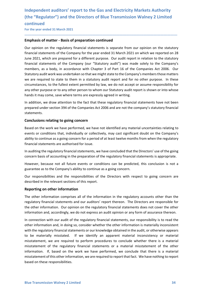### Independent auditors' report to the Gas and Electricity Markets Authority<br>(the "Regulator") and the Directors of Blue Transmission Walney 2 Limited<br>continued<br>For the year ended 31 March 2021 Independent auditors' report to the Gas and Electricity Markets Authority<br>(the "Regulator") and the Directors of Blue Transmission Walney 2 Limited<br>continued<br>For the year ended 31 March 2021<br>Emphasis of matter - Basis of p continued Independent auditors' report to the Gas and Electricity Markets Authority<br>
(the "Regulator") and the Directors of Blue Transmission Walney 2 Limited<br>
continued<br>
For the year ended 31 March 2021<br> **Emphasis of matter - Basis**

\_\_\_\_\_\_\_\_\_\_\_\_\_\_\_\_\_\_\_\_\_\_\_\_\_\_\_\_\_\_\_\_\_\_\_\_\_\_\_\_\_\_\_\_\_\_\_\_\_\_\_\_\_\_\_\_\_\_\_\_\_\_\_\_\_\_\_\_\_\_\_\_\_\_\_\_\_\_\_\_\_\_\_\_\_\_\_\_\_\_

Independent auditors' report to the Gas and Electricity Markets Authority<br>
(the "Regulator") and the Directors of Blue Transmission Walney 2 Limited<br>
continued<br>
For the year ended 31 March 2021<br> **Emphasis of matter - Basis** Independent auditors' report to the Gas and Electricity Markets Authority<br>
(the "Regulator") and the Directors of Blue Transmission Walney 2 Limited<br>
continued<br>
For the year ended 31 March 2021<br> **Emphasis of matter - Basis** Independent auditors' report to the Gas and Electricity Markets Authority<br>(the "Regulator") and the Directors of Blue Transmission Walney 2 Limited<br>continued<br>Company for the year ended 31 March 2021<br>Himphasis of matter - B Independent auditors' report to the Gas and Electricity Markets Authority<br>
(the "Regulator") and the Directors of Blue Transmission Walney 2 Limited<br>
For the year ended 31 March 2021<br> **Emphasis of matter - Basis of prepara** Independent auditors' report to the Gas and Electricity Markets Authority<br>(the "Regulator") and the Directors of Blue Transmission Walney 2 Limited<br>continued<br>For the year ended 31 March 2021<br>**Emphasis of matter - Basis of** Independent auditors' report to the Gas and Electricity Markets Authority<br>
(the "Regulator") and the Directors of Blue Transmission Walney 2 Limited<br>
Continued<br>
For the year ended 31 March 2021<br> **Emphasis of matter - Basis** Independent auditors' report to the Gas and Electricity Markets Authority<br>(the "Regulator") and the Directors of Blue Transmission Walney 2 Limited<br>continued<br>For the year ended 31 March 2021<br>**Emphasis of matter - Basis of** Independent auditors' report to the Gas and Electricity Markets Authority<br>
(the "Regulator") and the Directors of Blue Transmission Walney 2 Limited<br>
For the year ended 31 March 2021<br> **Emphasis of matter - Basis of prepara** Independent auditors' report to the Gas and Electricity Markets Authority<br>
(the "Regulator") and the Directors of Blue Transmission Walney 2 Limited<br>
continued<br>
Eorthe year ended 31 March 2021<br> **Emphasis of matter - Basis** Independent auditors' report to the Gas and Electricity Markets Authority<br>(the "Regulator") and the Directors of Blue Transmission Walney 2 Limited<br>continued<br>For the year ended 31 March 2021<br>**Emphasis of matter - Basis of** Independent auditors' report to the Gas and Electricity Markets Authority<br>
(the "Regulator") and the Directors of Blue Transmission Walney 2 Limited<br>
continued<br>
For the year ended 31 March 2021<br> **Emphasis of matter - Basis** (the Regulator ) and the Directors of blue Transmission walney 2 Limited continued<br>
For the year ended 31 March 2021<br> **Emphasis of matter - Basis of preparation continued**<br>
Our opinion on the regulatory financial statement continued<br>
Emphasis of matter - Basis of preparation continued<br>
Cur opinion on the regulatory financial statements is separate from our opinion on the statutory<br>
financial statements of the Company for the year ended 31 Ma **Emphasis of matter - Basis of preparation continued**<br>Our opinion on the regulatory financial statements is separate from our opinion on the statutory<br>financial statements of the Company for the year ended 31 March 2021 on Our opinion on the regulatory financial statements is separate from our opinion on the statutory<br>financial statements of the Company for the year ended 31 March 2021 on which we reported on 28<br>June 2021, which are prepared Our opinion on the regulatory infancial statements is separate from our opinion on the statutory<br>financial statements of the Company for the year ended 31 March 2021 on which we reported on 28<br>June 2021, which are prepared minarial statements or the Company for the Year endeed is 1 watch 2021 on which we reported on ZS<br>Unne 2021, which are prepared for a different purpose. Our audit report in relation to the statutory<br>financial statements of unner 2012, worm are prepared or a dimerent purpose. Unraulat purpose and be prelated to the statutory<br>tifinancial statements of the Company (our "Statutory audit") was made solely to the Company's<br>members, as a body, in a members, as a body, in accordance with Chapter 3 of Part 16 of the Companies Act 2006. Our<br>Statutory audit work was undertaken so that we might state to the Company's members those matters<br>we are required to state to them Statutory audit work was undertaken so that we might state to the Company's members those matters<br>we are required to state to them in a statutory audit report and for no other purpose. In these<br>circumstances, to the fulles

statements.

we are required to state to them in a statutory audit report and for no other purpose. In these circumstances, to the fullest extent permitted by law, we do not accept or assume responsibility for circumstances, to the ful circumstances, to the fullest extent permitted by law, we do not accept or assume responsibility for<br>any other purpose or to any other person to whom our Statutory audit report is shown or into whose<br>hands it may come, sav any once to use of the responsibilities and the responsibilities and the Directors and the responsible formulation, we draw attention to the fact that these regulatory financial statements have not been prepared under sect mandit in the relevant sections of the fact that these regulatory financial statements have not been<br>In addition, we draw attention to the fact that these regulatory financial statements have not been<br>prepared under sectio

In centraling and the relation and our auditors' respective the requirements and the company's statutory finite<br>prepared under section 394 of the Companies Act 2006 and are not the company's statutory finite<br>statements.<br>**C** statements.<br> **Conclusions relating to going concern**<br>
Based on the work we have performed, we have not identified any material uncertainties relating to<br>
Based on the voorkitions that, individually or collectively, may cas **Conclusions relating to going concern**<br>Based on the work we have performed, we have not identified any material uncertainties relating to<br>events or conditions that, individually or collectively, may cast significant doubt Example of the work we have not identified any material uncertainties relating to Bosed on the work we have performed, we have not identified any material uncertainties relating to events or conditions that, individually o

me one information compiuses an or an emormation in the regulatory actomics oner lain<br>regulatory financial statements and our auditors' report thereon. The Directors are responsible for<br>the other information. Our opinion o Based on the work we have performed, we have not identified any material uncertainties relating to<br>events or conditions that, individually or collectively, may cast significant doubt on the Company's<br>ability to continue as Formation connection with our and the regulatory financial statements from when the regulatory<br>ability to continue as a going concern for a period of a least twelve months from when the regulatory<br>financial statements are binancial statements are authorised for issue.<br>
In auditing the regulatory financial statements, we have concluded that the Directors' use of the going<br>
concern basis of accounting in the preparation of the regulatory fina member succession of the regulatory financial statements, we have concluded that the Directors' use of the going<br>concern basis of accounting in the preparation of the regulatory financial statements is appropriate.<br>However In auditing the regulatory financial statements, we have concluded that the Directors' use of the going<br>concern basis of accounting in the preparation of the regulatory financial statements is appropriate.<br>However, because concern basis of accounting in the preparation of the regulatory financial statements is appropriate.<br>However, because not all future events or conditions can be predicted, this conclusion is not a<br>guarantee as to the Comp However, because not all future events or conditions can be predicted, this conclusion is not a<br>guarantee as to the Company's ability to continue as a going concern.<br>Our responsibilities and the responsibilities of the Dir guarantee as to the Company's ability to continue as a going concern.<br>Our responsibilities and the responsibilities of the Directors with respect to going concern are<br>described in the relevant sections of this report.<br>**Rep** The other information of this other information, we are required to report that fact. We have nothing the model of the information of this report.<br>Reporting on other information of this report.<br>The other information compri Our responsibilities and the responsibilities of the Directors with respect to going and described in the relevant sections of this report.<br> **Reporting on other information**<br>
The other information comprises all of the info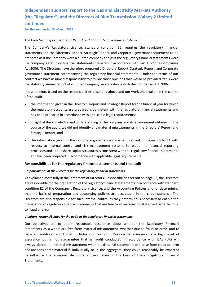### Independent auditors' report to the Gas and Electricity Markets Authority<br>(the "Regulator") and the Directors of Blue Transmission Walney 2 Limited<br>continued<br>For the year ended 31 March 2021 Independent auditors' report to the Gas and Electricity Markets Authority<br>(the "Regulator") and the Directors of Blue Transmission Walney 2 Limited<br>continued<br>For the year ended 31 March 2021<br>The Directors' Report, Strategi continued Independent auditors' report to the Gas and Electricity Markets Authority<br>
(the "Regulator") and the Directors of Blue Transmission Walney 2 Limited<br>
continued<br>
For the year ended 31 March 2021<br>
The Directors' Report, Stra

Independent auditors' report to the Gas and Electricity Markets Authority<br>
(the "Regulator") and the Directors of Blue Transmission Walney 2 Limited<br>
For the year ended 31 March 2021<br>
The Directors' Report, Strategic Repor Independent auditors' report to the Gas and Electricity Markets Authority<br>(the "Regulator") and the Directors of Blue Transmission Walney 2 Limited<br>continued<br>For the year ended 31 March 2021<br>The Directors' Report, Strategi Independent auditors' report to the Gas and Electricity Markets Authority<br>(the "Regulator") and the Directors of Blue Transmission Walney 2 Limited<br>continued<br>The Directors' Report, Strategic Report and Corporate governance Independent auditors' report to the Gas and Electricity Markets Authority<br>
(the "Regulator") and the Directors of Blue Transmission Walney 2 Limited<br>
For the year ended 31 March 2021<br>
The Directors' Report, Strategic Repor Independent auditors' report to the Gas and Electricity Markets Authority<br>(the "Regulator") and the Directors of Blue Transmission Walney 2 Limited<br>continued<br>For the year ended 31 March 2021<br>The Directors' Report, Strategi Independent auditors' report to the Gas and Electricity Markets Authority<br>
(the "Regulator") and the Directors of Blue Transmission Walney 2 Limited<br>
continued<br>
For the year ended 31 March 2021<br>
The Directors' Report, Stra Independent auditors' report to the Gas and Electricity Markets Authority<br>(the "Regulator") and the Directors of Blue Transmission Walney 2 Limited<br>continued<br>For the year ended 31 March 2021<br>The Directors' Report, Strategi Independent auditors' report to the Gas and Electricity Markets Authority<br>
(the "Regulator") and the Directors of Blue Transmission Walney 2 Limited<br>
For the year ended 31 March 2021<br>
The Directors' Report, Strategic Repor Independent auditors' report to the Gas and Electricity Markets Authority<br>
(the "Regulator") and the Directors of Blue Transmission Walney 2 Limited<br>
continued<br>
The Directors' Report, Strategic Report and Corporate governa Independent auditors' report to the Gas and Electricity Markets Authority<br>
(the "Regulator") and the Directors of Blue Transmission Walney 2 Limited<br>
continued<br>
for the year ended 31 March 2021<br>
The Directors' Report, Stra Interpendent databased report to the Cass and Eccentery Market (the "Regulator") and the Directors of Blue Transmission Wall<br>
continued<br>
For the year ended 31 March 2021<br>
The Directors' Report, Strategic Report and Corpora Thinued<br>
Directors' Report, Strategic Report and Corporate governance statement<br>
Company's Regulatory Licence, standard condition E2, requires the regulatory financial<br>
company's Regulatory Licence, standard condition E2, Thrue to the state of the regulatory financial Component and Corporate governance statement<br>
Company's Regulatory Lieence, standard condition E2, requires the regulatory financial<br>
Company's Regulatory Lieence, standard co Directors' Report, Strategic Report and Corporate governance statement<br>
Company's Regulatory Licence, standard condition E2, requires the regulatory financial<br>
company's Regulatory Licence, standard condition E2, requires Directors' Report, Strategic Report and Corporate governance statement<br>
Company's Regulatory Licence, standard condition E2, requires the regulatory financial<br>
emenents and the Directors' Report, Strategic Report, and Gorp Company's Regulatory Licence, standard condition E2, requires the regulatory financial<br>ements and the Directors' Report, Strategic Report, and Corporate governance statement to be<br>orared as if the Company were a quoted com Company's Regulatory Licence, standard condition Ez, requires the regulatory firements and the Directors' Report, Strategic Report, and Corporate governance statement company's statutory financial statements or Report, Str ared as if the Company were a quoted company and as if the regulatory financial statements were<br>company's statutory financial statements prepared in accordance with Part 15 of the Companies<br>2006. The Directors have therefo company's statutory financial statements prepared in accordance with Part 15 of the Companies<br>2006. The Directors have therefore prepared a Directors' Report, Strategic Report, and Corporate<br>remanne e statement accompanyin 2006. The Directors have therefore prepared a Directors' Report, Strategic Report, and Corporate pranance statement accompanying the regulatory financial statements. Under the terms of our pranance statement accompanying t

\_\_\_\_\_\_\_\_\_\_\_\_\_\_\_\_\_\_\_\_\_\_\_\_\_\_\_\_\_\_\_\_\_\_\_\_\_\_\_\_\_\_\_\_\_\_\_\_\_\_\_\_\_\_\_\_\_\_\_\_\_\_\_\_\_\_\_\_\_\_\_\_\_\_\_\_\_\_\_\_\_\_\_\_\_\_\_\_\_\_

- 
- 
- ernance statement accompanying the regulatory financial statements. Under the terms of our arract we have assumed responsibility to provide those opinions that would be provided if this were assumed responsibility to provi

### Responsibilities for the regulatory financial statements and the audit

### Responsibilities of the Directors for the regulatory financial statements

As explained more fully in the Statement of Directors' Responsibilities set out on page 32, the Directors are responsible for the preparation of the regulatory financial statements in accordance with standard condition E2 of the Company's Regulatory Licence, and the Accounting Policies and for determining that the basis of preparation and accounting policies are acceptable in the circumstances. The Directors are also responsible for such internal control as they determine is necessary to enable the preparation of regulatory financial statements that are free from material misstatement, whether due to fraud or error.

### Auditors' responsibilities for the audit of the regulatory financial statements

Directors are also responsible for such internal control as they determine is necessary to enable the preparation of regulatory financial statements that are free from material misstatement, whether due to fraud or error.<br> Our objectives are to obtain reasonable assurance about whether the Regulatory Financial Statements as a whole are free from material misstatement, whether due to fraud or error, and to issue an auditors' report that includes our opinion. Reasonable assurance is a high level of assurance, but is not a guarantee that an audit conducted in accordance with ISAs (UK) will always detect a material misstatement when it exists. Misstatements can arise from fraud or error and are considered material if, individually or in the aggregate, they could reasonably be expected to influence the economic decisions of users taken on the basis of these Regulatory Financial Statements.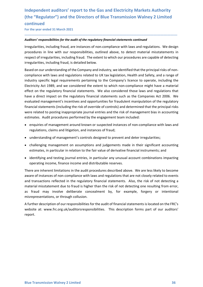### Independent auditors' report to the Gas and Electricity Markets Authority<br>(the "Regulator") and the Directors of Blue Transmission Walney 2 Limited<br>continued<br>For the year ended 31 March 2021 Independent auditors' report to the Gas and Electricity Markets Authority<br>(the "Regulator") and the Directors of Blue Transmission Walney 2 Limited<br>continued<br>For the year ended 31 March 2021<br>Auditors' responsibilities for continued Independent auditors' report to the Gas and Electricity Markets Authority<br>
(the "Regulator") and the Directors of Blue Transmission Walney 2 Limited<br>
continued<br>
For the year ended 31 March 2021<br>
Auditors' responsibilities

Independent auditors' report to the Gas and Electricity Markets Authority<br>
(the "Regulator") and the Directors of Blue Transmission Walney 2 Limited<br>
For the year ended 31 March 2021<br>
Auditors' responsibilities for the aud Independent auditors' report to the Gas and Electricity Markets Authority<br>
(the "Regulator") and the Directors of Blue Transmission Walney 2 Limited<br>
continued<br>
Auditors' responsibilities for the audit of the regulatory fi Independent auditors' report to the Gas and Electricity Markets Authority<br>(the "Regulator") and the Directors of Blue Transmission Walney 2 Limited<br>continued<br>Are the year ended 31 March 2021<br>Auditors' responsibilities for Independent auditors' report to the Gas and Electricity Markets Authority<br>
(the "Regulator") and the Directors of Blue Transmission Walney 2 Limited<br>
For the year ended 31 March 2021<br>
Auditors' responsibilities for the aud

\_\_\_\_\_\_\_\_\_\_\_\_\_\_\_\_\_\_\_\_\_\_\_\_\_\_\_\_\_\_\_\_\_\_\_\_\_\_\_\_\_\_\_\_\_\_\_\_\_\_\_\_\_\_\_\_\_\_\_\_\_\_\_\_\_\_\_\_\_\_\_\_\_\_\_\_\_\_\_\_\_\_\_\_\_\_\_\_\_\_

Independent auditors' report to the Gas and Electricity Markets Authority<br>
(the "Regulator") and the Directors of Blue Transmission Walney 2 Limited<br>
continued<br>
For the year ended 31 March 2021<br>
Auditors' responsibilities Independent auditors' report to the Gas and Electricity Markets Authority<br>
(the "Regulator") and the Directors of Blue Transmission Walney 2 Limited<br>
continued<br>
For the year ended 31 March 2021<br>
Auditors' responsibilities Independent auditors' report to the Gas and Electricity Markets Authority<br>
(the "Regulator") and the Directors of Blue Transmission Walney 2 Limited<br>
Continued<br>
For the year ended 31 March 2021<br>
Auditors' responsibilities Independent auditors' report to the Gas and Electricity Markets Authority<br>
(the "Regulator") and the Directors of Blue Transmission Walney 2 Limited<br>
continued<br>
For the year ended 31 March 2021<br>
Auditors' responsibilities Independent auditors' report to the Gas and Electricity Markets Authority<br>
(the "Regulator") and the Directors of Blue Transmission Walney 2 Limited<br>
Continued<br>
For the year ended 31 March 2021<br>
Auditors' responsibilities Independent auditors' report to the Gas and Electricity Markets Authority<br>
(the "Regulator") and the Directors of Blue Transmission Walney 2 Limited<br>
continued<br>
For the vear ended 31 March 2021<br>
Auditors' responsibilities If the "Regulator") and the Directors of Blue Transmission Walney 2 Limited<br>
(the "Regulator") and the Directors of Blue Transmission Walney 2 Limited<br>
For the year ended 31 March 2021<br> **Auditors' responsibilities for the** (the "Regulator") and the Directors of Blue Transmission Walney 2 Limited<br>continued<br>For the vear ended 31 March 2021<br>Auditors' responsibilities for the audit of the regulatory financial statements continued<br>Irregularities, continued<br>
For the year ended 31 March 2021<br>
Auditors' responsibilities for the audit of the regulatory financial statements continued<br>
Irregularities, including fraud, are instances of non-compliance with laws and regulat For the year ended 31 March 2021<br>**Auditors' responsibilities for the audit of the regulatory financial statements continued**<br>Irregularities, including fraud, are instances of non-compliance with laws and regulations. We de Auditors' responsibilities for the audit of the regulatory financial statements continued<br>Irregularities, including fraud, are instances of non-compliance with laws and regulations. We design<br>procedures in line with our re entions' responsibilities for the audit of the regulatory financial statements continued<br>gualarities, including fraud, are instances of non-compliance with laws and regulations. We design<br>excelures in line with our respons regularities, including fraud, are instances of non-compliance with laws and regulations. We design<br>cecutures in line with our responsibilities, outlined above, to detect material misstatements in<br>epect of irregularities, receures in ine warn our responsionities, bounded above, to detect material misstatements in epect of irregularities, including fraud, is detailed below.<br>Here the friedly infided to the company and industry, we identified igularities, including fraud, is detailed below.<br>
Signistic effect on our understanding of the Company and industry, we identified that the principal risks of non-<br>
philance with laws and regulations related to UK tax legi ed on our understanding of the Company and industry, we identified that the principal risks of non-<br>ppliance with laws and regulations related to UK tax legislation, Health and Safety, and a range of<br>ustry specific legal r mpliance with laws and regulations related to UK tax legislation, Health and Safety, and a range of<br>ustry specific legal requirements pertaining to the Company's licence to operate, including the<br>ustrictly Act 1989, and we ustry specific legal requirements pertaining to the Company's licence to operate, including the<br>criticly Act 1989, and we considered the extent to which non-compliance might have a material<br>ect on the regulatory financial Electricity Act 1989, and we considered the extent to which non-compliance might have a material<br>effect on the regulatory financial statements such as the Companies Act 2006. We<br>evaluated management's incentives and opport

- 
- 
- 
- 

effect on the regulatory financial statements. We also considered those laws and regulations that<br>have a direct impact on the regulatory financial statements such as the Companies Azt 2006. We<br>evaluated management's incent have a direct impact on the regulatory financial statements such as the Companies Act 2006. We<br>evaluated management's incentives and opportunities for fraudulent manipulation of the regulatory<br>financial statements incentiv evaluated management's incentives and opportunities for fraudulent manipulation of the regulatory<br>financial statements (including the risk of override of controls) and determined that the principal risks<br>were related to po financial statements (including the risk of override of controls) and determined that the principal risks<br>were related to posting inappropriate journal entrines and the risk of management bias in accounting<br>estimates. Audi were related to posting inappropriate journal entries and the risk of management bias in accounting<br>estimates. Audit procedures performed by the engagement team included:<br>
• enquires of management around known or suspected **Examples of management around known or suspected instances of non-compliance with laws and<br>
regulations, claims and litigation, and instances of fraud;<br>
<b>•** understanding of management's controls designed to prevent and d e enquiries of management around known or suspected instances of non-compliance with laws and<br>regulations, claims and litigation, and instances of fraud;<br>understring is of management is controls designed to prevent and det

misrepresentations, or unlongin comission.<br>A further description of our responsibilities for the audit of financial statements is located on the FRC's<br>website at: www.frc.org.uk/auditorsresponsibilities. This description f report.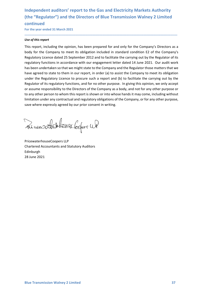### Independent auditors' report to the Gas and Electricity Markets Authority<br>(the "Regulator") and the Directors of Blue Transmission Walney 2 Limited<br>continued<br>For the year ended 31 March 2021 Independent auditors' report to the Gas and Electricity Markets Authority<br>(the "Regulator") and the Directors of Blue Transmission Walney 2 Limited<br>continued<br>For the year ended 31 March 2021<br>Use of this report continued Independent auditors' report to the Gas and Electricity Markets Authority<br>(the "Regulator") and the Directors of Blue Transmission Walney 2 Limited<br>continued<br>For the year ended 31 March 2021<br>Use of this report<br>This report,

\_\_\_\_\_\_\_\_\_\_\_\_\_\_\_\_\_\_\_\_\_\_\_\_\_\_\_\_\_\_\_\_\_\_\_\_\_\_\_\_\_\_\_\_\_\_\_\_\_\_\_\_\_\_\_\_\_\_\_\_\_\_\_\_\_\_\_\_\_\_\_\_\_\_\_\_\_\_\_\_\_\_\_\_\_\_\_\_\_\_

Independent auditors' report to the Gas and Electricity Markets<br>
(the "Regulator") and the Directors of Blue Transmission Walney<br>
continued<br>
For the year ended 31 March 2021<br>
Use of this report<br>
This report, including the Independent auditors' report to the Gas and Electricity Markets Authority<br>
(the "Regulator") and the Directors of Blue Transmission Walney 2 Limited<br>
continued<br>
For the year ended 31 March 2021<br>
Is eq f this report,<br>
This Independent auditors' report to the Gas and Electricity Markets Authority<br>
(the "Regulator") and the Directors of Blue Transmission Walney 2 Limited<br>
Continued<br>
Continued<br>
Use of this report<br>
This report, including the opi Independent auditors' report to the Gas and Electricity Markets Authority<br>
(the "Regulator") and the Directors of Blue Transmission Walney 2 Limited<br>
For the year ended 31 March 2021<br>
Use of this report<br>
This report, inclu Independent auditors' report to the Gas and Electricity Markets Authority<br>
(the "Regulator") and the Directors of Blue Transmission Walney 2 Limited<br>
continued<br>
For the year ended 31 March 2021<br>
Jse of this report<br>
This re Independent auditors' report to the Gas and Electricity Markets Authority<br>
(the "Regulator") and the Directors of Blue Transmission Walney 2 Limited<br>
continued<br>
For the year ended 31 March 2021<br>
Use of this report,<br>
This r Independent auditors' report to the Gas and Electricity Markets Authority<br>
(the "Regulator") and the Directors of Blue Transmission Walney 2 Limited<br>
For the vear ended 31 March 2021<br>
Use of this report<br>
This report, inclu Independent auditors' report to the Gas and Electricity Markets Authority<br>
(the "Regulator") and the Directors of Blue Transmission Walney 2 Limited<br>
Continued<br>
Continued<br>
Continued<br>
This report<br>
This report<br>
This report<br> Independent auditors' report to the Gas and Electricity Markets Authority<br>
(the "Regulator") and the Directors of Blue Transmission Walney 2 Limited<br>
Continued<br>
For the vear ended 31 March 2021<br>
156 of this report<br>
This re Independent auditors' report to the Gas and Electricity Markets Authority<br>
(the "Regulator") and the Directors of Blue Transmission Walney 2 Limited<br>
For the year ended 31 March 2021<br>
Use of this report<br>
This report<br>
This Independent auditors' report to the Gas and Electricity Markets Authority<br>
(the "Regulator") and the Directors of Blue Transmission Walney 2 Limited<br>
for the year ended 31 March 2021<br>
Use of this report<br>
This report, inclu (the "Regulator") and the Directors of Blue Transmission Walney 2 Limited<br>
for the year ended 31 March 2021<br>
Use of this report<br>
This report, including the opinion, has been prepared for and only for the Company's Directo For the year ended 31 March 2021<br>
Use of this report<br>
Use of this report<br>
This report, including the opinion, has been prepared for and only for the Company's Directors as a<br>
body for the Company to meet its obligation inc Regulatory Licence dated 25 September 2012 and to facilitate the carrying out by the Regulator of regulatory functions in accordance with our engagement letter dated 14 June 2021. Our audit woo has been undertaken so that regulatory functions in accordance with our engagement letter dated 14 June 2021. Our audit work<br>has been undertaken so that we might state to the Company and the Regulator those matters that we<br>have agreed to state to the have agreed to state to them in our report, in order (a) to assist the Company to<br>under the Regulatory Licence to procure such a report and (b) to facilitate the<br>Regulator of its regulatory functions, and for no other purp

Edinburgh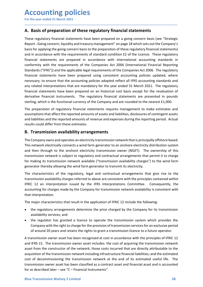# Accounting policies<br>
For the year ended 31 March 2021<br>
A. Basis of preparation of these regulatory financial statements<br>
These regulatory financial statements have been prepared on a going concern basis (see "Strategi

**Accounting policies**<br>
For the year ended 31 March 2021<br> **A. Basis of preparation of these regulatory financial statements**<br>
These regulatory financial statements have been prepared on a going concern basis (see "Strategic **ACCOUNTING POLICIES**<br>For the year ended 31 March 2021<br>**A. Basis of preparation of these regulatory financial statements**<br>These regulatory financial statements have been prepared on a going concern basis (see "Strategic<br>Re Accounting policies<br>
For the year ended 31 March 2021<br>
A. Basis of preparation of these regulatory financial statements<br>
These regulatory financial statements have been prepared on a going concern basis (see "Strategic<br>
Re Accounting policies<br>
For the year ended 31 March 2021<br>
A. Basis of preparation of these regulatory financial statements<br>
These regulatory financial statements have been prepared on a going concern basis (see "Strategic<br>
Re **Accounting policies**<br>
For the year ended 31 March 2021<br> **A. Basis of preparation of these regulatory financial statements**<br>
These regulatory financial statements have been prepared on a going concern basis (see "Strategic **Accounting policies**<br>For the year ended 31 March 2021<br>**A. Basis of preparation of these regulatory financial statements**<br>These regulatory financial statements have been prepared on a going concern basis (see "Strategic<br>Re **Accounting policies**<br>For the year ended 31 March 2021<br>**A. Basis of preparation of these regulatory financial statements**<br>These regulatory financial statements have been prepared on a going concern basis (see "Strategic<br>Re For the year ended 31 March 2021<br>For the year ended 31 March 2021<br>**A.** Basis of preparation of these regulatory financial statements<br>These regulatory financial statements have been prepared on a going concern basis (see "S **Accounting policies**<br>
For the year ended 31 March 2021<br> **A. Basis of preparation of these regulatory financial statements**<br>
These regulatory financial statements have been prepared on a going concern basis (see "Strategic For the year ended 31 March 2021<br>For the year ended 31 March 2021<br>A. Basis of preparation of these regulatory financial statements<br>These regulatory financial statements have been prepared on a going concern basis (see "Str For the year ended 31 March 2021<br>For the year ended 31 March 2021<br>These regulatory financial statements have been prepared on a going concern basis (see "Strategic<br>Report - Going concern, liquidity and treasury management" **Accounting policies**<br>For the year ended 31 March 2021<br>**A. Basis of preparation of these regulatory financial statements**<br>These regulatory financial statements have been prepared on a going concern basis (see "Strategic<br>Re **ACCOUNTIME POLICIES**<br>For the year ended 31 March 2021<br>**A. Basis of preparation of these regulatory financial statements**<br>These regulatory financial statements have been prepared on a going concern basis (see "Strategic<br>Re For the year ended 31 March 2021<br>
For the year ended 31 March 2021<br> **A.** Basis of preparation of these regulatory financial statements<br>
These regulatory financial statements have been prepared on a going concern basis (se For the year ended 31 March 2021<br> **A. Basis of preparation of these regulatory financial statements**<br>
These regulatory financial statements have been prepared on a going concern basis (see "Strategic<br>
Report - Going concer **A. Basis of preparation of these regulatory financial statements**<br>These regulatory financial statements have been prepared on a going concern basis (see "Strategic<br>Report - Going concern, liquidity and treasury management **A. Basis of preparation of these regulatory financial statements**<br>These regulatory financial statements have been prepared on a going concern basis (see "Strategic<br>Report-Going concern, liquidity and treasury management" These regulatory financial statements have been prepared on a going concern basis (see "Strategic<br>Report - Going concern, liquidity and treasury management" on page 18 which sets out the Company's<br>basis for applying the go Ineer regulatory minacla istatements have been prepared on a going concern oasts (see Strategic<br>Report - Going concern, liquidity and treasury management" on page 18 which sets out the Company's<br>basis for applying the goin basis for applying the going concern basis to the preparation of these regulatory financial statements)<br>and in accordance with the requirements of standard condition E2 of the Licence. These regulatory<br>financial statements and in accordance with the requirements to standard contouton Ez of the Lucelrice. These regulatory<br>financial statements are prepared in accordance with international accounting standards in<br>conformity with the requirement mancial statements are repared in accorations are repared win intermational accounting standaris in<br>Standards ("IFRS")) and the applicable legal requirements of the Companies Act 2006. The regulatory<br>Standards ("IFRS")) an conformity wint ne requiremens or the Companies Act 2000 (international Financial steperting<br>Standards ("IFRS")) and the applicable legal requirements of the Companies Act 2006. The regulatory<br>financial statements have bee Starlarios (THSY) and the applicable legal requirements of the Comparine SAC 2000. The regulatory<br>
financial statements have been prepared using consistent accounting policies updated, where<br>
necessary, to ensure that the

\_\_\_\_\_\_\_\_\_\_\_\_\_\_\_\_\_\_\_\_\_\_\_\_\_\_\_\_\_\_\_\_\_\_\_\_\_\_\_\_\_\_\_\_\_\_\_\_\_\_\_\_\_\_\_\_\_\_\_\_\_\_\_\_\_\_\_\_\_\_\_\_\_\_\_\_\_\_\_\_\_\_\_\_\_\_\_\_\_\_

mindia statements have over prepared using consistent accounting poinces uposed in the accounting standards and<br>any related interpretations that are manadatory for the year ended 31 March 2021. The regulatory<br>financial sta metessary, to letter the electroning politics adopted feller the less coconting standards and there are match in the system financial statements have been prepared on an historical cost basis except for the revaluation of financial statements have been prepared on an historical cost basis except for the revaluation of<br>derivative financial instruments. The regulatory financial statements are presented in pounds<br>terling, which is the function derivative financial instruments. The regulatory financial statements are presented in pounds<br>sterling, which is the functional currency of the Company and are rounded to the nearest £1,000.<br>The preparation of regulatory f sterling, which is the functional currency of the Company and are rounded to the nearest £1,000.<br>The preparation of regulatory financial statements requires management to make estimates and<br>and liabilities and the reported The preparation of regulatory financial statements requires management to make estimates and<br>assumptions that affect the reported amounts of assets and liabilities, disclosures of contingent assets<br>rand liabilities and the The preparation or regulatory imancial statements requires management to<br>assumptions that affect the reported amounts of assets and liabilities, disclosure<br>and liabilities and the reported monunts of revenue and expenses d and liabilities and the reported amounts of revenue and expenses during the reporting period. Actual<br> **B. Transmission availability arrangements**<br> **The Company** owns and operates an electricity transmission network that is Its could other from these estimates.<br> **Company owens and operates an electricity transmission network that is principally offshore based.**<br>
Company owens and operates an electricity transmission network that is principall **Transmission availability arrangements**<br>Company owns and operates an electricity transmission network that is principally offshore base<br>network electrically connects a wind farm generator to an onshore electricity distrib Company owns and operates an electricity transmission network that is principally offshore based.<br>
network electrically connects a wind farm generator to an onshore electricity distribution system<br>
then through to the onsh Company owns an opperates an electrictly transmission network that is principally ornstrone eased.<br>
The the right of the onshore electricity transmission owner (NGET). The ownership of this<br>
simission network is subject to

network electrically connects a winn arrangenerator to an onstore electricity transmission ower (NGET). The ownership of this smission network is subject to regulatory and contractual arrangements that permit it to charge

- 
- 

that interpretation.<br>
The major characteristics that result in the application of IFRIC 12 include the following:<br>
• the regulatory arrangements determine the price charged by the Company for its transmission<br>
• the regula transmission network is subject to regulatory and contractual arrangements that permit it to charge<br>for making its transmission network available ("transmission availability charges") to the wind farm<br>generator thereby all for making its transmission network available ("transmission availability charges") to the wind farm<br>generator thereby allowing the wind farm generator to transmit its electricity.<br>The characteristics of the regulatory, le remerator thereby allowing the wind farm generator to transmit its electricity.<br>The characteristics of the regulatory, legal and contractual arrangements that give rise to the<br>Teransmission availability charges referred to The characteristics of the regulatory, legal and contractual arrangements that give rise to the<br>transmission availability charges referred to above are consistent with the principles contained within<br>FIFRIC 12 an interpret In e characteristics of the regulatory, legal and contractival arrangements that give rise to the<br>transmission availability charges referred to above are consistent with the principles contained within<br>IFRIC 12 an interpre transmission availability crarges referred to above are consistent with the principles contained within<br>IFRIC 12 an interpretation issued by the IFRS Interpretations Committee. Consequently, the<br>accounting for charges made FirstL 12 and Interpretation issued by the IFRS Interpretations Committee. Consequently, the<br>The major characteristics that result in the application of IFRIC 12 include the following:<br>The major characteristics that result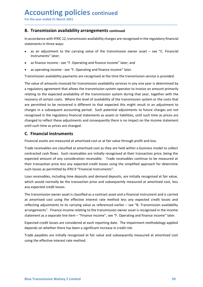**Accounting policies continued<br>
For the year ended 31 March 2021**<br> **B. Transmission availability arrangements continued**<br>
In accordance with IFRIC 12, transmission availability charges are recognised in the regulatory fina **ACCOUNTING POLICIES continued**<br>
For the year ended 31 March 2021<br> **B. Transmission availability arrangements continued**<br>
In accordance with IFRIC 12, transmission availability charges are recognised in the regulatory fina **ACCOUNTING POLICIES continued**<br>
For the year ended 31 March 2021<br> **B. Transmission availability arrangements continued**<br>
In accordance with IFRIC 12, transmission availability charges are recognised in the regulatory fina **Accounting policies continued**<br>
For the year ended 31 March 2021<br> **B. Transmission availability arrangements continued**<br>
In accordance with IFRIC 12, transmission availability charges are recognised in the regulatory f<br>
s **CCOUNTIME POLICIES continued**<br> **Transmission availability arrangements continued**<br> **Transmission availability arrangements continued**<br>
ccordance with IFRIC 12, transmission availability charges are recognised in the regul **ECOUNTIME POLICIES continued**<br>
Transmission availability arrangements continued<br>
ccordance with IFRIC 12, transmission availability charges are recognised in the regulatory financial<br>
ccordance with IFRIC 12, transmission

\_\_\_\_\_\_\_\_\_\_\_\_\_\_\_\_\_\_\_\_\_\_\_\_\_\_\_\_\_\_\_\_\_\_\_\_\_\_\_\_\_\_\_\_\_\_\_\_\_\_\_\_\_\_\_\_\_\_\_\_\_\_\_\_\_\_\_\_\_\_\_\_\_\_\_\_\_\_\_\_\_\_\_\_\_\_\_\_\_\_

- Instruments" later;
- 
- 

**ECOUNTIME POLICIES continued**<br>
Transmission availability arrangements continued<br>
Transmission availability arrangements continued<br>
ccordance with IFRIC 12, transmission availability charges are recognised in the regulator **Accounting policies continued**<br>
For the year ended 31 March 2021<br> **B. Transmission availability arrangements continued**<br>
In accordance with IFRIC 12, transmission availability charges are recognised in the regulatory fina **ACCOUNTIME POLICIES** continued<br>
For the year ended 31 March 2021<br> **B. Transmission availability arrangements** continued<br>
In accordance with IFRIC12, transmission availability charges are recognised in the regulatory finan **Accounting policies** continued<br>
For the year ended 31 March 2021<br> **B. Transmission availability arrangements** continued<br>
In accordance with IFRIC 12, transmission availability charges are recognised in the regulatory fina **ACCOUNTIME POLICIES continued**<br> **B. Transmission availability arrangements continued**<br> **B. Transmission availability arrangements continued**<br>
Intercedne with IFRC 12, transmission availability charges are recognised in th **For the year ended 31 March 2021**<br> **R. Transmission availability arrangements continued**<br>
In accordance with IFRIC 12, transmission availability charges are recognised in the regulatory financial<br>
statements in three ways For the year ended 31 March 2021<br> **B. Transmission availability arrangements continued**<br>
In accordance with IFRIC 12, transmission availability charges are recognised in the regulatory financial<br>
statements in three ways:<br> **B. Transmission availability arrangements continued**<br>In accordance with IFRIC 12, transmission availability charges are recognised in the regulatory financial<br>statements in three ways:<br>• as an adjustment to the carrying v **B. Transmission availability arrangements continued**<br>In accordance with IFRIC 12, transmission availability charges are recognised in the regulatory financial<br>statements in three ways:<br> **as as an adjustment to the carryin** In accordance with IFRIC 12, transmission availability charges are recognised in the regulatory financial<br>statements in three ways:<br>examplished to the carrying value of the transmission owner asset – see "C. Financial<br>inst **Example 12**<br> **Example 2**<br> **Example 2**<br> **Example 2**<br> **Example 2**<br> **Example 2**<br> **Example 2**<br> **Example 2**<br> **Example 2**<br> **Example 2**<br> **Example 3**<br> **Example 3**<br> **Example 3**<br> **Example 3**<br> **Example 3**<br> **Example 3**<br> **Example 3**<br> • as an adjustment to the carrying value of the transmission owner asset – see "<br>Instruments" later;<br>
• as finance income - see "F. Operating and finance income" later; and<br>
• as operating income - see "F. Operating and f **•** as finance income - see "F. Operating and finance income" later; and<br>
• as pracating income - see "F. Operating and finance income" later.<br>
Transmission availability payments are recognised at the time the transmission • as mance income - see "F. Operating and mance income" later; and<br>
• as operating income - see "F. Operating and finance income" later.<br>
Transmission availability payments are recognised at the time the transmission servi • as operating income - see "F. Operating and finance income" later.<br>
Transmission availability payments are recognised at the time the transmission service is provided.<br>
The value of amounts involved for transmission avai Transmission availability payments are recognised at the time the transmission service is provided.<br>The value of amounts invoiced for transmission availability services in any one year is determined by<br>a regulatory agreeme The value of amounts invoiced for transmission availability services in any one year is determined by<br>a regulatory agreement that allows the transmission system operator to invoice an amount primarily<br>relating to the expec The value of amounts involuctive for fransmission availaming services in any one per ear a mount primarily relating to the expected availability of the transmission system during that year, together with the recovery of ce relating to the expected availability of the transmission system during that year, together with the recovery of certain costs. Where the level of availability of the transmission system or the costs that are permitted to recovery of certain costs. Where the level of availability of the transmission system or the costs that<br>are permitted to be recovered is different to that expected this might result in an adjustment to<br>charges in a subsequ are permitted to be recovered is different to that expected this might result in an adjust<br>charges in a subsequent accounting period. Such potential adjustments to future charges<br>recognised to reflect these adjustments and

The transmission owner asset is classified as a contract asset and a financial instrument and is carried<br>at a mortised cost using the effective interest rate method less any expected credit losses and<br>reflecting adjustment charges in a subsequent accounting period. Such potential adjustments to future charges are note<br>ecognised in the regulatory financial statements as assets or liabilities, until such time as prices are<br>changed to reflect t recognised in the regulatory financial statements as assets or liabilities, until such time as prices are<br>changed to reflect these adjustments and consequently there is no impact on the income statement<br>cuntil such time as changed to reflect these adjustments and consequently there is no impact on the income statement<br>cuntil such time as prices are changed.<br>**C.** Financial instruments<br>Trade receivables are chassified at amortised cost or at f until such time as prices are changed.<br> **C. Financial instruments**<br>
Financial assets are measured at amortised cost or at fair value through profit and loss.<br>
Trade receivables are classified at amortised cost as they are **C. Financial instruments**<br>Financial assets are measured at amortised cost or at fair value through profit and loss.<br>Trade receivables are classified at amortised cost as they are held within a business model to collect<br>co Financial assets are measured at amortised cost or at fair value through profit and loss.<br>Trade receivables are classified at amortised cost as they are held within a business model to collect<br>contracted cash flows. Such r Trade receivables are classified at amortised cost as they are held within a business model to collect contracted cash flows. Such receivables are initially recognised at their transaction price, being the expected amount contracted cash flows. Such receivables are initially recognised at their transaction price, being the expected amount of any consideration receivable. Trade receivables continue to be measured at their transaction price b expected amount of any consideration receivable. Trade receivables continue to be measured at their transaction price less any expected credit losses using the simplified approach for determine such losses as permitted by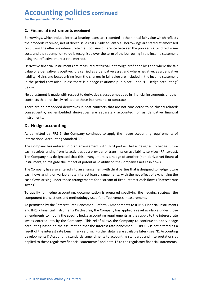**Accounting policies continued<br>
For the year ended 31 March 2021**<br> **C. Financial instruments continued**<br>
Borrowings, which include interest-bearing loans, are recorded at their initial fair value which reflects<br>
the procee **Accounting policies continued**<br>
For the year ended 31 March 2021<br> **C.** Financial instruments continued<br>
Borrowings, which include interest-bearing loans, are recorded at their initial fair value where<br>
the proceeds receiv **ACCOUNTIME POLICIES continued**<br>For the year ended 31 March 2021<br>**C. Financial instruments continued**<br>Borrowings, which include interest-bearing loans, are recorded at their initial fair value which reflects<br>the proceeds r **Accounting policies continued**<br>
For the year ended 31 March 2021<br> **C. Financial instruments continued**<br>
Borrowings, which include interest-bearing loans, are recorded at their initial fair value which reflects<br>
the procee **Accounting policies continued**<br> **C. Financial instruments continued**<br> **C. Financial instruments continued**<br>
Borrowings, which include interest-bearing loans, are recorded at their initial fair value which reflects<br>
the pr **Accounting policies continued**<br>
For the year ended 31 March 2021<br> **C. Financial instruments continued**<br>
Borrowings, which include interest-bearing loans, are recorded at their initial fair value which reflects<br>
the procee **Accounting policies continued**<br>For the year ended 31 March 2021<br>**C. Financial instruments continued**<br>Borrowings, which include interest-bearing loans, are recorded at their initial fair value which reflects<br>the proceeds r **Accounting policies continued**<br>For the year ended 31 March 2021<br>**C. Financial instruments continued**<br>Borrowings, which include interest-bearing loans, are recorded at their initial fair value which reflects<br>the proceeds r **Accounting policies continued**<br>For the year ended 31 March 2021<br>**C. Financial instruments continued**<br>Borrowings, which include interest-bearing loans, are recorded at their initial fair value which reflects<br>the proceeds r **Accounting policies continued**<br>For the year ended 31 March 2021<br>**C. Financial instruments continued**<br>Borpowings, which include interest-betaring loans, are recorded at their initial fair value which reflects<br>the proceeds For the year ended 31 March 2021<br> **C. Financial instruments continued**<br>
Borrowings, which include intererst-bearing loans, are recorded at their initial fair value which reflects<br>
the proceeds received, net of direct issue For the year ended si March 2021<br> **C.** Financial instruments continued<br>
C. Financial instruments continued<br>
Bororowings, which include interest-bearing loans, are recorded at their initial fair value which reflects<br>
the pr **For the year ended 31 March 2021**<br> **C.** Financial instruments continued<br>
Borrowings, which include interest-beading loans, are recorded at their initial fair value which reflects<br>
the proceeds received, net of direct issu **C. Financial instruments continued**<br>Borrowings, which include interest-bearing loans, are recorded at their initial fair value which reflects<br>the proceeds received, net of direct issue costs. Subsequently all borrowings a **C. Financial instruments continued**<br>Borrowings, which include interest-bearing loans, are recorded at their initial fair value which reflects<br>the proceeds received, net of direct issue costs. Subsequently all borrowings a

\_\_\_\_\_\_\_\_\_\_\_\_\_\_\_\_\_\_\_\_\_\_\_\_\_\_\_\_\_\_\_\_\_\_\_\_\_\_\_\_\_\_\_\_\_\_\_\_\_\_\_\_\_\_\_\_\_\_\_\_\_\_\_\_\_\_\_\_\_\_\_\_\_\_\_\_\_\_\_\_\_\_\_\_\_\_\_\_\_\_

below. the proceeds received, net of direct issue costs. Subsequently all borrowings are state<br>cost, using the effective interest rate method. Any difference between the proceeds aff<br>costs and the redemption value is recognised o cost, using the errective intreets rear energood. Any dimerence between the proceeds arter direct sisue<br>costs and the redemption value is recognised over the term of the borrowing in the income statement<br>using the effectiv costs and the recemption value is recognised over the term of the onorrowing in the income statement<br>
susing the effective interest rate method.<br>
Derivative financial instruments are measured at fair value through profit a Derivative financial instruments are measured at fair value through profit and loss and where the fair<br>value of a derivative is positive, it is carried as a derivative asset and where negative, as a derivative<br>liability. G Deviative manicial instruments are measured at rair value through porti and loos and where near two the rair value of a derivative is positive, it is carried as a derivative asset and where negative, as a derivative liabil

instruments.

value or a derivative's positive, it's carried as a derivative asset and where negative, as a derivative sching from the changes in fair value are included in the income statement<br>in the period they arise unless there is a

instruments.<br>In the period they arise unless there is a hedge relationship in place – see "D. Hedge accounting"<br>below.<br>No adjustment is made with respect to derivative clauses embedded in financial instruments or other<br>con below.<br>No adjustment is made with respect to derivative clauses embedded in financial instruments or other<br>contracts that are closely related to those instruments or contracts.<br>There are no embedded derivatives in host con No adjustment is made with respect to derivative clauses embedded in financial instruments or other contracts that are closely related to those instruments or contracts.<br>There are no embedded derivatives in host contracts No agustment is made with respect to derivative clauses embedded in financial instruments or other<br>contracts that are closely related to those instruments or contracts.<br>There are no embedded derivatives in host contracts t swaps"). Inere are no emneedoe derivatives in nost contracts that are not considered to be closely related;<br>consequently, no embedded derivatives are separately accounted for as derivative financial<br>instruments.<br>**D. Hedge accountin** 

From the construction of the content and the odology used for effectiveness measurement.<br>As permitted by the "Interest Rate Benchmark Reform - Amendments to IFRS 9 Financial Instruments<br>and IFRS 7 Financial Instruments Dis consequently, no embedded derivatives are separately accounted for as derivative innamial<br>
D. Hedge accounting<br>
As permitted by IFRS 9, the Company continues to apply the hedge accounting requirements of<br>
International Acc **D. Hedge accounting**<br>As permitted by IFRS 9, the Company continues to apply the hedge accounting requirements of<br>International Accounting Standard 39.<br>The Company has entered into an arrangement with third parties that is **D. Hedge accounting**<br>As permitted by IFRS 9, the Company continues to apply the hedge accounting requirements of<br>International Accounting Standard 39.<br>The Company has dentered into an arrangement with third parties that i As permitted by IFRS 9, the Company continues to apply the hedge accounting requirements of<br>International Accounting Standard 39.<br>The Company has entered into an arrangement with third parties that is designed to hedge fut International Accounting Standard 39.<br>The Company has entered into an arrangement with third parties that is designed to hedge future<br>cesh receipts arising from its activities as a provider of transmission availability ser The Company has entered into an arrangement with third parties that is designed to hedge future<br>cash receipts arising from its activities as a provider of transmission availability services (RPI swaps).<br>The Company has des The Company has entered into an arrangement with third parties that is designed to hedge future<br>cash receipts arising from its activities as a provider of transmission availability services (RPI swaps).<br>The Company has des rearplix arising from its activities as a provider of transmission availability services (RPI swaps).<br>The Company has designated that this arrangement is a hedge of another (non-derivative) financial<br>instrument, to mitigat The Company has designated that this arrangement is a hedge of another (non-derivative) financial instrument, to mitigate the impact of potential volatility on the Company's net cash flows.<br>The Company has also entered int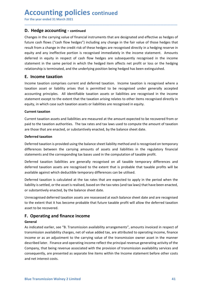# **Accounting policies continued**<br>
For the year ended 31 March 2021<br> **D. Hedge accounting - continued**<br>
Changes in the carrying value of financial instruments that are designated and effective as hedges c

**Accounting policies continued**<br>
For the year ended 31 March 2021<br> **D. Hedge accounting - continued**<br>
Changes in the carrying value of financial instruments that are designated and effective as hedges of<br>
future cash flows **Accounting policies continued**<br>
For the year ended 31 March 2021<br>
D. Hedge accounting - continued<br>
Changes in the carrying value of financial instruments that are designated and effective<br>
future cash flows ("cash flow he **Accounting policies continued**<br>
For the year ended 31 March 2021<br> **D. Hedge accounting - continued**<br>
Changes in the carrying value of financial instruments that are designated and effective as hedges of<br>
future cash flows **Accounting policies continued**<br> **D. Hedge accounting - continued**<br> **D. Hedge accounting - continued**<br>
Changes in the carrying value of financial instruments that are designated and effective as hedges of<br>
future cash flow **Accounting policies continued**<br> **D. Hedge accounting - continued**<br> **D. Hedge accounting - continued**<br> **Changes in the carrying value of financial instruments that are designated and effective as hedges of<br>
future cash flo Accounting policies continued**<br>
For the year ended 31 March 2021<br> **D. Hedge accounting - continued**<br>
Changes in the carrying value of financial instruments that are designated and effective as hedges of<br>
future cash flows **Accounting policies continued**<br> **D. Hedge accounting - continued**<br> **D. Hedge accounting - continued**<br>
Changes in the carrying value of financial instruments that are designated and effective as hedges of<br>
fluture cash flo **Accounting policies continued**<br>For the year ended 31 March 2021<br>**D. Hedge accounting - continued**<br>Changes in the carrying value of financial instruments that are designated and effective as hedges of<br>future cash flows ("c **Accounting policies continued**<br>For the year ended 31 March 2021<br> **D. Hedge accounting - continued**<br>
Changes in the carrying value of financial instruments that are designated and effective as hedges of<br>
future cash flows **Accounting policies continued**<br>
For the year ended 31 March 2021<br> **D. Hedge accounting - continued**<br> **Changes in the carrying value of financial instruments that are designated and effective<br>
fructure cash flows ("cash fl Accounting policies continued**<br>
In the vear ended 31 March 2021<br> **D. Hedge accounting - continued**<br>
Changes in the carrying value of financial instruments that are designated and effective as hedges of<br>
future cash flows **Accounting policies** continued<br>
For the year ended 31 March 2021<br> **D. Hedge accounting - continued**<br>
Changes in the carrying value of financial instruments that are designated and effective as hedges of<br>
future cash flows **ACCOUNTIME POLICIES continued**<br> **D. Hedge accounting - continued**<br> **Changes** in the carrying value of financial instruments that are designated and effective as hedges of<br>
thrure cash flows ("cash flow hedges") including **For the year ended 31 March 2021**<br> **D. Hedge accounting - continued**<br> **Changes in the carrying value of financial instruments that are designated and effective as hedges of<br>
throure cash flows ('cash flow hedges') includi** For the year ended 31 March 2021<br> **D. Hedge accounting - continued**<br>
Changes in the carrying value of financial instruments that are designated and effective as hedges of<br>
future cash flows ("cash flow hedges") including a **D. Hedge accounting - continued**<br>Changes in the carrying value of financial instruments that are designated and effuture cash flows ("cash flow hedges") including any change in the fair value of<br>result from a change in th Changes in the carrying value of financial instruments that are designated and effective as hedges of<br>tuture cash flows ("cash flow hedges") including any change in the fair value of those hedges that<br>result from a change mure that the taxation and the taxation is provided using the balance sheet liabilities in the receptive differences between the taxation is recognised in the rightly in a hedging reserve in result from a change in the rec result from a change in the credit risk of these hedges are recognised directly in a hedging reserve in<br>equity and any ineffective portion is recognised immediately in the income statement. Amounts<br>deferred in equity in re

\_\_\_\_\_\_\_\_\_\_\_\_\_\_\_\_\_\_\_\_\_\_\_\_\_\_\_\_\_\_\_\_\_\_\_\_\_\_\_\_\_\_\_\_\_\_\_\_\_\_\_\_\_\_\_\_\_\_\_\_\_\_\_\_\_\_\_\_\_\_\_\_\_\_\_\_\_\_\_\_\_\_\_\_\_\_\_\_\_\_

equity and any ineffective portion is recognised immediately in the income state<br>deferred in equity in respect of cash flow hedges are subsequently recognise<br>statement in the same period in which the hedged item affects ne United translation in the massimum of the massimum in the massimum in the massimum in the same period in which the hedged item affects net profit or loss or the hedging<br>relationship is terminated, and the underlying positi statement in the same period in the differences between the residents are regulated and the underlying position being hedged has been extinguished.<br> **E. Income taxation**<br>
Income taxation comprises current and deferred taxa relationship is terminated, and the underlying position being hedged inas been extinguished.<br>Inclome taxation correprises current and deferred taxation. Income taxation is recognised where a lation asset or liability arise **E. Income taxation**<br>Income taxation acomprises current and deferred taxation. Income taxation is recognised where a<br>Incasion asset or liability arises that is permitted to be recognised under generally accepted<br>accounting Income taxation comprises current and deferred taxation. Income taxation is recognised where a<br>taxation asset or liability arises that is permitted to be recognised under generally accepted<br>eaccounting principles. All iden taxation asset or liablitly arises that is permitted to be recognised under generally accepted<br>accounting principles. All identifiable taxation assets or liablilities are recognised in the income<br>statement except to the ex

actualining principles. A in tue intramal elastation assess or inaulismics are recognised directly in<br>equity, in which case such taxation assets or liabilities are recognised in equity.<br>Current taxation assets and liabilit

station the except to the extent that the taxation ansing relates to other items recognised unectry in<br> **Current taxation** assets and liabilities are measured at the amount expected to be recovered from or<br>
paid to the tax equity, in which case such taxation assets of habilities are recognised in equity.<br>Current taxation assets and liabilities are measured at the amount expected to be recovered from or<br>Current taxation authorities. The tax r Current taxation<br>
Current taxation authorities. The tax rates and tax laws used to compute the amount of taxation<br>
are those that are enacted, or substantively enacted, by the balance sheet date.<br>
Deferred taxation authori Current taxation assets and liabilities are measured at the amount expected to be recovered from or<br>paid to the taxation authorities. The tax rates and tax laws used to compute the amount of taxation<br>are those that are ena paid to the taxation authorities. The tax rates and tax laws used to compute the am<br>are those that are enacted, or substantively enacted, by the balance sheet date.<br>Deferred taxation is provided using the balance sheet lia

### General

Unrecognised deferred taxation assets are reassessed at each balance sheet date and are recognised<br>to the extent that it has become probable that future taxable profit will allow the deferred taxation<br>asset to be recovered **Deferred taxation**<br> **Deferred taxation**<br> **Deferred taxation**<br> **Deferred taxation**<br> **Deferred taxation** is provided using the balance sheet liability method and is recognised on temporary<br>
differences between the carrying Deferred taxation is provided using the balance sheet liability method and is recognised on temporary<br>differences between the carrying amounts of assets said liabilities in the regulatory financial<br>statements and the corre differences between the carrying amounts of assets and liabilities in the regulatory financial<br>statements and the corresponding tax bases used in the computation of taxable profit.<br>Deferred taxation aissets are recognised statements and the corresponding tax bases used in the computation of taxable profit.<br>Deferred taxation liabilities are generally recognised on all taxable temporary differences and<br>deferred taxation assets are recognised Deferred taxation liabilities are generally recognised on all taxable temporary differences and<br>deferred taxation assets are recognised to the extent that is probable that taxable profits will be<br>available aginst which ded Exertive transmission and generally recognised or on the absore temporary environment and the profits will be available against which deductible temporary differences can be utilised.<br>Deferred taxation is calculated at the exericular and statement as separate the tax in the extent with the properties and the proton of the statement as procedure the transfer befored taxation is calculated at the tax rates that are expected to apply in the per and the caustal winding entertaint and the tax rates tan be during the period take and the tax interest denote the bilability is settled, or the asset is realised, based on the tax rates (and tax laws) that have bee or sub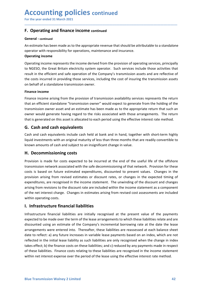### General - continued

**ACCOUNTING POLICIES continued**<br>For the year ended 31 March 2021<br>**F. Operating and finance income continued**<br>General - continued<br>An estimate has been made as to the appropriate revenue that should be attributable to a stan **Accounting policies continued**<br>For the year ended 31 March 2021<br>**F. Operating and finance income continued**<br>An estimate has been made as to the appropriate revenue that should be attributable to a standalone<br>operator with

\_\_\_\_\_\_\_\_\_\_\_\_\_\_\_\_\_\_\_\_\_\_\_\_\_\_\_\_\_\_\_\_\_\_\_\_\_\_\_\_\_\_\_\_\_\_\_\_\_\_\_\_\_\_\_\_\_\_\_\_\_\_\_\_\_\_\_\_\_\_\_\_\_\_\_\_\_\_\_\_\_\_\_\_\_\_\_\_\_\_

**Accounting policies continued**<br>For the year ended 31 March 2021<br>**F. Operating and finance income c**ontinued<br>General - continued<br>An estimate has been made as to the appropriate revenue that should be attributable to a stan **ACCOUNTING POLICIES continued**<br>For the year ended 31 March 2021<br>**F. Operating and finance income continued**<br>An estimate has been made as to the appropriate revenue that should be attributable<br>operator with responsibility **Accounting policies continued**<br>For the year ended 31 March 2021<br>**F. Operating and finance income c**ontinued<br>An estimate has been made as to the appropriate revenue that should be attributable to a standalone<br>operator with **Accounting policies continued**<br>For the year ended 31 March 2021<br>**F. Operating and finance income c**ontinued<br>An estimate has been made as to the appropriate revenue that should be attributable to a standalone<br>operator with **Accounting policies continued**<br>For the year ended 31 March 2021<br>**F. Operating and finance income continued**<br>An estimate has been made as to the appropriate revenue that should be attributable to a standalone<br>operator with For the year ended 31 March 2021<br> **F. Operating and finance income continued**<br> **F. Operating and finance income continued**<br>
An estimate has been made as to the appropriate revenue that should be attributable to a standalon **ACCOUNTIME POLICIES continued**<br>For the year ended 31 March 2021<br>**F. Operating and finance income c**ontinued<br>**General** - continued<br>An estimate has been made as to the appropriate revenue that should be attributable to a st **ACCOUNTIME POLICIES continued**<br>For the year ended 31 March 2021<br>**F. Operating and finance income continued**<br>**General - continued**<br>An estimate has been made as to the appropriate revenue that should be attributa<br>operator w

**For the year ended 31 March 2021**<br> **F. Operating and finance income continued**<br> **F. Operating and finance income continued**<br> **An estimate has been made as to the appropriate revenue that should be attributable to a standa** For the year ended 31 March 2021<br> **F. Operating and finance income c**ontinued<br>
An estimate has been made as to the appropriate revenue that should be attributable to a standalone<br>
operating income<br> **Operating income**<br> **Ope F. Operating and finance income continued**<br>An estimate has been made as to the appropriate revenue that should be attributable to a standalone<br>operator with responsibility for operations, maintenance and insurance.<br>Operat **F. Operating and finance income c**ontinued<br>
An estimate has been made as to the appropriate revenue that should be attributable to a standalone<br>
operator with responsibility for operations, maintenance and insurance.<br>
Ope **General - continued**<br>An estimate has been made as to the appropriate revenue that should be attributable to a standalone<br>operation with responsibility for operations, maintenance and insurance.<br>**Operating income**<br>**Operati** An estimate has been made as to the appropriate revenue that should be attributable to a standa<br>operator with responsibility for operations, maintenance and insurance.<br>Operating income<br>operating income<br>corparing income<br>to operator with responsibility for operations, maintenance and insurance.<br>Operating income<br>Coracting income represents the income derived from the provision of operating services, principally<br>to NGESO, the Great Britain elec **Operating income**<br>
Operating income represents the income derived from the provision of operating services, principally<br>
to NGESO, the Great Britain electricity system operator. Such services include those activities that Operating income represents the income derived from the provision of operating services, principally<br>to NGESO, the Great Britain electricity system operator. Such services include those activities that<br>result in the effici to NGESO, the Great Britain electricity system operator. Such services include those activities that<br>result in the efficient and safe operation of the Company's transmission assets and are reflective of<br>the costs incurred

the costs incurred in providing those services, including the cost of insuring the transmission assets<br> **Finance income**<br> **Finance income**<br> **Finance income**<br> **Finance income**<br> **Finance income**<br> **Finance income**<br> **Finance i** Finance income<br>
Finance income<br>
Finance income<br>
Finance income<br>
Finance income<br>
Finance income<br>
Infance income<br>
Infance income<br>
Infance income<br>
Infance income<br>
Infance income<br>
Infance income<br>
Infance income<br>
Infance income Finance income<br>Finance income arising from the provision of transmission availability services represents the return<br>that an efficient standione "transmission owner" would expect to generate from the holding of the<br>transmi **Finance income**<br>
Finance income arising from the provision of transmission availability services represents the return<br>
Finance income transmission owner" would expect to generate from the holding of the<br>
transmission own Finance income arising from the provision of transmission availability services represents the return<br>that an efficient standalone "transmission owner" would expect to generate from the holding of the<br>transmission owner as that an efficient standalone "transmission owner" would expect to generate from the holding of the transmission owner as tand an estimate has been made as to the appropriate return that such an expected by the propriate re transmission owner asset and an estimate has been made as to the appropriate return that such an owner would generate having regard to the risks associated with those arrangements. The return<br>that is generated on this asse owner would generate having regard to the risks associated with those arrangements. That is generated on this asset is allocated to each period using the effective interest rate reflexive interest rate red.<br> **G. Cash and c G. Cash and cash equivalents are determined by the model of the model method.**<br> **C. Cash and cash equivalents include cash held at bank and in hand, together with short-term highly liquid investments with an original matu Cash and cash equivalents include cash held at bank and in hand, together with short-term highly Grass and cash equivalents include cash held at bank and in hand, together with short-term highly liquid investments with an** Cash and cash equivalents include cash held at bank and in hand, together with short-term highly<br>iquid investments with an original maturity of less than three months that are readily convertible to<br>howen amounts of cash a liquid investments with an original maturity of less than three months that are readily convertible to<br> **H. Decommissioning costs**<br> **Provision is made for costs expected to be incurred at the end of the useful life of the** 

or the interest canges. Changes in estimates ansing informersed cost assessments are included<br>infrastructure financial liabilities<br>Infrastructure financial liabilities are initially recognised at the present value of the p known amounts of cash and subject to an insignificant change in value.<br> **H. Decommissionning costs**<br>
Provision is made for costs expected to be incurred at the end of the useful life of the offshore<br>
transmission network a **H. Decommissioning costs**<br>Provision is made for costs expected to be incurred at the end of the useful life of the offshore<br>transmission network associated with the safe decommissioning of that network. Provision for thes Provision is made for costs expected to be incurred at the end of the useful life of the offshore<br>transmission network associated with the safe decommissioning of that network. Provision for these<br>costs is based on future Provision is made for costs expected to be incurred at the end of the useful life of the offshore<br>transmission network associated with the safe decommissioning of that network. Provision for these<br>costs is based on future transmission network associated with the safe decommissioning of that network. Provision for these<br>costs is based on future estimated expenditures, discounted to present values. Changes in the<br>provision arising from revise costs is based on future estimated expenditures, discounted to present values. Changes in the provision arising from revised estimates or discount rates, or changes in the expected timing of expenditures, are recognised in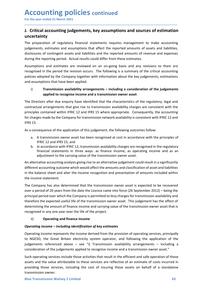### Accounting policies continued<br>
For the year ended 31 March 2021<br> **J. Critical accounting judgements, key assumptions and sources of estimatio**<br>
uncertainty **Accounting policies continued<br>
For the year ended 31 March 2021**<br> **J. Critical accounting judgements, key assumptions and sources of estimation<br>
uncertainty<br>
The preparation of regulatory financial statements requires man** uncertainty

\_\_\_\_\_\_\_\_\_\_\_\_\_\_\_\_\_\_\_\_\_\_\_\_\_\_\_\_\_\_\_\_\_\_\_\_\_\_\_\_\_\_\_\_\_\_\_\_\_\_\_\_\_\_\_\_\_\_\_\_\_\_\_\_\_\_\_\_\_\_\_\_\_\_\_\_\_\_\_\_\_\_\_\_\_\_\_\_\_\_

Accounting policies continued<br>
For the year ended 31 March 2021<br>
J. Critical accounting judgements, key assumptions and sources of estimation<br>
uncertainty<br>
The preparation of regulatory financial statements requires manage **Accounting policies continued**<br>
For the year ended 31 March 2021<br> **J. Critical accounting judgements, key assumptions and sources of estimation**<br>
Incertainty<br>
The preparation of regulatory financial statements requires ma **Accounting policies continued**<br>J. Critical accounting judgements, key assumptions and sources of estimation<br>uncertainty<br>The preparation of regulatory financial statements requires management to make accounting<br>judgements, **Accounting policies continued**<br> **J. Critical accounting judgements, key assumptions and sources of estimation**<br> **I** The preparation of regulatory financial statements requires management to make accounting<br>
indegements, e **Accounting policies continued**<br>For the year ended 31 March 2021<br>J. Critical accounting judgements, key assumptions and sources of estimation<br>uncertainty<br>The preparation of regulatory financial statements requires manageme **Accounting policies continued**<br>For the year ended 31 March 2021<br> **J. Critical accounting judgements, key assumptions and sources of estimation**<br>
uncertainty<br>
The preparation of regulatory financial statements requires man **Accounting policies** continued<br>For the year ended 31 March 2021<br> **J. Critical accounting judgements, key assumptions and sources of estimation**<br>
IThe preparation of regulatory financial statements requires management to m **Accounting policies continued**<br>
For the year ended 31 March 2021<br> **J. Critical accounting judgements, key assumptions and sources of estimation**<br>
The preparation of regulatory financial statements requires management to m **Accounting policies continued**<br>For the year ended 31 March 2021<br>**J. Critical accounting judgements, key assumptions and sources of estimation**<br>interpreation of regulatory financial statements requires management to make a **CCOUNTIME POLICTES CONTINUED**<br>
Critical accounting judgements, key assumptions and sources of estimation<br>
Critical accounting judgements, key assumptions and sources of estimation<br>
cretainty<br>
preparation of regulatory fin

**Example 31 March 2021**<br> **accounting judgements, key assumptions and sources of estimation**<br> **accounting judgements, key assumptions and sources of estimation**<br> **ty**<br> **ty**<br> **e** estimates and assumptions that affect the rep For the year ended 31 March<sup>2021</sup><br> **J. Critical accounting judgements, key assumptions and sources of estimation**<br>
uncertainty<br>
The preparation of regulatory financial statements requires management to make accounting<br>
jud **J. Critical accounting judgements, key assumptions and sources of estimation**<br>
uncertainty<br>
The preparation of regulatory financial statements requires management to make accounting<br>
by<br>
giudgements, estimates and assumpt **J. Critical accounting judgements, key assumptions and sources of estimation**<br>The preparation of regulatory financial statements requires management to make accounting<br>judgements, estimates and assumptions that affect the For convertional statements requires management to make accounting<br>The preparation of regulatory financial statements requires management to make accounting<br>didepements, estimates and assumptions that affect the reported a The preparation of regulatory financial statements requires management<br>Ijudgements, estimates and assumptions that affect the reported amounts of<br>disclosures of contingent assets and liabilities and the reported amounts of digements, estimates and assumptions that affect the reported amounts of assets and liabilities,<br>disclosures of contingent assets and liabilities and the reported amounts of revenue and expenses<br>during the reporting period Insures of contingent assets and liabilities and the reported amounts of revenue and expenses<br>are reporting period. Actual results could differ from these estimates,<br>any revisions to them are<br>are realised in the period the the reporting period. Actual results could differ from these estimates.<br>
tions and estimates are reviewed on an on-going basis and any revisions to them are<br>
ed in the period the revision occurs. The following is a summary mptions and estimates are reviewed on an on-going basis and any revisions to them are<br>prised in the period the revision occurs. The following is a summary of the critical accounting<br>eas adopted by the Company together with tions and estimates are reviewed on an on-going basis and any revisions to them are<br>ided in the period the revision occurs. The following is a summary of the critical accounting<br>adopted by the Company together with informa ied in the period the revision occurs. The following is a summary of the critical accounting<br>adopted by the Company together with information about the key judgements, estimations<br>amptions that have been applied.<br>**Transmis** pouces acopy the Company together with information about the key judgements, estimations<br>
and assumptions that have been applied.<br>
The Directors after due enquiry have identified that the characteristics of the regulatory, in Transmission availabilitity arrangements – including a consideration of the judgements<br>
applied to recognise income and a transmission owner asset<br>
The Directors after due enquiry have identified that the characteristic i) Transmission availability arrangements – including a consideration of the judgements<br>
applied to recognise income and a transmission owner asset<br>
The Directors after due enquiry have identified that the characteristics **applied to recognise income and a transmission owner asset**<br>The Directors after due enquiry have identified that the characteristics of the regul<br>contractual arrangements that give rise to transmission availability charge

- 
- 

principal period over which the Company is permitted to levy charges for transmission availability and<br>therefore the expected useful life of the transmission owner asset. This judgement has the effect of<br>determining the am The Directors after due enquiry have identified that the characteristics of the regulatory, legal and<br>contractual arrangements that give rise to transmission availability charges are consistent with the<br>principles containe contractual arrangements that give rise to transmission availability charges are consistent with the<br>principles contained within IFRIC 12 and IFRS 15 where appropriate. Consequently, the accounting<br>for charges made by the principles contained within IFRIC 12 and IFRS 15 where appropriate. Consequently, the accounting<br>for charges made by the Company for transmission network availability is consistent with IFRIC 12 and<br>HFS 15.<br>As a consequenc for charges made by the Company for transmission network availability is consistent with IFRIC 12 and<br>
HFRS 15.<br>
As a consequence of the application of this judgement, the following outcomes follow:<br>
a. A transmission owne IFRS 15.<br>
as a consequence of the application of this judgement, the following outcomes follow:<br>
a. A transmission owner asset has been recognised at cost in accordance with the principles of<br>
IFRIC 12 and IFRS 15; and<br>
b. As a consequence of the application of this judgement, the following outcomes follow:<br>
a. A transmission owner asset has been recognised at cost in accordance with the principles of<br>
IFRIC 12 and IFRS 15; and<br>
b. In accord a. A transmission owner asset has been recognised at cost in accordance with the principles of<br>
IFRIC 12 and IFRS 15; and<br>
II: Incordance with IFRIC 12, transmission availability charges are recognised in the regulatory<br> IFRIC 12 and IFRS 15; and<br>
I. In accordance with IFRIC 12, transmission availability charges are recognised in the regulatory<br>
I. In accordance Mth IFRIC 12, transmission availability charges are recognised in the regulat financial statements in three ways: as finance income, as operating income and as an adjustment to the carrying value of the transmission owner asset.<br>An alternative accounting analysis giving rise to an alternative judgem adjustment to the carrying value of the transmission owner asset.<br>An alternative accounting analysis giving rise to an alternative judgement could result in a significantly<br>different accounting outcome which would affect t An alternative accounting analysis giving rise to an alternative judgement could result in a significantly<br>different accounting outcome which would affect the amounts and classification of asset and liabilities<br>in the bala different accounting outcome which would affect the amounts and classification of asset and liabilities<br>in the balance sheet and alter the income recognition and presentation of amounts included within<br>the income statement in the balance sheet and alter the income recognition and presentation of amounts included within<br>the incomes statement.<br>The Company has also determined that the transmission owner asset is expected to be recovered<br>over a the income statement.<br>The Company has also determined that the transmission owner asset is expected to be recovered<br>over a period of 20 years from the date the Licence came into force (26 September 2012) – being the<br>princi The Company has also determined that the transmission owner asset is expected to be recovered<br>over a period of 20 years from the date the Licence came into force (26 September 2012) – being the<br>principal period over which over a period of 20 years from the date the Licence came into force (26 September 201<br>principal period of 20 years from the date the Licence came into force (26 September 201<br>principal period over which the Company is perm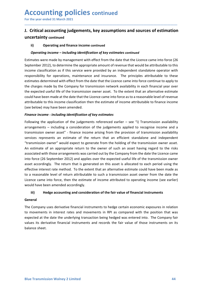### Accounting policies continued<br>
For the year ended 31 March 2021<br> **J. Critical accounting judgements, key assumptions and sources of estimatio**<br>
uncertainty continued For the year ended 31 March 2021 Accounting policies continued<br>
For the year ended 31 March 2021<br>
J. Critical accounting judgements, key assumptions and sources of estimation<br>
uncertainty continued<br>
ii) Operating and finance income continued<br>
Operating in uncertainty continued

\_\_\_\_\_\_\_\_\_\_\_\_\_\_\_\_\_\_\_\_\_\_\_\_\_\_\_\_\_\_\_\_\_\_\_\_\_\_\_\_\_\_\_\_\_\_\_\_\_\_\_\_\_\_\_\_\_\_\_\_\_\_\_\_\_\_\_\_\_\_\_\_\_\_\_\_\_\_\_\_\_\_\_\_\_\_\_\_\_\_

**CCOUNTING POLICIES** continued<br>
the year ended 31 March 2021<br>
Critical accounting judgements, key assumptions and sources of estimation<br>
ertainty continued<br>
(a)<br>
Operating and finance income continued<br>  $\theta$ <br>  $\theta$ <br>  $\theta$  op **CCOUNTING POLICIES continued**<br>
Serverated 31 March 2021<br>
Critical accounting judgements, key assumptions and sources of estimation<br>
(ii) Operating and finance income continued<br>
(ii) Operating income – including identifica **Accounting policies continued**<br> **J. Critical accounting judgements, key assumptions and sources of estimation**<br> **uncertainty** continued<br> **ii)** Operating and finance income continued<br> *Operating income – including identifi* **Accounting policies continued**<br>
For the year ended 31 March 2021<br> **J. Critical accounting judgements, key assumptions and sources of estimation**<br>
uncertainty continued<br>
ii) operating and finance income continued<br>
Estimate **Accounting policies** continued<br>
For the year ended 31 March 2021<br> **J. Critical accounting judgements, key assumptions and sources of estimation**<br>
uncertainty continued<br>
(ii) Operating and finance income continued<br> *Operat* **ACCOUNTIME POLICIES continued**<br>For the year ended 31 March 2021<br>**J.** Critical accounting judgements, key assumptions and sources of estimation<br>uncertainty continued<br>ii) operating and finance income continued<br>Estimates wer **ACCOUNTIME POLICIES continued**<br>For the year ended 31 March 2021<br> **J. Critical accounting judgements, key assumptions and sources of estimation**<br> **uncertainty continued**<br>
(applement in the date income continued<br> **Estimates ACCOUNTIME POLICIES** continued<br>
For the year ended 31 March 2021<br>
J. Critical accounting judgements, key assumptions and sources of estimation<br>
uncertainty continued<br>
(approximate by management with effect from the date t **ACCOUNTIME POLICIES continued**<br>
For the year ended 31 March 2021<br>
1. **Critical accounting judgements, key assumptions and sources of estimation**<br>
ii) Operating income – including identification of key estimates continued<br> **ACCOUNTIME POIICIES continued**<br>
I. Critical accounting judgements, key assumptions and sources of estimation<br>
uncertainty continued<br>
(i) Operating and finance income continued<br>
(by operating income  $-$  including identifi For the year ended 31 March 2021<br> **J. Critical accounting judgements, key assumptions and sources of estimation**<br>
uncertainty continued<br>
(ii) operating and finance income continued<br>
Estimates were made by management with **J. Critical accounting judgements, key assumptions and sources of estimation uncertainty continued**<br>
ii) Operating and finance income continued<br> *Operating income – including identification of key estimates continued*<br>
Es **J. Critical accounting judgements, key assumptions and sources of estimation**<br>
uncertainty continued<br>
(i) Operating and finance income continued<br>
(*Deperating income – including identification of key estimates continued* **uncertainty continued**<br> **Coperating income – including identification of key estimates continued**<br> **Estimates were made by management with effect from the date that the Licence came into force (26<br>
Setienther 2012), to d** ii) Operating and finance income continued<br>
Operating income – including identification of key estimates continued<br>
Estimates were made by management with effect from the date that the Licence came into force (26<br>
Septemb **Operating income – including identification of key estimates continued**<br>Estimates were made by management with effect from the date that the Licence came into force (26<br>September 2012), to determine the appropriate amount **Operating income – including identification of key estimates continued<br>Estimates were mude by management with effect from the date that the Licence came into force (26<br>Estelember 2012), to determine the appropriate amoun** Estimates were made by management with effect from the date that the Licence came into force (26 September 2012), to determine the appropriate amount of revenue that would be attributable to this sincome classification as

September 2012), to determine the appropriate amount of revenue that would be attributable to this income classification as if this service were provided by an independent standalone operator with responsibility for operat income classification as if this service were provided by an independent standalone operator with<br>responsibility for operations, maintenance and insurance. The principles attributable to these<br>estimates determined with eff responsibility for operations, maintenance and insurance. The principles attributable to these estimates determined with effect from the date that the Licence canne into force continue to apply to the charges made by the C estimates determined with effect from the date that the Licence came into force continue to apply to<br>the charges made by the Company for transmission network availability in each financial year over<br>the expected useful lif the charges made by the Company for transmission network availability in each financial year over<br>the expected usfell life of the transmission owere asset. To the extent that an alternative estimate<br>could have been made at the expected useful life of the transmission owner asset. To the extent that an alternative estimate<br>could have been made at the date that the Licence came into force as to a reasonable level of revenue<br>stributable to this could have been made at the date that the Licence came into force as to a reasonable level of revenue<br>stributible to this income classification then the estimate of income attributable to finance income<br>(see below) may hav attributable to this income classification then the estimate of income attributable to finance income<br>(see below) may have been amended.<br> **Finance income - including identification of key estimates**<br> **Finance income - incl** below) may have been amended.<br>
Ince *income* - *including identification of* key estimates<br>
invariage the application of the judgements referenced earlier – see "i) Transmission availability<br>
ingements – including a consid Following the application of the juagements referenced earlier - see "i) Transmission availability<br>arrangements – including a consideration of the judgements applied to recognise income and a<br>transmission owner asset" - fi arrangements – including a consideration of the judgements applied to recognise income and a constanting in terms. The interestigation over a set" - finance income arising from the provision of transmission owner asset. "T transmission owner asset" - Tinnance income arising trom the provision ovarial builty.<br>
Fervices represents an estimate of the return that an efficient standialone and independent<br>
"transmission owner" would expect to gene services represents an estimate of the return that an entrical an entrical samelone and independent<br>"transmission owner" would expect to generate from the holding of the transmission owner asset.<br>An estimate of an appropri "transmission owner" would expect to generate from the holding of the transm<br>An estimate of an appropriate return to the owner of such an assec having<br>associated with those arrangements was carried out by the Company from

### General

my<br>
The Company uses derivative financial instruments to hedge certain economic exposures in relation<br>
The Company uses derivative financial instruments in RPI as compared with the position that was<br>
expected at the date t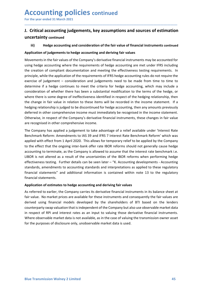### Accounting policies continued<br>
For the year ended 31 March 2021<br> **J. Critical accounting judgements, key assumptions and sources of estimatio**<br>
uncertainty continued Accounting policies continued<br>
For the year ended 31 March 2021<br>
J. Critical accounting judgements, key assumptions and sources of estimation<br>
uncertainty continued Accounting policies continued<br>
For the year ended 31 March 2021<br>
J. Critical accounting judgements, key assumptions and sources of estimation<br>
uncertainty continued<br>
iii) Hedge accounting and consideration of the fair valu uncertainty continued

\_\_\_\_\_\_\_\_\_\_\_\_\_\_\_\_\_\_\_\_\_\_\_\_\_\_\_\_\_\_\_\_\_\_\_\_\_\_\_\_\_\_\_\_\_\_\_\_\_\_\_\_\_\_\_\_\_\_\_\_\_\_\_\_\_\_\_\_\_\_\_\_\_\_\_\_\_\_\_\_\_\_\_\_\_\_\_\_\_\_

**CCOUNTING POLICIES continued**<br>
Critical accounting judgements, key assumptions and sources of estimation<br>
Critical accounting iudgements, key assumptions and sources of estimation<br>
iii) Hedge accounting and consideration **Accounting policies continued**<br>For the year ended 31 March 2021<br>J. Critical accounting judgements, key assumptions and sources of estimation<br>uncertainty continued<br>application of judgements to hedge accounting and deriving **Accounting policies continued**<br>
I. Critical accounting judgements, key assumptions and sources of estimation<br>
uncertainty continued<br>
iii) Hedge accounting and consideration of the fair value of financial instruments conti **Accounting policies continued**<br>
For the year ended 31 March 2021<br> **J. Critical accounting judgements, key assumptions and sources of estimation**<br>
uncertainty continued<br>
iii) Hedge accounting and consideration of the fair For the year ended 31 March 2021<br> **J. Critical accounting judgements, key assumptions and sources of estimation**<br> **U. Critical accounting judgements, key assumptions and sources of estimation**<br> **U. Critical accounting and ACCOUNTIME POLICIES continued**<br>For the year ended 31 March 2021<br>**J.** Critical accounting judgements, key assumptions and sources of estimation<br>uncertainty continued<br>iii) Hedge accounting and consideration of the fair valu For the year ended 31 March 2021<br> **J. Critical accounting judgements, key assumptions and sources of estimation**<br>
uncertainty continued<br>
iii) Hedge accounting and consideration of the fair value of financial instruments co **ACCOUNTIME POLICIES continued**<br>
I. Critical accounting judgements, key assumptions and sources of estimation<br>
uncertainty continued<br>
iii) Hedge accounting and consideration of the fair value of financial instruments conti **ACCOUNTIME POLICIES** continued<br>
For the year ended 31 March 2021<br>
1. Critical accounting judgements, key assumptions and sources of estimation<br>
iii) Hedge accounting and consideration of the fair value of financial instru **ACCOUNTIME POIICIES continued**<br>
I. Critical accounting judgements, key assumptions and sources of estimation<br>
uncertainty continued<br>
iii) Hedge accounting and consideration of the fair value of financial instruments conti For the year ended 31 March 2021<br>
1. Critical accounting judgements, key assumptions and sources of estimation<br>
uncertainty continued<br>
iii) Hedge accounting and consideration of the fair value of financial instruments cont **J. Critical accounting judgements, key assumptions and sources of estimation**<br>
uncertainty continued<br>
iii) Hedge accounting and consideration of the fair value of financial instruments continued<br>
Application of judgements **J. Critical accounting judgements, key assumptions and sources of estimation uncertainty continued**<br>
iii) Hedge accounting and consideration of the fair value of financial instruments continued<br>
Application of judgements **Example 19 The Company of the Company Server of the Company Server of the Company of the Company server of the Company's derivative financial instruments may be accounted Application of judgements to hedge accounting and Examplication**<br> **Alternative controlling and consideration of the fair value of financial instruments continued<br>
Alternation of judgements to hedge accounting and deriving fair values<br>
Movements in the fair values of the** III) Hedge accounting and consideration of the fair value of financial instruments continued<br>Application of judgements to hedge accounting and deriving fair values<br>Movements in the fair values of the Company's derivative f Application of judgements to hedge accounting and deriving fair values<br>Movements in the fair values of the Company's derivative financial instruments may be accounted for<br>using hedge accounting where the requirements of he Movements in the fair values of the Company's derivative financial instruments may be accounted for<br>using hedge accounting where the requirements of hedge accounting are met under IFRS including<br>the creation of compliant d Woremens in the am valuat of the Company sterestant and mething are met under lefts including<br>thank necession and mething the effectiveness testing requirements. In<br>principle, while the application of the requirements of I some measure and the company with the company in the methanical of the interest rino mental of the recation of the requirements of IFRS hedge accounting rules do not require the principle, while the application of the requ Ethe continuous continuous continuous mental of the receiver and the mental of the repulies of properties of judgement - consideration and judgements of IFRS hedge accounting rules do not require the exercise of judgement

phency, wine the eppleration or the requirements of the right can be required to the require the republication and judgements need to be med from time to time to determine if a hedge continues to meet the criteria for hedg extensi or detect matter entered to meet the criterial for hedge accounting, which may include a<br>consideration of whether there has been a substantial modification to the terms of the hedge, or<br>where there is some degree o ecommine 'n a mealge Controlline to these the child of the reductation of the hedge, or where there is some degree of ineffectiveness identified in respect of the hedging relationship, then whene there is some degree of in consumer our well the rear loss been a soussealidar information of the term<br>where there is some degree of ineffectiveness identified in respect of the hedging<br>the change in fair value in relation to these items will be rec the change in fair value in relation to these items will be recorded in the income statement. If a<br>hedging relationship is judged to be discontinued for hedge accounting, then any amounts previously<br>deferred in other compr hedging relationship is judged to be discontinued for hedge accounting, then any amounts previously<br>deferred in other compenhensive income must inmediately be recognised in the income statement.<br>Otherwise, in respect of th deferred in other comprehensive income must immediately be recognised in the income statement.<br>Otherwise, in respect of the Company's derivative financial instruments, these changes in fair value<br>are recognised in other co Otherwise, in respect of the Company's derivative financial instruments, these changes in fair value<br>are recognised in other comprehensive income.<br>The Company has applied a judesment to take advantage of a relief available are recognised in other comprehensive income.<br>The Company has applied a judgement to take advantage of a relief available under 'Interest Rate<br>Benchmark Reform: Amendments to IAS 39 and IFRS 7 Interest Rate Benchmark Refor The Company has applied a judgement to take advantage of a relief available under 'Interest Rate<br>Benchmark Reform: Amendments to IAS 39 and IFRS 7 literest Rate Benchmark Reform' which was<br>applied with effect from 1 April Benchmark Reform: Amendments to IAS 39 and IFRS 7 Interest Rate Benchmark Reform' which was<br>applied with effect from 1 April 2020. This allows for temporary relief to be applied by the Company<br>to the effect that the ongoin applied with effect from 1 April 2020. This allows for temporary relief to be applied by the Company<br>to the effect that the onegoing inter-bank offer rate IBOR reforms should not generally cause hedge<br>excounting to termina

fair value. No market prices are available for these instruments and consequently the fair values are derived using financial models developed by the shareholders of BTI based on the lenders counterparty swap valuation tha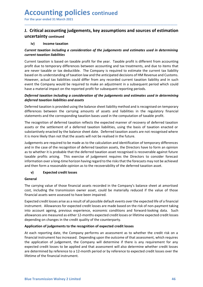### Accounting policies continued<br>
For the year ended 31 March 2021<br> **J. Critical accounting judgements, key assumptions and sources of estimatio**<br>
uncertainty continued Accounting policies continued<br>
For the year ended 31 March 2021<br>
J. Critical accounting judgements, key assumptions and sources of estimation<br>
uncertainty continued<br>
iv) Income taxation Accounting policies continued<br>
For the year ended 31 March 2021<br>
J. Critical accounting judgements, key assumptions and sources of estimation<br>
uncertainty continued<br>
iv) Income taxation<br>
Current taxation including a consid uncertainty continued **CCOUNTING POLICIES continued**<br>
The year ended 31 March 2021<br>
Critical accounting judgements, key assumptions and sources of estim<br>
certainty continued<br>
iv) Income taxation<br>
nent taxation including a consideration of the j

\_\_\_\_\_\_\_\_\_\_\_\_\_\_\_\_\_\_\_\_\_\_\_\_\_\_\_\_\_\_\_\_\_\_\_\_\_\_\_\_\_\_\_\_\_\_\_\_\_\_\_\_\_\_\_\_\_\_\_\_\_\_\_\_\_\_\_\_\_\_\_\_\_\_\_\_\_\_\_\_\_\_\_\_\_\_\_\_\_\_

**Accounting policies** continued<br>
For the year ended 31 March 2021<br>
J. Critical accounting judgements, key assumptions and sources of estimation<br>
uncertainty continued<br>
iv) Income taxation<br>
Current taxation including a cons **ACCOUNTING POLICIES continued**<br>
For the year ended 31 March 2021<br> **J. Critical accounting judgements, key assumptions and sources of est**<br> **uncertainty continued**<br>
iv) Income taxation<br>
Current taxation including a conside **Accounting policies** continued<br>
For the year ended 31 March 2021<br> **J. Critical accounting judgements, key assumptions and sources of estimation**<br> **uncertainty** continued<br>
iv) Income taxation<br>
Current taxation including a **Accounting policies continued**<br>For the year ended 31 March 2021<br>**J.** Critical accounting judgements, key assumptions and sources of estimation<br>uncertainty continued<br>iv) Income taxation<br> $Current\ axation\ including\ a\ consideration\ of\ the\ judgments\ and\ estimates\ used\ in\ determining\ current\ taxation\ including$ **Accounting policies** continued<br>
For the year ended 31 March 2021<br> **J.** Critical accounting judgements, key assumptions and sources of estimation<br>
uncertainty continued<br>
(v) Income taxation<br>
Current taxation including a c **Accounting policies** continued<br>
For the year ended 31 March 2021<br> **J.** Critical accounting judgements, key assumptions and sources of estimation<br>
uncertainty continued<br>
iv) Income taxation<br>
current traxation including a c **Accounting policies** continued<br>For the year ended 31 March 2021<br> **.** Critical accounting judgements, key assumptions and sources of estimation<br>
current taxation including a consideration of the judgements and estimates us **ACCOUNTIME POLICIES** continued<br>For the year ended 31 March 2021<br>**J.** Critical accounting judgements, key assumptions and sources of estimation<br>iv) Income taxation<br>iv) throme taxation<br>Current taxation linelihities<br>current **Accounting policies** continued<br>
For the year ended 31 March 2021<br> **J.** Critical accounting judgements, key assumptions and sources of estimation<br>
uncertainty continued<br>
iv) Income taxation<br>
current taxation linelities<br>
cu **ACCOUNTIME POLICIES** continued<br>
For the year ended 31 March 2021<br>
D. Critical accounting judgements, key assumptions and sources of estimation<br>
uncertainty continued<br>
iv) Income taxation<br>
Current taxation including a cons For the year ended 31 March 2021<br> **J.** Critical accounting judgements, key assumptions and sources of estimation<br>
uncertainty continued<br>
iv) Income taxation<br>
current taxation including a consideration of the judgements and **J. Critical accounting judgements, key assumptions and sources of estimation**<br>
iv) Income taxation<br>
ichrent fraction including a consideration of the judgements and estimates used in determining<br>
current taxation liabilit **J. Critical accounting judgements, key assumptions and sources of estimation**<br>
uncertrainty continued<br>
iv) Income taxation<br>
Current traxtion including a consideration of the judgements and estimates used in determining<br> **J.** Critical accountring judgements, key assumptions and sources or estimation uncertainty continued<br>
iv) income taxation<br>
Current taxation including a consideration of the judgements and estimates used in determining<br>
c The recognition to the induction of the judgements and estimates used in determining<br>
The record taxation including a consideration of the judgements and estimates used in determining<br>
current taxation liabilities<br>
Current **Constrained Constrained Constrained Constrained Constrained Constrained Constrained Constrained Constrained Constrained Constrained Constrained Constrained Constrained Constrained Constrained Constrained the comparison of** Current taxation including a consideration of the judgements and estimates used in determining<br>Current taxation is based on taxable profit for the year. Taxable profit is different from accounting<br>corrent taxation is based Current transion incording to consideration of the perspective is alternative sole in declining<br>Current traxition is based on taxable profit for the year. Taxable profit is different from accounting<br>profit due to temporary Current taxation is based on taxable profit for the year. Taxable profit is different from accounting<br>profit due to temporary differences between accounting and tax treatments, and due to items that<br>are never taxable or ta current casation in case of the case of the compary inferences between accounting and tax treatments, and due to items that appoint due to items never taxable or tax deductible. The Company is required to estimate the curr

promotion of the completion of the completion and the attention and the attention and the sched on this under the company is required to estimate the current tax liability.<br>However, actual tax liabilities could differ from are revert is axis ucusually. The Completia that deferred taxable profits are reverted to this understanding of taxabich. The company would be required to chalch a subsequent period which could above exercist the Company w insects on its unest along the cassor of the encircle of the risks that the forecast of the carpactic and its and the risks and its and the required to make a madistrimet in a subsequent period which could be required to m rowever, actual tax manumuss cout of the round of the round current chastion in a reach the Company would be required to make an adjustment in a subsequent periods.<br> **Deferred taxation including a consideration of the judg** e a material impact on the reported profit for subsequent reporting periods.<br>
Fierred taxation including a consideration of the judgements and estimates used in determining<br>
Fierred taxation is provided using the balance s **Deferred taxtation indoluties and assets**<br>Deferred taxtation is provided using the balance sheet liability method and is recognised on temporary<br>differences between the carrying amounts of assets and liabilities in the re Deferred taxation is provided using the balance sheet liability method and is recognised on temporary<br>differences between the carrying amounts of assets said liabilities in the regulatory financial<br>distancement the carryin differences between the carrying amounts of assets and labilities in the regulatory financial<br>statements and the corresponding tavation bases used in the computation of taxable profit.<br>The recognition of deferred taxation statements anto the corresponding taxation osses used in the computation of taxabe pront.<br>The recognition of deferred taxation reflects the expected manner of recovery of deferred taxation<br>sasts or the settlement of a defe The recognition of deferred taxation reflects the expected manner of recovery of deferred taxation assums or the settlement of a deferred taxation labibilites, using the basis of axation enacted or substantively enacted by assets or the settlement of a deferred taxation liabilities, using the basis of taxation enacted or<br>substratively enacted by the balance sheet date. Deferred taxation assets are not recognised where<br>it is more likely than substantively enacted by the balance sheet date. Deferred taxation assets are not recognised where<br>this more likely than not that the assets will not be realised in the future.<br>Independents are required to be made as to th it is more likely than not that the assets will not be realised in the future.<br>
Undegements are required to be made as to the calculation and identification of fermporary differences<br>
and in the case of the recognition of Undgements are required to be made as to the calculation and identification of temporary differences<br>
and in the case of the recognition of deferred taxation assets, the Directors have to form an opinion<br>
as to whether it

### General

financial assets were assessed to have been impaired.<br>Expected credit losses arise as a result of all possible default events over the expected life of a financial<br>interument. Allowances for expected credit losses are made and in the case or the recognition or dererred rastation assets, the unercosts have to form an ephinom<br>as to whether it is probable that the deferred taxation asset recognised is recoverable against future<br>taxable profits as to where ret is probable that the deterred taxatom asset recognised a secoverable against tuture<br>at able profits arising. This exercise of judgement requires the Directors to consider forecast<br>information over along-tim taxable proints ansing. This exercise or Judgement requires the Directasts consoliser to consider information over along-time horizon having regard to the risks that the forecasts may not be achieved and then form a reason Information over a long-time norizon naning regard to the risks that the forecasts may not be achieved<br>and then form a reasonable opinion as to the recoverability of the deferred taxation asset.<br> **Characters**<br>
(**b**) Expect and then from a reasonable opinion as to the recoverability of the deferred taxation asset.<br>
UP<br>
Seneral<br>
The carrying value of those financial assets recorded in the Company's balance sheet at a mortised<br>
cost, including v)<br> **Concert Contains Contains Contains a** spectral in the Company's balance sheet at amortime carrying value of those financial assets recorded in the Company's balance sheet at amortions, including the transmission owner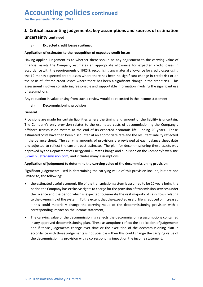### Accounting policies continued<br>
For the year ended 31 March 2021<br> **J. Critical accounting judgements, key assumptions and sources of estimatio**<br>
uncertainty continued Accounting policies continued<br>
For the year ended 31 March 2021<br>
J. Critical accounting judgements, key assumptions and sources of estimation<br>
uncertainty continued Accounting policies continued<br>
For the year ended 31 March 2021<br>
J. Critical accounting judgements, key assumptions and sources of estimation<br>
uncertainty continued<br>
v) Expected credit losses continued<br>
Application of esti uncertainty continued

\_\_\_\_\_\_\_\_\_\_\_\_\_\_\_\_\_\_\_\_\_\_\_\_\_\_\_\_\_\_\_\_\_\_\_\_\_\_\_\_\_\_\_\_\_\_\_\_\_\_\_\_\_\_\_\_\_\_\_\_\_\_\_\_\_\_\_\_\_\_\_\_\_\_\_\_\_\_\_\_\_\_\_\_\_\_\_\_\_\_

**CCOUNTING POLICIES** continued<br>
Shape year ended 31 March 2021<br>
Critical accounting judgements, key assumptions and sources of estimation<br>
v) Expected credit losses continued<br>
Iication of estimates to the recognition of e **Accounting policies continued**<br>For the year ended 31 March 2021<br>J. Critical accounting judgements, key assumptions and sources of estimation<br>uncertainty continued<br> $v$  Expected credit losses continued<br>Application of estima **Accounting policies continued**<br> **J. Critical accounting judgements, key assumptions and sources of estimation**<br> **uncertainty** continued<br>  $\gamma$  Expected credit losses continued<br>
Application of estimates to the recognition o **Accounting policies continued**<br>For the year ended 31 March 2021<br>**J.** Critical accounting judgements, key assumptions and sources of estimation<br>uncertainty continued<br> $\uparrow$ <br>Application of estimates to the recognition of exp **Accounting policies** continued<br>For the year ended 31 March 2021<br>J. Critical accounting judgements, key assumptions and sources of estimation<br>uncertainty continued<br> $v$  expected credit losses continued<br>Application of estima **ACCOUNTIME POLICIES continued**<br>For the year ended 31 March 2021<br>**J.** Critical accounting judgements, key assumptions and sources of estimation<br>uncertainty continued<br>v) Expected credit losses continued<br>Application of estim **Accounting policies continued**<br>For the year ended 31 March 2021<br> **J. Critical accounting judgements, key assumptions and sources of estimation**<br> **Application of estimates to the recognition of expected credit losses**<br>
Hav **Accounting policies continued**<br>
For the year ended 31 March 2021<br> **J. Critical accounting judgements, key assumptions and sources of estimation**<br> **Application of estimates to the recognition of expected credit losses**<br>
Ha **Accounting policies continued**<br>For the year ended 31 March 2021<br> **J. Critical accounting judgements, key assumptions and so**<br> **uncertainty continued**<br>
v) Expected credit losses continued<br>
Application of estimates to the r **ACCOUNTERT POTTLES CONTRIBUTES CONTRIBUTERS**<br> **3.** Critical accounting judgements, key assumptions and sources of estimation<br>
uncertainty continued<br>
(a) Expected credit losses continued<br>
Having applied judgement as to whe **Critical accounting judgements, key assumptions and sources of estimation**<br> **Critical accounting judgements, key assumptions and sources of estimation**<br> **Critical accounting judgement** as to the recognition of expected cr **uncertainty continued**<br> **v**) Expected credit losses continued<br>
Application of estimates to the recognition of expected credit losses<br>
Having applied judgement as to whether there should be any adjustment to the carrying v v) Expected credit losses continued<br>
Application of estimates to the recognition of expected credit losses<br>
Having applied judgement as to whether there should be any adjustment to the carrying value of<br>
financial assets t

### General

v) Expected credit losses continued<br>
Application of estimates to the recognition of expected credit losses<br>
Having applied judgement as to whether there should be any adjustment to the carrying value of<br>
financial assets t **Application of estimates to the recognition of expected credit losses**<br>Having applied judgement as to whether there should be any adjustment to the carrying value of<br>financial assets the Company estimates an appropriate a Having applied judgement as to whether there should be any adjustment to the carrying value of<br>financial assets the Company estimates an appropriate allowance for expected credit losses in<br>accordance with the requirements Having applied Judgement as to whether the te should be any aquistment to the carrying value of the current sof links on accordance with the requirements of links a a appropriate allowance for expected credit bosses in acc manular assets the Company's ssummates an a pupupplene allowance for expected terebut to sees in<br>accordance with the requirements of IFRS 9, recognising any material allowance for credit losses using<br>the 12-month expected eductionalle with the requirements of transs, recognising any indetertanal unwarde to tretut loosses using<br>the 12-month expected credit losses where there has been no significant change in credit risk. This<br>sassessment inv the basis of lifetime credit losses where there has been a significant change in the credit risk. This<br>assessment involves considering reasonable and supportable information involving the significant use<br>of susumptions.<br>An assessment involves considering reasonable and supportable information involving the significant use<br>of assumptions.<br>Any reduction in value arising from such a review would be recorded in the income statement.<br>The Company' diantly reduction in value arising from such a review would be recorded in the income state<br>
(vi) Decommissioning provision<br>
General<br>
Provisions are made for certain liabilities where the timing and amount of the liability reduction in value arising from such a review would be recorded in the income statement.<br> **Solution**<br> **Solution**<br> **Solutions** are made for certain liabilities where the timing and amount of the liability is uncertain.<br>
Som **aral**<br> **eral**<br>
stissions are made for certain liabilities where the timing and amount of the liability is uncertain.<br>
Company's only provision relates to the estimated costs of decommissioning the Company's<br>
Company's onl eral<br>
orisions are made for certain liabilities where the timing and amount of the liability is uncertain.<br>
Company's only provision relates to the estimated costs of decommissioning the Company's<br>
orbor transmission syste or issions are made for certain liabilities where the timing and amount of the liability is uncertain.<br>Company's only provision relates to the estimated costs of decommissioning the Company's<br>chore transmission system at t is ons are mate for certain liabilities where the timing and amount of the liability is uncertain.<br>Company's only provision relates to the estimated costs of edecommissioning the Company's<br>hore transmission system at the e Company's only provision relates to the estimated costs of decommissioning the Company's conduction-<br>honce transmission system at the end of its expected economic life – being 20 years. These<br>mated costs have then been dis

- mated costs have then been discounted at an appropriate rate and the resultant liability reflected<br>reduces the carrying amounts of provisions are reviewed at each balance sheet date<br>adjusted to reflect the current best est ine balance sheet. The carrying amounts of provisions are reviewed at each balance sheet date adjusted to reflect the current best estimate. The plan for decommissioning these assets was overed by the Department of Foreygr adjusted to reflect the current best estimate. The plan for decommissioning these assets was<br>coved by the Department of Energy and Climate Change and published on the Company's web site<br>whildertansmission comp) and include roved by the Department of Energy and Climate Change and published on the Company's web site <u>wibluetransmission.com</u>) and includes many assumptions.<br>
Ilication of judgement to determine the carrying value of the decommiss Wollertransmission.com) and includes many assumptions.<br>
Ilication of judgement to determine the carrying value of the decommissioning provision<br>
Ilicant judgements used in determining the carrying value of this provision i
- the licence and the period which is expected to generate the vast majority of cash flows relating<br>to the ownership of the system. To the extent that the expected useful life is reduced or increased<br> $-$  this could materiall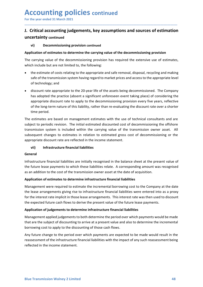### Accounting policies continued<br>
For the year ended 31 March 2021<br> **J. Critical accounting judgements, key assumptions and sources of estimatio**<br>
uncertainty continued Accounting policies continued<br>
For the year ended 31 March 2021<br>
J. Critical accounting judgements, key assumptions and sources of estimation<br>
uncertainty continued Accounting policies continued<br>
For the year ended 31 March 2021<br>
J. Critical accounting judgements, key assumptions and sources of estimation<br>
uncertainty continued<br>
vi) Decommissioning provision continued<br>
Application of uncertainty continued **CCOUNTING POLICIES continued**<br>
the year ended 31 March 2021<br>
Critical accounting judgements, key assumptions and sources of estimation<br>
vi) Decommissioning provision continued<br>
lication of estimates to determine the carry Accounting policies continued<br>
I. Critical accounting judgements, key assumptions and sources of estimation<br>
uncertainty continued<br>
vi) Decommissioning provision continued<br>
Application of estimates to determine the carryin

\_\_\_\_\_\_\_\_\_\_\_\_\_\_\_\_\_\_\_\_\_\_\_\_\_\_\_\_\_\_\_\_\_\_\_\_\_\_\_\_\_\_\_\_\_\_\_\_\_\_\_\_\_\_\_\_\_\_\_\_\_\_\_\_\_\_\_\_\_\_\_\_\_\_\_\_\_\_\_\_\_\_\_\_\_\_\_\_\_\_

- **Accounting policies** continued<br>
For the year ended 31 March 2021<br>
J. Critical accounting judgements, key assumptions and sources of estimation<br>
uncertainty continued<br>
(vi) Decommissioning provision continued<br>
Application **ACCOUNTING POLICIES** continued<br>
For the year ended 31 March 2021<br> **J. Critical accounting judgements, key assumptions and sources of estimation**<br>
uncertainty continued<br>
vi) Decommissioning provision continued<br>
Application **CCOUNT LIME POLICIES** continued<br>
Tritical accounting judgements, key assumptions and sources of estimation<br>
uridical accounting judgements, key assumptions and sources of estimation<br>
vi) Decommissioning provision continue
- **CCOUNT EXECT ACCES**<br>
Solution of the transmission system having judgements, key assumptions and sources of estimation<br>
Certainty continued<br>
Wijlenomissioning provision continued<br>
UNIC Decommissioning provision continued<br> **CCOUNTIME POLICIES** continued<br>
the year ended 31 March 2021<br>
Critical accounting judgements, key assumptions and sources of estimetrainty continued<br>
wi) Decommissioning provision continued<br>
lication of estimates to deter **CCOUNTIME POLICIES continued**<br>
the year ended 31 March 2021<br>
Critical accounting judgements, key assumptions and sources of estimation<br>
vil)<br>
Decommissioning provision continued<br>
lication of estimates to determine the car **CCOUNTIME POLICIES** continued<br>
the year ended 31 March 2021<br>
Critical accounting judgements, key assumptions and sources of estimation<br>
certainty continued<br>
wi) Decommissioning provision continued<br>
lication of estimates t the year ended 31 March 2021<br>
Critical accounting judgements, key assumptions and sources of estimation<br>
(v) Decommissioning provision continued<br>
(altation of estimates to determine the carrying value of the decommissionin **Critical accounting judgements, key assumptions and sources of estimation**<br> **Condition**<br> **Condition**<br> **Condition**<br> **Condition**<br> **Condition**<br> **Condition**<br> **Condition**<br> **Condition**<br> **Condition**<br> **Condition**<br> **Condition**<br> **C** Critical accounting judgements, key assumptions and sources<br>certainty continued<br>wi) Decommissioning provision continued<br>lication of estimates to determine the carrying value of the decommissioning<br>carrying value of the dec **UNCERT UNCERT CONDIGENT CONDIGENT CONDIGENT CONDIGENT CONDIGENT CONDIGENT CONDIGENT CONDIGENT THE CATYING VALUE OF THE CATYING VALUE OF THE CATYING VALUE OF the decommissioning provision has required the extensive use of** subject to erristing provision continued<br>
(a) Decommissioning provision continued<br>
(a) Application of estimates to determine the carrying value of the decommissioning provision<br>
The carrying value of the decommissioning pr vi) Decommissioning provision continued<br>
Application of estimates to determine the carrying value of the decommissioning provision<br>
The carrying value of the decommissioning provision<br>
which include but are not limited to, **Application of estimates to determine the carrying value of the decommissioning provision**<br>The carrying value of the decommissioning provision has required the extensive use of estimates,<br>which include but are not limited The carrying value of the decommissioning provision has required the extensive use of estimates,<br>which include but are not limited to, the following:<br>
• the estimate of costs relating to the appropriate and safe removal, d the estimate of the following:<br>
the estimate of costs relating to the appropriate and safe removal, disposal, recycling and making<br>
safe of the transmission system having regard to market prices and access to the appropria safe of the transmission system having regard to market prices and access to the appropriate level<br>of technology; and<br><br>• discount rate appropriate to the 20-year life of the assets being decommissioned. The Company<br>has ado of technology; and<br>
• discount rate appropriate to the 20-year life of the assets being decommissioned. The Company<br>
has adopted the practice (absent a significant unforeseen event taking place) of considering the<br>
appropr • discount rate appropriate to the 20-year life of the assets being decommissioned. The Company<br>has adopted the practice (absent a significant unforeseen event taking place) of considering the<br>appropriate discount rate to

has adopted the practice (absent a significant unforeseen event taking place) of considering the<br>appropriate discount rate to apply to the decommissioning provision every five years, reflective<br>of the long-term nature of t appropriate discount rate to apply to the decommissioning provision every tive years, reflective<br>of the long-term nature of this liability, rather than re-evaluating the discount rate over a shorter<br>time period.<br>The estima or the long-term nature of this liability, rather than re-evaluating the discount rate over a shorter<br>time period.<br>The estimates are based on management estimates with the use of technical consultants and are<br>subject to pe the estimates are based on management estimates with the use of technical consultants and are<br>The estimates are based on management estimated discounted cost of decommissioning the offshore<br>transmission system is included The estimates are based on management estimates with the use of technical consultants and are subject to periodic revision. The initial estimated discounted cast of decommissioning the offshore transmission system is inclu

### General

subject to periodic revision. The initial estimated discounted cost of decommissioning the other<br>transmission oystem is included within the carrying value of the transmission owner asset. All<br>subsequent changes to estimate subsequent changes to estimates in relation to estimated gross cost of decommissioning or the<br>appropriate discount rate are reflected in the income statement.<br> **Containstance in the periodical state in the matematic determ** appropriate discount rate are reflected in the income statement.<br>
(vii) Infrastructure financial liabilities are initially recognised in the balance sheet at the present value of<br>
the future lease payments to which these l **CONTITY**<br> **CONTITY** Infrastructure financial liabilities<br> **CONTITY INTERT UP:**<br>
Infrastructure financial liabilities are initially recognised in the balance sheet at the present value of<br>
the future lease payments to whic **General**<br>Infrastructure financial liabilities are initially recognised in the balance sheet at the present value of<br>the future lease payments to which these liabilities relate. A corresponding amount was recognised<br>as an **Infrastructure financial liabilities are initially recognised in the balance sheet at the present value of Infrastructure lease payments to which these liabilities relate. A corresponding amount was recognised as an addit** Infrastructure financial liabilities are initially recognised in the balance sheet at the present value of the future lease payments to which these liabilities relate. A corresponding amount was recogn<br>as an addition to th

For the interest rate implicit in those lease arrangements. This interest rate was then used to discount the expected future cash flows to derive the present value of the future lease payments.<br>Application of judgements to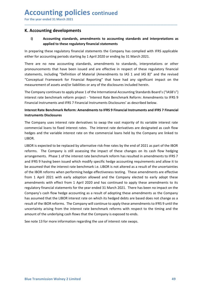### **Accounting policies** continued<br>
For the year ended 31 March 2021<br> **K. Accounting developments**<br> **i)** Accounting standards, amendments to accounting standards and interpretations as<br>
applied to these regulatory financial s Accounting policies continued<br>
For the year ended 31 March 2021<br>
K. Accounting developments<br>
i) Accounting standards, amendments to accounting standards and interpreta<br>
applied to these regulatory financial statements<br>
In **CCOUNTING POLICIES continued**<br>
Accounting developments<br>
i) Accounting standards, amendments to accounting standards and interpretations as<br>
applied to these regulatory financial statements<br>
reparing these regulatory finan **Inting policies continued**<br> **and Sammunity of the School Continued**<br> **Accounting standards, amendments to accounting standards and interpretations as<br>
applied to these regulatory financial statements<br>
these regulatory fin**

\_\_\_\_\_\_\_\_\_\_\_\_\_\_\_\_\_\_\_\_\_\_\_\_\_\_\_\_\_\_\_\_\_\_\_\_\_\_\_\_\_\_\_\_\_\_\_\_\_\_\_\_\_\_\_\_\_\_\_\_\_\_\_\_\_\_\_\_\_\_\_\_\_\_\_\_\_\_\_\_\_\_\_\_\_\_\_\_\_\_

**Accounting policies continued**<br>
For the year ended 31 March 2021<br> **K. Accounting developments**<br> **i)** Accounting standards, amendments to accounting standards and interpretations as<br>
applied to these regulatory financial s **Accounting policies continued**<br>For the year ended 31 March 2021<br>**K. Accounting developments**<br>**i**) Accounting standards, amendments to accounting standards and interpretations as<br>applied to these regulatory financial state For the year ended 31 March 2021<br> **K. Accounting developments**<br> **i)**<br> **K. Accounting developments**<br> **i)**<br> **Accounting standards, amendments to accounting standards and interpretations as<br>
applied to these regulatory financ Accounting policies continued**<br>For the year ended 31 March 2021<br>**K. Accounting developments**<br>**i)**<br>**Accounting standards, amendments to accounting standards and interpretations as<br>applied to these regulatory financial stat Accounting policies continued**<br>For the year ended 31 March 2021<br>**K. Accounting developments**<br>i) accounting standards, amendments to accounting standards and interpretations as<br>applied to these regulatory financial stateme **Accounting policies continued**<br>For the year ended 31 March 2021<br> **K. Accounting developments**<br>
i) Accounting standards, amendments to accounting standards and interpretations as<br>
applied to these regulatory financial stat For the year ended 31 March 2021<br> **K. Accounting developments**<br> **K. Accounting developments**<br> **i)**<br> **Accounting standards, amendments to accounting standards and interpretations as<br>
In preparing these regulatory financial** For the year ended 31 March 2021<br> **K. Accounting developments**<br> **K. Accounting developments**<br> **i)**<br> **Accounting standards, amendments to accounting standards and interpretations as<br>
applied to these regulatory financial st EXECOUNTENT PROFICIOUS** CONTINUED<br> **K. Accounting developments**<br> **i)**<br> **Accounting standards, amendments to accounting standards and interpretations as<br>
applied to these regulatory financial statements<br>
In preparing these** For the year ended 31 March 2021<br> **K. Accounting developments**<br> **i)** Accounting standards, amendments to accounting standards and interpretations as<br>
applied to these regulatory financial statements<br>
In preparing these reg **K. Accounting developments**<br>
i) Accounting standards, amendments to accounting standards and interpretations as<br>
applied to these regulatory financial statements the Company has complied with IFRS applicable<br>
either for a **K. Accounting developments**<br>
i) Accounting standards, amendments to accounting standards and inte<br>
applied to these regulatory financial statements<br>
In preparing these regulatory financial statements the Company has compl i) Accounting standards, amendments to accounting standards and interpretations as<br>
applied to these regulatory financial statements the Company has complied with IFRS applicable<br>
either for accounting periods starting by applied to these regulatory financial statements<br>the preparing these regulatory financial statements the Compary has complied with IFRS applicable<br>either for accounting preiods starting by 1 April 2020 or ending by 31 Marc In preparing these regulatory financial statements the Company has complied with IFRS applicable<br>either for accounting periods starting by 1 April 2020 or ending by 31 March 2021.<br>There are no new accounting standards, ame

LIBOR.

Company scass inow neage accounting as a result of the BBCR assumed that the LIBOR interest rate on which its hedged debts are based does not change as a result of the IBOR reforms. The Company will continue to apply these There are no new accounting standards, amendments to standards, interpretations or ther<br>pronouncements that have been issued and are effective in respect of these regulatory financial<br>statements, including "Definition of M pronouncements that have been issued and are effective in respect of these regulatory financial<br>statements, including "Definition of Material (Amendments to IAS 1 and IAS 8)" and the revised<br>conceptual Framework for Financ statements, including "Definition of Material (Amendments to IAS 1 and IAS 8)" and the revised<br>"Conceptual Framework for Financial Reporting" that have had any significant impact on the<br>"Conceptual Framework for Financial "Conceptual Framework for Financial Reporting" that have had any significant impact on the<br>measurement of assets and/or liabilities or any of the disclosures included herein.<br>The Company continues to apply phase 1 of the I measurement of assets and/or liabilities or any of the disclosures included herein.<br>The Company continues to apply phase 1 of the International Accounting Standards Board's ("IASB's")<br>interest rate benchmark reform project The Company continues to apply phase 1 of the International Accounting Standards Board's ("IASB's")<br>interest rate benchmark reform project - "Interest Rate Benchmark Reform: Amendments to IFRS 9<br>Financial Instruments and I The Company continues to apply phase 1 of the International Accounting Standards Board's ("IASB's")<br>Interest rate benchmark reform project - 'Interest Rate Benchmark Reform: Amendments to IFRS 9<br>Financial Instruments and I interest rate benchmark reform project - 'interest Riate Benchmark Reform: Amendments to IFRS 9 Financial Instruments Disclosures' as described below.<br>
Interest Rate Benchmark Reform: Amendments to IFRS 9 Financial Instrum Financial Instruments and IFRS 7 Financial Instruments Disclosures' as described below.<br>
Instruments Rate Benchmark Reform: Amendments to IFRS 9 Financial Instruments and IFRS 7 Financial<br>
Instruments Disclosures<br>
The Comp Interest Rate Benchmark Reform: Amendments to IFRS 9 Financial Instruments and IFRS 7 Financial<br>
The Company uses interest rate derivatives to swap the vast majority of its variable interest rate<br>
commercial loans to fixed Instruments Disclosures<br>The Company uses interest rate derivatives to swap the vast majority of its variable interest rate<br>commercial loans to fixed interest rates. The interest rate derivatives are designated as cash flow The Company uses interest rate derivatives to swap the vast majority of its variable interest rate commercial loans to fixed interest rates. The interest rate derivatives are designated as cash flow tellomes and the variab The Company of the interest rate verwaves to sway the vest migurity of its variable interest rate of the interest rate derivatives are designated as cash flow hedges and the variable interest rates. The interest rate deriv commeteral orals of the realist acts. The interest rate or the company are listed to solar lower and the variable interest rate on the commercial loans held by the Company are linked to LIBOR is expected to be replaced by LIBOR.<br>LIBOR is expected to be replaced by alternative risk-free rates by the end of 2021 as part of the IBOR<br>reforms. The Company is still assessing the impact of these changes on its cash flow hedging<br>arrangements. Phase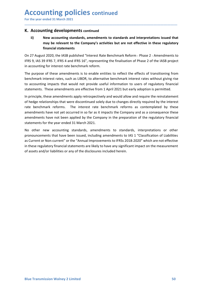Accounting policies continued<br>
For the year ended 31 March 2021<br>
K. Accounting developments continued<br>
ii) New accounting standards, amendments to standards and interpretations issued that<br>
may be relevant to the Company's **Accounting policies continued<br>
For the year ended 31 March 2021**<br> **K. Accounting developments continued**<br> **ii)** New accounting standards, amendments to standards and interpretations issues<br>
may be relevant to the Company' CCOUNTING POLICIES continued<br>
He year ended 31 March 2021<br>
ii) Rew accounting developments continued<br>
ii) New accounting standards, amendments to standards and interpretations issued that<br>
may be relevant to the Company's **Inting policies continued**<br>
meded 31 March 2021<br> **Mew accounting developments continued**<br>
New accounting standards, amendments to standards and interpretations issued that<br>
may be relevant to the Company's activities but **Inting policies continued**<br> **Example 31 March 2021**<br> **Inting developments continued**<br> **New accounting standards, amendments to standards and interpretations issue<br>
may be relevant to the Company's activities but are not e** 

\_\_\_\_\_\_\_\_\_\_\_\_\_\_\_\_\_\_\_\_\_\_\_\_\_\_\_\_\_\_\_\_\_\_\_\_\_\_\_\_\_\_\_\_\_\_\_\_\_\_\_\_\_\_\_\_\_\_\_\_\_\_\_\_\_\_\_\_\_\_\_\_\_\_\_\_\_\_\_\_\_\_\_\_\_\_\_\_\_\_

**Accounting policies continued**<br>
For the year ended 31 March 2021<br> **K. Accounting developments continued**<br> **ii)** New accounting standards, amendments to standards and interpretations issued that<br>
may be relevant to the Com

**Accounting policies continued**<br>
For the year ended 31 March 2021<br> **K. Accounting developments continued**<br> **ii)** New accounting standards, amendments to standards and interpretations issued that<br>
may be relevant to the Com **Accounting policies** continued<br>For the year ended 31 March 2021<br> **K. Accounting developments c**ontinued<br>
ii) New accounting standards, amendments to standards and interpretations issued that<br>
may be relevant to the Compan For the year ended 31 March 2021<br> **K. Accounting developments continued**<br> **K. Accounting developments continued**<br> **ii)**<br>
New accounting standards, amendments to standards and interpretations issued that<br>
may be relevant to **Accounting policies continued**<br>For the year ended 31 March 2021<br> **K. Accounting developments continued**<br> **ii)**<br>
We accounting standards, amendments to standards and interpretations issued that<br>
may be relevant to the Comp For the year ended 31 March 2021<br> **K. Accounting developments continued**<br> **ii)** New accounting standards, amendments to standards and interpretations issued that<br>
may be relevant to the Company's activities but are not eff

**ACCOUNTIME POLICIES** continued<br>
Some the year ended 31 March 2021<br> **K.** Accounting developments continued<br>
ii) New accounting standards, amendments to standards and interpretations issued that<br>
may be relevant to the Comp **ACCOUNTIME POLICIES continued**<br>
In the year ended 31 March 2021<br> **K.** Accounting developments continued<br>
ii) New accounting standards, amendments to standards and interpretations issued that<br>
may be relevant to the Compan For the year ended 31 March 2021<br> **K. Accounting developments continued**<br> **ii)** New accounting standards, amendments to standards and interpretations issued that<br>
may be relevant to the Company's activities but are not eff **K. Accounting developments continued**<br> **ii)** New accounting standards, amendments to standards and interpretations issued that<br>
may be relevant to the Company's activities but are not effective in these regulatory<br>
financ **K. Accounting developments continued**<br>
ii) New accounting standards, amendments to standards and interpretations issued that<br>
may be relevant to the Company's activities but are not effective in these regulatory<br>
financi american and interpretations issued that<br> **american standards, amendments to standards and interpretations issued that<br>
may be relevant to the Company's activities but are not effective in these regulatory<br>
financial state** Num War cocounting standards, amendments to standards and interpretations issued that<br>
may be relevant to the Company's activities but are not effective in these regulatory<br>
financial statements<br>
On 27 August 2020, the IAS Thinancial statements<br>
On 27 August 2020, the IASB published "Interest Rate Benchmark Reform - Phase 2 - Amendments to<br>
IFRS 9, IAS 39 IFRS 7, IFRS 4 and IFRS 16", representing the finalisation of Phase 2 of the IASB proje On 27 August 2020, the IASB published "Interest Rate Benchmark Reform - Phase 2 - Amendments to<br>IFRS 9, IAS 39 IFRS 7, IFRS 4 and IFRS 16", representing the finalisation of Phase 2 of the IASB project<br>in accounting for int On 27 August 2020, the IASB published "Interest Rate Benchmark Reform - Phase 2 - Amendments to<br>On 27 August 2020, the IASB published "Interest Rate Benchmark Reform - Phase 2 of the IASB project<br>in accounting for interest IFRS 9, IGS 39 IFRS 4 and IFRS 156", representing the thalisation of Phase 2 of the IASB project<br>In accounting for interest rate benchmark reform.<br>The purpose of these amendments is to enable entities to reflect the effect in accounting tor interest rate benchmark reform.<br>The purpose of these amendments is to enable entities to reflect the effects of transitioning from<br>The purpose of these amendments is to enable entities to reflect the effe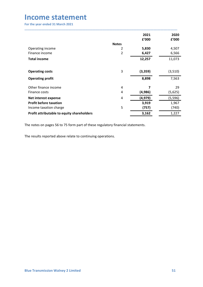| <b>Income statement</b><br>For the year ended 31 March 2021<br>2021<br>2020<br>£'000<br>£'000<br><b>Notes</b><br>Operating income<br>5,830<br>$\overline{2}$<br>4,507<br>Finance income<br>$\overline{2}$<br>6,427<br>6,566<br>12,257<br>11,073<br><b>Total income</b><br><b>Operating costs</b><br>$\mathbf{3}$<br>(3, 359)<br>(3,510)<br><b>Operating profit</b><br>8,898<br>Other finance income<br>29<br>$\overline{\mathbf{z}}$<br>4<br>(4, 986)<br>4<br>Finance costs<br>(4, 979)<br>Net interest expense<br>4<br><b>Profit before taxation</b><br>3,919<br>5<br>Income taxation charge<br>(757) |  |          |
|--------------------------------------------------------------------------------------------------------------------------------------------------------------------------------------------------------------------------------------------------------------------------------------------------------------------------------------------------------------------------------------------------------------------------------------------------------------------------------------------------------------------------------------------------------------------------------------------------------|--|----------|
|                                                                                                                                                                                                                                                                                                                                                                                                                                                                                                                                                                                                        |  |          |
|                                                                                                                                                                                                                                                                                                                                                                                                                                                                                                                                                                                                        |  |          |
|                                                                                                                                                                                                                                                                                                                                                                                                                                                                                                                                                                                                        |  |          |
|                                                                                                                                                                                                                                                                                                                                                                                                                                                                                                                                                                                                        |  |          |
|                                                                                                                                                                                                                                                                                                                                                                                                                                                                                                                                                                                                        |  |          |
|                                                                                                                                                                                                                                                                                                                                                                                                                                                                                                                                                                                                        |  |          |
|                                                                                                                                                                                                                                                                                                                                                                                                                                                                                                                                                                                                        |  |          |
|                                                                                                                                                                                                                                                                                                                                                                                                                                                                                                                                                                                                        |  |          |
|                                                                                                                                                                                                                                                                                                                                                                                                                                                                                                                                                                                                        |  |          |
|                                                                                                                                                                                                                                                                                                                                                                                                                                                                                                                                                                                                        |  |          |
|                                                                                                                                                                                                                                                                                                                                                                                                                                                                                                                                                                                                        |  |          |
|                                                                                                                                                                                                                                                                                                                                                                                                                                                                                                                                                                                                        |  |          |
|                                                                                                                                                                                                                                                                                                                                                                                                                                                                                                                                                                                                        |  |          |
|                                                                                                                                                                                                                                                                                                                                                                                                                                                                                                                                                                                                        |  | 7,563    |
|                                                                                                                                                                                                                                                                                                                                                                                                                                                                                                                                                                                                        |  |          |
|                                                                                                                                                                                                                                                                                                                                                                                                                                                                                                                                                                                                        |  |          |
|                                                                                                                                                                                                                                                                                                                                                                                                                                                                                                                                                                                                        |  |          |
|                                                                                                                                                                                                                                                                                                                                                                                                                                                                                                                                                                                                        |  | (5,625)  |
|                                                                                                                                                                                                                                                                                                                                                                                                                                                                                                                                                                                                        |  | (5, 596) |
|                                                                                                                                                                                                                                                                                                                                                                                                                                                                                                                                                                                                        |  | 1,967    |
| Profit attributable to equity shareholders<br>3,162<br>1,227                                                                                                                                                                                                                                                                                                                                                                                                                                                                                                                                           |  | (740)    |
|                                                                                                                                                                                                                                                                                                                                                                                                                                                                                                                                                                                                        |  |          |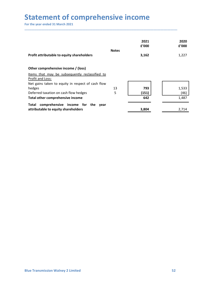| <b>Statement of comprehensive income</b>                           |              |               |               |
|--------------------------------------------------------------------|--------------|---------------|---------------|
| For the year ended 31 March 2021                                   |              |               |               |
|                                                                    |              |               |               |
|                                                                    |              |               |               |
|                                                                    |              | 2021<br>£'000 | 2020<br>f'000 |
| Profit attributable to equity shareholders                         | <b>Notes</b> | 3,162         | 1,227         |
| Other comprehensive income / (loss)                                |              |               |               |
| Items that may be subsequently reclassified to<br>Profit and Loss: |              |               |               |
| Net gains taken to equity in respect of cash flow                  |              |               |               |
| Deferred taxation on cash flow hedges                              | 13<br>5      | 793<br>(151)  | 1,533<br>(46) |
| hedges<br>Total other comprehensive income                         |              | 642           | 1,487         |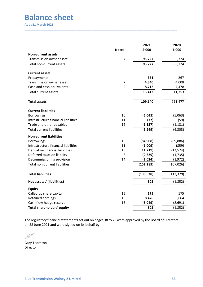# Balance sheet

|                                                              |                  | 2021                 | 2020                 |
|--------------------------------------------------------------|------------------|----------------------|----------------------|
| <b>Non-current assets</b>                                    | <b>Notes</b>     | £'000                | £'000                |
| Transmission owner asset                                     | $\boldsymbol{7}$ | 95,727               | 99,724               |
| Total non-current assets                                     |                  | 95,727               | 99,724               |
| <b>Current assets</b>                                        |                  |                      |                      |
| Prepayments                                                  |                  | 361                  | 267                  |
| Transmission owner asset                                     | $\overline{7}$   | 4,340                | 4,008                |
| Cash and cash equivalents                                    | 9                | 8,712                | 7,478                |
| Total current assets                                         |                  | 13,413               | 11,753               |
| <b>Total assets</b>                                          |                  | 109,140              | 111,477              |
| <b>Current liabilities</b>                                   |                  |                      |                      |
| Borrowings                                                   | $10\,$           | (5,045)              | (5,063)              |
| Infrastructure financial liabilities                         | 11               | (77)                 | (59)                 |
| Trade and other payables<br><b>Total current liabilities</b> | $12\,$           | (1, 127)<br>(6, 249) | (1, 181)<br>(6, 303) |
|                                                              |                  |                      |                      |
| <b>Non-current liabilities</b><br>Borrowings                 | $10\,$           | (84,908)             | (89, 886)            |
| Infrastructure financial liabilities                         | 11               | (1,009)              | (859)                |
| Derivative financial liabilities                             | 13               | (11, 719)            | (12, 574)            |
| Deferred taxation liability                                  | 8                | (2,629)              | (1, 735)             |
| Decommissioning provision                                    | $14\,$           | (2,024)              | (1, 972)             |
| Total non-current liabilities                                |                  | (102, 289)           | (107, 026)           |
| <b>Total liabilities</b>                                     |                  | (108, 538)           | (113, 329)           |
| Net assets / (liabilities)                                   |                  | 602                  | (1,852)              |
| <b>Equity</b>                                                |                  |                      |                      |
| Called up share capital                                      | 15               | 175                  | 175                  |
| Retained earnings<br>Cash flow hedge reserve                 | 16<br>16         | 8,476<br>(8,049)     | 6,664<br>(8,691)     |
| Total shareholders' equity                                   |                  | 602                  | (1,852)              |

Director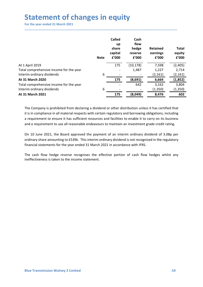| <b>Statement of changes in equity</b>                                                                     |                  |                  |                   |                 |
|-----------------------------------------------------------------------------------------------------------|------------------|------------------|-------------------|-----------------|
| For the year ended 31 March 2021                                                                          |                  |                  |                   |                 |
|                                                                                                           |                  |                  |                   |                 |
|                                                                                                           |                  |                  |                   |                 |
|                                                                                                           | Called           | Cash             |                   |                 |
|                                                                                                           | up               | flow             |                   |                 |
|                                                                                                           | share            | hedge            | Retained          | <b>Total</b>    |
| <b>Note</b>                                                                                               | capital<br>£'000 | reserve<br>f'000 | earnings<br>£'000 | equity<br>f'000 |
|                                                                                                           |                  |                  |                   |                 |
| At 1 April 2019                                                                                           | 175              | (10, 178)        | 7,598             | (2,405)         |
| Total comprehensive income for the year                                                                   |                  | 1,487            | 1,227             | 2,714           |
| Interim ordinary dividends<br>6                                                                           |                  |                  | (2, 161)          | (2, 161)        |
| At 31 March 2020                                                                                          | 175              | (8,691)          | 6,664             | (1,852)         |
| Total comprehensive income for the year<br>6                                                              |                  | 642              | 3,162             | 3,804           |
| Interim ordinary dividends<br>At 31 March 2021                                                            |                  |                  | (1, 350)          | (1, 350)        |
|                                                                                                           | 175              | (8,049)          | 8,476             | 602             |
|                                                                                                           |                  |                  |                   |                 |
| The Company is prohibited from declaring a dividend or other distribution unless it has certified that    |                  |                  |                   |                 |
| it is in compliance in all material respects with certain regulatory and borrowing obligations, including |                  |                  |                   |                 |
| a requirement to ensure it has sufficient resources and facilities to enable it to carry on its business  |                  |                  |                   |                 |
| and a requirement to use all reasonable endeavours to maintain an investment grade credit rating.         |                  |                  |                   |                 |
|                                                                                                           |                  |                  |                   |                 |
|                                                                                                           |                  |                  |                   |                 |
| On 10 June 2021, the Board approved the payment of an interim ordinary dividend of 3.08p per              |                  |                  |                   |                 |
| ordinary share amounting to £539k. This interim ordinary dividend is not recognised in the regulatory     |                  |                  |                   |                 |
| financial statements for the year ended 31 March 2021 in accordance with IFRS.                            |                  |                  |                   |                 |
|                                                                                                           |                  |                  |                   |                 |
| The cash flow hedge reserve recognises the effective portion of cash flow hedges whilst any               |                  |                  |                   |                 |
| ineffectiveness is taken to the income statement.                                                         |                  |                  |                   |                 |
|                                                                                                           |                  |                  |                   |                 |
|                                                                                                           |                  |                  |                   |                 |
|                                                                                                           |                  |                  |                   |                 |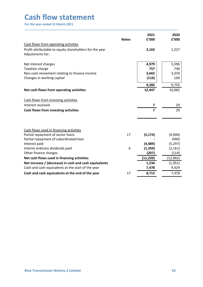| <b>Cash flow statement</b><br>For the year ended 31 March 2021 |                  |                         |                      |
|----------------------------------------------------------------|------------------|-------------------------|----------------------|
|                                                                |                  |                         |                      |
|                                                                |                  |                         |                      |
|                                                                |                  |                         |                      |
|                                                                |                  |                         |                      |
|                                                                |                  |                         |                      |
|                                                                |                  |                         |                      |
|                                                                |                  |                         |                      |
|                                                                |                  | 2021                    | 2020                 |
|                                                                | <b>Notes</b>     | £'000                   | £'000                |
| Cash flows from operating activities                           |                  |                         |                      |
| Profit attributable to equity shareholders for the year        |                  | 3,162                   | 1,227                |
| Adjustments for:                                               |                  |                         |                      |
| Net interest charges                                           |                  | 4,979                   | 5,596                |
| Taxation charge                                                |                  | 757                     | 740                  |
| Non-cash movement relating to finance income                   |                  | 3,665                   | 3,259                |
| Changes in working capital                                     |                  | (116)                   | 160                  |
|                                                                |                  | 9,285                   | 9,755                |
| Net cash flows from operating activities                       |                  | 12,447                  | 10,982               |
|                                                                |                  |                         |                      |
| Cash flows from investing activities                           |                  |                         |                      |
| Interest received                                              |                  | $\overline{\mathbf{z}}$ | 29                   |
| Cash flows from investing activities                           |                  | $\overline{7}$          | 29                   |
|                                                                |                  |                         |                      |
|                                                                |                  |                         |                      |
| Cash flows used in financing activities                        |                  |                         |                      |
| Partial repayment of senior loans                              | 17               | (5, 174)                | (4,900)              |
| Partial repayment of subordinated loan                         |                  |                         | (490)                |
| Interest paid<br>Interim ordinary dividends paid               | $\boldsymbol{6}$ | (4, 489)<br>(1, 350)    | (5, 297)<br>(2, 161) |
| Other finance charges                                          |                  | (207)                   | (114)                |
| Net cash flows used in financing activities                    |                  | (11, 220)               | (12, 962)            |
| Net increase / (decrease) in cash and cash equivalents         |                  | 1,234                   | (1,951)              |
| Cash and cash equivalents at the start of the year             |                  | 7,478                   | 9,429                |
|                                                                |                  |                         | 7,478                |
| Cash and cash equivalents at the end of the year               | 17               | 8,712                   |                      |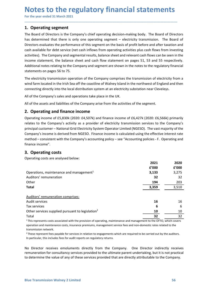# **Notes to the regulatory financial statements**<br>
For the year ended 31 March 2021<br> **1. Operating segment**<br>
The Board of Directors is the Company's chief operating decision-making body. The Board of Directors

**Notes to the regulatory financial statements**<br>
For the year ended 31 March 2021<br> **1. Operating segment**<br>
The Board of Directors is the Company's chief operating decision-making body. The Board of Direct<br>
has determined th **Notes to the regulatory financial statement Space of the year ended 31 March 2021**<br> **1. Operating segment**<br> **1. Operating segment**<br>
The Board of Directors is the Company's chief operating decision-making body. The Board<br> **Notes to the regulatory financial statements**<br>For the year ended 31 March 2021<br>The Board of Directors is the Company's chief operating decision-making body. The Board of Directors<br>has determined that there is only one ope **Notes to the regulatory financial statements**<br>For the year ended 31 March 2021<br>The Board of Directors is the Company's chief operating decision-making body. The Board of Directors<br>has determined that there is only one ope **Notes to the regulatory financial statements**<br>For the year ended 31 March 2021<br>1. Operating segment<br>The Board of Directors is the Company's chief operating decision-making body. The Board of Directors<br>has determined that For the year ended 31 March 2021<br>For the year ended 31 March 2021<br>**1. Operating segment**<br>The Board of Directors is the Company's chief operating decision-making body. The Board of Directors<br>has determined that there is onl **Notes to the regulatory financial statements**<br>For the year ended 31 March 2021<br>1. Operating segment<br>The Board of Directors is the Company's chief operating decision-making body. The Board of Directors<br>has determined that **Notes to the regulatory financial statements**<br>For the year ended 31 March 2021<br>**1. Operating segment**<br>The Board of Directors is the Company's chief operating decision-making body. The Board of Directors<br>Directors evaluate **Notes to the regulatory financial statements**<br>For the year ended 31 March 2021<br>The Board of Directors is the Company's chief operating decision-making body. The Board of Directors<br>The Board of Directors is the Company's c **Notes to the regulatory financial statements**<br>For the year ended 31 March 2021<br>1. **Operating segment**<br>The Board of Directors is the Company's chief operating decision-making body. The Board of Directors<br>thas determined th **Notes to the regulatory financial statements**<br>For the year ended 31 March 2021<br>1. Operating segment<br>The Board of Directors is the Company's chief operating decision-making body. The Board of Directors<br>has determined that **Notes to the regulatory financial statements**<br>For the year ended 31 March 2021<br>1. Operating segment<br>The Board of Directors is the Company's chief operating decision-making body. The Board of Directors<br>Directors revuluates **Notes to the regulatory financial statements**<br>For the year ended 31 March 2021<br>1. Operating segment<br>The Board of Directors is the Company's chief operating decision-making body. The Board of Directors<br>has determined that **The Company of the Company Scale Company Scale Company** Schief operating decision-making body. The Board of Directors is the Company's chief operating decision-making body. The Board of Directors because the company's chi **1. Operating segment**<br>The Board of Directors is the Company's chief operating decision-making body. The Board of Directors<br>This Board of Directors is the company's chief operating segment – electricity transmission. The B **1. Operating segment**<br> **1. Operating segment**<br>
The Board of Directors is the Company's chief operating decision-making body. The Board of Directors<br>
has determined that there is only one operating segment – electricity tr The Board of Directors is the Company's chief operating decision-making body. The Board of Directors<br>
has determined that there is only one operating segment  $-$  electricity transmission. The Board of<br>
Directors evaluates has determined that there is only one operating segment – electricity transmission. The Board of<br>Directors evaluates the performance of this segment on the basis of profit before and after taxation and<br>cash available for d

\_\_\_\_\_\_\_\_\_\_\_\_\_\_\_\_\_\_\_\_\_\_\_\_\_\_\_\_\_\_\_\_\_\_\_\_\_\_\_\_\_\_\_\_\_\_\_\_\_\_\_\_\_\_\_\_\_\_\_\_\_\_\_\_\_\_\_\_\_\_\_\_\_\_\_\_\_\_\_\_\_\_\_\_\_\_\_\_\_\_

Directors evaluates the performance of this segment on the basis of profit before and after taxation and<br>cash available for debt service (net cash inflows from operating activities plus cash flows form investing<br>activities cash available for debt service (net cash inflows from operating activities plus cash flows from investing<br>activities). The Company and segmental results, balance sheet and relevant cash flows can be seen in the<br>income is activities). The Company and segmental results, balance sheet and relevant cash flows can be seen in the balance statement, the balance sheet and cash flow statement on pages 51, 53 and 55 respectively.<br>
Additional notes r finance income". Externents on pages 56 to 75.<br>
Statements on pages 56 to 75.<br>
The electricity transmission operation of the Company comprises the transmission of electricity transmission operation of the consume of Walney Island in the n The electricity transmission operation of the Company comprises the transmission of electricity from<br>
wind farm located in the Irish Sea off the coastline of Walney Island in the northwest of England and the<br>
connecting d n of electricity from a<br>st of England and then<br>ar Cleveleys.<br>Pottomar Cleveleys.<br>The vast majority of the<br>effective interest rate<br>ies - F. Operating and<br>2021 2020<br>P'000 2'000 2'000<br>3,133 3,275<br>32 32<br>194 203<br>3,359 3510 st of England and then<br>
ear Cleveleys.<br>
1909: E6,566k) primarily<br>
ces to the Company's<br>
the vast majority of the<br>
effective interest rate<br>
cies - F. Operating and<br>
1900<br>
1900<br>
1900<br>
1900<br>
1920<br>
194<br>
193,359<br>
193,510

| connecting directly into the local distribution system at an electricity substation near Cleveleys.                                                                                                                                                                                                                                                                                                                                                                                                                                                              |              |              |
|------------------------------------------------------------------------------------------------------------------------------------------------------------------------------------------------------------------------------------------------------------------------------------------------------------------------------------------------------------------------------------------------------------------------------------------------------------------------------------------------------------------------------------------------------------------|--------------|--------------|
| All of the Company's sales and operations take place in the UK.                                                                                                                                                                                                                                                                                                                                                                                                                                                                                                  |              |              |
| All of the assets and liabilities of the Company arise from the activities of the segment.                                                                                                                                                                                                                                                                                                                                                                                                                                                                       |              |              |
| 2. Operating and finance income                                                                                                                                                                                                                                                                                                                                                                                                                                                                                                                                  |              |              |
| Operating income of £5,830k (2020: £4,507k) and finance income of £6,427k (2020: £6,566k) primarily<br>relates to the Company's activity as a provider of electricity transmission services to the Company's<br>principal customer - National Grid Electricity System Operator Limited (NGESO). The vast majority of the<br>Company's income is derived from NGESO. Finance income is calculated using the effective interest rate<br>method – consistent with the Company's accounting policy – see "Accounting policies - F. Operating and<br>finance income". |              |              |
| 3. Operating costs                                                                                                                                                                                                                                                                                                                                                                                                                                                                                                                                               |              |              |
| Operating costs are analysed below:                                                                                                                                                                                                                                                                                                                                                                                                                                                                                                                              |              |              |
|                                                                                                                                                                                                                                                                                                                                                                                                                                                                                                                                                                  | 2021         | 2020         |
|                                                                                                                                                                                                                                                                                                                                                                                                                                                                                                                                                                  | £'000        | £'000        |
| Operations, maintenance and management <sup>1</sup>                                                                                                                                                                                                                                                                                                                                                                                                                                                                                                              | 3,133        | 3,275        |
| Auditors' remuneration                                                                                                                                                                                                                                                                                                                                                                                                                                                                                                                                           | 32           | 32           |
| Other<br><b>Total</b>                                                                                                                                                                                                                                                                                                                                                                                                                                                                                                                                            | 194<br>3,359 | 203<br>3,510 |
|                                                                                                                                                                                                                                                                                                                                                                                                                                                                                                                                                                  |              |              |
| Auditors' remuneration comprises:                                                                                                                                                                                                                                                                                                                                                                                                                                                                                                                                |              |              |
| Audit services                                                                                                                                                                                                                                                                                                                                                                                                                                                                                                                                                   | 16           | 16           |
| Tax services                                                                                                                                                                                                                                                                                                                                                                                                                                                                                                                                                     | 6            | 6            |
| Other services supplied pursuant to legislation <sup>2</sup>                                                                                                                                                                                                                                                                                                                                                                                                                                                                                                     | 10           | 10           |
| Total                                                                                                                                                                                                                                                                                                                                                                                                                                                                                                                                                            | 32           | 32           |
| <sup>1</sup> This represents costs associated with the provision of operating, maintenance and management to the OFTO, which covers<br>operation and maintenance costs, insurance premiums, management service fees and non-domestic rates related to the<br>transmission network.<br><sup>2</sup> These represent fees payable for services in relation to engagements which are required to be carried out by the auditors.<br>In particular, this includes fees for audit reports on regulatory returns.                                                      |              |              |
| No Director receives emoluments directly from the Company. One Director indirectly receives<br>remuneration for consultancy services provided to the ultimate parent undertaking, but it is not practical<br>to determine the value of any of these services provided that are directly attributable to the Company.                                                                                                                                                                                                                                             |              |              |
|                                                                                                                                                                                                                                                                                                                                                                                                                                                                                                                                                                  |              |              |
| <b>Blue Transmission Walney 2 Limited</b>                                                                                                                                                                                                                                                                                                                                                                                                                                                                                                                        |              | 56           |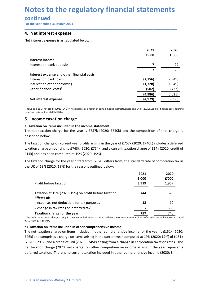## Notes to the regulatory financial statements<br>continued<br>For the year ended 31 March 2021<br>4. Net interest expense **Notes to the regulatory financial statements**<br>
continued<br>
For the year ended 31 March 2021<br> **4. Net interest expense**<br>
Net interest expense is as tabulated below:

### continued

| <b>Notes to the regulatory financial statements</b><br>continued                                                                                                        |                     |          |
|-------------------------------------------------------------------------------------------------------------------------------------------------------------------------|---------------------|----------|
|                                                                                                                                                                         |                     |          |
|                                                                                                                                                                         |                     |          |
| For the year ended 31 March 2021                                                                                                                                        |                     |          |
|                                                                                                                                                                         |                     |          |
| 4. Net interest expense                                                                                                                                                 |                     |          |
| Net interest expense is as tabulated below:                                                                                                                             |                     |          |
|                                                                                                                                                                         | 2021                | 2020     |
|                                                                                                                                                                         | £'000               | £'000    |
| Interest income                                                                                                                                                         |                     |          |
| Interest on bank deposits                                                                                                                                               | 7<br>$\overline{7}$ | 29<br>29 |
| Interest expense and other financial costs                                                                                                                              |                     |          |
| Interest on bank loans                                                                                                                                                  | (2,756)             | (2,949)  |
| Interest on other borrowing                                                                                                                                             | (1,728)             | (1,949)  |
| Other financial costs <sup>1</sup>                                                                                                                                      | (502)               | (727)    |
|                                                                                                                                                                         | (4, 986)            | (5,625)  |
| Net interest expense                                                                                                                                                    | (4, 979)            | (5, 596) |
| <sup>1</sup> Includes a £61k net credit (2020: £407k net charge) as a result of certain hedge ineffectiveness and £43k (2020: £35k) of finance costs relating           |                     |          |
| to infrastructure financial liabilities.                                                                                                                                |                     |          |
| 5. Income taxation charge                                                                                                                                               |                     |          |
| a) Taxation on items included in the income statement                                                                                                                   |                     |          |
| The net taxation charge for the year is £757k (2020: £740k) and the composition of that charge is                                                                       |                     |          |
| described below.                                                                                                                                                        |                     |          |
| The taxation charge on current year profits arising in the year of £757k (2020: £740k) includes a deferred                                                              |                     |          |
| taxation charge amounting to £743k (2020: £754k) and a current taxation charge of £14k (2020: credit of                                                                 |                     |          |
| £14k) and has been computed at 19% (2020: 19%).                                                                                                                         |                     |          |
| The taxation charge for the year differs from (2020: differs from) the standard rate of corporation tax in<br>the UK of 19% (2020: 19%) for the reasons outlined below: |                     |          |
|                                                                                                                                                                         | 2021                | 2020     |
|                                                                                                                                                                         | £'000               | £'000    |
| Profit before taxation                                                                                                                                                  | 3,919               | 1,967    |

Effects of:<br>
- expenses not deductible for tax purposes<br>
- change in tax rates on deferred tax<sup>1</sup><br>
The deterred taxition charge for the year<br>
The deterred taxition charge for the year<br>
The deterred taxition charge for the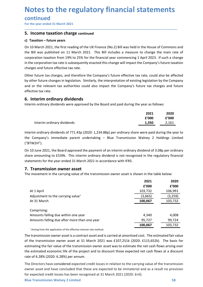## Notes to the regulatory financial statements<br>continued<br>For the year ended 31 March 2021<br>5. Income taxation charge continued **Notes to the regulatory financial statements<br>
continued**<br>
For the year ended 31 March 2021<br> **5. Income taxation charge continued**<br> **c) Taxation – future years**<br>
On 10 March 2021, the first reading of the UK Finance (No.2)

### continued

**Notes to the regulatory financial statements<br>
continued<br>
For the year ended 31 March 2021<br>
5. Income taxation charge continued<br>
c) Taxation – future years<br>
On 10 March 2021, the first reading of the UK Finance (No.2) Bill Notes to the regulatory financial statemen**<br>
For the year ended 31 March 2021<br> **5. Income taxation charge continued**<br> **c) Taxation – future years**<br>
On 10 March 2021, the first reading of the UK Finance (No.2) Bill was hel **Notes to the regulatory financial statements**<br>
For the year ended 31 March 2021<br> **5. Income taxation charge continued**<br>
c) Taxation – future years<br>
On 10 March 2021, the first reading of the UK Finance (No.2) Bill was hel **Notes to the regulatory financial statements**<br>
For the year ended 31 March 2021<br> **5. Income taxation charge continued**<br> **c)** Taxation – future years<br>
On 10 March 2021, the first reading of the UK Finance (No.2) Bill was h **Notes to the regulatory financial statements**<br>
For the year ended 31 March 2021<br> **5. Income taxation charge continued**<br> **c)** Taxation – future years<br>
On 10 March 2021, the first reading of the UK Finance (No.2) Bill was h **Notes to the regulatory financial statements**<br> **Eorthe year ended 31 March 2021**<br> **5. Income taxation charge continued**<br> **c) Taxation - future years**<br>
On 10 March 2021, the first reading of the UK Finance (No.2) Bill was **Notes to the regulatory financial statements**<br>
For the year ended 31 March 2021<br> **5. Income taxation charge continued**<br> **c) Taxation – future years**<br> **c**) Taxation – future years<br> **c**) Taxation – future years<br>
the Bill wa **Notes to the regulatory financial statements**<br>
For the year ended 31 March 2021<br> **5. Income taxation charge continued**<br> **c)** Taxation – future years<br>
On 10 March 2021, the first reading of the UK Finance (No.2) Bill was h **Notes to the regulatory financial statements**<br>
For the year ended 31 March 2021<br> **5. Income taxation charge continued**<br> **c)** Taxation – future years<br>
On 10 March 2021, the first reading of the UK Finance (No.2) Bill was h **Notes to the regulatory financial statements**<br>
For the year ended 31 March 2021<br> **5. Income taxation charge continued**<br> **c) Taxation – future years**<br> **5. Income taxation charge continued**<br> **c) Taxation – future years**<br> **5 Notes to the regulatory financial stater<br>
Continued<br>
Sor the year ended 31 March 2021<br>
5. Income taxation charge continued<br>
c) Taxation - future years<br>
On 10 March 2021, the first reading of the UK Finance (No.2) Bill was Continued**<br> **5.** Income taxation charge continued<br> **5.** Income taxation charge continued<br> **6.** Income taxation charge continued<br> **6.** Income taxation charge continued<br> **6.** Income function from 19% to 25% for the financia **EXECTIVE THE EXECT THE CONDENT AND ANCES CONSTRANT ON THE SET AND AN ANTION OF THE WERT CONDUCT THE WERT ON DURIGR CONDUCT THE USE ON DURIGR CONDITION AND ANCES ON DURIGR CONDUCT THE BUILD WAS DURIGR AND AN ANCES OF COND** Example the main rate of<br>
Example the main rate of<br>
Example 12023. If such a change<br>
Example 12023. If such a change<br>
Example 12020<br>
Example 12020<br>
Example 12020<br>
Example 12020<br>
Example 12020<br>
Example 12020<br>
Example 12020 e House of Commons and<br>
change the main rate of<br>
ril 2023. If such a change<br>
iompany's future taxation<br>
te, could also be affected<br>
gislation by the Company<br>
e tax charges and future<br>
ar as follows:<br> **2021 2020<br>
E'000 E'00** Interim ordinary dividends<br>
March 2021, the first reading of the UK Finance (No.2) Bill was held in the House of Commons and<br>
II was published on 11 March 2021. This Bill includes a measure to change the main rate of<br>
arti Univariant CUZL, the Instreasing of the University and the move interimporal of the results of CHOM and the DUN<br>
the Bill was published on 11 March 2021. This Bill includes a measure to change the main rate of<br>
corporation

\_\_\_\_\_\_\_\_\_\_\_\_\_\_\_\_\_\_\_\_\_\_\_\_\_\_\_\_\_\_\_\_\_\_\_\_\_\_\_\_\_\_\_\_\_\_\_\_\_\_\_\_\_\_\_\_\_\_\_\_\_\_\_\_\_\_\_\_\_\_\_\_\_\_\_\_\_\_\_\_\_\_\_\_\_\_\_\_\_\_

the bill was published on 11 March 2021. This bill includes a measure to change the main fate or<br>corporation taxinate is subsequently enacted this change will impact the Company's future attaction<br>charges and future effect charges and future effective tax rate.<br>
Other future tax charges, and therefore the Company's future effective tax rate, could also be affected<br>
by other future changes in legislation. Similarly, the interpretation of exis Other future tax charges, and therefore the Company's future effective tax rate, could also be affected<br>by other future changes in legislation. Similarly, the interpretation of existing legislation by the Company<br>and or th Unter future diacrease, and meteriore the Company's future encoure day rate, could also be affected<br>by other future changes in legislation. Similarly, the interpretation of existing legislation by the Company<br>and or the re

|                            | 2021  | 2020  |
|----------------------------|-------|-------|
|                            | f'000 | f'000 |
| Interim ordinary dividends | 1,350 | 2,161 |

| and or the relevant tax authorities could also impact the Company's future tax charges and future<br>effective tax rate.                                                                                                                                                                |                        |                        |
|-----------------------------------------------------------------------------------------------------------------------------------------------------------------------------------------------------------------------------------------------------------------------------------------|------------------------|------------------------|
| 6. Interim ordinary dividends<br>Interim ordinary dividends were approved by the Board and paid during the year as follows:                                                                                                                                                             |                        |                        |
| Interim ordinary dividends                                                                                                                                                                                                                                                              | 2021<br>f'000<br>1,350 | 2020<br>£'000<br>2,161 |
| Interim ordinary dividends of 771.43p (2020: 1,234.88p) per ordinary share were paid during the year to<br>the Company's immediate parent undertaking - Blue Transmission Walney 2 Holdings Limited<br>("BTW2H").                                                                       |                        |                        |
| On 10 June 2021, the Board approved the payment of an interim ordinary dividend of 3.08p per ordinary<br>share amounting to £539k. This interim ordinary dividend is not recognised in the regulatory financial<br>statements for the year ended 31 March 2021 in accordance with IFRS. |                        |                        |
| 7. Transmission owner asset<br>The movement in the carrying value of the transmission owner asset is shown in the table below:                                                                                                                                                          |                        |                        |
|                                                                                                                                                                                                                                                                                         | 2021                   | 2020                   |
|                                                                                                                                                                                                                                                                                         | £'000                  | £'000                  |
| At 1 April                                                                                                                                                                                                                                                                              | 103,732                | 106,991                |
| Adjustment to the carrying value <sup>+</sup>                                                                                                                                                                                                                                           | (3,665)                | (3, 259)               |
| At 31 March                                                                                                                                                                                                                                                                             | 100,067                | 103,732                |
| Comprising:                                                                                                                                                                                                                                                                             |                        |                        |
| Amounts falling due within one year                                                                                                                                                                                                                                                     | 4,340                  | 4,008                  |
| Amounts falling due after more than one year                                                                                                                                                                                                                                            | 95,727                 | 99,724                 |
|                                                                                                                                                                                                                                                                                         | 100,067                | 103,732                |
| * Arising from the application of the effective interest rate method.                                                                                                                                                                                                                   |                        |                        |
| The transmission owner asset is a contract asset and is carried at amortised cost. The estimated fair value                                                                                                                                                                             |                        |                        |
| of the transmission owner asset at 31 March 2021 was £107,251k (2020: £115,652k). The basis for                                                                                                                                                                                         |                        |                        |
| estimating the fair value of the transmission owner asset was to estimate the net cash flows arising over<br>the estimated economic life of the project and to discount those expected net cash flows at a discount<br>rate of 6.28% (2020: 6.28%) per annum.                           |                        |                        |
| The Directors have considered expected credit losses in relation to the carrying value of the transmission                                                                                                                                                                              |                        |                        |
| owner asset and have concluded that these are expected to be immaterial and as a result no provision                                                                                                                                                                                    |                        |                        |
|                                                                                                                                                                                                                                                                                         |                        |                        |
| for expected credit losses has been recognised at 31 March 2021 (2020: £nil).                                                                                                                                                                                                           |                        |                        |
| <b>Blue Transmission Walney 2 Limited</b>                                                                                                                                                                                                                                               |                        | 58                     |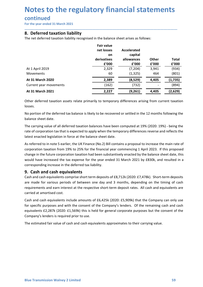## Notes to the regulatory financial statements<br>continued<br>For the year ended 31 March 2021<br>8. Deferred taxation liability **Notes to the regulatory financial statements<br>
continued**<br>
For the year ended 31 March 2021<br> **8. Deferred taxation liability**<br>
The net deferred taxation liability recognised in the balance sheet arises as follows:<br>
Fair va

### **continued**

| continued<br>For the year ended 31 March 2021                                                                                                                                                                                                                                                                                                                                                                                                                                                    |                      |                        |                       |                |
|--------------------------------------------------------------------------------------------------------------------------------------------------------------------------------------------------------------------------------------------------------------------------------------------------------------------------------------------------------------------------------------------------------------------------------------------------------------------------------------------------|----------------------|------------------------|-----------------------|----------------|
| 8. Deferred taxation liability                                                                                                                                                                                                                                                                                                                                                                                                                                                                   |                      |                        |                       |                |
| The net deferred taxation liability recognised in the balance sheet arises as follows:                                                                                                                                                                                                                                                                                                                                                                                                           | <b>Fair value</b>    |                        |                       |                |
|                                                                                                                                                                                                                                                                                                                                                                                                                                                                                                  | net losses<br>on     | Accelerated<br>capital |                       |                |
|                                                                                                                                                                                                                                                                                                                                                                                                                                                                                                  | derivatives<br>£'000 | allowances<br>£'000    | <b>Other</b><br>£'000 | <b>Total</b>   |
| At 1 April 2019                                                                                                                                                                                                                                                                                                                                                                                                                                                                                  | 2,329                | (7, 204)               | 3,941                 | £'000<br>(934) |
| <b>Movements</b>                                                                                                                                                                                                                                                                                                                                                                                                                                                                                 | 60                   | (1, 325)               | 464                   | (801)          |
| At 31 March 2020                                                                                                                                                                                                                                                                                                                                                                                                                                                                                 | 2,389                | (8,529)                | 4,405                 | (1,735)        |
| Current year movements                                                                                                                                                                                                                                                                                                                                                                                                                                                                           | (162)                | (732)                  |                       | (894)          |
| At 31 March 2021                                                                                                                                                                                                                                                                                                                                                                                                                                                                                 | 2,227                | (9,261)                | 4,405                 | (2,629)        |
| Other deferred taxation assets relate primarily to temporary differences arising from current taxation<br>losses.                                                                                                                                                                                                                                                                                                                                                                                |                      |                        |                       |                |
| No portion of the deferred tax balance is likely to be recovered or settled in the 12 months following the<br>balance sheet date.                                                                                                                                                                                                                                                                                                                                                                |                      |                        |                       |                |
| The carrying value of all deferred taxation balances have been computed at 19% (2020: 19%) - being the<br>rate of corporation tax that is expected to apply when the temporary differences reverse and reflects the<br>latest enacted legislation in force at the balance sheet date.                                                                                                                                                                                                            |                      |                        |                       |                |
| As referred to in note 5 earlier, the UK Finance (No.2) Bill contains a proposal to increase the main rate of<br>corporation taxation from 19% to 25% for the financial year commencing 1 April 2023. If this proposed<br>change in the future corporation taxation had been substantively enacted by the balance sheet date, this<br>would have increased the tax expense for the year ended 31 March 2021 by £830k, and resulted in a<br>corresponding increase in the deferred tax liability. |                      |                        |                       |                |
| 9. Cash and cash equivalents                                                                                                                                                                                                                                                                                                                                                                                                                                                                     |                      |                        |                       |                |
| Cash and cash equivalents comprise short term deposits of £8,712k (2020: £7,478k). Short-term deposits                                                                                                                                                                                                                                                                                                                                                                                           |                      |                        |                       |                |

where the state of corporation taxtion balance is likely to be recovered or settled in the 12 months following the carrying value of all deferred tax balance is likely to be recovered or settled in the 12 months following **AT 31 March 2020**<br>
Corrent year movements<br> **AT 31 March 2021**<br> **AT 31 March 2021**<br> **AT 31 March 2021**<br> **AT 31 March 2021**<br> **Corrent deferred taxation assets relate primarily to temporary differences arising from current At 31 March 2021**<br> **Example 12.227**<br> **Example 12.227**<br> **Example 12.227**<br> **Example 12.227**<br> **Example 12.227**<br> **Example 12.227**<br> **Example 12.227**<br> **Example 12.227**<br> **Example 12.227**<br> **Example 12.227**<br> **Example 12.227**<br> **Ex Example 12.1** (19,261) (19,261) (19,261) (19,261) (19,261) (19,261) (19,261) (19,261) (19,261) (19,261) (19,261) (19,261) (19,261) (19,261) (19,261) (19,261) (19,261) (19,261) (19,261) (19,261) (19,261) (19,261) (19,261) Other deferred taxation assets relate primarily to temporary differences arising from current taxation<br>No portion of the deferred tax balance is likely to be recovered or settled in the 12 months following the<br>balance shee outserval the deferred that the principal state product of the 12 months following the balance sheet date.<br>The carrying value of all deferred taxtion balances have been computed at 19% (2020: 19%) - being the balance sheet co...<br>The carrying value of all deferred tax balance is likely to be recovered or settled in the 12 months foll<br>balance sheet date.<br>The carrying value of all deferred taxation balances have been computed at 19% (2020: 19%) To exact the carrying value of all deferred taxation balances have been computed at 19% (2020: 19%) - being the<br>The carrying value of all deferred taxation balances have been computed at 19% (2020: 19%) - being the<br>rate of source mether to the company is the company of the company is the company is the company is the company of the company of the company differences reverse and reflects the latest enacted legislation in force at the balance The carrying value of all deferred taxation balances have been computed at 19% (2020: 19%) – being the<br>rate of corporation tax that is expected to apply when the temporary differences reverse and reflects the<br>latest enacte rate of corporation tax that is expected to apply when the temporary differences reverse and reflects the last enacted legislation in force a the balance sheet date.<br>As referred to in note 5 earlier, the UK Finance (No.2) mean the estimate that the community of the community and cash and their cash and their cash and cash eferred to in note 5 earlier, the UK Finance (No.2) Bill contains a proposal to increase the main rate of corporation ta

Cash and cash equivalents include amounts of £6,425k (2020: £5,909k) that the Company can only use<br>for specific purposes and with the consent of the Company's lenders. Of the remaining cash and cash<br>equivalents £2,287k (20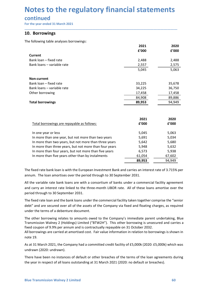## Notes to the regulatory financial statements<br>continued<br>For the year ended 31 March 2021<br>10. Borrowings **Notes to the regulatory financial statements**<br>
continued<br>
For the year ended 31 March 2021<br> **10. Borrowings**<br>
The following table analyses borrowings:<br>
2021 2021 2021

### continued

| continued<br>For the year ended 31 March 2021                                                            |                |                |
|----------------------------------------------------------------------------------------------------------|----------------|----------------|
|                                                                                                          |                |                |
|                                                                                                          |                |                |
| 10. Borrowings                                                                                           |                |                |
| The following table analyses borrowings:                                                                 |                |                |
|                                                                                                          | 2021           | 2020           |
|                                                                                                          | £'000          | £'000          |
| <b>Current</b>                                                                                           |                |                |
| Bank loan - fixed rate                                                                                   | 2,488          | 2,488          |
| Bank loans - variable rate                                                                               | 2,557          | 2,575          |
|                                                                                                          | 5,045          | 5,063          |
| <b>Non-current</b>                                                                                       |                |                |
| Bank loan - fixed rate                                                                                   | 33,225         | 35,678         |
| Bank loans - variable rate                                                                               | 34,225         | 36,750         |
| Other borrowing                                                                                          | 17,458         | 17,458         |
|                                                                                                          | 84,908         | 89,886         |
| <b>Total borrowings</b>                                                                                  | 89,953         | 94,949         |
|                                                                                                          |                |                |
|                                                                                                          | 2021           | 2020           |
| Total borrowings are repayable as follows:                                                               | £'000          | £'000          |
|                                                                                                          |                |                |
| In one year or less<br>In more than one year, but not more than two years                                | 5,045<br>5,691 | 5,063          |
| In more than two years, but not more than three years                                                    | 5,642          | 5,034<br>5,680 |
| In more than three years, but not more than four years                                                   | 5,948          | 5,632          |
| In more than four years, but not more than five years                                                    | 6,573          | 5,938          |
| In more than five years other than by instalments                                                        | 61,054         | 67,602         |
|                                                                                                          | 89,953         | 94,949         |
|                                                                                                          |                |                |
| The fixed rate bank loan is with the European Investment Bank and carries an interest rate of 3.715% per |                |                |
| annum. The loan amortises over the period through to 30 September 2031.                                  |                |                |
| All the variable rate bank loans are with a consortium of banks under a commercial facility agreement    |                |                |

|                                                                                                                                                                                                                                                                                                                                                                                                                       | 84,908 | 89,886 |  |
|-----------------------------------------------------------------------------------------------------------------------------------------------------------------------------------------------------------------------------------------------------------------------------------------------------------------------------------------------------------------------------------------------------------------------|--------|--------|--|
| <b>Total borrowings</b>                                                                                                                                                                                                                                                                                                                                                                                               | 89,953 | 94,949 |  |
|                                                                                                                                                                                                                                                                                                                                                                                                                       |        |        |  |
|                                                                                                                                                                                                                                                                                                                                                                                                                       |        |        |  |
|                                                                                                                                                                                                                                                                                                                                                                                                                       | 2021   | 2020   |  |
| Total borrowings are repayable as follows:                                                                                                                                                                                                                                                                                                                                                                            | £'000  | £'000  |  |
|                                                                                                                                                                                                                                                                                                                                                                                                                       |        |        |  |
| In one year or less                                                                                                                                                                                                                                                                                                                                                                                                   | 5,045  | 5,063  |  |
| In more than one year, but not more than two years                                                                                                                                                                                                                                                                                                                                                                    | 5,691  | 5,034  |  |
| In more than two years, but not more than three years                                                                                                                                                                                                                                                                                                                                                                 | 5,642  | 5,680  |  |
| In more than three years, but not more than four years                                                                                                                                                                                                                                                                                                                                                                | 5,948  | 5,632  |  |
| In more than four years, but not more than five years                                                                                                                                                                                                                                                                                                                                                                 | 6,573  | 5,938  |  |
| In more than five years other than by instalments                                                                                                                                                                                                                                                                                                                                                                     | 61,054 | 67,602 |  |
|                                                                                                                                                                                                                                                                                                                                                                                                                       | 89,953 | 94,949 |  |
|                                                                                                                                                                                                                                                                                                                                                                                                                       |        |        |  |
| All the variable rate bank loans are with a consortium of banks under a commercial facility agreement<br>and carry an interest rate linked to the three-month LIBOR rate. All of these loans amortise over the<br>period through to 30 September 2031.<br>The fixed rate loan and the bank loans under the commercial facility taken together comprise the "senior                                                    |        |        |  |
| debt" and are secured over all of the assets of the Company via fixed and floating charges, as required<br>under the terms of a debenture document.                                                                                                                                                                                                                                                                   |        |        |  |
| The other borrowing relates to amounts owed to the Company's immediate parent undertaking, Blue<br>Transmission Walney 2 (Holdings) Limited ("BTW2H"). This other borrowing is unsecured and carries a<br>fixed coupon of 9.9% per annum and is contractually repayable on 31 October 2032.<br>All borrowings are carried at amortised cost. Fair value information in relation to borrowings is shown in<br>note 19. |        |        |  |
| As at 31 March 2021, the Company had a committed credit facility of £5,000k (2020: £5,000k) which was<br>undrawn (2020: undrawn).                                                                                                                                                                                                                                                                                     |        |        |  |
| There have been no instances of default or other breaches of the terms of the loan agreements during                                                                                                                                                                                                                                                                                                                  |        |        |  |

In more than foreyears, but not three training years<br>
In more than five years ofter than by instalments<br>
In more than five years ofter than by instalments<br> **Eq.** 0.1.01<br> **Example 19.1.**<br> **Example 19.1.**<br>
All the variable r The fixed rate bank loan is with the European Investment Bank and carries an interest rate<br>annum. The loan amortises over the period through to 30 September 2031.<br>All the variable rate bank loans are with a consortium of b

Find the loan and the bank loans under the commercial facility taken together comprise the "senior<br>The fixed rate loan and the bank loans under the company via fixed and floating charges, as required<br>under the terms of a d 89,953 - 94,949<br>
The fixed rate bank loan is with the European Investment Bank and carries an interest rate of 3.715% per<br>
annum. The loan a mortises over the period through to 30 September 2031.<br>
All the variable rate ban annum. The loan amortises over the period through to 30 September 2031.<br>All the variable rate bank loans are with a consortium of banks under a commercial facility agreement<br>and carry an interest rate linked to the three-m All the variable rate bank loans are with a consortium of banks under a commercial facility agreement<br>and carry an interest rate linked to the three-month LIBOR rate. All of these loans amortise over the<br>period through to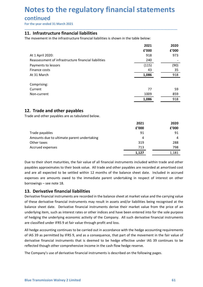## Notes to the regulatory financial statements<br>continued<br>For the year ended 31 March 2021<br>11. Infrastructure financial liabilities **Notes to the regulatory financial statements**<br>
For the year ended 31 March 2021<br> **11.** Infrastructure financial liabilities<br>
The movement in the infrastructure financial liabilities is shown in the table below:<br>
2021 2020

### continued

| <b>Notes to the regulatory financial statements</b>                                   |       |       |
|---------------------------------------------------------------------------------------|-------|-------|
|                                                                                       |       |       |
| continued                                                                             |       |       |
| For the year ended 31 March 2021                                                      |       |       |
| 11. Infrastructure financial liabilities                                              |       |       |
| The movement in the infrastructure financial liabilities is shown in the table below: |       |       |
|                                                                                       | 2021  | 2020  |
|                                                                                       | £'000 | f'000 |
| At 1 April 2020:                                                                      | 918   | 973   |
| Reassessment of infrastructure financial liabilities                                  | 240   |       |
| Payments to lessors                                                                   | (115) | (90)  |
| Finance costs                                                                         | 43    | 35    |
| At 31 March                                                                           | 1,086 | 918   |
| Comprising:                                                                           |       |       |
| Current                                                                               | 77    | 59    |
| Non-current                                                                           | 1009  | 859   |
|                                                                                       | 1,086 | 918   |
|                                                                                       |       |       |
| 12. Trade and other payables                                                          |       |       |
| Trade and other payables are as tabulated below.                                      |       |       |
|                                                                                       | 2021  | 2020  |
|                                                                                       | £'000 | £'000 |
| Trade payables                                                                        | 91    | 91    |
| Amounts due to ultimate parent undertaking                                            | 4     | 4     |
| Other taxes                                                                           | 319   | 288   |
| Accrued expenses                                                                      | 713   | 798   |
|                                                                                       | 1,127 | 1,181 |

| Comprising:                                                                                                                                                                                                                                                                                                                                                                                                                                              |       |       |
|----------------------------------------------------------------------------------------------------------------------------------------------------------------------------------------------------------------------------------------------------------------------------------------------------------------------------------------------------------------------------------------------------------------------------------------------------------|-------|-------|
| Current                                                                                                                                                                                                                                                                                                                                                                                                                                                  | 77    | 59    |
| Non-current                                                                                                                                                                                                                                                                                                                                                                                                                                              | 1009  | 859   |
|                                                                                                                                                                                                                                                                                                                                                                                                                                                          | 1,086 | 918   |
| 12. Trade and other payables                                                                                                                                                                                                                                                                                                                                                                                                                             |       |       |
| Trade and other payables are as tabulated below.                                                                                                                                                                                                                                                                                                                                                                                                         |       |       |
|                                                                                                                                                                                                                                                                                                                                                                                                                                                          | 2021  | 2020  |
|                                                                                                                                                                                                                                                                                                                                                                                                                                                          | £'000 | £'000 |
| Trade payables                                                                                                                                                                                                                                                                                                                                                                                                                                           | 91    | 91    |
| Amounts due to ultimate parent undertaking                                                                                                                                                                                                                                                                                                                                                                                                               | Δ     |       |
| Other taxes                                                                                                                                                                                                                                                                                                                                                                                                                                              | 319   | 288   |
| Accrued expenses                                                                                                                                                                                                                                                                                                                                                                                                                                         | 713   | 798   |
|                                                                                                                                                                                                                                                                                                                                                                                                                                                          | 1,127 | 1,181 |
| Due to their short maturities, the fair value of all financial instruments included within trade and other<br>payables approximates to their book value. All trade and other payables are recorded at amortised cost<br>and are all expected to be settled within 12 months of the balance sheet date. Included in accrued<br>expenses are amounts owed to the immediate parent undertaking in respect of interest on other<br>borrowings - see note 18. |       |       |
| 13. Derivative financial liabilities                                                                                                                                                                                                                                                                                                                                                                                                                     |       |       |
| Derivative financial instruments are recorded in the balance sheet at market value and the carrying value                                                                                                                                                                                                                                                                                                                                                |       |       |
| of these derivative financial instruments may result in assets and/or liabilities being recognised at the                                                                                                                                                                                                                                                                                                                                                |       |       |
| balance sheet date. Derivative financial instruments derive their market value from the price of an                                                                                                                                                                                                                                                                                                                                                      |       |       |
| underlying item, such as interest rates or other indices and have been entered into for the sole purpose                                                                                                                                                                                                                                                                                                                                                 |       |       |
| of hedging the underlying economic activity of the Company. All such derivative financial instruments<br>are classified under IFRS 9 at fair value through profit and loss.                                                                                                                                                                                                                                                                              |       |       |
| All hedge accounting continues to be carried out in accordance with the hedge accounting requirements                                                                                                                                                                                                                                                                                                                                                    |       |       |

Derivative financial instruments are recorded in the balance sheet at market value and the carrying value<br>of these derivative financial instruments may result in assets and/or liabilities being recognised at the<br>balance sh Frade payables<br>
Erone Payables<br>
Amounts due to ultimate parent undertaking<br>
Other taxes<br>
Accrued expenses<br>
Accrued expenses<br>
Accrued expenses<br>
Due to their short maturities, the fair value of all financial instruments inc Trade payables<br>
Anounts due to ultimate parent underlaking<br>  $\frac{4}{1132}$ <br>
Other taxes<br>
Accrued expenses<br>
Accrued expenses<br>
Due to their short maturities, the fair value of all financial instruments included within trade a Announts due to ultimate parent undertaking<br>
288<br>
Accrued expenses<br>
2733<br>
Accrued expensionates to their book value of all financial instruments included within trade and other<br>
and other shows approximates to their book v Accrued expenses<br> **All helge account in the account of the COM** and information of the following continues in the same of the balance sheet date. Included in accrued and other papables approximates to their book value. Al **1.127 1.127 1.1281**<br> **1.1281**<br> **1.1281**<br> **1.1281**<br> **1.1281**<br> **2.1281**<br> **2.1281**<br> **2.1281**<br> **2.1281**<br> **2.1281**<br> **2.1281**<br> **2.1281**<br> **2.1281**<br> **2.1281**<br> **2.1281**<br> **2.1281**<br> **2.1281**<br> **2.1281**<br> **2.1281**<br> **2.1281**<br> **2.128** Due to their short maturities, the fair value of all financial instruments included within trade and other payables approximates to their book value. All trade and other payables are recorded at amortised cost and are all Due to their short maturities, the fair value of all financial instruments included within trade and other papayables approximates to their book value. All trade and other papayles are recorded at a mortisted cost and are payones approximates to mer loox value. All trace and other payones are recorded at amortue cost at the immediate parent of the balance sheet date. Included in accrued expenses are amounts owed to the immediate parent unde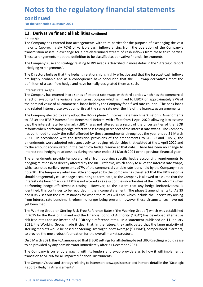# Notes to the regulatory financial statements<br>continued<br>For the year ended 31 March 2021<br>13. Derivative financial liabilities continued

### continued

**Notes to the regulatory financial statements<br>
continued<br>
For the year ended 31 March 2021<br>
The Company has entered into arrangements with third parties for the purpose of exchanging the \<br>
The Company has entered into arr Notes to the regulatory financial statements**<br>
continued<br>
For the year ended 31 March 2021<br> **13. Derivative financial liabilities continued**<br> **RPI swaps**<br>
The Company has entered into arrangements with third parties for t **Notes to the regulatory financial st<br>
continued**<br>
For the year ended 31 March 2021<br> **13. Derivative financial liabilities continued**<br>
<u>RPI swaps</u><br>
The Company has entered into arrangements with third parties for the purp<br> **Notes to the regulatory financial statements**<br>
For the year ended 31 March 2021<br> **TA.** Derivative financial liabilities continued<br>
RPI swaps<br>
The Company has entered into arrangements with third parties for the purpose of **Notes to the regulatory financial statements**<br>
For the year ended 31 March 2021<br> **13. Derivative financial liabilities continued**<br> **RPI swaps**<br> **ITE Company** has entered into arrangements with third parties for the purpos **Notes to the regulatory financial statements**<br>For the year ended 31 March 2021<br>13. Derivative financial liabilities continued<br>The Company has entered into arrangements with third parties for the purpose of exchanging the **Notes to the regulatory financial statements**<br>For the year ended 31 March 2021<br>The Company has entered into arrangements with third parties for the purpose of exchanging the vast<br>The Company has entered into arrangements **Notes to the regulatory financial statements**<br>
For the year ended 31 March 2021<br> **13. Derivative financial liabilities continued**<br>
<u>RPI swaps</u><br>
The Company has entered into arrangements with third parties for the purpose **Notes to the regulatory financial statements**<br>
For the year ended 31 March 2021<br> **13. Derivative financial liabilities** continued<br> **RPI swaps**<br> **ITHE Company has entered into arrangements with third parties for the purpos Notes to the regulatory financial statements**<br>For the year ended 31 March 2021<br>**13. Derivative financial liabilities** continued<br>The Company has entered into arrangements with third parties for the purpose of exchanging th **Notes to the regulatory financial statements**<br>
For the year ended 31 March 2021<br> **13. Derivative financial liabilities** continued<br>
The Company has entered into arrangements with third parties for the purpose of exchanging **Notes to the regulatory financial stater**<br> **Continued**<br>
For the year ended 31 March 2021<br> **13. Derivative financial liabilities continued**<br> **ITHE COMPARY (approximately 70%)** of variable cash inflows arising from the oper **INDEES TO THE FEGUIDENTY TIMBING181 STATEMENTS**<br> **Continued**<br> **The Company has entered into arrangements with third parties for the purpose of exchanging the vast<br>
<b>The Company has entered into arrangements with third par EXERCT THE CONDUCT CONDUCT CONDUCT CONDUCT THE CONDUCT CONDUCT CONDUCT THE CONDUCT CONDUCT CONDUCT THE CONDUCT CONDUCT CONDUCT CONDUCT THE CONDUCT CONDUCT CONDUCT THE CONDUCT CONDUCT THE CONDUCT THE CONDUCT THE CONDUCT TH** the nominal value of all commercial loans held by the Company for a fixed rate coupon. The bank loans

\_\_\_\_\_\_\_\_\_\_\_\_\_\_\_\_\_\_\_\_\_\_\_\_\_\_\_\_\_\_\_\_\_\_\_\_\_\_\_\_\_\_\_\_\_\_\_\_\_\_\_\_\_\_\_\_\_\_\_\_\_\_\_\_\_\_\_\_\_\_\_\_\_\_\_\_\_\_\_\_\_\_\_\_\_\_\_\_\_\_

- Hedging Arrangements".

For the year ended 31 March 2021<br>**13. Derivative financial liabilities continued**<br>The Company has entered into arrangements with third parties for the purpose of exchanging the vast<br>The Company's approximately 70%) of vari **13. Derivative financial liabilities continued**<br>The Company has entered into arrangements with third parties for the purpose of exchanging the vast<br>majority (approximately 70%) of variable cash inflows arising from the op to Chromate Chromater and Interest Rive in the Benchmark Reform is the film and IND and IND and IND and IND and IND and IND and IND and IND and IND and IND and IND and IND and IND and IND and IND and IND and IND and IND an nationally are entered into arrangements with third parties for the purpose of exchanging the vast<br>majority (approximately 70%) of variable cash inflows arising from the operation of the Company's<br>transmission assets in ex Ine Company mas entered into an anglements wincriming per least form the operation of the Company's transmission assets in exchange for a pre-determined stream of cash inflows from these trird parties.<br>These arrangements m mayin'ty exproximately "loop various cases in exchable continue was also the method of the continue to the company<br>Transmission assets in exchange for a pre-determined stream of cash inflows from these third parties.<br>The C unsultions of the transit in extaining the provisions of the simulation in the simulation in the simulation of the scaring provisions in the form and states are amply suse and strategy relating to RPI swaps is described in Thee antigmential meter is even model of the logical methanic methanic control in the company's use and strategy relating to RPI swaps is described in more detail in the "Strategic Report<br>The Directors believe that the hed The Company's use and strategy relating to RPI swaps is described in more detail in the "Strategic Report<br>- Hedging Arrangements".<br>The Directors believe that the hedging relationship is highly effective and that the foreca - Hedging Arrangements".<br>The Directors believe that the hedging relationship is highly effective and that the forecast cash inflows<br>The Directors believe that the hedging relationship is highly designated than the RPI swap The Directors believe that the hedging relationship is highly effective and that the forecast cash inflows<br>are highly probable and as a consequence have concluded them as such.<br>
Interest rate swaps<br>
definition of a cash fl are highly probable and as a consequence have concluded that the RPI swap derivatives meet the definition of a cash flow hedge and have formally designated them as such.<br>
Interest rate swaps<br>
The Company has entered into a definition of a cash flow hedge and have formally designated them as such.<br>Interest face wangs<br>The Company has entered into a series of interest rate swaps with third parties which has the commercial<br>effect of swapping the

Interest rate swaps<br>The Company has entered into a series of interest rate swaps with third parties which has the commercial<br>The Company has entered into a series to cupon which is linked to LIBOR on approximately 97% of<br>t interior exercy of the variable rate into a series of interest rate swaps with third parties which has the commercial<br>effect of swapping the variable rate interest coupon which is linked to LIBOR on approximately 97% of<br>th interest rate header and community and the comparty and the momentum and the comparisor and the mominal value of all commentations and related interest rate soups amortise at the sme rate over the life of the loan/swap arr erice to some proprior to the terminal band that the company for a fixed rate coupon. The bank loans<br>the nominal value of all commercial loans held by the Company for a fixed rate coupon. The bank loans<br>and related interes is and the test continues of the interest the same that which incomes the compary is the same incomes and related interest rate swaps amortise at the same rate over the life of the loan/swap arrangements. The Company elect and Compary electronics of the compartion of the comparty of the comparty of the comparty inclusions to the interest rate benchmark Reform: Amendments to 1AS 39 and IFRS 7 Interest Rate Benchmark Reform' with effect from 1 The Company elected to early adopt the lASB's phase 1 'Interest Rate Benchmark Reform' with effect from 1 April 2020, allowing it to assume<br>To LAS 39 and IFRS 7 Interest rate Benchmark Reform' with effect from 1 April 2020 to IAS 39 and IFRS 7 Interest Rate Benchmark Reform' with effect from 1 April 2020,<br>That the interest rate benchmark (ILBOR) was not altered as a result of the unce<br>reforms when performing hedge effectiveness testing in re whe we where the teleformal teleformal tellors, was wellowed that the direct and the sterling properties the compary in represent and the sterling in respect of the interest rate swaps. The Company the compary the relation in the methanic methanic many in the transition of the methanic and the Financial mass continued to apply the relief afforded by these amediments throughout the year ended 31 March 2021. In accordance with the transition p na connunct compute the teached in the interest of the amely and the particular and the memberial of the amely and interest the beam of the amely the constant of the amely and the teached tertospectively to hedging relatio 2021, the two two the amomology on Sterling Risk-Free Reteree at that date. There has be to the amount accumulated in the cash flow hedge reacher at that date. There has been no change to to the amount accumulated in the c oncentrom the complete the cash flow helge relative and the C. There has been no change to interest rate hedging relationships during the year ended 31 March 2021 or the previous financial year. The amendments provide temp or the more throught the constrained in the structure of the present of the previous financial year.<br>The amendments provide temporary relief from applying specific hedge accounting requirements to The mendments provide tem The amendments provide temporary relief from applying specific hedge accounting requirements to hedging relationships directly affected by the IBOR reforms, which apply to all of the interest rate swaps, which and the inte The uncomentary potent currept viela. The interpretist control photon and the interest rate swaps, which apply to all of the interest rate swaps, which as noted earlier, represents CF7% of the company intered by the compan which as noted earlier, represents c97% of the commercial variable rate loans held by the Company – see<br>note 10. The temporary relief available and applied by the Company has the effect that the BOR reforms<br>should not gene note 10. The temporary relief available and applied by the Company has the effect that the IBOR reforms<br>the should not generally cause hedge accounting to treminate, as the Company is allowed to assume that the<br>interest ra Show the the method of the method of the method in the strategy activities of the USOR reforms when precompany cannot use the method interest rate benchmark i.e. LIBOR is not altered as a result of the uncertainties of the

and IFRS 7 set out the circumstances for when the reliefs will end, which include the uncertainty arising<br>from interest rate benchmark reform no longer being present, however these circumstances have not<br>yet been met.<br>The

Report - Hedging Arrangements".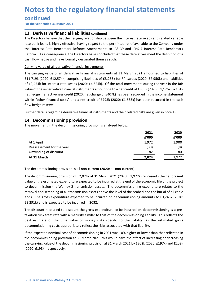# Notes to the regulatory financial statements<br>continued<br>For the year ended 31 March 2021<br>13. Derivative financial liabilities continued

### continued

**Notes to the regulatory financial statements<br>
continued<br>
For the year ended 31 March 2021<br>
The Directors believe that the hedging relationship between the interest rate swaps and related variate<br>
The Directors believe tha Notes to the regulatory financial statements<br>
continued**<br>
For the year ended 31 March 2021<br> **13. Derivative financial liabilities continued**<br>
The Directors believe that the hedging relationship between the interest rate s **Notes to the regulatory financial statements**<br>
For the year ended 31 March 2021<br> **13. Derivative financial liabilities continued**<br>
The Directors believe that the hedging relationship between the interest rate swaps and re **Notes to the regulatory financial statements**<br>
For the year ended 31 March 2021<br> **13. Derivative financial liabilities** continued<br>
The Directors believe that the hedging relationship between the interest rate swaps and re **Notes to the regulatory financial statements**<br>
For the year ended 31 March 2021<br>
The Directors believe financial liabilities continued<br>
The Directors believe that the hedging relationship between the interest rate swaps a **Notes to the regulatory financial statements**<br>
For the year ended 31 March 2021<br> **13. Derivative financial liabilities** continued<br>
The Directors believe that the hedging relationship between the interest rate swaps and re **Notes to the regulatory financial statements**<br>
For the year ended 31 March 2021<br> **13. Derivative financial liabilities** continued<br>
The Directors believe that the hedging relationship between the interest rate swaps and re **Notes to the regulatory financial statements**<br> **Continued**<br>
For the year ended 31 March 2021<br> **13. Derivative financial liabilities continued**<br> **ITED** Directors believe that the hedging relationship between the interest r

\_\_\_\_\_\_\_\_\_\_\_\_\_\_\_\_\_\_\_\_\_\_\_\_\_\_\_\_\_\_\_\_\_\_\_\_\_\_\_\_\_\_\_\_\_\_\_\_\_\_\_\_\_\_\_\_\_\_\_\_\_\_\_\_\_\_\_\_\_\_\_\_\_\_\_\_\_\_\_\_\_\_\_\_\_\_\_\_\_\_

**Notes to the regulatory financial statements**<br>
For the year ended 31 March 2021<br> **13. Derivative financial liabilities** continued<br>
The Directors believe that the hedging relationship between the interest rate swaps and re **Notes to the regulatory financial statements**<br>
For the year ended 31 March 2021<br> **13. Derivative financial liabilities** continued<br>
The Directors believe that the hedging relationship between the interest rate swaps and re **Notes to the regulatory financial statements**<br>For the year ended 31 March 2021<br>The Directors believe that the hedging relationship between the interest rate swaps and related variable<br>The Directors believe that the hedgin **Notes to the regulatory financial statements**<br>For the year ended 31 March 2021<br>Ta. Derivative financial liabilities continued<br>The Directors believe that the hedging relationship between the interest rate swaps and related **NOTES TO THE FEGUIDENTY TIMANCIAL STATEMENTS**<br>
Contrinued<br>
For the year ended 31 March 2021<br> **13. Derivative financial liabilities continued**<br>
The Directors believe that the hedging reationship between the interest rate s **CONTINUE CONTIFY**<br> **13. Derivative financial liabilities continued**<br>
The Directors believe that the hedging relationship between the interest rate swaps and related variable<br>
rate bank loons is highly effective, having re **EVALUATE THE EXECT THE CONDUCT THE SET AS THE CONDITION THE DIRECT THE DIRECT THE Directors believe that the hedging relationship between the interest rate swaps and the Directors believe that the hedging relationship bet 13. Derivative financial liabilities continued**<br>The Directors believe that the hedging relationship between the interest rate swaps and related variable<br>rate bank loans is highly effective, having regard to the permitted The Directors believe that the hedging relationship between the interest rate swaps and related variable to the Directors believe that the hedging relationship between the interest rate swaps and related variable rate bank The movement in the decommissioning provision is analysed below.<br>
The movement in the decommissioning regard to the permitted relief available to the Company under<br>
the "Interest Rate Benchmark Reform: Amendments to IAS 39 meterest Rate Benchmark<br>
s meet the definition of a<br>
mounted to liabilities of<br>
0: £7,950k) and liabilities<br>
uring the year in the fair<br>
k (2020: £1,126k), a £61k<br>
in the income statement<br>
een recorded in the cash<br>
are giv Example the definition of a<br>
amounted to liabilities of<br>  $20: E7,950k$  and liabilities<br>
during the year in the fair<br>  $5k$  (2020: £1,126k), a £61k<br>
in the income statement<br>
een recorded in the cash<br>
s are given in note 19.<br> the movement in the decommissioning provision is analysed below.<br>
At 31 March 2021 amounted to liabilities of<br>
trying value of all derivative financial instruments<br>
carrying value of all derivative financial instruments at Figure of all derivative financial instruments<br>
acarrying value of all derivative financial instruments<br>
acarrying value of all derivative financial instruments at 31 March 2021 amounted to liabilities<br>
1,719k (2020: £1,2 Trying Value of all derivative financial instruments<br>
e carrying value of all derivative financial instruments at 31 March 2021 amounted to liabilities of<br>
1.719k (2020: E12,574k) comprising liabilities of E8,265k for RPI e carrying value of all derivative financial instruments at 31 March 2021 amounted to liabilities of<br>
4.7198 (2020: 41.5274) comprising liabilities of 68,265k for RPI swaps (2020: 4.6624). Of the total movements during the

| of £3,454k for interest rate swaps (2020: £4,624k). Of the total movements during the year in the fair<br>value of these derivative financial instruments amounting to a net credit of £855k (2020: £1,126k), a £61k<br>net hedge ineffectiveness credit (2020: net charge of £407k) has been recorded in the income statement<br>within "other financial costs" and a net credit of £793k (2020: £1,533k) has been recorded in the cash<br>flow hedge reserve. |       |       |
|-----------------------------------------------------------------------------------------------------------------------------------------------------------------------------------------------------------------------------------------------------------------------------------------------------------------------------------------------------------------------------------------------------------------------------------------------------------------|-------|-------|
| Further details regarding derivative financial instruments and their related risks are given in note 19.                                                                                                                                                                                                                                                                                                                                                        |       |       |
| 14. Decommissioning provision                                                                                                                                                                                                                                                                                                                                                                                                                                   |       |       |
| The movement in the decommissioning provision is analysed below.                                                                                                                                                                                                                                                                                                                                                                                                |       |       |
|                                                                                                                                                                                                                                                                                                                                                                                                                                                                 | 2021  | 2020  |
|                                                                                                                                                                                                                                                                                                                                                                                                                                                                 | f'000 | f'000 |
| At 1 April                                                                                                                                                                                                                                                                                                                                                                                                                                                      | 1,972 | 1,900 |
| Reassessment for the year                                                                                                                                                                                                                                                                                                                                                                                                                                       | (30)  | (8)   |
| Unwinding of discount                                                                                                                                                                                                                                                                                                                                                                                                                                           | 82    | 80    |
| At 31 March                                                                                                                                                                                                                                                                                                                                                                                                                                                     | 2,024 | 1,972 |
| The decommissioning provision is all non-current (2020: all non-current).                                                                                                                                                                                                                                                                                                                                                                                       |       |       |
| The decommissioning provision of £2,024k at 31 March 2021 (2020: £1,972k) represents the net present                                                                                                                                                                                                                                                                                                                                                            |       |       |
| value of the estimated expenditure expected to be incurred at the end of the economic life of the project                                                                                                                                                                                                                                                                                                                                                       |       |       |
| to decommission the Walney 2 transmission assets. The decommissioning expenditure relates to the                                                                                                                                                                                                                                                                                                                                                                |       |       |
| removal and scrapping of all transmission assets above the level of the seabed and the burial of all cable                                                                                                                                                                                                                                                                                                                                                      |       |       |
| ends. The gross expenditure expected to be incurred on decommissioning amounts to £3,243k (2020:                                                                                                                                                                                                                                                                                                                                                                |       |       |
|                                                                                                                                                                                                                                                                                                                                                                                                                                                                 |       |       |

within "other financial costs" and a net credit of £793k (2020: £1,533k) has been recorded in the cash<br>flow hedge reserve.<br>Further details regarding derivative financial instruments and their related risks are given in no Flurther details regarding derivative financial instruments and their related risks are given in note 19.<br> **14. Decommissioning provision**<br>
The movement in the decommissioning provision is analysed below.<br> **2021**<br> **411** A Further details regarding derivative financial instruments and their related risks are given in note 19.<br> **14. Decommissioning provision**<br>
The movement in the decommissioning provision is analysed below.<br> **2021**<br> **411** Ap Further details regarding derivative financial instruments and their related risks are given in note 19.<br> **14. Decommissioning provision** is analysed below.<br>
The movement in the decommissioning provision is analysed below **14. Decommissioning provision**<br>
The movement in the decommissioning provision is analysed below.<br> **2021**<br> **2021**<br> **2021**<br> **2021**<br> **2021**<br> **2021**<br> **2021**<br> **2021**<br> **2021**<br> **2021**<br> **2021**<br> **2021**<br> **2021**<br> **2021**<br> **2021**<br> **2** The movement in the decommissioning provision is analysed below.<br>  $2021$ <br>  $2020$ <br>  $2021$ <br>  $2020$ <br>  $2000$ <br>  $2000$ <br>  $2000$ <br>  $2000$ <br>  $2000$ <br>  $2000$ <br>  $2000$ <br>  $2000$ <br>  $2000$ <br>  $2000$ <br>  $2000$ <br>  $2001$ <br>  $201,972$ <br>  $2024$ <br>  $2,924$ <br> 2021 2021 2021 2020<br> **ECOM**<br>
Reassessment for the year<br>
1.972 5000<br>
1.9000 16800001<br>
At 31 March<br>
At 31 March<br>
2.024 2.024 2.024 2.024<br>
The decommissioning provision is all non-current (2020: all non-current).<br>
The decomm **EVECT 12** EVECT 12 1 April<br> **EVECT 1200**<br>
Reassessment for the year<br> **At 31 March**<br> **At 31 March**<br> **At 31 March**<br> **EVECT 1202** The decommissioning provision is all non-current (2020: all non-current).<br>
The decommissionin At 1 April 19172 1,900<br>
1,972 1,900<br>
1,900 1,000 1,000 1,000 1,900 1,900 1,900 1,900 1,900 1,900 1,900 1,900 1,900 1,900 1,900 1,900 1,900 1,900 1,900 1,900 1,900 1,900 1,900 1,900 1,900 1,900 1,900 1,900 1,900 1,900 1,90 If the decommissioning provision is all non-current (2020: all non-current).<br>
In winding of discount<br>
The decommissioning provision is all non-current (2020: all non-current).<br>
The decommissioning provision of £2,024k at **The decommissioning provision is all non-current (2020: all non-current).**<br> **The decommissioning provision of £2,024k at 31 March 2021 (2020: £1,972k) represents the net present value of the estimated expenditure expecte** The decommissioning provision is all non-current (2020: all non-current).<br>The decommissioning provision of £2,024k at 31 March 2021 (2020: £1,972k) represents the net present value of the estimated expenditure expected to

ends. The gross expenditure expected to be incurred on decommissioning amounts to £3,243k (2020:<br>
£3,291k) and is expected to be incurred in 2032.<br>
The discount rate used to discount the gross expenditure to be incurred on

(2020: £198k) respectively.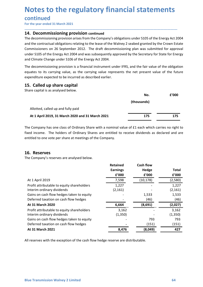# Notes to the regulatory financial statements<br>continued<br>For the year ended 31 March 2021<br>14. Decommissioning provision continued

### continued

**Notes to the regulatory financial statements<br>
continued<br>
For the year ended 31 March 2021<br>
The decommissioning provision continued<br>
The decommissioning provision arises from the Company's obligations under S105 of the Ene Notes to the regulatory financial statements<br>
continued**<br>
For the year ended 31 March 2021<br> **14. Decommissioning provision continued**<br>
The decommissioning provision arises from the Company's obligations under \$105 of the **Notes to the regulatory financial statements**<br>
For the year ended 31 March 2021<br>
The decommissioning provision continued<br>
The decommissioning provision arises from the Company's obligations under S105 of the Energy Act 20 **Notes to the regulatory financial statements**<br>
For the year ended 31 March 2021<br> **14. Decommissioning provision** continued<br>
The decommissioning provision arises from the Company's obligations under S105 of the Energy Act **Notes to the regulatory financial statements**<br>
For the year ended 31 March 2021<br>
The decommissioning provision continued<br>
The decommissioning provision arises from the Company's obligations under S105 of the Energy Act 20 **Notes to the regulatory financial statements**<br>
For the year ended 31 March 2021<br> **14. Decommissioning provision continued**<br>
The decommissioning provision arises from the Company's obligations under S105 of the Energy Act **Notes to the regulatory financial statements**<br>
For the year ended 31 March 2021<br> **14. Decommissioning provision continued**<br> **14. Decommissioning provision arises from the Company's obligations under S105 of the Energy Act Notes to the regulatory financial statements**<br>
For the year ended 31 March 2021<br> **14. Decommissioning provision arises** from the Company's obligations under 5105 of the Energy Act 2004<br>
and the contractual obligations rel **Notes to the regulatory financial statements**<br>
For the year ended 31 March 2021<br>
14. Decommissioning provision continued<br>
The decommissioning provision arises from the Company's obligations under 5105 of the Energy Act 20 **Notes to the regulatory financial statements**<br>
For the year ended 31 March 2021<br>
The decommissioning provision antises from the Company's obligations under S105 of the Energy Act 2004<br>
The decommissioning provision arises **Notes to the regulatory financial statements<br>
Continued**<br>
For the year ended 31 March 2021<br>
14. Decommissioning provision continued<br>
The decommissioning provision arises from the Company's obligations under 5105 of the En **Notes to the regulatory financial statements**<br>
Continued<br>
For the year ended 31 March 2021<br> **14. Decommissioning provision continued**<br>
The decommissioning provision anties from the Company's obligations under S105 of the

| For the year ended 31 March 2021                                                                                                                                                                                                                                                                                                                                                                                                                                                                                                |                          |                       |                       |
|---------------------------------------------------------------------------------------------------------------------------------------------------------------------------------------------------------------------------------------------------------------------------------------------------------------------------------------------------------------------------------------------------------------------------------------------------------------------------------------------------------------------------------|--------------------------|-----------------------|-----------------------|
| 14. Decommissioning provision continued<br>The decommissioning provision arises from the Company's obligations under S105 of the Energy Act 2004<br>and the contractual obligations relating to the lease of the Walney 2 seabed granted by the Crown Estate<br>Commissioners on 26 September 2012. The draft decommissioning plan was submitted for approval<br>under S105 of the Energy Act 2004 and was subsequently approved by the Secretary for State for Energy<br>and Climate Change under S106 of the Energy Act 2004. |                          |                       |                       |
| The decommissioning provision is a financial instrument under IFRS, and the fair value of the obligation<br>equates to its carrying value, as the carrying value represents the net present value of the future<br>expenditure expected to be incurred as described earlier.                                                                                                                                                                                                                                                    |                          |                       |                       |
| 15. Called up share capital<br>Share capital is as analysed below.                                                                                                                                                                                                                                                                                                                                                                                                                                                              |                          |                       |                       |
|                                                                                                                                                                                                                                                                                                                                                                                                                                                                                                                                 |                          | No.                   | £'000                 |
|                                                                                                                                                                                                                                                                                                                                                                                                                                                                                                                                 |                          | (thousands)           |                       |
| Allotted, called up and fully paid                                                                                                                                                                                                                                                                                                                                                                                                                                                                                              |                          |                       |                       |
| At 1 April 2019, 31 March 2020 and 31 March 2021                                                                                                                                                                                                                                                                                                                                                                                                                                                                                |                          | 175                   | 175                   |
| The Company has one class of Ordinary Share with a nominal value of £1 each which carries no right to<br>fixed income. The holders of Ordinary Shares are entitled to receive dividends as declared and are<br>entitled to one vote per share at meetings of the Company.                                                                                                                                                                                                                                                       |                          |                       |                       |
| 16. Reserves                                                                                                                                                                                                                                                                                                                                                                                                                                                                                                                    |                          |                       |                       |
| The Company's reserves are analysed below.                                                                                                                                                                                                                                                                                                                                                                                                                                                                                      |                          |                       |                       |
|                                                                                                                                                                                                                                                                                                                                                                                                                                                                                                                                 | <b>Retained</b>          | <b>Cash flow</b>      |                       |
|                                                                                                                                                                                                                                                                                                                                                                                                                                                                                                                                 | <b>Earnings</b><br>£'000 | <b>Hedge</b><br>£'000 | <b>Total</b><br>f'000 |
| At 1 April 2019                                                                                                                                                                                                                                                                                                                                                                                                                                                                                                                 | 7,598                    | (10, 178)             | (2,580)               |
|                                                                                                                                                                                                                                                                                                                                                                                                                                                                                                                                 |                          |                       |                       |

|                                                                                                                                                                                                                                                                           |                                             | No.                                       | f'000                 |
|---------------------------------------------------------------------------------------------------------------------------------------------------------------------------------------------------------------------------------------------------------------------------|---------------------------------------------|-------------------------------------------|-----------------------|
|                                                                                                                                                                                                                                                                           |                                             | (thousands)                               |                       |
| Allotted, called up and fully paid                                                                                                                                                                                                                                        |                                             |                                           |                       |
| At 1 April 2019, 31 March 2020 and 31 March 2021                                                                                                                                                                                                                          |                                             | 175                                       | 175                   |
| The Company has one class of Ordinary Share with a nominal value of £1 each which carries no right to<br>fixed income. The holders of Ordinary Shares are entitled to receive dividends as declared and are<br>entitled to one vote per share at meetings of the Company. |                                             |                                           |                       |
| 16. Reserves                                                                                                                                                                                                                                                              |                                             |                                           |                       |
| The Company's reserves are analysed below.                                                                                                                                                                                                                                | <b>Retained</b><br><b>Earnings</b><br>£'000 | <b>Cash flow</b><br><b>Hedge</b><br>f'000 | <b>Total</b><br>f'000 |
| At 1 April 2019                                                                                                                                                                                                                                                           | 7,598                                       | (10, 178)                                 | (2,580)               |
| Profit attributable to equity shareholders                                                                                                                                                                                                                                | 1,227                                       |                                           | 1,227                 |
| Interim ordinary dividends                                                                                                                                                                                                                                                | (2, 161)                                    |                                           | (2, 161)              |
| Gains on cash flow hedges taken to equity                                                                                                                                                                                                                                 |                                             | 1,533                                     | 1,533                 |
| Deferred taxation on cash flow hedges                                                                                                                                                                                                                                     |                                             | (46)                                      | (46)                  |
| At 31 March 2020                                                                                                                                                                                                                                                          | 6,664                                       | (8,691)                                   | (2,027)               |
| Profit attributable to equity shareholders                                                                                                                                                                                                                                | 3,162                                       |                                           | 3,162                 |
| Interim ordinary dividends                                                                                                                                                                                                                                                | (1, 350)                                    |                                           | (1,350)               |
| Gains on cash flow hedges taken to equity                                                                                                                                                                                                                                 |                                             | 793                                       | 793                   |
| Deferred taxation on cash flow hedges                                                                                                                                                                                                                                     |                                             | (151)                                     | (151)                 |
| At 31 March 2021                                                                                                                                                                                                                                                          | 8,476                                       | (8,049)                                   | 427                   |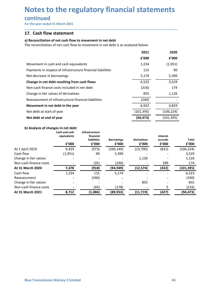### Notes to the regulatory financial statements<br>continued<br>For the year ended 31 March 2021<br>17. Cash flow statement **Notes to the regulatory financial statements**<br>
For the year ended 31 March 2021<br>
T. Cash flow statement<br>
a) Reconciliation of net cash flow to movement in net debt<br>
The reconciliation of net cash flow to movement in net d **Notes to the regulatory financial stateme**<br>
For the year ended 31 March 2021<br> **17.** Cash flow statement<br>
a) Reconciliation of net cash flow to movement in net debt<br>
The reconciliation of net cash flow to movement in net d

### continued

|                                                                                   |               | Notes to the regulatory financial statements |                            |                             |                   |            |
|-----------------------------------------------------------------------------------|---------------|----------------------------------------------|----------------------------|-----------------------------|-------------------|------------|
|                                                                                   |               |                                              |                            |                             |                   |            |
| continued                                                                         |               |                                              |                            |                             |                   |            |
| For the year ended 31 March 2021                                                  |               |                                              |                            |                             |                   |            |
| 17. Cash flow statement                                                           |               |                                              |                            |                             |                   |            |
| a) Reconciliation of net cash flow to movement in net debt                        |               |                                              |                            |                             |                   |            |
| The reconciliation of net cash flow to movement in net debt is as analysed below: |               |                                              |                            |                             |                   |            |
|                                                                                   |               |                                              |                            | 2021                        | 2020              |            |
|                                                                                   |               |                                              |                            | £'000                       | f'000             |            |
| Movement in cash and cash equivalents                                             |               |                                              |                            | 1,234                       | (1,951)           |            |
| Payments in respect of infrastructure financial liabilities                       |               |                                              |                            | 115                         | 90                |            |
| Net decrease in borrowings                                                        |               |                                              |                            | 5,174                       | 5,390             |            |
| Change in net debt resulting from cash flows                                      |               |                                              |                            | 6,523                       | 3,529             |            |
| Non-cash finance costs included in net debt                                       |               |                                              |                            | (216)                       | 174               |            |
| Change in fair values of derivatives                                              |               |                                              |                            | 855                         | 1,126             |            |
| Reassessment of infrastructure financial liabilities                              |               |                                              |                            | (240)                       |                   |            |
| Movement in net debt in the year                                                  |               |                                              |                            | 6,922                       | 4,829             |            |
| Net debt at start of year                                                         |               |                                              |                            | (101, 395)                  | (106, 224)        |            |
| Net debt at end of year                                                           |               |                                              |                            | (94, 473)                   | (101, 395)        |            |
|                                                                                   |               |                                              |                            |                             |                   |            |
| b) Analysis of changes in net debt                                                | Cash and cash | Infrastructure                               |                            |                             |                   |            |
|                                                                                   | equivalents   | financial                                    |                            |                             | Interest          |            |
|                                                                                   | £'000         | liabilities<br>£'000                         | <b>Borrowings</b><br>£'000 | <b>Derivatives</b><br>£'000 | accruals<br>£'000 |            |
| At 1 April 2019                                                                   | 9,429         | (973)                                        | (100, 149)                 | (13,700)                    | (831)             | (106, 224) |
| Cash flow                                                                         | (1,951)       | 90                                           | 5,390                      |                             |                   |            |
| Change in fair values                                                             |               |                                              |                            | 1,126                       |                   | 1,126      |
| Non-cash finance costs                                                            |               | (35)                                         | (190)                      |                             | 399               | 174        |
| At 31 March 2020                                                                  | 7,478         | (918)                                        | (94, 949)                  | (12, 574)                   | (432)             | (101, 395) |
| Cash flow                                                                         | 1,234         | 115                                          | 5,174                      |                             |                   | 6,523      |

| 5,174<br>Net decrease in borrowings<br>5,390<br>3,529<br>Change in net debt resulting from cash flows<br>6,523<br>Non-cash finance costs included in net debt<br>(216)<br>174<br>Change in fair values of derivatives<br>855<br>1,126<br>Reassessment of infrastructure financial liabilities<br>(240)<br>6,922<br>4,829<br>Movement in net debt in the year<br>Net debt at start of year<br>(101, 395)<br>(106, 224)<br>Net debt at end of year<br>(94, 473)<br>(101, 395)<br>b) Analysis of changes in net debt<br>Cash and cash<br>Infrastructure<br>equivalents<br>financial<br>Interest<br>liabilities<br><b>Derivatives</b><br><b>Total</b><br><b>Borrowings</b><br>accruals<br>£'000<br>£'000<br>£'000<br>£'000<br>£'000<br>£'000<br>9,429<br>(973)<br>(100, 149)<br>(13,700)<br>(831)<br>(106, 224)<br>(1,951)<br>90<br>5,390<br>3,529<br>1,126<br>1,126<br>(35)<br>(190)<br>399<br>174<br>7,478<br>(918)<br>(12, 574)<br>(432)<br>(101, 395)<br>(94, 949)<br>1,234<br>115<br>5,174<br>6,523<br>$\overline{a}$<br>(240)<br>(240)<br>855<br>855<br>$\blacksquare$<br>(43)<br>(178)<br>5<br>(216)<br>(427)<br>8,712<br>(1,086)<br>(89, 953)<br>(11, 719)<br>(94, 473) |  | Payments in respect of infrastructure financial liabilities | 115 | 90 |
|-----------------------------------------------------------------------------------------------------------------------------------------------------------------------------------------------------------------------------------------------------------------------------------------------------------------------------------------------------------------------------------------------------------------------------------------------------------------------------------------------------------------------------------------------------------------------------------------------------------------------------------------------------------------------------------------------------------------------------------------------------------------------------------------------------------------------------------------------------------------------------------------------------------------------------------------------------------------------------------------------------------------------------------------------------------------------------------------------------------------------------------------------------------------------------|--|-------------------------------------------------------------|-----|----|
| At 1 April 2019<br>Cash flow<br>Change in fair values<br>Non-cash finance costs<br>At 31 March 2020<br>Cash flow<br>Reassessment<br>Change in fair values<br>Non-cash finance costs<br>At 31 March 2021                                                                                                                                                                                                                                                                                                                                                                                                                                                                                                                                                                                                                                                                                                                                                                                                                                                                                                                                                                     |  |                                                             |     |    |
|                                                                                                                                                                                                                                                                                                                                                                                                                                                                                                                                                                                                                                                                                                                                                                                                                                                                                                                                                                                                                                                                                                                                                                             |  |                                                             |     |    |
|                                                                                                                                                                                                                                                                                                                                                                                                                                                                                                                                                                                                                                                                                                                                                                                                                                                                                                                                                                                                                                                                                                                                                                             |  |                                                             |     |    |
|                                                                                                                                                                                                                                                                                                                                                                                                                                                                                                                                                                                                                                                                                                                                                                                                                                                                                                                                                                                                                                                                                                                                                                             |  |                                                             |     |    |
|                                                                                                                                                                                                                                                                                                                                                                                                                                                                                                                                                                                                                                                                                                                                                                                                                                                                                                                                                                                                                                                                                                                                                                             |  |                                                             |     |    |
|                                                                                                                                                                                                                                                                                                                                                                                                                                                                                                                                                                                                                                                                                                                                                                                                                                                                                                                                                                                                                                                                                                                                                                             |  |                                                             |     |    |
|                                                                                                                                                                                                                                                                                                                                                                                                                                                                                                                                                                                                                                                                                                                                                                                                                                                                                                                                                                                                                                                                                                                                                                             |  |                                                             |     |    |
|                                                                                                                                                                                                                                                                                                                                                                                                                                                                                                                                                                                                                                                                                                                                                                                                                                                                                                                                                                                                                                                                                                                                                                             |  |                                                             |     |    |
|                                                                                                                                                                                                                                                                                                                                                                                                                                                                                                                                                                                                                                                                                                                                                                                                                                                                                                                                                                                                                                                                                                                                                                             |  |                                                             |     |    |
|                                                                                                                                                                                                                                                                                                                                                                                                                                                                                                                                                                                                                                                                                                                                                                                                                                                                                                                                                                                                                                                                                                                                                                             |  |                                                             |     |    |
|                                                                                                                                                                                                                                                                                                                                                                                                                                                                                                                                                                                                                                                                                                                                                                                                                                                                                                                                                                                                                                                                                                                                                                             |  |                                                             |     |    |
|                                                                                                                                                                                                                                                                                                                                                                                                                                                                                                                                                                                                                                                                                                                                                                                                                                                                                                                                                                                                                                                                                                                                                                             |  |                                                             |     |    |
|                                                                                                                                                                                                                                                                                                                                                                                                                                                                                                                                                                                                                                                                                                                                                                                                                                                                                                                                                                                                                                                                                                                                                                             |  |                                                             |     |    |
|                                                                                                                                                                                                                                                                                                                                                                                                                                                                                                                                                                                                                                                                                                                                                                                                                                                                                                                                                                                                                                                                                                                                                                             |  |                                                             |     |    |
|                                                                                                                                                                                                                                                                                                                                                                                                                                                                                                                                                                                                                                                                                                                                                                                                                                                                                                                                                                                                                                                                                                                                                                             |  |                                                             |     |    |
|                                                                                                                                                                                                                                                                                                                                                                                                                                                                                                                                                                                                                                                                                                                                                                                                                                                                                                                                                                                                                                                                                                                                                                             |  |                                                             |     |    |
|                                                                                                                                                                                                                                                                                                                                                                                                                                                                                                                                                                                                                                                                                                                                                                                                                                                                                                                                                                                                                                                                                                                                                                             |  |                                                             |     |    |
|                                                                                                                                                                                                                                                                                                                                                                                                                                                                                                                                                                                                                                                                                                                                                                                                                                                                                                                                                                                                                                                                                                                                                                             |  |                                                             |     |    |
|                                                                                                                                                                                                                                                                                                                                                                                                                                                                                                                                                                                                                                                                                                                                                                                                                                                                                                                                                                                                                                                                                                                                                                             |  |                                                             |     |    |
|                                                                                                                                                                                                                                                                                                                                                                                                                                                                                                                                                                                                                                                                                                                                                                                                                                                                                                                                                                                                                                                                                                                                                                             |  |                                                             |     |    |
|                                                                                                                                                                                                                                                                                                                                                                                                                                                                                                                                                                                                                                                                                                                                                                                                                                                                                                                                                                                                                                                                                                                                                                             |  |                                                             |     |    |
|                                                                                                                                                                                                                                                                                                                                                                                                                                                                                                                                                                                                                                                                                                                                                                                                                                                                                                                                                                                                                                                                                                                                                                             |  |                                                             |     |    |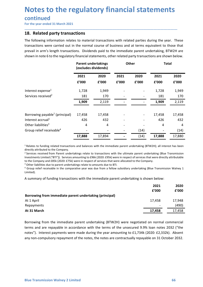### continued

**Notes to the regulatory financial statements<br>
continued**<br>
For the year ended 31 March 2021<br> **18. Related party transactions**<br>
The following information relates to material transactions with related parties during the year **Notes to the regulatory financial statement**<br>
For the year ended 31 March 2021<br>
18. Related party transactions<br>
The following information relates to material transactions with related parties during the year.<br>
transaction **Notes to the regulatory financial statements**<br>
For the year ended 31 March 2021<br>
TBE following information relates to material transactions with related parties during the year. These<br>
transactions were carried out in the **Notes to the regulatory financial statements**<br>
For the year ended 31 March 2021<br> **18.** Related party transactions<br>
The following information relates to material transactions with related parties during the year. These<br>
tr **Notes to the regulatory financial statements**<br>
For the year ended 31 March 2021<br> **18. Related party transactions**<br> **18. Related party transactions**<br> **18. Related party transactions.**<br> **19. Dividends paid to the immediate** 

| 18. Related party transactions                                                                                                                                                                                                                                                                                                                                                                                                                                                                                                                                                                                                                                                                                                                                                                                                                                                                                                                                                                                         |                                                    |        |       |       |                                   |                                            |
|------------------------------------------------------------------------------------------------------------------------------------------------------------------------------------------------------------------------------------------------------------------------------------------------------------------------------------------------------------------------------------------------------------------------------------------------------------------------------------------------------------------------------------------------------------------------------------------------------------------------------------------------------------------------------------------------------------------------------------------------------------------------------------------------------------------------------------------------------------------------------------------------------------------------------------------------------------------------------------------------------------------------|----------------------------------------------------|--------|-------|-------|-----------------------------------|--------------------------------------------|
| The following information relates to material transactions with related parties during the year. These<br>transactions were carried out in the normal course of business and at terms equivalent to those that<br>prevail in arm's length transactions. Dividends paid to the immediate parent undertaking, BTW2H are<br>shown in note 6 to the regulatory financial statements, other related party transactions are shown below.                                                                                                                                                                                                                                                                                                                                                                                                                                                                                                                                                                                     |                                                    |        |       |       |                                   |                                            |
|                                                                                                                                                                                                                                                                                                                                                                                                                                                                                                                                                                                                                                                                                                                                                                                                                                                                                                                                                                                                                        | <b>Parent undertakings</b><br>(excludes dividends) |        |       | Other | <b>Total</b>                      |                                            |
|                                                                                                                                                                                                                                                                                                                                                                                                                                                                                                                                                                                                                                                                                                                                                                                                                                                                                                                                                                                                                        | 2021                                               | 2020   | 2021  | 2020  | 2021                              | 2020                                       |
|                                                                                                                                                                                                                                                                                                                                                                                                                                                                                                                                                                                                                                                                                                                                                                                                                                                                                                                                                                                                                        | £'000                                              | £'000  | £'000 | £'000 | f'000                             | £'000                                      |
| Interest expense <sup>1</sup>                                                                                                                                                                                                                                                                                                                                                                                                                                                                                                                                                                                                                                                                                                                                                                                                                                                                                                                                                                                          | 1,728                                              | 1,949  |       |       | 1,728                             | 1,949                                      |
| Services received <sup>2</sup>                                                                                                                                                                                                                                                                                                                                                                                                                                                                                                                                                                                                                                                                                                                                                                                                                                                                                                                                                                                         | 181                                                | 170    |       |       | 181                               | 170                                        |
|                                                                                                                                                                                                                                                                                                                                                                                                                                                                                                                                                                                                                                                                                                                                                                                                                                                                                                                                                                                                                        | 1,909                                              | 2,119  |       |       | 1,909                             | 2,119                                      |
| Borrowing payable <sup>1</sup> (principal)                                                                                                                                                                                                                                                                                                                                                                                                                                                                                                                                                                                                                                                                                                                                                                                                                                                                                                                                                                             | 17,458                                             | 17,458 |       |       | 17,458                            | 17,458                                     |
| Interest accrual <sup>1</sup>                                                                                                                                                                                                                                                                                                                                                                                                                                                                                                                                                                                                                                                                                                                                                                                                                                                                                                                                                                                          | 426                                                | 432    |       |       | 426                               | 432                                        |
| Other liabilities <sup>3</sup>                                                                                                                                                                                                                                                                                                                                                                                                                                                                                                                                                                                                                                                                                                                                                                                                                                                                                                                                                                                         | 4                                                  | 4      |       |       | 4                                 | 4                                          |
| Group relief receivable <sup>4</sup>                                                                                                                                                                                                                                                                                                                                                                                                                                                                                                                                                                                                                                                                                                                                                                                                                                                                                                                                                                                   |                                                    |        |       | (14)  |                                   | (14)                                       |
|                                                                                                                                                                                                                                                                                                                                                                                                                                                                                                                                                                                                                                                                                                                                                                                                                                                                                                                                                                                                                        | 17,888                                             | 17,894 |       | (14)  | 17,888                            | 17,880                                     |
| <sup>1</sup> Relates to funding related transactions and balances with the immediate parent undertaking (BTW2H); all interest has been<br>directly attributed to the Company.<br><sup>2</sup> Services received from Parent undertakings relate to transactions with the ultimate parent undertaking (Blue Transmission<br>Investments Limited ("BTI")). Services amounting to £96k (2020: £95k) were in respect of services that were directly attributable<br>to the Company and £85k (2020: £75k) were in respect of services that were allocated to the Company.<br><sup>3</sup> Other liabilities due to parent undertakings relate to amounts due to BTI.<br><sup>4</sup> Group relief receivable in the comparative year was due from a fellow subsidiary undertaking (Blue Transmission Walney 1<br>Limited).<br>A summary of funding transactions with the immediate parent undertaking is shown below:<br>Borrowing from immediate parent undertaking (principal)<br>At 1 April<br>Repayments<br>At 31 March |                                                    |        |       |       | 2021<br>f'000<br>17,458<br>17,458 | 2020<br>f'000<br>17,948<br>(490)<br>17,458 |

| Interest accrual <sup>1</sup>                                                                                                                                                                                                                                                                                                                                                                                                                                                                                                                                                                                                                                                                                                                                                                                                                                                                                    |        | 17,430 |      |        | 17,430 |
|------------------------------------------------------------------------------------------------------------------------------------------------------------------------------------------------------------------------------------------------------------------------------------------------------------------------------------------------------------------------------------------------------------------------------------------------------------------------------------------------------------------------------------------------------------------------------------------------------------------------------------------------------------------------------------------------------------------------------------------------------------------------------------------------------------------------------------------------------------------------------------------------------------------|--------|--------|------|--------|--------|
|                                                                                                                                                                                                                                                                                                                                                                                                                                                                                                                                                                                                                                                                                                                                                                                                                                                                                                                  | 426    | 432    |      | 426    | 432    |
| Other liabilities <sup>3</sup>                                                                                                                                                                                                                                                                                                                                                                                                                                                                                                                                                                                                                                                                                                                                                                                                                                                                                   | 4      | 4      |      | 4      | 4      |
| Group relief receivable <sup>4</sup>                                                                                                                                                                                                                                                                                                                                                                                                                                                                                                                                                                                                                                                                                                                                                                                                                                                                             |        |        | (14) |        | (14)   |
|                                                                                                                                                                                                                                                                                                                                                                                                                                                                                                                                                                                                                                                                                                                                                                                                                                                                                                                  | 17,888 | 17,894 | (14) | 17,888 | 17,880 |
| <sup>1</sup> Relates to funding related transactions and balances with the immediate parent undertaking (BTW2H); all interest has been<br>directly attributed to the Company.<br><sup>2</sup> Services received from Parent undertakings relate to transactions with the ultimate parent undertaking (Blue Transmission<br>Investments Limited ("BTI")). Services amounting to £96k (2020: £95k) were in respect of services that were directly attributable<br>to the Company and £85k (2020: £75k) were in respect of services that were allocated to the Company.<br><sup>3</sup> Other liabilities due to parent undertakings relate to amounts due to BTI.<br><sup>4</sup> Group relief receivable in the comparative year was due from a fellow subsidiary undertaking (Blue Transmission Walney 1<br>Limited).<br>A summary of funding transactions with the immediate parent undertaking is shown below: |        |        |      |        |        |
|                                                                                                                                                                                                                                                                                                                                                                                                                                                                                                                                                                                                                                                                                                                                                                                                                                                                                                                  |        |        |      | 2021   | 2020   |
|                                                                                                                                                                                                                                                                                                                                                                                                                                                                                                                                                                                                                                                                                                                                                                                                                                                                                                                  |        |        |      | £'000  | £'000  |
| Borrowing from immediate parent undertaking (principal)                                                                                                                                                                                                                                                                                                                                                                                                                                                                                                                                                                                                                                                                                                                                                                                                                                                          |        |        |      |        |        |
| At 1 April                                                                                                                                                                                                                                                                                                                                                                                                                                                                                                                                                                                                                                                                                                                                                                                                                                                                                                       |        |        |      | 17,458 | 17,948 |
| Repayments                                                                                                                                                                                                                                                                                                                                                                                                                                                                                                                                                                                                                                                                                                                                                                                                                                                                                                       |        |        |      |        | (490)  |
| At 31 March                                                                                                                                                                                                                                                                                                                                                                                                                                                                                                                                                                                                                                                                                                                                                                                                                                                                                                      |        |        |      | 17,458 | 17,458 |
| Borrowing from the immediate parent undertaking (BTW2H) were negotiated on normal commercial<br>terms and are repayable in accordance with the terms of the unsecured 9.9% loan notes 2032 ("the<br>notes"). Interest payments were made during the year amounting to £1,734k (2020: £2,332k). Absent                                                                                                                                                                                                                                                                                                                                                                                                                                                                                                                                                                                                            |        |        |      |        |        |
| any non-compulsory repayment of the notes, the notes are contractually repayable on 31 October 2032.                                                                                                                                                                                                                                                                                                                                                                                                                                                                                                                                                                                                                                                                                                                                                                                                             |        |        |      |        |        |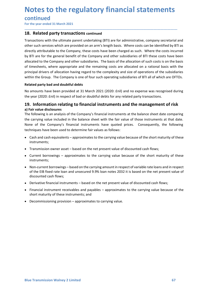# Notes to the regulatory financial statements<br>continued<br>For the year ended 31 March 2021<br>18. Related party transactions continued

### continued

**Notes to the regulatory financial statements<br>
continued**<br>
For the year ended 31 March 2021<br> **18. Related party transactions continued**<br>
Transactions with the ultimate parent undertaking (BTI) are for administrative, compa **Notes to the regulatory financial statement**<br>
For the year ended 31 March 2021<br>
18. Related party transactions continued<br>
Transactions with the ultimate parent undertaking (BTI) are for administrative, company secretar<br>
o **Notes to the regulatory financial statements**<br>
For the year ended 31 March 2021<br> **18.** Related party transactions continued<br>
Transactions with the ultimate parent undertaking (BTI) are for administrative, company secretar **Notes to the regulatory financial statements**<br>
For the year ended 31 March 2021<br>
18. Related party transactions continued<br>
Transactions with the ultimate parent undertaking (BTI) are for administrative, company secretaria **Notes to the regulatory financial statements**<br>For the year ended 31 March 2021<br>Tas. Related party transactions continued<br>Transactions with the ultimate parent undertaking (BTI) are for administrative, company secretarial **Notes to the regulatory financial statements**<br>For the year ended 31 March 2021<br>Tas. Related party transactions continued<br>Transactions with the ultimate parent undertaking (BTI) are for administrative, company secretarial **Notes to the regulatory financial statements**<br>For the year ended 31 March 2021<br>Tas. Related party transactions continued<br>Transactions with the ultimate parent undertaking (BTI) are for administrative, company secretarial **Notes to the regulatory financial statements**<br>For the year ended 31 March 2021<br>Tas. Related party transactions continued<br>Transactions with the ultimate parent undertaking (BTI) are for administrative, company secretarial **Notes to the regulatory financial statements**<br>For the year ended 31 March 2021<br>**18. Related party transactions continued**<br>Transactions with the ultimate parent undertaking (BTI) are for administrative, company secretarial **Notes to the regulatory financial statements**<br>For the year ended 31 March 2021<br>**18. Related party transactions continued**<br>Transactions with the ultimate parent undertaking (BTI) are for administrative, company secretarial **Notes to the regulatory financial statements**<br> **Related party transactions continued**<br> **Related party transactions continued**<br> **Related party transactions continued**<br> **Related party transactions continued**<br> **Related party Notes to the regulatory financial statements**<br>
For the year ended 31 March 2021<br> **18.** Related party transactions continued<br>
Transactions with the ultimate parent undertaking (BTI) are for administrative, company secretar The View of the Properties of the Properties of the state of the state of the state of the state of the varient<br>
18. Related party transactions continued<br>
18. Related party transactions continued<br>
17. The state such servic **EXTENTING THE THE CONTIFY (THE CONTIFY)**<br> **19. Related party transactions continued**<br> **19. Related party transactions continued**<br> **19. Related party transactions continued**<br> **19. Therefore such services which are provided** For the year ended 3.1 March 2021<br> **18. Related party transactions continued**<br>
Transactions with the ultimate parent undertaking (BTI) are for administrative, compa<br>
other such services which are provided on an arm's lengt **18. Related party transactions continued**<br>Transactions with the ultimate parent undertaking (BTI) are for administrative, company secretarial and<br>other such services which are provided on an arm's length basis. Where cost **Example 10. Alter the carrying value included** on an arm's length basis. Where costs can be identified by BTI as directly attributable to the Company, these costs have been charged as such. Where the costs incurred dire Transactions with the ultimate parent undertaking (BTI) are for administrative, company secretarial and<br>other such services which are provided on an arm's length basis. Where costs can be identified by BTI are for the gene other such services which are provided on an arm's length basis. Where costs can be identified by BTI as directly attributable to the Company, these costs have been charged as such. Where the costs incurred by BTI are for Easy unuous correct company state constrained and the restriction of such an expected to the Company and other subsidiaries. The basis of the allocation of such costs have been casted to the Company and other subsidiaries.

\_\_\_\_\_\_\_\_\_\_\_\_\_\_\_\_\_\_\_\_\_\_\_\_\_\_\_\_\_\_\_\_\_\_\_\_\_\_\_\_\_\_\_\_\_\_\_\_\_\_\_\_\_\_\_\_\_\_\_\_\_\_\_\_\_\_\_\_\_\_\_\_\_\_\_\_\_\_\_\_\_\_\_\_\_\_\_\_\_\_

timesheets, where appropriate and the remaining costs are allocated on a rational basis with the<br>cicpal dirvers of allocation having regard to the complexity and size of operations of the subsidiaries<br>the the Group. The Co ncipal drivers of allocation having regard to the complexity and size of operations of the subsidiaries<br>hin the Group. The Company is one of four such operating subsidiaries of 8TI all of which are OFTOs.<br>
and out are depa ated party bad and doubtful debts<br>amounts have been provided at 31 March 2021 (2020: Enil) and no expense was recognised during<br>year (2020: Enil) in respect of bad or doubtful debts for any related party transactions.<br>**Ano** annumts have been provided at 31 March 2021 (2020: Enil) and no expense was recognised during<br>year (2020: Enil) in respect of bad or doubtful debts for any related party transactions.<br>
1. **Information relating to financial** amounts have been provided at 31 March 2021 (2020: finil) and no expense was recogn<br>
year (2020: finil) in respect of bad or doubtful debts for any related party transactions.<br> **1. Information relating to financial instrum** year (about many) relations the ortential instruments and the management of risk<br>
In information relating to financial instruments and the management of risk<br>
fair value disclosures<br>
following is an analysis of the Company . Information relating to financial instruments and the management of risk<br>Financial instruments and the balance sheet with the fair value of those instruments at the technomic<br>refromation is following is an analysis of th rair value disclosures<br>is in value discolustores<br>for the following is an analysis of the Company's financial instruments at the balance sheet date comparing<br>carrying value included in the balance sheet with the fair value carrying value included in the balance sheet with the fair value of those instruments at that date.<br>
ne of the Company's financial instruments have quoted prices. Consequently, the following<br>
miques have been used to deter

- instruments;
- 
- instruments;
- 
- 
- 
- snort maturity or these instruments; and<br>
 Decommissioning provision approximates to carrying value.<br>
Blue Transmission Walney 2 Limited 67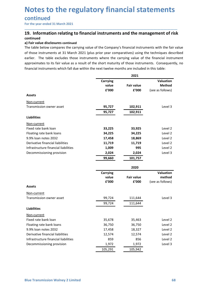### continued

## **Notes to the regulatory financial statements<br>
continued**<br>
For the year ended 31 March 2021<br> **19.** Information relating to financial instruments and the management of risk<br>
continued<br>
a) Fair value disclosures continued<br>
T continued

**Notes to the regulatory financial statements**<br>
For the year ended 31 March 2021<br>
19. Information relating to financial instruments and the management of risk<br>
continued<br>
2) Fair value disclosures continued<br>
The table belo **Notes to the regulatory financial stater**<br> **continued**<br>
For the year ended 31 March 2021<br> **19.** Information relating to financial instruments and the manager<br>
continued<br>
a) Fair value disclosures continued<br>
The table belo **Notes to the regulatory financial statements**<br>
For the year ended 31 March 2021<br> **19.** Information relating to financial instruments and the management of risk<br>
continued<br>
The table below compares the carrying value of th **Notes to the regulatory financial statements**<br>
For the year ended 31 March 2021<br>
19. Information relating to financial instruments and the management of risk<br>
continued<br>
The table below compares the carrying value of the **Notes to the regulatory financial statements**<br>
For the year ended 31 March 2021<br> **19.** Information relating to financial instruments and the management of risk<br>
continued<br>
a) Fair value disclosures continued<br>
The table be **Notes to the regulatory financial statements**<br>
For the year ended 31 March 2021<br> **19.** Information relating to financial instruments and the management of risk<br>
continued<br>
a) Fair value disclosures continued<br>
The table be **Notes to the regulatory financial statements**<br>
For the year ended 31 March 2021<br> **19.** Information relating to financial instruments and the management of risk<br>
continued<br>
a) Fair value disclosures continued<br>
of those in

| continued                                                                                                                                                                                                     |                          |                   |                     |
|---------------------------------------------------------------------------------------------------------------------------------------------------------------------------------------------------------------|--------------------------|-------------------|---------------------|
| For the year ended 31 March 2021                                                                                                                                                                              |                          |                   |                     |
| 19. Information relating to financial instruments and the management of risk                                                                                                                                  |                          |                   |                     |
| continued                                                                                                                                                                                                     |                          |                   |                     |
| a) Fair value disclosures continued                                                                                                                                                                           |                          |                   |                     |
| The table below compares the carrying value of the Company's financial instruments with the fair value<br>of those instruments at 31 March 2021 (plus prior year comparatives) using the techniques described |                          |                   |                     |
| earlier. The table excludes those instruments where the carrying value of the financial instrument                                                                                                            |                          |                   |                     |
| approximates to its fair value as a result of the short maturity of those instruments. Consequently, no                                                                                                       |                          |                   |                     |
| financial instruments which fall due within the next twelve months are included in this table:                                                                                                                |                          |                   |                     |
|                                                                                                                                                                                                               |                          |                   |                     |
|                                                                                                                                                                                                               |                          | 2021              | Valuation           |
|                                                                                                                                                                                                               | <b>Carrying</b><br>value | <b>Fair value</b> | Method              |
|                                                                                                                                                                                                               | £'000                    | £'000             | (see as follows)    |
| <b>Assets</b>                                                                                                                                                                                                 |                          |                   |                     |
| Non-current                                                                                                                                                                                                   |                          |                   |                     |
| Transmission owner asset                                                                                                                                                                                      | 95,727                   | 102,911           | Level 3             |
|                                                                                                                                                                                                               | 95,727                   | 102,911           |                     |
| <b>Liabilities</b>                                                                                                                                                                                            |                          |                   |                     |
| Non-current                                                                                                                                                                                                   |                          |                   |                     |
| Fixed rate bank loan                                                                                                                                                                                          | 33,225                   | 33,925            | Level 2             |
| Floating rate bank loans                                                                                                                                                                                      | 34,225                   | 34,225            | Level 2             |
| 9.9% loan notes 2032                                                                                                                                                                                          | 17,458                   | 18,869            | Level 2             |
| Derivative financial liabilities                                                                                                                                                                              | 11,719                   | 11,719            | Level 2             |
| Infrastructure financial liabilities                                                                                                                                                                          | 1,009                    | 995               | Level 2             |
| Decommissioning provision                                                                                                                                                                                     | 2,024                    | 2,024             | Level 3             |
|                                                                                                                                                                                                               | 99,660                   | 101,757           |                     |
|                                                                                                                                                                                                               |                          |                   |                     |
|                                                                                                                                                                                                               |                          | 2020              |                     |
|                                                                                                                                                                                                               | Carrying<br>value        | <b>Fair value</b> | Valuation<br>method |
|                                                                                                                                                                                                               | £'000                    | £'000             | (see as follows)    |
| <b>Assets</b>                                                                                                                                                                                                 |                          |                   |                     |
| Non-current                                                                                                                                                                                                   |                          |                   |                     |
| Transmission owner asset                                                                                                                                                                                      | 99,724                   | 111,644           | Level 3             |
|                                                                                                                                                                                                               | 99,724                   | 111,644           |                     |
| <b>Liabilities</b>                                                                                                                                                                                            |                          |                   |                     |
| Non-current                                                                                                                                                                                                   |                          |                   |                     |
| Fixed rate bank loan                                                                                                                                                                                          | 35,678                   | 35,463            | Level 2             |
| Floating rate bank loans                                                                                                                                                                                      | 36,750                   | 36,750            | Level 2             |
| 9.9% loan notes 2032                                                                                                                                                                                          | 17,458                   | 18,327            | Level 2             |
| Derivative financial liabilities                                                                                                                                                                              | 12,574                   | 12,574            | Level 2             |
| Infrastructure financial liabilities                                                                                                                                                                          | 859                      | 856               | Level 2             |
| Decommissioning provision                                                                                                                                                                                     | 1,972                    | 1,972             | Level 3             |
|                                                                                                                                                                                                               | 105,291                  | 105,942           |                     |
|                                                                                                                                                                                                               |                          |                   |                     |
|                                                                                                                                                                                                               |                          |                   |                     |
|                                                                                                                                                                                                               |                          |                   |                     |
|                                                                                                                                                                                                               |                          |                   |                     |
|                                                                                                                                                                                                               |                          |                   |                     |
|                                                                                                                                                                                                               |                          |                   | 68                  |
| <b>Blue Transmission Walney 2 Limited</b>                                                                                                                                                                     |                          |                   |                     |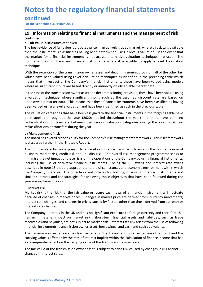### continued

## **Notes to the regulatory financial statements<br>
continued**<br>
For the year ended 31 March 2021<br> **19.** Information relating to financial instruments and the management of risk<br>
continued<br>
a) Fair value disclosures continued<br>
T continued

\_\_\_\_\_\_\_\_\_\_\_\_\_\_\_\_\_\_\_\_\_\_\_\_\_\_\_\_\_\_\_\_\_\_\_\_\_\_\_\_\_\_\_\_\_\_\_\_\_\_\_\_\_\_\_\_\_\_\_\_\_\_\_\_\_\_\_\_\_\_\_\_\_\_\_\_\_\_\_\_\_\_\_\_\_\_\_\_\_\_

**Notes to the regulatory financial statements**<br>
For the year ended 31 March 2021<br>
19. Information relating to financial instruments and the management of risk<br>
continued<br>
2) Fair value disclosures continued<br>
The best evide **Notes to the regulatory financial stater**<br> **continued**<br>
For the year ended 31 March 2021<br> **19.** Information relating to financial instruments and the manager<br>
continued<br>
a) Fair value disclosures continued<br>
The best evide **Notes to the regulatory financial statements**<br>
For the year ended 31 March 2021<br> **19.** Information relating to financial instruments and the management of risk<br>
continued<br>
a) Fair value disclosures continued<br>
The best evi **Notes to the regulatory financial statements**<br>
for the year ended 31 March 2021<br> **19.** Information relating to financial instruments and the management of risk<br>
continued<br>
a) Fair value disclosures continued<br>
then the ins **Notes to the regulatory financial statements**<br>
For the year ended 31 March 2021<br> **19.** Information relating to financial instruments and the management of risk<br>
continued<br>
a) Fair value disclosures continued<br>
a) Fair valu **Notes to the regulatory financial statements**<br>
For the year ended 31 March 2021<br> **19.** Information relating to financial instruments and the management of risk<br>
continued<br>
a) Fair value disclosures continued<br>
then be is e technique. **Notes to the regulatory financial statements**<br>
For the year ended 31 March 2021<br>
19. Information relating to financial instruments and the management of risk<br>
continued<br>
The best evidence of fair value is a quoted price i **Notes to the regulatory financial statements**<br>
For the year ended 31 March 2021<br> **19.** Information relating to financial instruments and the management of risk<br>
continued<br>
a) Fair value disclosures continued<br>
The best evi **Notes to the regulatory financial statements of this model in the Continued**<br>For the year ended 31 March 2021<br>19. Information relating to financial instruments and the management of risk<br>continued<br>The best evidence of fai **Notes to the regulatory financial statements**<br>
For the year ended 31 March 2021<br> **19.** Information relating to financial instruments and the management of risk<br>
continued<br>
al Pair value disclosures continued<br>
al Pair valu **Notes to the regulatory financial statements**<br>
For the year ended 31 March 2021<br> **19.** Information relating to financial instruments and the management of risk<br>
continued<br>
a) Fair value disclosures continued<br>
a) Fair valu **CONTINUE CONTROVERT CONTROVERT CONTROVERT CONTROVERT CONTROVERT (THE ASSUMPT)**<br> **Example 2013** and **1** and the assumed the assumed the assumed the significant of the best evidence of fair value is a quoted price in an act **CONTLINUMENT EXECTS THE CONTRIG INTERT CONTRIG INTERT AND MONDRET THE CONTRIGUTED AND THE UNITERT AND THE UNITERT AND INTERT AND INTERT AND INTERT AND INTERT AND INTERT AND INTERT AND INTERT AND INTERT AND INTERT AND INTE** For the year ended 31 March 2021<br> **19. Information relating to financial instruments and the management of risk**<br>
continued<br>
al) Fair value disclosures continued<br>
The best evidence of fair value is a quoted price in an act **19. Information relating to financial instruments and the management of risk<br>
a) Fair value disclosures continued<br>
The best evidence of fair value is a quoted price in an actively traded market; where this data is availab 19. Information relating to financial instruments and the management of risk**<br>
contains aliain value disclosures continued<br>
al Fair value disclosures continued<br>
al Fair value disclosures continued<br>
then the instrument is continued<br>and pair value disclosures continued<br>The best evidence of fair value is a quoted price in an actively traded market, where this data is available<br>The best evidence of fair value is a quoted price in an actively t a) Fair value disclosures continued is a quoted price in an actively traded market; where this data is available<br>The best evidence of fair value is a quoted price in an actively traded market; where this data is available<br> The uses evvelone of rain wave a signing the marticularly viacu marticular the method in the market for a financial instrument is ot active, alternative valuation technique. In the market for a financial instrument is not

the maximum into suassing bear of the maximal point of the Company is the Company of the Company of the Company of the Company of the Company of the company desponsible technique.<br>
With the exception of the transmission ow

Ine market or a numatical instrument is not actuve, antenarise variable to apply a level 1 valuation<br>Company does not have any financial instruments where it is eligible to apply a level 1 valuation<br>technique.<br>With the exc technique.<br>
Writh the exception of the transmission owner asset and decommissioning provision, all of the other fair<br>
Writhe expose been valued using Level 2 valuation techniques as identified in the preceding table which<br> With the exception of the transmission owner asset and decommissioning provision, all of the other fair<br>values have been valued using Level 2 valuation techniques as identified in the preceding table which<br>means that in re with the exaction of the company's financial instruments asses an exact and the company and the meredding table which<br>means that in respect of the Company's financial instruments these have been valued using models<br>where a since the the company is evera vanded using models are the company's financial instruments these have been valued using models<br>where all significant inputs are based directly or indirectly on observable market data.<br>In the means unter the compary in anticle in the compary in the circumstances in the case of the transmission owner asset and ecommissioning provision, these have been valued using involues<br>
In the case of the transmission owner Where an signmeant impusas are usease unlevely of induced product various that are uses of the transmission owner asset and decommissioning provision, these have been valued using<br>a valuation technique where significant in In the case of the transmission owere asset and decommissioning provision, these have been valued using<br>a a valuation technique where significant inputs such as the assumed discount rate are based on<br>unobservable market da a valuation technique where significant inputs such as the assumed discount rate are<br>unobservable market data. This means that these financial instruments have been classifies<br>theen valued using a level 3 valuation and hav and the valuation and the valuation and the set intention the ben inconsiderate been valued using a level 3 valuation and have been identified as such in the previous been valuation categories that have been assigned to th Delti value of a studio that the restricted that the risk is the risk in the forgoing table have the risk in the risk of the risk in the forgoing table have been applied throughout the year (2020; applied throughout the ye The valuation categories that have been assigned to the financial instruments in the forgoing table have<br>been applied throughout the year (2020: applied throughout the year) and there have been no<br>reclassifications or tran been applied throughout the year) and there have been no<br>eredassifications or transfers between the various valuation categories during the year (2020: no<br>reclassifications or transfers during the year).<br> **b) Management of** reclassifications or transfers between the various valuation categories during the<br>
b) Management of risk<br>
b) Management for sixters during the year).<br>
b) Management for sixters and the Strategic Report.<br>
The Board has ove Felassimations of transiers uting the year).<br>
High Management of risk<br>
The Board has overall responsibility for the Company's risk management framework. This risk framework<br>
The Company's activities expose it to a variety **In Management of risk**<br>The Board has overall responsibility for the Company's risk management framework. This risk framework<br>Is discussed further in the Strategic Report.<br>The Company's activities expose it to a variety of The Board has overall responsibility for the Company's risk management framework. This risk framework<br>
is discussed further in the Strategic Report.<br>
The Company's activities expose it to a variety of financial risk, which is discussed further in the Strategic Report.<br>The Company's activities expose it to a variety of financial risks, which arise in the normal course of<br>thusiness: market risk, credit risk and liquidity risk. The overall risk The Company's activities expose it to a variety of financial risks, whith arise in the normal course of<br>thusiness: market risk, credit risk and liquidity risk. The overall risk management programme seeks to<br>minimise the ne business: market risk, redit risk and liquidity risk. The overall risk management programme seeks to<br>mimimise the net impact of these risks on the operations of the Company by using financial instruments,<br>including the use minimise the net impact of these risks on the operations of the Company by using finnacial instruments, including the use of derivative finnacial instruments – being paper RPI syaps and interest rate swaps described in not nlouding the use of uerwave limited in instantial instances = being the Fir swaps and interest rate swaps<br>described in note 13 that are appropriate to the circumstances and economic environment within which<br>the Company ope

because of changes in market prices. Changes in market price are derived from: currency movements;<br>interest rate changes; and changes in prices caused by factors other than those derived from currency or<br>interest rate chan execute in rious as a die eppropriate to the cruinsical session encountment we have a measure and the Company operates. The objectives and policies for holding, or issuing, financial instristinilar contracts and the strate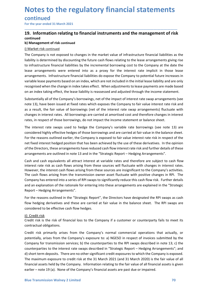### continued

### **Notes to the regulatory financial statements<br>
continued**<br>
For the year ended 31 March 2021<br> **19.** Information relating to financial instruments and the management of risk<br>
continued<br>
b) Management of risk continued<br>
i) Ma **Notes to the regulatory financial statements**<br>
For the year ended 31 March 2021<br>
19. Information relating to financial instruments and the management of risk<br>
continued<br>
b) Management of risk continued<br>
The Company is not continued

\_\_\_\_\_\_\_\_\_\_\_\_\_\_\_\_\_\_\_\_\_\_\_\_\_\_\_\_\_\_\_\_\_\_\_\_\_\_\_\_\_\_\_\_\_\_\_\_\_\_\_\_\_\_\_\_\_\_\_\_\_\_\_\_\_\_\_\_\_\_\_\_\_\_\_\_\_\_\_\_\_\_\_\_\_\_\_\_\_\_

**Notes to the regulatory financial statement continued**<br>For the year ended 31 March 2021<br>**19.** Information relating to financial instruments and the management<br>continued<br>b) Management of risk continued<br>The Company is not e **Notes to the regulatory financial state**<br> **continued**<br>
For the year ended 31 March 2021<br> **19.** Information relating to financial instruments and the manageontinued<br>
b) Management of risk continued<br>
i) Market risk continue **Notes to the regulatory financial statements**<br>
For the year ended 31 March 2021<br> **19.** Information relating to financial instruments and the management of risk<br>
continued<br>
i) Maragement of risk continued<br>
i) Market risk c **Notes to the regulatory financial statements**<br>For the year ended 31 March 2021<br>19. Information relating to financial instruments and the management of risk<br>continued<br>b) Management of risk continued<br>il Market risk continue **Notes to the regulatory financial statements**<br>For the year ended 31 March 2021<br>19. Information relating to financial instruments and the management of risk<br>continued<br>b) Management of risk continued<br>i) Market risk continue **Notes to the regulatory financial statements**<br>
For the year ended 31 March 2021<br>
19. Information relating to financial instruments and the management of risk<br>
continued<br>
b) Management of risk continued<br>
b) Management of r **Notes to the regulatory financial statements**<br>For the year ended 31 March 2021<br>19. Information relating to financial instruments and the management of risk<br>continued<br>i) Management of risk continued<br>i) Management of risk c **Notes to the regulatory financial statements**<br>For the year ended 31 March 2021<br>19. Information relating to financial instruments and the management of risk<br>continued<br>i) Management of risk continued<br>i) Management of risk c **Notes to the regulatory financial statements**<br>For the year ended 31 March 2021<br>19. Information relating to financial instruments and the management of risk<br>continued<br>b) Management of risk continued<br>in imagement of risk co **Notes to the regulatory financial statements**<br>
For the year ended 31 March 2021<br> **19.** Information relating to financial instruments and the management of risk<br>
continued<br>
b) Management of risk continued<br>
i) Market risk c **CONTLINUMENT SUBSTANT ASSET ASSET ASSET ASSET ASSET ASSET ASSET ASSET ASSET ASSET ASSET AND A DIMENSION DREMATE INTERNATION INTERNATION INTERNATION INTERNATION INTERNATION INTERNATION INTERNATION INTERNATION INTERNATION I** note 13), have been issued at fixed rates which exposes the Company to fair value interest rate risk and For the year ended 31 March 2021<br> **19. Information relating to financial instruments and the management of risk**<br>
continued<br>
b) Management of risk continued<br>
il  $\Delta$ <br>
and  $\Delta$ <br>
and  $\Delta$ <br>  $\Delta$ <br>  $\Delta$  the fair value of the in **19. Information relating to financial instruments and the management of risk continued<br>
b) Management of risk continued<br>
i) Manket risk continued<br>
The Company is not exposed to changes in the market value of infrastructur** Example and the trates, and the magnificant mote and the interaction of this bill Market risk continued<br>I) Management of risk continued<br>The Company is not exposed to changes in the market value of infrastructure financial **b) Management of risk continued**<br>
The Company is not exposed to changes in the market value of infrastructure financial liabilities as the<br>
liability is determined by discounting the future cash flows relating to the leas I) Market risk continued<br>The Company is not exposed to changes in the market value of infrastructure financial liabilities as the<br>The liability is determined by discounting the future cash flows relating to the lease arran The Company is not exposed to changes in the market value of infrastructure financial liabilities as the liability is determined by discounting the future cash flows relating to the lease arrangements guiving irse to infra liability is determined by discounting the future cash flows relating to the lease arrangements giving rise<br>to infrastructure financial liabilities by the incremental oprorwing cost to the Company at the date the<br>tease arr to infrastructure financial liabilities by the incremental borrowing cost to the Company at the date the lease arrangements. Infrastructure financial liabilities do expose the Company to potential fluture leases in syraibl

lease arrangements were entered into as a proxy for the interest rate implicit in those lease<br>arrangements. Infrastructure financial liabilities do expose the Company to potential future increases in<br>ovariable lease paymen arrangements. Intrastructure financial liabilities do expose the Company to potential tuture increases in expanding the state in the case of parameters and cash equival attracts are more trecognised when the change in inde

variable lease payments based on an index, which are not included in the initial lease liability and are only<br>recognised when the change in index takes effect. When adjustments to lease payments are made based<br>Substantiall recognised when the change in index takes effect. When adjustments to lease payments are made based<br>on an index taking effect, the lease liability is reassessed and adjusted through the income statement.<br>Substantially all on an index taking effect, the lease liability is reassessed and adjusted through the income statement.<br>Substantially all of the Company's borrowings, net of the impact of interest rate swap arrangements (see<br>note 13), hav Substantially all of the Company's borrowings, net of the impact of interest rate swap arrangements (see<br>note 13), have been issued at fixed rates which exposes the Company to fair value interest rate risk and<br>as a result, and any in content payers borrowings, her or the ringet or three that explanations and the ration of the ration and the ration and a result, the fair value of borrowings (net of the interest rate swap arrangements) fluctua Report - Hedging Arrangements". changes in interest rates. All borrowings are carried at amortised cost and therefore changes in interest<br>rates, in respect of those borrowings, do not impact the income statement or balance sheet.<br>The interest rate swaps rates, in respect of those borrowings, do not impact the income statement or balance sheet.<br>The interest rate swaps used to hedge the Company's variable rate borrowings (see note 13) are<br>considered highly effective hedges The interest rate swaps used to hedge the Company's variable rate borrowings (see note 13) are<br>considered highly effective hedges of those borrowings and are carried at fair value in the balance sheet.<br>For the reasons outl considered highly effective hedges of those borrowings and are carried at fair value<br>For the reasons outlined earlier, the Company is exposed to fair value interest rate<br>net fixed interest hedged position that has been ach For the reasons outlined earlier, the Company is exposed to fair value interest rate risk in respect of the<br>enet fixed interest hedged position that has been achieved by the use of these derivatives. In the opinion<br>of the net fixed interest hedged position that has been achieved by the use of these derivation<br>of the Directors, these arrangements have reduced cash flow interest rate risk and furt<br>arrangements are outlined in note 13 and in t of the Directors, these arrangements have reduced cash flow interest rate risk and further details of these<br>arrangements are outlined in note 13 and in the "Strategic Report — Hedging Arrangements".<br>Cash and cash equivalen arrangements are outlined in note 13 and in the "Strategic Report – Hedging Arrangements".<br>Cash and cash equivalents all attract interest at variable rates and therefore are subject to cash flow<br>interest rate risk as cash

For the reasons outlined in the "Strategic Report", the Directors have designated the RPI swaps as cash<br>flow hedging derivatives and these are carried at fair value in the balance sheet. The RPI swaps are<br>considered to be Cash and cash equivalents all attract interest at variable rates and therefore are subject to cash flow<br>interest rate irsk as cash flows arising from these sources will fluctuate with changes in interest rates.<br>The cash fl interest rate risk as cash flows arising from these sources will fluctuate with changes in interest rates.<br>However, the interest cash flows arising from these sources are insignificant to the Company's activities.<br>The cash However, the interest cash flows arising from these sources are insignificant to the Company's activities.<br>The cash flows arising from the transmission owner asset fluctuate with positive changes in RPI. The<br>Company has en The cash flows arising from the transmission owner asset fluctuate with positive changes in RPI. The<br>Company has entered into a series of RPI swaps to significantly reduce this cash flow risk. Further details<br>and an explan Company has entered into a series of RPI swaps to significantly reduce this cash flow risk. Further details<br>and an explanation of the rationale for entering into these arrangements are explained in the "Strategic<br>Report – and an explanation of the rationale for entering into these arrangements are explained in the "Strategic<br>Report – Hedging Arrangements".<br>Foot the reasons outlined in the "Strategic Report", the Directors have designated th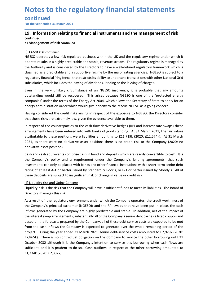### continued

### **Notes to the regulatory financial statements**<br>continued<br>For the year ended 31 March 2021<br>19. Information relating to financial instruments and the management of risk<br>continued<br>b) Management of risk continued **Notes to the regulatory financial statements**<br>
For the year ended 31 March 2021<br>
19. Information relating to financial instruments and the management of risk<br>
continued<br>
ii) Credit risk continued<br>
Ii) Credit risk continue continued

\_\_\_\_\_\_\_\_\_\_\_\_\_\_\_\_\_\_\_\_\_\_\_\_\_\_\_\_\_\_\_\_\_\_\_\_\_\_\_\_\_\_\_\_\_\_\_\_\_\_\_\_\_\_\_\_\_\_\_\_\_\_\_\_\_\_\_\_\_\_\_\_\_\_\_\_\_\_\_\_\_\_\_\_\_\_\_\_\_\_

**Notes to the regulatory financial statement continued**<br>
For the year ended 31 March 2021<br> **19. Information relating to financial instruments and the management**<br> **tontinued**<br> **b) Management of risk continued**<br> **ii)** Credi **Notes to the regulatory financial state**<br>
For the year ended 31 March 2021<br> **19.** Information relating to financial instruments and the manageontinued<br>
b) Management of risk continued<br>
ii) Credit risk continued<br>
iii) Cred **Notes to the regulatory financial statements**<br>
For the year ended 31 March 2021<br>
19. Information relating to financial instruments and the management of risk<br>
continued<br>
ii) Credit risk continued<br>
ii) Credit risk continue **Notes to the regulatory financial statements**<br>
For the year ended 31 March 2021<br> **19.** Information relating to financial instruments and the management of risk<br>
continued<br>
b) Management of risk continued<br>
ii) Credit risk **Notes to the regulatory financial statements**<br>
For the year ended 31 March 2021<br> **19.** Information relating to financial instruments and the management of risk<br>
continued<br>
b) Management of risk continued<br>
ii) Credit risk **Notes to the regulatory financial statements**<br>
For the year ended 31 March 2021<br> **19.** Information relating to financial instruments and the management of risk<br>
continued<br>
ii) Credit risk continued<br>
ii) Credit risk contin **Notes to the regulatory financial statements**<br>For the year ended 31 March 2021<br>19. Information relating to financial instruments and the management of risk<br>continued<br>b) Management of risk continued<br>in Credit risk continue **Notes to the regulatory financial statements**<br>For the year ended 31 March 2021<br>19. Information relating to financial instruments and the management of risk<br>continued<br>i) Management of risk continued<br>ii) Credit risk continu **Notes to the regulatory financial statements**<br>
For the year ended 31 March 2021<br> **19.** Information relating to financial instruments and the management of risk<br>
continued<br>
b) Management of risk continued<br>
in Credit risk c **INDUCES LUB LIFE I EIGNIFICAT STATE ITENTS**<br> **CONTINUED CONTINUED CONTINUED INTO A CONTINUED CONTINUED CONTINUED CONTINUED CONTINUED CONTINUED (SOFTING A<br>
CONTINUED (SOFTING A CONTINUED ASSOC OPERATES AND INTO A CONTINUED Continued**<br>
For the year ended 31 March 2021<br> **19. Information relating to financial instruments and the management of risk**<br> **complined**<br> **b) Management of risk continued**<br> **ii)** Credit risk continued<br> **ii)** Credit risk For the year ended 31 March 2021<br> **19. Information relating to financial instruments and the management of risk**<br>
continued<br>
ii) Credit risk continued<br>
ii) Credit risk continued<br>
ii) Credit risk continued<br>
iii) credit risk **19. Information relating to financial instruments and the management of risk**<br>
continued<br>
ii) Credit risk continued<br>
ii) Credit risk continued<br>
ii) Credit risk continued<br>
in Credit risk continued<br>
operate results in a hig 19. Information relating to trinancial instruments and the management of risk<br>
in continued<br>
ii) Credit risk continued<br>
ii) Credit risk continued<br>
ii) Credit risk continued<br>
in highly predictable and stable, revenue stream **Ii) Credit risk continued**<br>
<u>Iii) Credit risk continued</u><br>
INGESO operates a low risk regulated business within the UK and the regulatory regime under which it<br>
NGESO operates als in a highly predictable and stable, revenu ii) Credit risk continued<br>MGESO operates a low risk regulated business within the UK and the regulatory regime is managed by<br>operate results in a highly predictable and stable, revenue stream. The regulatory regime is mana ii) Credit risk continued business within the UK and the regulatory regime under which it<br>NGESO operates a low risk regulated business within the UK and the regulatory regime is managed by<br>the Authority and is considered b Not SO operates a low risk regulated business within the UK and the regulatory regime under which its operate results in a highly predictable and stable, revenue stream. The regulatory framework which is classified as a pr

operate results in a highly predictable and stable, revenue stream. The regulatory regime<br>the Authority and is considered by the Directors to have a well-definied regulatory frammed classified as a predictable and a suppor classified as a predictable and a supportive regime by the major rating agencies. NGESO is subject to a<br>regulatory financial 'ring fence' that restricts its ability to undertake transactions with other National Grid<br>substi regulatory financial 'ring fence' that restricts its ability to undertake transactions with other National Grid<br>subsidiaries, which includes the paying of dividends, lending or the levying of charges.<br>Even in the very unli subsidiaries, which includes the paying of dividends, lending or the levying of charges.<br>Even in the very unlikely circumstance of an NGESO insolvency, it is probable that any amounts<br>outstanding would still be recovered. Even in the very unlikely circumstance of an NGESO insolvency, it is probable that any amounts<br>outstanding would still be recovered. This arises because NGESO is one of the 'protected energy<br>companies' under the terms of t Even in the very unikerly recurnstance of an NGESO insolvency, it is probable that any amounts<br>contraining would still be recovered. This arises because NGESO is one of the 'protected energy<br>companies' under the terms of t companies' under the terms of the Energy Act 2004, which allows the Secretary of State to apply fo<br>energy administration order which would give priority to the rescue NGESO as a going concern.<br>Having considered the credit energy administration order which would give priority to the rescue NGESO as a going concern.<br>Having considered the credit risks arising in respect of the exposure to NGESO, the Directors consider<br>that those risks are extr Having considered the credit risks arising in respect of the exposure to NGESO, the Directors c<br>that those risks are extremely low, given the evidence available to them.<br>In respect of the counterparties to the cash flow de

and the company of the regulatory environment under which the Company operates; the credit worthiness of<br>As a result of: the regulatory environment under which the Company operates; the credit worthiness of<br>the Company's p that those risks are extremely low, given the evidence available to them.<br>In respect of the counterparties to the cash flow derivative hedges (RPI and interest rate swaps) these<br>arrangements have been entered into with ban In respect of the counterparties to the cash flow derivative hedges (RPI and interest rate swaps) these arrangements have been entered into with banks of good standing. At 31 March 2021, the fair values attributable to the In respect of the company spect of the company are highly and interest rate wapp) these proper of the company content are experiments to the spositions were liabilities amounting to £11,719k (2020: £12,574k). At 31 March 2 arrangements have been entered into with banks of good standing. At 31 March 2021, the fair values<br>attributable to these positions were liabilities amounting to  $611,719k (2020: 612,574k)$ . At 31 March 2021, as there were n attributable to three positions were liabilities amounting to f11,719k (2020: f12,574k). At 31 March<br>attributable to these position).<br>Cash and cash equivalents comprise cash in hand and deposits which are readily convertib 2021, as there were no dervative asset positions there is no credit risk to the Company (2020: no derivative asset position).<br>Cash and cash equivalents comprise cash in hand and deposits which are readily convertible to c derivative asset position).<br>
Grash and cashe equivalents comprise cash in hand and deposits which are readily convertible to cash. It is<br>
the Company's policy and a requirement under the Company's lending agreements, that Cash and cash equivalents comprise cash in hand and deposits which are readily convertible to cash. It is<br>thre Company's policy and a requirement under the Company's lending agreements, that such<br>tinvestnents can only be p the Company's policy and a requirement under the Company's lending agreements, that such<br>investments can only be placed with banks and other financial institutions with a short-term senior debt<br>rating of at least A-1 or be investments can only be placed with banks and other financial institutions with a short-term senior debt<br>rating of at least 4-1 or better issued by Standard & Poor's, or P-1 or better issued by Moody's. All of<br>these deposi £1,734k (2020: £2,332k).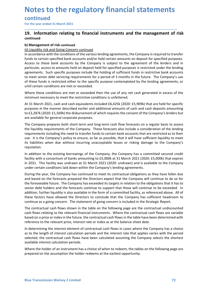# continued

# **Notes to the regulatory financial statements<br>
continued**<br>
For the year ended 31 March 2021<br> **19.** Information relating to financial instruments and the management of r<br>
continued<br>
b) Management of risk continued<br>
iii) Hau **Notes to the regulatory financial statements<br>
For the year ended 31 March 2021**<br> **19.** Information relating to financial instruments and the management of risk<br>
continued<br>
b) Management of risk continued<br>
ii) Liquidity ri continued

\_\_\_\_\_\_\_\_\_\_\_\_\_\_\_\_\_\_\_\_\_\_\_\_\_\_\_\_\_\_\_\_\_\_\_\_\_\_\_\_\_\_\_\_\_\_\_\_\_\_\_\_\_\_\_\_\_\_\_\_\_\_\_\_\_\_\_\_\_\_\_\_\_\_\_\_\_\_\_\_\_\_\_\_\_\_\_\_\_\_

**Notes to the regulatory financial statement continued**<br>For the year ended 31 March 2021<br>**19.** Information relating to financial instruments and the management<br>ontinued<br>b) Management of risk continued<br>in accordance with th **Notes to the regulatory financial statements**<br>
For the year ended 31 March 2021<br> **19.** Information relating to financial instruments and the management of i<br>
continued<br>
b) Management of risk continued<br>
ii) Liquidity risk **Notes to the regulatory financial statements**<br>
For the year ended 31 March 2021<br> **19.** Information relating to financial instruments and the management of risk<br>
continued<br>
ii) <u>Iduidity risk and Going Concern continued</u><br> **Notes to the regulatory financial statements**<br>For the year ended 31 March 2021<br>The The Vear ended 31 March 2021<br>**19.** Information relating to financial instruments and the management of risk<br>b) Management of risk continue **Notes to the regulatory financial statements**<br>
For the year ended 31 March 2021<br> **19.** Information relating to financial instruments and the management of risk<br>
continued<br>
b) Management of risk continued<br>
iii) Liquidity r **Notes to the regulatory financial statements**<br>For the year ended 31 March 2021<br>The Thermation relating to financial instruments and the management of risk<br>continued<br>b) Management of risk continued<br>iii) Liquidity risk and **Notes to the regulatory financial statements**<br>
For the year ended 31 March 2021<br> **19.** Information relating to financial instruments and the management of risk<br>
continued<br>
(ii) liquidity risk and Going Concern continued<br> **Notes to the regulatory financial statements**<br>For the year ended 31 March 2021<br>19. Information relating to financial instruments and the management of risk<br>continued<br>ii) Liquidity risk and Going Concern continued<br>iii) Liq **Notes to the regulatory financial statements**<br>
for the year ended 31 March 2021<br>
19. Information relating to financial instruments and the management of risk<br>
continued<br>
iii) <u>itualidity risk and Going Concern continued</u><br> Notes to the regulatory financial statements<br>continued<br>For the year ended 31 March 2021<br>19. Information relating to financial instruments and the management of risk<br>continued<br>ii) liguidity risk and Going Concern continued<br> **Notes to the regulatory financial statements**<br>
For the year ended 31 March 2021<br> **19.** Information relating to financial instruments and the management of risk<br>
continued<br>
ii) Liquidity risk and Going Concern continued<br>
i **CONTINUMER (CONTIFICAT CONTIFICAT CONTIFICAT CONTIFICAT CONTIFICAT (For the year ended 31 March 2021)**<br> **19.** Info**rmation relating to financial instruments and the management of risk continued**<br> **bill inculative risk and COTITITIVE CONTITY (CONTITY)**<br>The vear ended 31 March 2021,<br>**CONTIFICAT AT SAN CONTIFICAT CONTIFICAT CONTIFICATION**<br>in individivery instand Going Concern combined<br>in accordance with the conditions of the various lending a For the year ended 31 March 2021<br> **19. Information relating to financial instruments and the management of risk<br>
continued<br>
b) Management of risk continued<br>
iii) Liquidity risk and Going Concern continued<br>
iii) Liquidity r 19.** Info**rmation relating to financial instruments and the management of risk<br>
Continued iii) liquidity risk and Going Concern continued<br>
iii) liquidity risk and Going Concern continued<br>
iii) liquidity risk and Going Co 19. Information relating to financial instruments and the management of risk<br>
continued<br>
b) Management of risk continued<br>
ii) Liquidity risk and Golng Concern continued<br>
iii) Liquidity risk and Golng Concern continued<br>
In** Commune<br>
Compary is required to transfer in locations of the various lending agreements, the Company is required to transfer<br>
In Lacoudance with the conditions of the various lending agreements, the Company is required to **b) Management of risk continued**<br>
<u>iii) Liquidity risk and Going Concern continued</u><br>
<u>iin liquidity risk and Going Concern continued</u><br>
In laccordance with the conditions of the various lending agreements, the Company is r iii) <u>utin</u> introduced to transfer on the methomed<br>in accordance with the conditions of the various lending agreements, the Company is required to transfer<br>funds to certain specified bank accounts and/or hold certain amoun In accordance with the conditions of the various lending agreements, the Company is required to transfer<br>Access to these bank accounts and/or hold certain amounts on deposit for specified purposes.<br>Access to these bank acc funds to certain specified bank accounts and/or hold certain amounts on deposit for specified purposes.<br>Access to these bank accounts by the Company is subject to the agreement of the lenders and in<br>particular, access to a

reputation. parture, actess to amolonis lete to the existing required purposes in scattice under the entaing<br>agreements. Such specific purposes include the holding of sufficient funds in restrictive bank accounts<br>to meet senior debt s eyements: suar specime to method to the incoming to summative that the Company's use of these funds is restricted either to the specific purpose contemplated by the lending agreements, or of these funds is restricted eithe ionet of these two servering requirements or a period of simulas with enter the company suses of the fielding agreements, or ontil certain conditions are met or exceeded.<br>
Where these conditions are met or exceeded.<br>
At 31 or itses inlusts is testailed the company sole that the Company sole and the company and the company and the company and the company and the company and the company and the company and the company of the companys in the ma

Where these conditions are met or exceeded then the use of any net cash generated in excess of the minimum necessary to meet the restrictive conditions is unfettered.<br>At 31 Monch 2021, cash and cash equivalents included £6 whilm the cast continuous are interested that the forecasts prepared the forecasts on the company infinimum necessary to meet the restrictive conditions is unfeltered.<br>At 31 March 2021, cash and cash equivalents included £ minumin incessary romeer une testictive communits is univertiese.<br>The contracts and the foresee in the meanner described earlier and ddditional amounts of cash and cash deposits amounting<br>purposes in the manner described e At 31 March 2021, cash and cash equivalents included £6,425k (2020: £5,909k) that are held for specific<br>purposes in the manner described earlier and additional anounts of cash and cash deposits amounting<br>to £2,287k (2020:£ purposes in the manner described earlier and additional amounts of cash and cash deposits amounting<br>one 22,287k (2020: £1,569k) the disburement of which requires the consent of the Company's lenders but<br>to £2,287k (2020: £ to £2,287k (2020: £1,569k) the disbursement of which requires the consent of the Company's lenders but<br>are vailable for general corporate purposes.<br>The Company prepares both short-term and long-term cash flow forecasts on are available for general corporate purposes.<br>The Company prepares both short-term and long-term cash flow forecasts on a regular basis to assess<br>the liquidity requirements of the Company. These forecasts also include a co The Company prepares bott short-term and long-term cash flow forecasts on a regular basis to a assessive the liquidity requirements including the need to transfer funds to certain bank accounts that are restricted as to th the liquidity requirements of the Company. These forecasts also include a consideration of the lending<br>requirements including the need to transfer funds to certain bank accounts that are restricted as to their<br>trequirement requirements including the need to transfer funds to certain bank accounts that are restricted as to their<br>tis lits lits the Company's policy to ensure, as far as possible, that it will have sufficient liquidity to meet<br>ts use. It is the Company's policy to ensure, as far as possible, that it will have sufficient liquidity to meet<br>its liablities when due without incurring unacceptable losses or risking damage to the Company's<br>reputation.<br>In In such the existing borrowings undeceptable losses or inshing damage to the Company's<br>In addition to the existing borrowings of the Company, the Company has a committed secured credit<br>facility with a consortium of banks a in putation. The existing borrowings of the Company, the Company has a committed secured credit facility with a consortium of banks amounting to £5,000k at 31 March 2021 (2020: £5,000k) that expires in 2031. This facility In addition to the existing borrowings of the Company, the Company has a committed secured credit<br>facility with a consortium of banks amounting to £5,000k at 31 March 2021 (2020: £5,000k) that expires<br>in 2031. This facilit facility with a consortium of banks amounting to £5,000k at 31 March 2021 (2020: £5,000k) that expine<br>In 2031. This facility was undrawn at 31 March 2021 (2020: undrawn) and is available to the Compar<br>under certain conditi If 2031. This islativy was undrawin at 53 Wielral 2022, columning and a strainable to the Company and structure and based on the foremeration During the year, the Company has continued to meet its contractual obligations a moutions rate of the redeams to the most and the stock of the compary is the polarity of the positions as they have fallen due on the forecesede on the forecesars prepared the Directors expect that the Company will continu

these factors have allowed the Directors to conclude that the Company has sufficient headroom to continue as a going concern. The statement of going concern is included in the Strategic Report.<br>The contractual cash flows s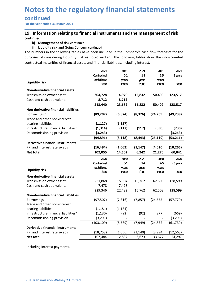# continued

# **Notes to the regulatory financial statements**<br>
For the year ended 31 March 2021<br>
For the year ended 31 March 2021<br> **19.** Information relating to financial instruments and the management of risk<br>
continued<br>
b) Management o **Notes to the regulatory financial statements<br>
For the year ended 31 March 2021**<br> **19. Information relating to financial instruments and the management of risk**<br> **continued**<br> **i)** Management of risk continued<br> **iii**) Liqui continued

**Dies to the regulatory financial statements**<br>
Information relating to financial instruments and the management of risk<br>
Information relating to financial instruments and the management of risk<br>
inned<br>
(ii) Liquidity risk **Charage Strange Strange Strange Strange Strange Strange Strange Applement Strange Prevar ended 31 March 2021**<br> **Information relating to financial instruments and the management of risk**<br>
iii) Liquidity risk and Going Conc **Notes to the regulatory financial statements**<br>
For the year ended 31 March 2021<br> **19.** Information relating to financial instruments and the management of risk<br>
continued<br>
b) Management of risk continued<br>
The numbers in t

| For the year ended 31 March 2021                                                                                                                                                                                                                                                                                                                                                                                                                                                                     |                      |                   |                   |                   |                     |
|------------------------------------------------------------------------------------------------------------------------------------------------------------------------------------------------------------------------------------------------------------------------------------------------------------------------------------------------------------------------------------------------------------------------------------------------------------------------------------------------------|----------------------|-------------------|-------------------|-------------------|---------------------|
| 19. Information relating to financial instruments and the management of risk<br>continued<br>b) Management of risk continued<br><b>Liquidity risk and Going Concern continued</b><br>iii)<br>The numbers in the following tables have been included in the Company's cash flow forecasts for the<br>purposes of considering Liquidity Risk as noted earlier. The following tables show the undiscounted<br>contractual maturities of financial assets and financial liabilities, including interest. |                      |                   |                   |                   |                     |
|                                                                                                                                                                                                                                                                                                                                                                                                                                                                                                      | 2021                 | 2021              | 2021              | 2021              | 2021                |
|                                                                                                                                                                                                                                                                                                                                                                                                                                                                                                      | Contractual          | $0 - 1$           | $1-2$             | 25                | >5 years            |
| <b>Liquidity risk</b>                                                                                                                                                                                                                                                                                                                                                                                                                                                                                | cashflows<br>£'000   | years<br>£'000    | years<br>£'000    | years<br>£'000    | £'000               |
| Non-derivative financial assets                                                                                                                                                                                                                                                                                                                                                                                                                                                                      |                      |                   |                   |                   |                     |
| Transmission owner asset                                                                                                                                                                                                                                                                                                                                                                                                                                                                             | 204,728              | 14,970            | 15,832            | 50,409            | 123,517             |
| Cash and cash equivalents                                                                                                                                                                                                                                                                                                                                                                                                                                                                            | 8,712                | 8,712             |                   |                   |                     |
|                                                                                                                                                                                                                                                                                                                                                                                                                                                                                                      | 213,440              | 23,682            | 15,832            | 50,409            | 123,517             |
| Non-derivative financial liabilities                                                                                                                                                                                                                                                                                                                                                                                                                                                                 |                      |                   |                   |                   |                     |
| Borrowings <sup>+</sup><br>Trade and other non-interest                                                                                                                                                                                                                                                                                                                                                                                                                                              | (89, 207)            | (6, 874)          | (8, 326)          | (24, 769)         | (49, 238)           |
| bearing liabilities                                                                                                                                                                                                                                                                                                                                                                                                                                                                                  | (1, 127)             | (1, 127)          |                   |                   |                     |
| Infrastructure financial liabilities <sup>+</sup>                                                                                                                                                                                                                                                                                                                                                                                                                                                    | (1, 314)             | (117)             | (117)             | (350)             | (730)               |
| Decommissioning provision                                                                                                                                                                                                                                                                                                                                                                                                                                                                            | (3, 243)             |                   |                   |                   | (3, 243)            |
|                                                                                                                                                                                                                                                                                                                                                                                                                                                                                                      | (94, 891)            | (8, 118)          | (8, 443)          | (25, 119)         | (53, 211)           |
| <b>Derivative financial instruments</b>                                                                                                                                                                                                                                                                                                                                                                                                                                                              |                      |                   |                   |                   |                     |
| RPI and interest rate swaps<br>Net total                                                                                                                                                                                                                                                                                                                                                                                                                                                             | (16, 494)<br>102,055 | (1,062)<br>14,502 | (1, 147)<br>6,242 | (4,020)<br>21,270 | (10, 265)<br>60,041 |
|                                                                                                                                                                                                                                                                                                                                                                                                                                                                                                      |                      |                   |                   |                   |                     |
|                                                                                                                                                                                                                                                                                                                                                                                                                                                                                                      | 2020<br>Contractual  | 2020<br>$0-1$     | 2020<br>$1-2$     | 2020<br>$2-5$     | 2020<br>>5 years    |
|                                                                                                                                                                                                                                                                                                                                                                                                                                                                                                      | cashflows            | years             | years             | years             |                     |
| <b>Liquidity risk</b>                                                                                                                                                                                                                                                                                                                                                                                                                                                                                | £'000                | £'000             | £'000             | £'000             | £'000               |
| Non-derivative financial assets                                                                                                                                                                                                                                                                                                                                                                                                                                                                      |                      |                   |                   |                   |                     |
| Transmission owner asset                                                                                                                                                                                                                                                                                                                                                                                                                                                                             | 221,868              | 15,004            | 15,762            | 62,503            | 128,599             |
| Cash and cash equivalents                                                                                                                                                                                                                                                                                                                                                                                                                                                                            | 7,478<br>229,346     | 7,478<br>22,482   | 15,762            | 62,503            | 128,599             |
| Non-derivative financial liabilities                                                                                                                                                                                                                                                                                                                                                                                                                                                                 |                      |                   |                   |                   |                     |
| Borrowings <sup>+</sup>                                                                                                                                                                                                                                                                                                                                                                                                                                                                              | (97, 507)            | (7, 316)          | (7, 857)          | (24, 555)         | (57, 779)           |
| Trade and other non-interest                                                                                                                                                                                                                                                                                                                                                                                                                                                                         |                      |                   |                   |                   |                     |
| bearing liabilities                                                                                                                                                                                                                                                                                                                                                                                                                                                                                  | (1, 181)             | (1, 181)          |                   |                   |                     |
| Infrastructure financial liabilities <sup>+</sup><br>Decommissioning provision                                                                                                                                                                                                                                                                                                                                                                                                                       | (1, 130)<br>(3, 291) | (92)              | (92)              | (277)             | (669)<br>(3, 291)   |
|                                                                                                                                                                                                                                                                                                                                                                                                                                                                                                      | (103, 109)           | (8,589)           | (7, 949)          | (24, 832)         | (61, 739)           |
|                                                                                                                                                                                                                                                                                                                                                                                                                                                                                                      |                      |                   |                   |                   |                     |
| <b>Derivative financial instruments</b>                                                                                                                                                                                                                                                                                                                                                                                                                                                              | (18, 753)            | (1,056)           | (1, 140)          | (3,994)           | (12, 563)           |
| RPI and interest rate swaps                                                                                                                                                                                                                                                                                                                                                                                                                                                                          |                      |                   | 6,673             | 33,677            | 54,297              |
| Net total                                                                                                                                                                                                                                                                                                                                                                                                                                                                                            | 107,484              | 12,837            |                   |                   |                     |
| Including interest payments.                                                                                                                                                                                                                                                                                                                                                                                                                                                                         |                      |                   |                   |                   |                     |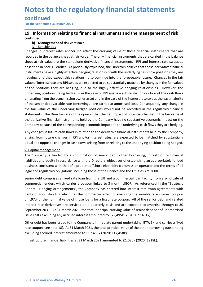# continued

# **Notes to the regulatory financial statements**<br>
For the year ended 31 March 2021<br>
For the year ended 31 March 2021<br> **19.** Information relating to financial instruments and the management of risk<br>
continued<br>
b) Management o **Notes to the regulatory financial statements<br>
For the year ended 31 March 2021**<br> **19. Information relating to financial instruments and the management of risk**<br> **continued**<br> **b)** Management of risk continued<br>
<u>iv) Sensiti</u> continued

\_\_\_\_\_\_\_\_\_\_\_\_\_\_\_\_\_\_\_\_\_\_\_\_\_\_\_\_\_\_\_\_\_\_\_\_\_\_\_\_\_\_\_\_\_\_\_\_\_\_\_\_\_\_\_\_\_\_\_\_\_\_\_\_\_\_\_\_\_\_\_\_\_\_\_\_\_\_\_\_\_\_\_\_\_\_\_\_\_\_

**Dieles to the regulatory financial statements<br>
Information relating to financial instruments and the management of risk<br>
inved<br>
b) Management of risk continued<br>
b) Management of risk continued<br>
is an interest rates and/or Chinese Start of the regulatory financial state**<br> **Information relating to financial instruments and the mana**<br> **Information relating to financial instruments and the mana**<br> **Information relating to financial instruments Notes to the regulatory financial statements**<br>
For the year ended 31 March 2021<br> **19.** Information relating to financial instruments and the management of risk<br>
continued<br>
b) Management of risk continued<br>
b) Sensitivities **Notes to the regulatory financial statements**<br>
For the year ended 31 March 2021<br> **19.** Information relating to financial instruments and the management of risk<br>
continued<br>
b) Management of risk continued<br>
b) Sensitivities **Notes to the regulatory financial statements**<br>For the year ended 31 March 2021<br>**19.** Information relating to financial instruments and the management of risk<br>continued<br>b) Management of risk continued<br>the standalone deriva **Notes to the regulatory financial statements**<br>
For the year ended 31 March 2021<br> **19.** Information relating to financial instruments and the management of risk<br>
continued<br>
b) Management of risk continued<br>
b) Management of **Notes to the regulatory financial statements**<br>
For the year ended 31 March 2021<br> **19.** Information relating to financial instruments and the management of risk<br>  $\frac{b}{N}$  Sensitivities<br>  $\frac{b}{N}$  Sensitivities<br>
Changes in **Notes to the regulatory financial statements**<br>For the year ended 31 March 2021<br>19. Information relating to financial instruments and the management of risk<br>continued<br>b) Management of risk continued<br>changes in interest rat **Notes to the regulatory financial statements**<br>
For the year ended 31 March 2021<br> **19.** Information relating to financial instruments and the management of risk<br>
continued<br>
b) Management of risk continued<br>
in Usersitivitie **Notes to the regulatory financial statements**<br> **Continued**<br> **19. Information relating to financial instruments and the management of risk**<br> **19. Substituties**<br> **b)** Management of risk continued<br> **b)** Management of risk co **Notes to the regulatory financial statements**<br>
For the year ended 31 March 2021<br> **19.** Information relating to financial instruments and the management of risk<br>
continued<br>
b) Management of risk continued<br>
b) Management o **CONTLINUMENT EXECT THE TRANSMIG CONTROVER CONTROVER THE CONTROVER THE CONTROVER THE CONTROVERT THE CONTROVERT ON THE CONTROVERT THE CONTROVERT ON THE CONTROVERT ON THE SET CONTROVERT THE SET CONTROVERT THE SWAPS THE SWAPS CONTITINGTO EXECT THE SEND ADMONDER CONTIFICATION**<br>The sension relating to financial instruments and the management of risk<br>continued<br>b) Management of risk continued<br>continued<br>continued<br>b) Management of risk continued<br>con For the year ended 31 March 2021<br> **19. Information relating to financial instruments and the management of risk<br>
continued<br>
b) Management of risk continued<br>
b) Shangement of risk continued<br>
changes in interest rates and/or 19. Information relating to financial instruments and the management of risk continued<br>
b) Management of risk continued<br>
changes in interest rates and/or RPI affect the carrying value of those financial instruments that a** Example the balance of the company have no substantial instruments held by the Company boombined<br>
by Managerement of risk continued<br>
by Sensitivities<br>
Changes in interest rates and/or RPI affect the carrying value of those **b)** Somisfivities<sup>5</sup><br>**b)** Somisfivities<sup>5</sup><br>**comparishings** in interest rates and/or RPI affect the carrying value of those financial instruments that are<br>recorded in the balance sheet at fair value. The only financial ins We sentivates<br>any exhibitions in interest rates and/or RPI affect the carrying value of those financial instruments that are<br>recorded in the balance sheet at fair value. The only financial instruments that are carried in t Examples in interests rates antigo to the computer of the computer of the computer of the computer of the computer of the computer of the computer of the Directors of the Directors of the Directors of the Directors of the exure the mathemate sinted and widelia instruments and when when the underlying as the string to mental the transformation or the transformation or the transformation or the transformation in the transformation in pole the described in note 13 earlier. As previously explained, the Directors believe that thes instruments have a highly effective hedging relationship with the underlying cash fitedging, and they expect this relationship to conti Instruments have a highly effective hedging relationship with the underlying cash flow positions they are hedging, and they expect this relationship to continue into the foreseeable future. Changes in the fair value of int hedging, and they expect this relationship to continue into the foreseeable future. Changes in the fair<br>value of interest rate and RPI swaps are expected to be substantially matched by changes in the fair values<br>of the pos value of interest rate and RPI swaps are expected to be substantially matched by changes in the fair values<br>of the positions theiv are hedging, due to the highly effective hedging relationships. However, the<br>underlying pos of the positions they are hedging, due to the highly effective hedging relationships. However, the underlying positions being hedged – in the case of RPI swaps a substantial proportion of the cash flows emanating from the underlying positions being herege or – in the case of HPI swaps a substantial proportion of the cash floored rate<br>temanating from the transmission owner asset and in the case of the interest rate swaps the vast majority<br>of

abins of good standing winch rias are commercial entect of swapping to verapping the senior debt and related<br>on G9% of the nominal value of those loans for a fied rate coupon. All of the senior debt and related<br>interest ra emanaturg trom the transmission owere asset and in the case of the interest rate swaps the vasting printy the responding to the serior debt variable rate borrowings - are carried at anontised cost. Consequently, any change of the senior debt varalale rate foromunigs - are carried at amortised cost. Consequently, any change in<br>the fair value of the underlying hedged positions would not be recorded in the regulatory financial<br>statements. The D the lair value of the underlying heaged positions would not be recorded in the regulatory limancial<br>statements. The Directors are of the opinion that the net impact of potential changes in the fair value of<br>the derivative statements. The Directors are ot the opninon that the net impact of potential changes in the relativalue of potential changes in the metally of the company have no substantive economic limpact on the Company because of the the derivative financial instruments held by the Company have no substantive economic impact on the<br>Company because of the corresponding economic impact on the underlying cash flows they are hedging.<br>Any changes in future Company because of the corresponding economic impact on the underlying cash flows they are hedging.<br>Any changes in future cash flows in relation to the derivative financial instruments held by the Company<br>arising from futu Any changes in future cash flows in relation to the derivative financial instruments held by the Company,<br>arising from future changes in RPI and/or interest rates, are expected to be matched by substantially<br>equal and oppo arsing from tuture changes in RPI and/or interest rates, are expected to be matched by substantially<br>equal and opposite changes in cash flows arising from or relating to the underlying position being hedged.<br>The Company is equal and opposite changes in cash flows arising from or relating to the underlying position being hedged.<br>
V) Capital management<br>
The Company is funded by a combination of senior debt, other borrowing, infrastructure fina v) Capital management<br>The Company is funded by a combination of senior debt, other borrowing, infrastructure financial<br>The Company is funded by a combination of senior debt, other borrowing, infrastructure financial<br>liabil In e Company is turnad by a combination of senior deto, ther borrior and senior and senior and the terms of all<br>ilabilities and equity in accordance with the Directors' objectives of establishing an appropriately funded<br>bu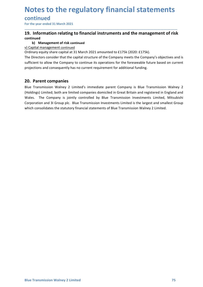# continued

# **Notes to the regulatory financial statements**<br>
For the year ended 31 March 2021<br>
For the year ended 31 March 2021<br> **19.** Information relating to financial instruments and the management of risk<br>
continued<br>
b) Management o **Notes to the regulatory financial statements<br>
For the year ended 31 March 2021**<br> **19. Information relating to financial instruments and the management of risk**<br> **continued**<br> **b)** Management of risk continued<br> **ordinary eq** continued

\_\_\_\_\_\_\_\_\_\_\_\_\_\_\_\_\_\_\_\_\_\_\_\_\_\_\_\_\_\_\_\_\_\_\_\_\_\_\_\_\_\_\_\_\_\_\_\_\_\_\_\_\_\_\_\_\_\_\_\_\_\_\_\_\_\_\_\_\_\_\_\_\_\_\_\_\_\_\_\_\_\_\_\_\_\_\_\_\_\_

**Dies to the regulatory financial statements<br>
Information relating to financial instruments and the management of ris<br>
Information relating to financial instruments and the management of ris<br>
b) Management of risk continue Notes to the regulatory financial state**<br>
For the year ended 31 March 2021<br> **19.** Information relating to financial instruments and the management<br>
ob Management of risk continued<br>
b) Management continued<br>
ordinary equity **Notes to the regulatory financial statements**<br>
For the year ended 31 March 2021<br> **19.** Information relating to financial instruments and the management of risk<br>
continued<br>
b) Management of risk continued<br>
Ordinary equity **Notes to the regulatory financial statements**<br>
For the year ended 31 March 2021<br> **19.** Information relating to financial instruments and the management of risk<br>
continued<br>
b) Management of risk continued<br>
b) Management co **Notes to the regulatory financial statements**<br>
For the year ended 31 March 2021<br> **19.** Information relating to financial instruments and the management of risk<br>
continued<br>
b) Management of risk continued<br>
v) Capital manag **Notes to the regulatory financial statements**<br>
For the year ended 31 March 2021<br> **19.** Information relating to financial instruments and the management of risk<br>
continued<br>
b) Management of risk continued<br>
consingement rep

**Notes to the regulatory financial statem**<br>
For the year ended 31 March 2021<br> **19.** Information relating to financial instruments and the management<br> **19.** Information relating to financial instruments and the management<br> **Notes to the regulatory financial statements**<br>
For the year ended 31 March 2021<br> **19. Information relating to financial instruments and the management of risk**<br>
continued<br>
b) Management of risk continued<br>
b) Management co **Notes to the regulatory financial statements**<br>
For the year ended 31 March 2021<br>
19. Information relating to financial instruments and the management of risk<br>
continued<br>
b) Management of risk continued<br>
b) Management of r Continued<br>
Tor the year ended 31 March 2021<br>
19. Information relating to financial instruments and the management of risk<br>
continued<br>
V) Contagrement of risk continued<br>
V) Contagrement of risk continued<br>
V) Contagrement of **CONTINUEGI**<br>
Tor the year ended 31 March 2021<br> **Corporation relating to financial instruments and the management of risk**<br>
b) Management of risk continued<br>
b) Management continued<br>
DOC Continued and COC Corporation Invest For the year ended 31 March 2021<br>
19. Information relating to financial instruments and the management of risk<br>
continued<br>
w) Capital management continued<br>
b) Management of risk continued<br>
b) Management continued<br>
b) Manag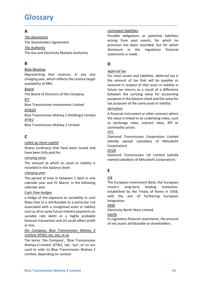# **Glossary**

# $\overline{A}$

**Glossary**<br> **A**<br>
<u>Contingent liabilities</u><br>
The Agreement<br>
The Shareholders Agreement<br>
The Gas and Electricity Markets Authority<br>
The Gas and Electricity Markets Authority<br> **Conting to the Statements is made. Glossary**<br>
The Agreement<br>
The Agreement<br>
The Shareholders Agreement<br>
The Shareholders Agreement<br>
The Shareholders Agreement<br>
The Shareholders Agreement<br>
The Shareholders Agreement<br>
The Gas and Electricity Markets Authorit **Glossary**<br> **A**<br>
The Agreement<br>
The Shareholders Agreement<br>
The Shareholders Agreement<br>
The Authority<br>
The Gas and Electricity Markets Authority<br> **B**<br> **B**<br> **D**<br>
Base Revenue<br>
deferred tox<br>
deferred tox **Glossary**<br>
The Agreement<br>
The Agreement<br>
The Shareholders Agreement<br>
The Shareholders Agreement<br>
The Gas and Electricity Markets Authority<br>
The Gas and Electricity Markets Authority<br>
B<br>
B<br>
B<br>
B<br>
D<br>
Base Revenue<br>
Represent

# B<sub>a</sub> Barat and the second service of the series of the series of the series of the series of the series of the series of the series of the series of the series of the series of the series of the series of the series of the

# Board

# BTI

# BTW2H

BTW2

# C

**EXECUTE:**<br>
<u>Board</u> of Directors of the Company<br>  $\frac{B00 \text{ and } B1 \text{ and } B2 \text{ and } B2 \text{ and } B3 \text{ and } B1 \text{ and } B2 \text{ and } B1 \text{ and } B2 \text{ and } B1 \text{ and } B2 \text{ and } B1 \text{ and } B2 \text{ and } B1 \text{ and } B2 \text{ and } B1 \text{ and } B2 \text{ and } B2 \text{ and } B2 \text{ and } B2 \text{ and } B2 \text{ and } B2 \text{ and } B2 \text{ and } B2 \text{ and$ 

contributed the almostrom and the matter of Rome in 1958,<br>
Cosh Flow Hedges<br>
a hedge of the exposure to variability in cash<br>
with the aim of furthering European<br>
flows that (i) is attributable to a particular risk<br>
succida Blue Transmission Investments Limited<br>
Blue Transmission Walney 2 (Holdings) Limited<br>
Blue Transmission Walney 2 (Holdings) Limited<br>
A financial instrument or ot<br>
Blue Transmission Walney 2 Limited<br>
Blue Transmission Waln Cash Flow Hedges Blue Transmission Walney 2 (Holdings) Limited<br>
the value listince the contract where<br>  $\frac{BTWZ}{C}$ <br>
Blue Transmission Walney 2 Limited<br>  $\frac{DTC}{C}$ <br>  $\frac{DTC}{D\tan}$ <br>
Comporting rates, interest rates, RPI or<br>  $\frac{OTC}{C}$ <br>  $\frac{DTC$ ET UNITED THE THE STREET THE STREET THE STREET THE SET AND RESERVENCES.<br>
C<br>
C<br>
C<br>
C<br>
C Diamond Transmission Corporation Limited<br>
C<br>
C Diamond Transmission Corporation Limited<br>
Shares (ordinary) that have been issued and<br> **EXERENT THE SET THE SET THE SET THE SET THE SET THE SET THE SET THE SET THE SET ON THE SET THE SET THE SET THE SET THE SET THE SET THE SET THE SET THE SET THE SET THE PROPORTION THE SET THE PROPORTION THE SET ON THE SET T** such constraints and the payment of the matter of the controlled us share controlled us share controlled (wholly over the substitute of this bis share been fully paid for.<br>
Shares (ordinary) that have been issued and  $\frac{$ **C**<br>
Colled up share capital<br>
(wholly owned subsidiary of Mitsubishi<br>
Shares (ordinary) that have been issued and<br>  $\frac{DT/K}{C}$ <br>
Share been tully paid for.<br>
The amount at which an asset or liability is<br>  $\frac{OT/K}{C}$ <br>
The amou Comparison Corporation Unimord Transmission Corporation Limited<br>
Corporation Shares (ordinary) that have been issued and<br>
Shares (ordinary) that have been issued and<br>
Corporation)<br>
The amount at which an asset or liabilit called up share capital<br>
Shares (ordinary) that have been issued and<br>  $\frac{OTUK}{OTLKL}$ <br>  $\frac{OTUK}{D\ti{amond}}$  Transmissions<br>
carrying value<br>
The amount at which an asset or liability is<br>  $\frac{OTUK}{D\ti{amond}}$ <br>
The amount at which an asse Shares (ordinary) that have been issued and<br>
nave been fully paid for.<br>
nave been fully paid for.<br>
<u>Corrying value</u><br>
Comparison UK Limited (wholly<br>
The amount at which an asset or liability is<br>
eventoded in the balance sh have been fully paid for.<br>
Simmond Transmission UK Limited (wholl<br>
the amount at which an asset or liability is<br>
the period of time in between 1 April in one<br>
frequencies are the sole of the in between 1 April in one<br>
cral corrying value<br>
The amount at which an asset or liability is<br>  $\frac{1}{2}$  womed subsidiary of Mitsubishi Corporation)<br>  $\frac{1}{2}$  The period of time in between 1 April in one<br>  $\frac{1}{2}$  The period of time in between 1 April The amount at which an asset or liability is<br>
the amount at which an asset or liability is<br>
charging year.<br>
Charging year<br>
Charging year and 31 March, in the following<br>
calendar year and 31 March, in the following<br>
calend The period in the balance sheet.<br>
the control in the balance sheet.<br>
The period of time in between 1 April in one<br>
created and the in between 1 April in one<br>
calendar year and 31 March, in the following<br>
calendar year.<br>
C Limited and 31 March and 1 and the following<br>
Engagrapeur Cheminic Basinch are the scheme of the in between 1 April in one<br>
calendar year, and 31 March, in the following<br>
calendar year.<br>
Cash Flow Hedges<br>
calendar year.<br>

\_\_\_\_\_\_\_\_\_\_\_\_\_\_\_\_\_\_\_\_\_\_\_\_\_\_\_\_\_\_\_\_\_\_\_\_\_\_\_\_\_\_\_\_\_\_\_\_\_\_\_\_\_\_\_\_\_\_\_\_\_\_\_\_\_\_\_\_\_\_\_\_\_\_\_\_\_\_\_\_\_\_\_\_\_\_\_\_\_\_

**GLOSSATY**<br>
The Agreement<br>
The Agreement<br>
The Shareholders Agreement<br>
The Shareholders Agreement<br>
The Shareholders Agreement<br>
The Gas and Electricity Markets Authority<br>
The Gas and Electricity Markets Authority<br>
B<br>
B<br>
B<br>
B **Contingent liabilities**<br> **Possible obligations or potential liabilities**<br> **arising from past events, for which no<br>
provision has been recorded, but for which<br>
disclosure in the regulatory financial<br>
statements is made. Contingent liabilities**<br>Possible obligations or potential liabilities<br>arising from past events, for which no<br>provision has been recorded, but for which<br>disclosure in the regulatory financial<br>statements is made. **Example 12**<br> **Example 12**<br> **Example 12**<br> **Example 12**<br> **Example 12**<br> **Example 12**<br> **Example 12**<br> **Example 12**<br> **Example 12**<br> **Example 12**<br> **Example 12**<br> **Example 12**<br> **Example 12**<br> **Example 12**<br> **Example 12**<br> **Example 12 Contingent liabilities**<br> **Possible obligations or potential liabilities**<br>
arising from past events, for which no<br>
provision has been recorded, but for which<br>
disclosure in the regulatory financial<br>
statements is made.<br> **D Contingent liabilities**<br> **Example 18**<br> **Example 18**<br> **Example 18**<br> **Example 18**<br> **Example 18**<br> **Example 18**<br> **Example 18**<br> **Example 18**<br> **Example 18**<br> **Example 18**<br> **Example 18**<br> **Example 18**<br> **Example 18**<br> **Example 19**<br> statements is made.

# D<sub>a</sub> based on the set of the set of the set of the set of the set of the set of the set of the set of the set of the set of the set of the set of the set of the set of the set of the set of the set of the set of the set of

**Glossary**<br> **A**<br> **A**<br> **EXECUTE CONSTATY**<br> **EXECUTE CONSTANT CONSTANT CONSTANT PRESTANT PRESTANT PRESTANT PRESTANT PRESTANT PRESTANT PRESTANT PRESTANT PRESTANT PRESTANT PRESTANT PRESTANT PRESTANT PRESTANT PRESTANT PRESTANT Glossary**<br>
The Agreement<br>
The Agreement<br>
The Shareholders Agreement<br>
The Shareholders Agreement<br>
The Shareholders Agreement<br>
The Shareholders Agreement<br>
The Gas and Electricity Markets Authority<br>
Subscribe the Company<br>
Bu **Glossary**<br>
The Agreement<br>
The Antenders Agreement<br>
The Shareholders Agreement<br>
The Shareholders Agreement<br>
The Authority<br>
The Gas and Electricity Markets Authority<br>
Susclosure in the regulate<br>
Susclosure in the regulate<br> **GIOSSATY**<br> **EXECUTE:**<br>
The Auteement<br>
The Auternalistics Agreement<br>
The Shareholders Agreement<br>
The Shareholders Agreement<br>
The Sas and Electricity Markets Authority<br>
The Gas and Electricity Markets Authority<br>
The Gas and **EXECUTE:**<br> **EXECUTE:**<br>
The Agreement<br>
The Shareholders Agreement<br>
The Shareholders Agreement<br>
The Gas and Electricity Markets Authority<br>
The Gas and Electricity Markets Authority<br>
Buse Revenue<br> **BUSE Action** Electricity M **A**<br> **EXECUTE THE CONTINUE CONTINUE CONTINUE CONTINUE CONTINUE CONTINUE THE Shareholders Agreement<br>
The Authority<br>
The Shareholders Agreement<br>
The Gas and Electricity Markets Authority<br>
The Gas and Electricity Markets Auth** The Shareholders Agreement<br>
The Authority<br>
The Authority<br>
The Authority<br>
The Gas and Electricity Markets Authority<br>
The Gas and Electricity Markets Authority<br>
eliscolsoure in the regulatory financial<br>
statements is made.<br> **B**<br> **B**<br> **EXECUTE 10**<br> **EXECUTE ANOTE CONDEND FORMATIFIES AND FORMATIFIES AND FORMATIFIES AND FORMATIFIES AND FORMATIFIES AND FORMATIFIES AND FORMATIFIES AND FRED BOARD of Directors of the Company<br>
<b>EXECUTE 10**<br> **EXECUTE B**<br> **Box Revenue**<br> **Box Representing** that revenue, in any one<br> **Example 10**<br> **Example 10**<br> **Example 10**<br> **Example 10**<br> **Example 10**<br> **Example 10**<br> **Example 10**<br> **Example 10**<br> **EXAMPLE TRING TO THE SONTON THE SONTON THE Example 10**<br> **Example 10**<br> **Example 10**<br> **Example 10**<br> **Example 10**<br> **Example 10**<br> **EXAMPLE 10**<br> **EXAMPLE 10**<br> **EXAMPLE 10**<br> **EXAMPLE 10**<br> **EXAMPLE 10**<br> **EXAMPLE 10**<br> **EXAMPLE 10**<br> **EXAMPLE 10**<br> **EXAMPLE 10**<br> **EXAMPLE 10** Representing that revenue, in any one<br>
For most assets and liability<br>
availability of 98%.<br>
availability of 98%.<br>
Solard the amount of tax that veceived in respect of that<br>
Board for Directors of the Company<br>
future tax r charging year, which reflects the Licence target<br>
availability of 98%.<br>
are amount of tax that said to propable or<br>
<u>abourd</u><br>  $\frac{B\omega}{1000}$ <br>  $\frac{B\omega}{1000}$ <br>  $\frac{B\omega}{1000}$ <br>  $\frac{B\omega}{1000}$ <br>
Examples the balance sheet and availability of 98%.<br> **Example 198%** areceived in respect of that asset or liability<br> **EVALUAT THE Board of Directors of the Company**<br> **EXALUAT THE BOART of alternal starting between the carrying value for account<br>
<u>EVALU**</u> **Contingent liabilities**<br> **Possible obligations or potential liabilities**<br> **arising from past events, for which no**<br> **provision has been recorded, but for which**<br> **disclosure in the regulatory financial**<br> **disclements is m Example 12**<br> **Example 12**<br> **Example 12**<br> **Example 12**<br> **Example 12**<br> **Example 12**<br> **Example 12**<br> **Example 12**<br> **Example 12**<br> **Example 12**<br> **Example 12**<br> **Example 12**<br> **Example 12**<br> **Example 12**<br> **Example 12**<br> **Example 12 Example 12**<br> **Example 12**<br> **Example 12**<br> **Example 12**<br> **Example 12**<br> **Example 12**<br> **Example 12**<br> **Example 12**<br> **Example 12**<br> **Example 12**<br> **Example 12**<br> **Example 12**<br> **Example 12**<br> **Example 12**<br> **Example 12**<br> **Example 12 Example 12**<br>
<u>Contingent liabilities</u><br>
Possible obligations or potential liabilities<br>
arising from past events, for which no<br>
provision has been recorded, but for which<br>
disclosure in the regulatory financial<br>
statements **Contingent liabilities**<br> **Possible obligations or potential liabilities**<br>
arising from past events, for which no<br>
provision has been recorded, but for which<br>
disclosure in the regulatory financial<br>
statements is made.<br> **D Contingent liabilities**<br> **Possible** obligations or potential liabilities<br>
Possible obligations or potential liabilities<br>
arising from past events, for which no<br>
provision has been recorded, but for which<br>
disclosure in th purposes in the balance sheet and the value for **Contingent liabilities**<br> **Possible obligations or potential liabilities**<br> **Possible obligations or potential liabilities**<br> **Provision has been recorded, but for which no**<br> **disclosure in the regulatory financial**<br> **D**<br> **D Contingent liabilities**<br> **Possible obligations or potential liabilities**<br> **arising from past events, for which no**<br> **provision has been recorded, but for which no**<br> **disclosure in the regulatory financial**<br> **BLAC**<br> **D**<br> Possible obligations or potential liabilities<br>arising from past events, for which no<br>provision has been recorded, but for which<br>disclosure in the regulatory financial<br>statements is made.<br><br>**D**<br>**O**<br>deferred tox<br>For most asse arising from past events, for which no<br>provision has been recorded, but for which no<br>provision has been recorded, but for which<br>disclosure in the regulatory financial<br>statements is made.<br>D<br>D<br>D<br>deferred tax<br>For most assets provision has been recorded, but for which<br>provision has been recorded, but for which<br>disclosure in the regulatory financial<br>statements is made.<br>D<br>D<br>the most assets and liabilities, deferred tax is<br>for most assets and liab **Diamond Transmission Corporation**<br> **Diamond Transmission** Corporation<br> **D**<br> **D**<br> **D**<br> **Diamond Transmission Corporation Corporation Corporation Corporation<br>
<b>Diamond Transmission Corporation**<br> **Diamond Transmission Callen DD**<br> **D**<br> **D**<br> **D**<br> **D**<br> **Exerce the Subsidiary Section III and III and III and III and III and III and III and III and III<br>
<b>Exerce ive d** in respect of that asset or liability in<br> **Subsidiary of Ally a** same asset or l deferred tax<br>For most assets and liabilities, deferred tax is<br>the amount of tax that will be payable or<br>received in respect of that asset or liability in<br>future tax returns as a result of a difference<br>between the carrying For most assets and liabilities, deferred tax is<br>the amount of tax that will be payable or<br>received in respect of that asset or liability in<br>future tax returns as a result of a difference<br>between the carrying value for ac

## derivative

## DTC

Corporation)

## DTUK

# Experience of the state of the state of the state of the state of the state of the state of the state of the state of the state of the state of the state of the state of the state of the state of the state of the state of

# EIB **EIB**

The Board of Directors of the Company<br>
The Board of Directors of the Company<br>
Blue Transmission Investments Limited<br>
Blue Transmission Walney 2 (Holdings) Limited<br>  $\frac{BTW2H}{2}$ <br>  $\frac{BTV2H}{2}$ <br>
Blue Transmission Walney 2 (H **EXECT 12**<br>
EVERTIFY THE CONDUCTERT THE CONDUCTERT SURVEY THE CONDUCTED THE CONDUCTED THE CONDUCTED THE CONDUCTED THE CONDUCTED THE CONDUCTED THE CONDUCTED THE CONDUCTED THE CONDUCTED THE CONDUCTED THE CONDUCTED THE CONDU purposes in the balance sheet and the value for<br>tax purposes of the same asset or liability.<br>
<u>derivative</u><br>
A financial instrument or other contract where<br>
the value is linked to an underlying index, such<br>
as exchange rate tax purposes of the same asset or liability.<br>
<u>derivative</u><br>
A financial instrument or other contract where<br>
the value is linked to an underlying index, such<br>
as exchange rates, interest rates, RPI or<br>
commodity prices.<br>
Di **Example 11**<br>
derivative<br>
A financial instrument or other contract where<br>
the value is linked to an underlying index, such<br>
as exchange rates, interest rates, RPI or<br>
<u>DTC</u><br>
Diamond Transmission Corporation Limited<br>
(wholl A financial instrument or other contract where<br>the value is linked to an underlying index, such<br>as exchange rates, interest rates, RPI or<br>COMMONON prices.<br>Diamond Transmission Corporation Limited<br>(wholly owned subsidiary o integration. commodity prices.<br>
Commodity prices.<br>
DIC<br>
Diamond Transmission Corporation Limited<br>
(wholly owned subsidiary of Mitsubishi<br>
DILK<br>
Diamond Transmission UK Limited (wholly<br>
DICK<br>
Diamond Transmission UK Limited (wholly<br>
ONE Tramond Transmission Corporation Limited<br>
(wholly owned subsidiary of Mitsubishi<br>
Corporation)<br>
<u>DTUK</u><br>
Diamond Transmission UK Limited (wholly<br>
owned subsidiary of Mitsubishi Corporation)<br> **E**<br> **E**<br>
<u>ERE</u><br>
The European In (wholly owned subsidiary of Mitsubishi<br>
Corporation)<br>
<u>DTUK</u><br>
Diamond Transmission UK Limited (wholly<br>
One Subsidiary of Mitsubishi Corporation)<br>
womed subsidiary of Mitsubishi Corporation)<br>
E<br>
E<br>
E<br>
E<br>
E<br>
E<br>
The European

# ENW

## equity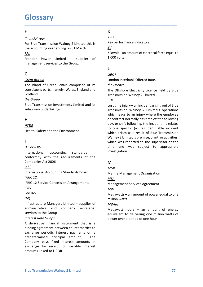# **Glossary**

# **F F** *F F*

**Glossary**<br>
F<br>
F **K**<br>
financial year<br>
For Blue Transmission Walney 2 Limited this is<br>
the accounting year ending on 31 March.<br>
FPL<br>
Frontier Power Limited – supplier of 1,000 volts<br>
management services to the Group **GIOSSATY**<br>
Financial year<br>
For Blue Transmission Walney 2 Limited this is<br>
For Blue Transmission Walney 2 Limited this is<br>
the accounting year ending on 31 March.<br>
Financial year ending on 31 March.<br>
Financial School Con **GLOSSATY**<br>
Financial year<br>
For Blue Transmission Walney 2 Limited this is<br>
The accounting year ending on 31 March.<br>
Finance indicators<br>
EPL<br>
Frontier Power Limited – supplier of 1,000 volts<br>
management services to the Gr FPL **FRU Glossary**<br>
For Blue Transmission Walney 2 Limited this is<br>
For Blue Transmission Walney 2 Limited this is<br>
they performance indicators<br>
the accounting year ending on 31 March.<br>
<u>For Power Limited - supplier</u> of 1,000 vol **Glossary**<br>
For Blue Transmission Walney 2 Limited this is<br>
For Blue Transmission Walney 2 Limited this is<br>
the accounting year ending on 31 March.<br>
<u>FPL</u><br>
Frontier Power Limited – supplier of 1,000 volts<br>
management serv

# Germany and the second control of the second second control of the second second control of the second second second second second second second second second second second second second second second second second second

**Glossary**<br>
Financial year<br>
For Blue Transmission Walney 2 Limited this is<br>
For Blue Transmission Walney 2 Limited this is<br>
the accounting year ending on 31 March.<br>
Fortier Power Limited - supplier of 1,000 volts<br>
Financi **Glossary**<br>
From Blue Transmission Walney 2 Limited this is<br>
For Blue Transmission Walney 2 Limited this is<br>
For Blue Transmission Walney 2 Limited on 31 March.<br>
<u>FPL</u><br>
Kilovolt – an amount of electrical force equal to<br>
F **Glossary**<br>
For Blue Transmission Walney 2 Limited this is<br>
For Blue Transmission Walney 2 Limited this is<br>
the accounting year ending on 31 March.<br>
<u>EPL</u><br>
Frontier Power Limited – supplier of 1,000 volts<br>
management serv Scotland. **Glossary**<br>
F<br>
F<br>
F mancial year<br>
For Blue Transmission Walney 2 Limited this is<br>  $\frac{KPIS}{P}$ <br>
Frontier excepting year ending on 31 March.<br>
F F EPL<br>
Frontier Power Limited – supplier of 1,000 volts<br>
management services to

# H<sub>ar</sub> and the state of the state of the state of the state of the state of the state of the state of the state of the state of the state of the state of the state of the state of the state of the state of the state of the

HS&E

# **I** and the state of the state

# **IASB International Contract Contract Contract Contract Contract Contract Contract Contract Contract Contract Contract Contract Contract Contract Contract Contract Contract Contract Contract Contract Contract Contract Co**

# IFRS

## IML

FIRS<br>
See IAS<br>
MULE Megawatts – an amount of power equal to one<br>
IMLE<br>
Infrastructure Managers Limited – supplier of<br>  $\frac{MW}{M}$ <br>
administrative and company secretarial<br>
services to the Group<br>
services to the Group<br>
Servic which areas as a result of Blue<br>
International<br>
International accounting standards in<br>
International accounting standards in investigation.<br>
International accounting standards in investigation.<br>
International Accounting St 1<br>
Workier Wasservered to the supervisor at the<br>
International accounting standards in<br>
International accounting standards in<br>
International accounting standards in<br>
Companies Act 2006<br>
Manuscription.<br>
Manuscription<br>
Inter **EXECUTE THE SECUTE ASSES Agreement**<br>
International accounting standards in investigation.<br>
Companies Act 2006<br>
Companies Act 2006<br>
Companies Act 2006<br>
International Accounting Standards Board<br>
International Accounting Sta Example 2012 and the state of the state and was subject to appropriate<br>
thermational accounting standards in investigation.<br>
Companies Act 2006 **M**<br>
Example interational Accounting Standards Board Marine Management Organi International accounting standards in Investigation.<br>
Companies Act 2006<br>
Matternational Accounting Standards Board<br>
International Accounting Standards Board<br>
International Accounting Standards Board<br>
IFRIC 12<br>
IFRIC 12<br>
I conformity with the requirements of the<br>
Companies Act 2006<br>
International Accounting Standards Board<br>
International Accounting Standards Board<br>
INCE 12<br>
IFRIC 12<br>
IFRIC 12<br>
IFRIC 12<br>
EFRIC 12<br>
EFRIC 12<br>
EFRIC 12<br>
EFRIC 12 EXELENT CONTROVERT CONTROLL INTERNATION CONTROLL THE CONTROLL THE CONTROLL IS PAYE ON CONTROLL IS PAYE CONTROLL IS PAYE CONTROLL IS PAYE CONTROLL IS PAYE CONTROLL IS PAYE CONTROLL IS PAYE CONTROLL IS PAYE CONTROLL IS PAYE **EXECUTE ANTIFERENT STATE CONDUCTERT SET AND MANUAL ENTIRENCILE STATE OF SERVICE CONCESSION AFTAING MANUAL MANUAL MANUAL MANUAL MANUAL MANUAL MANUAL MANUAL MANUAL MANUAL MANUAL MANUAL MANUAL MANUAL MANUAL MANUAL MANUAL MAN** 

# **K** and the set of the set of the set of the set of the set of the set of the set of the set of the set of the set of the set of the set of the set of the set of the set of the set of the set of the set of the set of the s

# KPIs

\_\_\_\_\_\_\_\_\_\_\_\_\_\_\_\_\_\_\_\_\_\_\_\_\_\_\_\_\_\_\_\_\_\_\_\_\_\_\_\_\_\_\_\_\_\_\_\_\_\_\_\_\_\_\_\_\_\_\_\_\_\_\_\_\_\_\_\_\_\_\_\_\_\_\_\_\_\_\_\_\_\_\_\_\_\_\_\_\_\_

# $kV$

**Key performance indicators<br>
Key performance indicators<br>
<u>KV</u><br>
Kilovolt – an amount of electrical force equal to<br>
1,000 volts** Kilovolt an amount of electrical force equal to K<br>
<u>KPIs</u><br>
Key performance indicators<br>
<u>kV</u><br>
Kilovolt – an amount of electrical force equal to<br>
1,000 volts<br>
L<br>
L<u>IBOR</u><br>
London Interbank Offered Rate. K<br>
<u>KPIs</u><br>
Key performance indicators<br>
<u>KV</u><br>
Kilovolt – an amount of electrical force equal to<br>
1,000 volts<br>
L<br>
L<br>
L<br>
L<u>IBOR</u><br>
London Interbank Offered Rate.<br>
The Offshore Electricity Licence held by Blue<br>
Transmission Wal **K**<br>
<u>KPI<sub>S</sub></u><br>
Key performance indicators<br>
<u>KV</u><br>
Kilovolt – an amount of electrical force equal to<br>
1,000 volts<br> **L**<br> **LICORICORITY EXECTS**<br>
London Interbank Offered Rate.<br>
<u>the Licence</u><br>
The Offshore Electricity Licence

# L<sub>ine</sub> and the state of the state of the state of the state of the state of the state of the state of the state of the state of the state of the state of the state of the state of the state of the state of the state of the

# LIBOR

# LTIs

**Frame Considering the Consideration Considers Alternation**<br>
For Blue Transmission Walney 2 Limited this is<br>  $\frac{kY}{fPL}$ <br>
From Blue Transmission Walney 2 Limited - supplier of<br>  $\frac{kY}{fPL}$ <br>
From the stand of Great Britain c F<br>
For Blue Transmission Walney 2 Limited this is<br>
For Blue Transmission Walney 2 Limited this is<br>  $\frac{kY}{k}$ <br>
For Blue Transmission Walney 2 Limited<br>
Frontier Power Limited – supplier of  $\frac{kV}{k}$ <br>  $\frac{EPL}{k}$ <br>  $\frac{EPL}{k}$ <br> FRICT THEST THEST UNION TO THE SAFET THE SAFET THE SAFET THE SAFET THE SAFET THE SAFET THE SAFET THE SAFET THE SAFET THE SAFET THE SAFET THE SAFET THE SAFET THE SAFET THE SAFET THE SAFET THE SAFET THE SAFET THE SAFET THAN management services to the Group.<br> **Condom**<br>
International comprised of its<br>
<u>IAS or</u> IFRE island of Great Britain comprised of its<br>
the <u>Group</u><br>
Entangulary undertakings<br>
Scotland.<br>
International international and its<br>
IS **G**<br> **Contained Standard Containers** Comparised of its<br> **IDEOR**<br>
Condon Interbank Offered Rate.<br>
The Island of Great Britain comprised of its<br> **Scotland.**<br> **Example Scotland.**<br> **IDENT CONTIFICATE CONTIFICATE CONTIFICATE C G**<br>
Controllect Entitain comprised of its<br>
tomoton interbank Offered Rate.<br>
Constituent parts, namely: Wales, England and<br>
The Offshore Electricity Licence<br>
for the Group<br>
the Group<br>
the Group<br>
Electricity with the requi Great Britain<br>
The island of Great Britain comprised of its<br>
condon Interbank Offered Rate.<br>
Condon Interbank Offered Rate.<br>
Scotland.<br>
Scotland.<br>
Scotland.<br>
Blue Transmission Investments Limited and its<br>
Lost time injury Containting and the match of the manner of the SCOM of the COMENTIFY CONDENTIFY CONDENTIFY CONDENTIFY CONDENTIFY CONDENTIFY AND HEAD CONDENTIFY CONDENTIFY AND HEAD CONDENTIFY (SCOUNTIFY ACCOUNT THE SUBSTANDIAN UNIT AND AC Scotland.<br>
Transmission Walney 21<br>
<u>Blue Transmission</u> Investments Limited and its<br>
subsidiary undertakings<br>
International<br>
International<br>
Heads to an injury<br>
or contract normally has<br>
day, or shift following, t<br>
Health, **EXAMULE THE SERVICE SUBLICE THE CONDUCT SUBLICE THE CALL CONDUCT THE SUBLICE CONCEPT THE SUBLICE CONCEPT THE SUBLICE CONCEPT THE SUBLICE CONCEPT THE SUBLICE CONCEPT THE SUBLICE CONCEPT THE SUBLICE CONCEPT THE SUBLICE CON** subsidiary undertakings<br>
H<br>
H<br>
Mich leads to an inju<br>
H<br>
H<br>
H<br>
H<br>
H<br>
H<br>
H<br>
H<br>
H<br>
See IAS<br>
I<br>
I<br>
I<br>
I<br>
I<br>
I<br>
I<br>
I<br>
I<br>
I<br>
See IAS<br>
International accounting standards in<br>
the requirements of the<br>
Companies Act 2006<br>
Companies HERGE<br>
INFRASE contract normally has time of the following the incident. It relates<br>
Health, Safety and the Environment<br>
The Sare is a result of Blue Transmission<br>
Walley 2 Limited's premise, plant, or activities,<br>
Walley administrative and company secretarial Health, Safety and the Environment<br>  $\frac{1}{2}$ <br>
Health, Safety and the Environment<br>  $\frac{1}{2}$ <br>  $\frac{1}{2}$ <br>  $\frac{1}{2}$ <br>  $\frac{1}{2}$ <br>  $\frac{1}{2}$ <br>
International<br>
accounting standards in<br>
the requirements of the<br>
Companies Act 2006 K<br>
<u>KPIs</u><br>
Key performance indicators<br>
<u>KV</u><br>
Kilovolt – an amount of electrical force equal to<br>
1,000 volts<br>
L<br>
L<br>
L<br>
<u>LIBOR</u><br>
London Interbank Offered Rate.<br>
The Offshore Electricity Licence held by Blue<br>
Transmission Wal K<br>
<u>KPIs</u><br>
<u>KPIs</u><br>
Kilovolt – an amount of electrical force equal to<br>
1,000 volts<br>
L<br> **L**<br>
<u>LIBOR</u><br>
London Interbank Offered Rate.<br>
the Licence<br>
The Offshore Electricity Licence held by Blue<br>
Transmission Walney 2 Limited<br> **K**<br>
<u>KPIs</u><br>
Key performance indicators<br>
<u>KV</u><br>
Kilovolt – an amount of electrical force equal to<br>
1,000 volts<br> **L**<br> **L**<br> **L**<br> **L**<br> **LOSE**<br> **COSE COSE COSE COSE Area in the Unit of Blue<br>
Transmission Walney 2 Limited<br>
TIS<br>** Transmission Walney 2 Limiteds operations **K**<br>
<u>KPIs</u><br>
Key performance indicators<br>
<u>KV</u><br>
Kilovolt – an amount of electrical force equal to<br>
1,000 volts<br> **L**<br> **L**<br> **L**<br> **D**<br> **Combinding**<br>
Combine the employee of the employee<br>
Transmission Walney 2 Limited's operat or contract normally has time off the following  $\frac{K}{K}$ <br>  $\frac{K}{K}$  performance indicators<br>  $\underline{k}$  Kilovolt – an amount of electrical force equal to<br>  $1,000$  volts<br>  $\underline{l}$ <br>  $\underline{l}$   $\underline{l}$   $\underline{l}$   $\underline{l}$   $\underline{m}$ <br>  $\underline{l}$   $\underline{m}$   $\underline{m}$ <br>  $\underline{l}$   $\underline{m}$   $\underline{m$ to one specific (acute) identifiable incident  $\frac{kV}{V}$ <br>Kilovolt – an amount of electrical force equal to<br>1,000 volts<br>
L<br>
L<br>
L<br>
L<br>
L<br>
L<br>
L<br>
L<br>
Modon Interbank Offered Rate.<br>
The Offshore Electricity Licence held by Blue<br>
Transmission Walney 2 Limited<br>
L<br>
Intered Solv Kilovolt – an amount of electrical force equal to<br>
1,000 volts<br>
1,000 volts<br>
L<br>
<u>LIBOR</u><br>
London Interbank Offered Rate.<br>
The Offshore Electricity Licence held by Blue<br>
Transmission Walney 2 Limited's operations<br>
LIIs<br>
Lost 1,000 volts<br>
1,000 volts<br>
1,000 m<br>
1,000 m<br>
1,000<br>
1,000<br>
1,000<br>
1,000<br>
1,000<br>
1,000<br>
1,000<br>
1,000<br>
1,000<br>
1,000<br>
1,000<br>
1,000<br>
1,000<br>
1,000<br>
1,000<br>
1,000<br>
1,000<br>
1,000<br>
1,000<br>
1,000<br>
1,0000<br>
1,0000<br>
1,0000<br>
1,0000<br>
1,0000 LIBOR<br>
LIBOR<br>
LIBOR<br>
LONDON Interbank Offered Rate.<br>
The Offshore Electricity Licence held by Blue<br>
LTIS<br>
LONE time injury – an incident arising out of Blue<br>
Long time injury – an incident arising out of Blue<br>
Transmissio investigation. The Offshore Electricity Licence held by Blue<br>
Transmission Walney 2 Limited<br>
<u>L715</u><br>
Lost time injury – an incident arising out of Blue<br>
Transmission Walney 2 Limited's operations<br>
which leads to an injury where the emplo <u>LTIs</u><br>
LOSt time injury – an incident arising out of Blue<br>
Transmission Walney 2 Limited's operations<br>
which leads to an injury where the employee<br>
or contract normally has time off the following<br>
day, or shift following Transmission Walney 2 Limited's operations<br>which leads to an injury where the employee<br>or contract normally has time off the following<br>day, or shift following, the incident. It relates<br>to one specific (acute) identifiable which leads to an injury where the employee<br>or contract normally has time off the following<br>day, or shift following, the incident. It relates<br>to one specific (acute) identifiable incident<br>which arises as a result of Blue T day, or sinct following, the incluent. The faces<br>to one specific (acute) identifiable incident<br>which arises as a result of Blue Transmission<br>Walney 2 Limited's premise, plant, or activities,<br>which was reported to the super to one spectric (actue) detinticate intertination<br>which arises as a result of Blue Transmission<br>Walney 2 Limited's premise, plant, or activities,<br>which was reported to the supervisor at the<br>time and was subject to appropri Walney 2 Limites as a result of notice Transmission<br>Walney 2 Limited<sup>4</sup>'s premise, plant, or activities,<br>which was reported to the supervisor at the<br>time and was subject to appropriate<br>investigation.<br>M<br>M<br>Management Service

# M<sub>a</sub> and the set of the set of the set of the set of the set of the set of the set of the set of the set of the set of the set of the set of the set of the set of the set of the set of the set of the set of the set of the

# MMO

MSA PARTICIPATION CONTINUES AND LOCAL CONTINUES.

# MW

## MWhrs